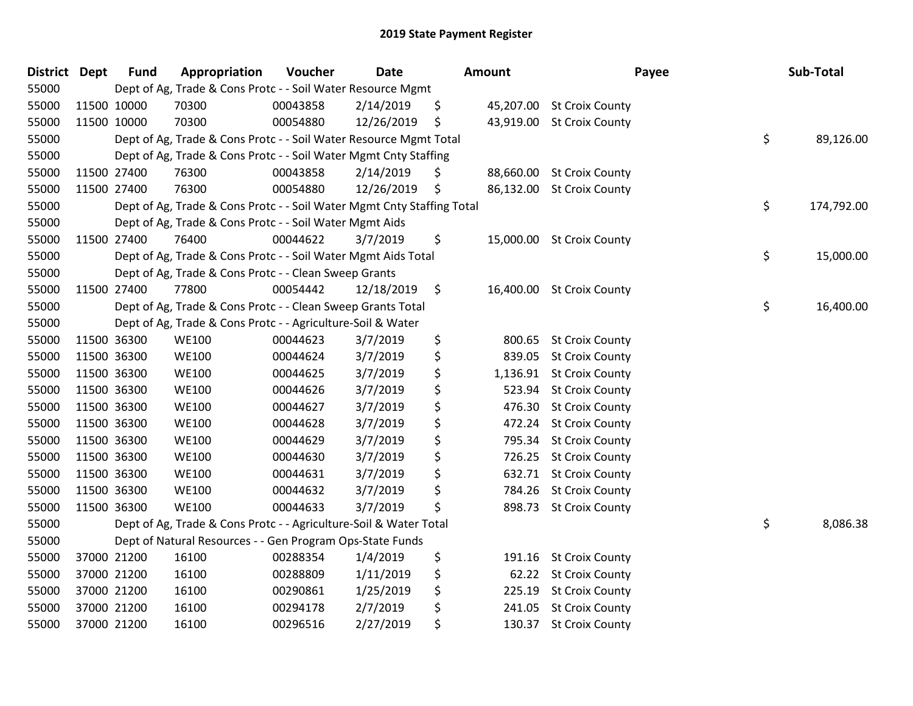| <b>District Dept</b> |             | <b>Fund</b> | Appropriation                                                          | Voucher  | <b>Date</b> | <b>Amount</b>  | Payee                     | Sub-Total        |
|----------------------|-------------|-------------|------------------------------------------------------------------------|----------|-------------|----------------|---------------------------|------------------|
| 55000                |             |             | Dept of Ag, Trade & Cons Protc - - Soil Water Resource Mgmt            |          |             |                |                           |                  |
| 55000                | 11500 10000 |             | 70300                                                                  | 00043858 | 2/14/2019   | \$             | 45,207.00 St Croix County |                  |
| 55000                | 11500 10000 |             | 70300                                                                  | 00054880 | 12/26/2019  | \$             | 43,919.00 St Croix County |                  |
| 55000                |             |             | Dept of Ag, Trade & Cons Protc - - Soil Water Resource Mgmt Total      |          |             |                |                           | \$<br>89,126.00  |
| 55000                |             |             | Dept of Ag, Trade & Cons Protc - - Soil Water Mgmt Cnty Staffing       |          |             |                |                           |                  |
| 55000                | 11500 27400 |             | 76300                                                                  | 00043858 | 2/14/2019   | \$             | 88,660.00 St Croix County |                  |
| 55000                | 11500 27400 |             | 76300                                                                  | 00054880 | 12/26/2019  | \$             | 86,132.00 St Croix County |                  |
| 55000                |             |             | Dept of Ag, Trade & Cons Protc - - Soil Water Mgmt Cnty Staffing Total |          |             |                |                           | \$<br>174,792.00 |
| 55000                |             |             | Dept of Ag, Trade & Cons Protc - - Soil Water Mgmt Aids                |          |             |                |                           |                  |
| 55000                | 11500 27400 |             | 76400                                                                  | 00044622 | 3/7/2019    | \$             | 15,000.00 St Croix County |                  |
| 55000                |             |             | Dept of Ag, Trade & Cons Protc - - Soil Water Mgmt Aids Total          |          |             |                |                           | \$<br>15,000.00  |
| 55000                |             |             | Dept of Ag, Trade & Cons Protc - - Clean Sweep Grants                  |          |             |                |                           |                  |
| 55000                | 11500 27400 |             | 77800                                                                  | 00054442 | 12/18/2019  | \$             | 16,400.00 St Croix County |                  |
| 55000                |             |             | Dept of Ag, Trade & Cons Protc - - Clean Sweep Grants Total            |          |             |                |                           | \$<br>16,400.00  |
| 55000                |             |             | Dept of Ag, Trade & Cons Protc - - Agriculture-Soil & Water            |          |             |                |                           |                  |
| 55000                | 11500 36300 |             | <b>WE100</b>                                                           | 00044623 | 3/7/2019    | \$<br>800.65   | <b>St Croix County</b>    |                  |
| 55000                | 11500 36300 |             | <b>WE100</b>                                                           | 00044624 | 3/7/2019    | \$<br>839.05   | <b>St Croix County</b>    |                  |
| 55000                | 11500 36300 |             | <b>WE100</b>                                                           | 00044625 | 3/7/2019    | \$<br>1,136.91 | <b>St Croix County</b>    |                  |
| 55000                | 11500 36300 |             | <b>WE100</b>                                                           | 00044626 | 3/7/2019    | \$<br>523.94   | <b>St Croix County</b>    |                  |
| 55000                | 11500 36300 |             | <b>WE100</b>                                                           | 00044627 | 3/7/2019    | \$<br>476.30   | <b>St Croix County</b>    |                  |
| 55000                | 11500 36300 |             | <b>WE100</b>                                                           | 00044628 | 3/7/2019    | \$<br>472.24   | <b>St Croix County</b>    |                  |
| 55000                | 11500 36300 |             | <b>WE100</b>                                                           | 00044629 | 3/7/2019    | \$<br>795.34   | <b>St Croix County</b>    |                  |
| 55000                | 11500 36300 |             | <b>WE100</b>                                                           | 00044630 | 3/7/2019    | \$<br>726.25   | <b>St Croix County</b>    |                  |
| 55000                | 11500 36300 |             | <b>WE100</b>                                                           | 00044631 | 3/7/2019    | \$<br>632.71   | <b>St Croix County</b>    |                  |
| 55000                | 11500 36300 |             | <b>WE100</b>                                                           | 00044632 | 3/7/2019    | \$<br>784.26   | <b>St Croix County</b>    |                  |
| 55000                | 11500 36300 |             | <b>WE100</b>                                                           | 00044633 | 3/7/2019    | \$<br>898.73   | <b>St Croix County</b>    |                  |
| 55000                |             |             | Dept of Ag, Trade & Cons Protc - - Agriculture-Soil & Water Total      |          |             |                |                           | \$<br>8,086.38   |
| 55000                |             |             | Dept of Natural Resources - - Gen Program Ops-State Funds              |          |             |                |                           |                  |
| 55000                |             | 37000 21200 | 16100                                                                  | 00288354 | 1/4/2019    | \$<br>191.16   | <b>St Croix County</b>    |                  |
| 55000                | 37000 21200 |             | 16100                                                                  | 00288809 | 1/11/2019   | \$             | 62.22 St Croix County     |                  |
| 55000                | 37000 21200 |             | 16100                                                                  | 00290861 | 1/25/2019   | \$<br>225.19   | <b>St Croix County</b>    |                  |
| 55000                | 37000 21200 |             | 16100                                                                  | 00294178 | 2/7/2019    | \$<br>241.05   | <b>St Croix County</b>    |                  |
| 55000                |             | 37000 21200 | 16100                                                                  | 00296516 | 2/27/2019   | \$             | 130.37 St Croix County    |                  |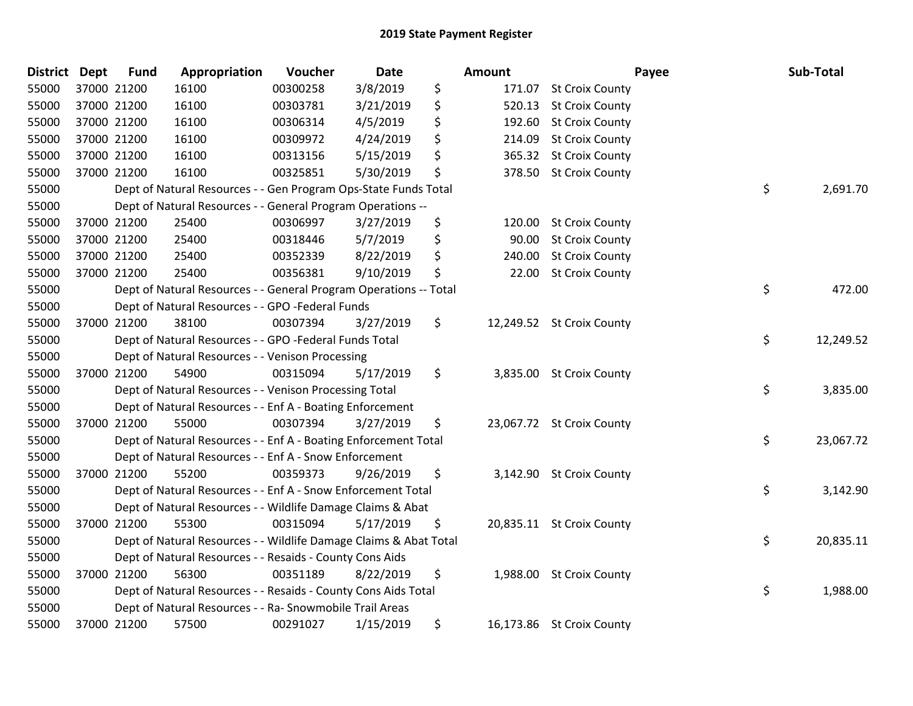| District Dept |             | <b>Fund</b> | Appropriation                                                     | Voucher  | <b>Date</b> | Amount       |                           | Payee | Sub-Total |
|---------------|-------------|-------------|-------------------------------------------------------------------|----------|-------------|--------------|---------------------------|-------|-----------|
| 55000         | 37000 21200 |             | 16100                                                             | 00300258 | 3/8/2019    | \$           | 171.07 St Croix County    |       |           |
| 55000         | 37000 21200 |             | 16100                                                             | 00303781 | 3/21/2019   | \$<br>520.13 | <b>St Croix County</b>    |       |           |
| 55000         | 37000 21200 |             | 16100                                                             | 00306314 | 4/5/2019    | \$<br>192.60 | <b>St Croix County</b>    |       |           |
| 55000         | 37000 21200 |             | 16100                                                             | 00309972 | 4/24/2019   | \$<br>214.09 | <b>St Croix County</b>    |       |           |
| 55000         | 37000 21200 |             | 16100                                                             | 00313156 | 5/15/2019   | \$<br>365.32 | <b>St Croix County</b>    |       |           |
| 55000         | 37000 21200 |             | 16100                                                             | 00325851 | 5/30/2019   | \$<br>378.50 | <b>St Croix County</b>    |       |           |
| 55000         |             |             | Dept of Natural Resources - - Gen Program Ops-State Funds Total   |          |             |              |                           | \$    | 2,691.70  |
| 55000         |             |             | Dept of Natural Resources - - General Program Operations --       |          |             |              |                           |       |           |
| 55000         | 37000 21200 |             | 25400                                                             | 00306997 | 3/27/2019   | \$<br>120.00 | <b>St Croix County</b>    |       |           |
| 55000         | 37000 21200 |             | 25400                                                             | 00318446 | 5/7/2019    | \$<br>90.00  | <b>St Croix County</b>    |       |           |
| 55000         | 37000 21200 |             | 25400                                                             | 00352339 | 8/22/2019   | \$<br>240.00 | <b>St Croix County</b>    |       |           |
| 55000         | 37000 21200 |             | 25400                                                             | 00356381 | 9/10/2019   | \$<br>22.00  | <b>St Croix County</b>    |       |           |
| 55000         |             |             | Dept of Natural Resources - - General Program Operations -- Total |          |             |              |                           | \$    | 472.00    |
| 55000         |             |             | Dept of Natural Resources - - GPO -Federal Funds                  |          |             |              |                           |       |           |
| 55000         | 37000 21200 |             | 38100                                                             | 00307394 | 3/27/2019   | \$           | 12,249.52 St Croix County |       |           |
| 55000         |             |             | Dept of Natural Resources - - GPO -Federal Funds Total            |          |             |              |                           | \$    | 12,249.52 |
| 55000         |             |             | Dept of Natural Resources - - Venison Processing                  |          |             |              |                           |       |           |
| 55000         |             | 37000 21200 | 54900                                                             | 00315094 | 5/17/2019   | \$           | 3,835.00 St Croix County  |       |           |
| 55000         |             |             | Dept of Natural Resources - - Venison Processing Total            |          |             |              |                           | \$    | 3,835.00  |
| 55000         |             |             | Dept of Natural Resources - - Enf A - Boating Enforcement         |          |             |              |                           |       |           |
| 55000         | 37000 21200 |             | 55000                                                             | 00307394 | 3/27/2019   | \$           | 23,067.72 St Croix County |       |           |
| 55000         |             |             | Dept of Natural Resources - - Enf A - Boating Enforcement Total   |          |             |              |                           | \$    | 23,067.72 |
| 55000         |             |             | Dept of Natural Resources - - Enf A - Snow Enforcement            |          |             |              |                           |       |           |
| 55000         |             | 37000 21200 | 55200                                                             | 00359373 | 9/26/2019   | \$           | 3,142.90 St Croix County  |       |           |
| 55000         |             |             | Dept of Natural Resources - - Enf A - Snow Enforcement Total      |          |             |              |                           | \$    | 3,142.90  |
| 55000         |             |             | Dept of Natural Resources - - Wildlife Damage Claims & Abat       |          |             |              |                           |       |           |
| 55000         | 37000 21200 |             | 55300                                                             | 00315094 | 5/17/2019   | \$           | 20,835.11 St Croix County |       |           |
| 55000         |             |             | Dept of Natural Resources - - Wildlife Damage Claims & Abat Total |          |             |              |                           | \$    | 20,835.11 |
| 55000         |             |             | Dept of Natural Resources - - Resaids - County Cons Aids          |          |             |              |                           |       |           |
| 55000         | 37000 21200 |             | 56300                                                             | 00351189 | 8/22/2019   | \$           | 1,988.00 St Croix County  |       |           |
| 55000         |             |             | Dept of Natural Resources - - Resaids - County Cons Aids Total    |          |             |              |                           | \$    | 1,988.00  |
| 55000         |             |             | Dept of Natural Resources - - Ra- Snowmobile Trail Areas          |          |             |              |                           |       |           |
| 55000         | 37000 21200 |             | 57500                                                             | 00291027 | 1/15/2019   | \$           | 16,173.86 St Croix County |       |           |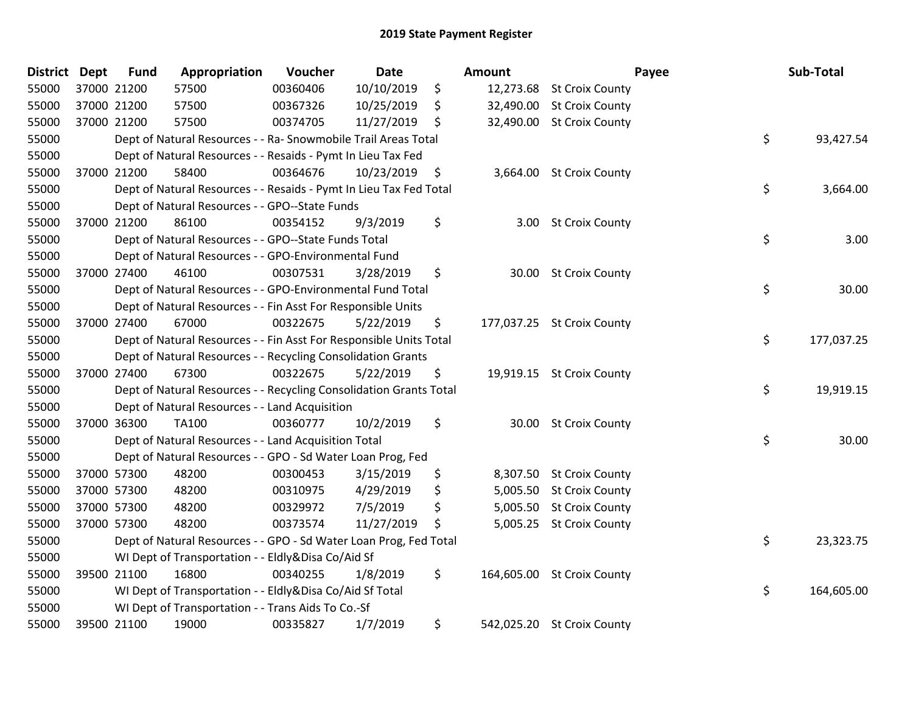| <b>District Dept</b> |             | <b>Fund</b> | Appropriation                                                      | Voucher  | <b>Date</b> |    | Amount     |                            | Payee | Sub-Total  |
|----------------------|-------------|-------------|--------------------------------------------------------------------|----------|-------------|----|------------|----------------------------|-------|------------|
| 55000                | 37000 21200 |             | 57500                                                              | 00360406 | 10/10/2019  | \$ |            | 12,273.68 St Croix County  |       |            |
| 55000                | 37000 21200 |             | 57500                                                              | 00367326 | 10/25/2019  | \$ |            | 32,490.00 St Croix County  |       |            |
| 55000                | 37000 21200 |             | 57500                                                              | 00374705 | 11/27/2019  | S. |            | 32,490.00 St Croix County  |       |            |
| 55000                |             |             | Dept of Natural Resources - - Ra- Snowmobile Trail Areas Total     |          |             |    |            |                            | \$    | 93,427.54  |
| 55000                |             |             | Dept of Natural Resources - - Resaids - Pymt In Lieu Tax Fed       |          |             |    |            |                            |       |            |
| 55000                | 37000 21200 |             | 58400                                                              | 00364676 | 10/23/2019  | \$ | 3,664.00   | <b>St Croix County</b>     |       |            |
| 55000                |             |             | Dept of Natural Resources - - Resaids - Pymt In Lieu Tax Fed Total |          |             |    |            |                            | \$    | 3,664.00   |
| 55000                |             |             | Dept of Natural Resources - - GPO--State Funds                     |          |             |    |            |                            |       |            |
| 55000                | 37000 21200 |             | 86100                                                              | 00354152 | 9/3/2019    | \$ | 3.00       | <b>St Croix County</b>     |       |            |
| 55000                |             |             | Dept of Natural Resources - - GPO--State Funds Total               |          |             |    |            |                            | \$    | 3.00       |
| 55000                |             |             | Dept of Natural Resources - - GPO-Environmental Fund               |          |             |    |            |                            |       |            |
| 55000                | 37000 27400 |             | 46100                                                              | 00307531 | 3/28/2019   | \$ | 30.00      | <b>St Croix County</b>     |       |            |
| 55000                |             |             | Dept of Natural Resources - - GPO-Environmental Fund Total         |          |             |    |            |                            | \$    | 30.00      |
| 55000                |             |             | Dept of Natural Resources - - Fin Asst For Responsible Units       |          |             |    |            |                            |       |            |
| 55000                | 37000 27400 |             | 67000                                                              | 00322675 | 5/22/2019   | \$ |            | 177,037.25 St Croix County |       |            |
| 55000                |             |             | Dept of Natural Resources - - Fin Asst For Responsible Units Total |          |             |    |            |                            | \$    | 177,037.25 |
| 55000                |             |             | Dept of Natural Resources - - Recycling Consolidation Grants       |          |             |    |            |                            |       |            |
| 55000                |             | 37000 27400 | 67300                                                              | 00322675 | 5/22/2019   | \$ |            | 19,919.15 St Croix County  |       |            |
| 55000                |             |             | Dept of Natural Resources - - Recycling Consolidation Grants Total |          |             |    |            |                            | \$    | 19,919.15  |
| 55000                |             |             | Dept of Natural Resources - - Land Acquisition                     |          |             |    |            |                            |       |            |
| 55000                | 37000 36300 |             | <b>TA100</b>                                                       | 00360777 | 10/2/2019   | \$ |            | 30.00 St Croix County      |       |            |
| 55000                |             |             | Dept of Natural Resources - - Land Acquisition Total               |          |             |    |            |                            | \$    | 30.00      |
| 55000                |             |             | Dept of Natural Resources - - GPO - Sd Water Loan Prog, Fed        |          |             |    |            |                            |       |            |
| 55000                | 37000 57300 |             | 48200                                                              | 00300453 | 3/15/2019   | \$ |            | 8,307.50 St Croix County   |       |            |
| 55000                | 37000 57300 |             | 48200                                                              | 00310975 | 4/29/2019   | \$ | 5,005.50   | <b>St Croix County</b>     |       |            |
| 55000                | 37000 57300 |             | 48200                                                              | 00329972 | 7/5/2019    | \$ | 5,005.50   | <b>St Croix County</b>     |       |            |
| 55000                | 37000 57300 |             | 48200                                                              | 00373574 | 11/27/2019  | \$ |            | 5,005.25 St Croix County   |       |            |
| 55000                |             |             | Dept of Natural Resources - - GPO - Sd Water Loan Prog, Fed Total  |          |             |    |            |                            | \$    | 23,323.75  |
| 55000                |             |             | WI Dept of Transportation - - Eldly&Disa Co/Aid Sf                 |          |             |    |            |                            |       |            |
| 55000                | 39500 21100 |             | 16800                                                              | 00340255 | 1/8/2019    | \$ | 164,605.00 | <b>St Croix County</b>     |       |            |
| 55000                |             |             | WI Dept of Transportation - - Eldly&Disa Co/Aid Sf Total           |          |             |    |            |                            | \$    | 164,605.00 |
| 55000                |             |             | WI Dept of Transportation - - Trans Aids To Co.-Sf                 |          |             |    |            |                            |       |            |
| 55000                | 39500 21100 |             | 19000                                                              | 00335827 | 1/7/2019    | \$ |            | 542,025.20 St Croix County |       |            |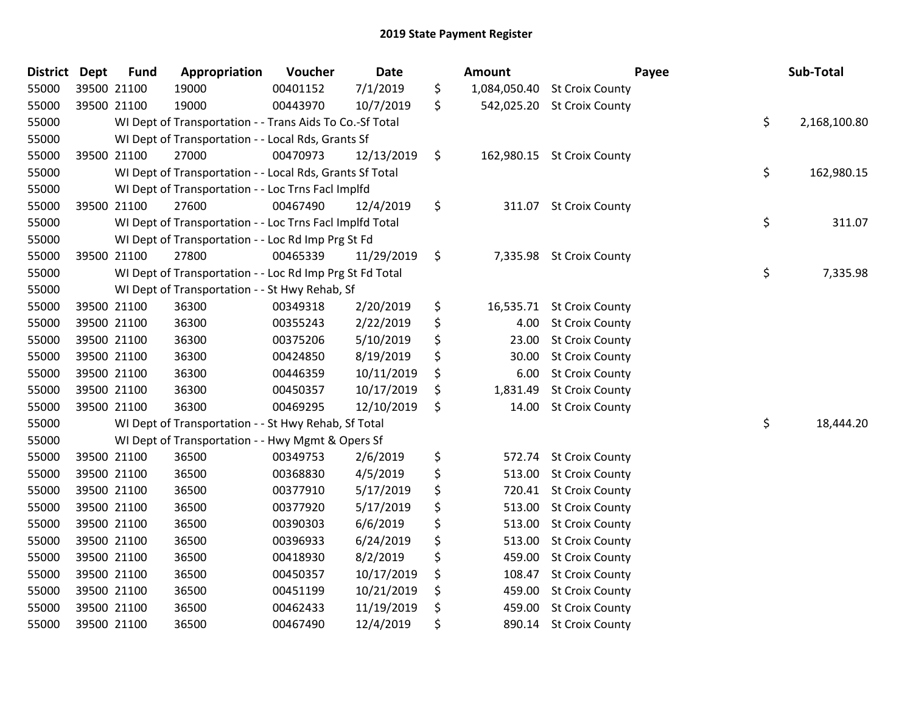| <b>District</b> | <b>Dept</b> | <b>Fund</b> | Appropriation                                            | Voucher  | Date       | <b>Amount</b>      |                            | Payee | Sub-Total    |
|-----------------|-------------|-------------|----------------------------------------------------------|----------|------------|--------------------|----------------------------|-------|--------------|
| 55000           |             | 39500 21100 | 19000                                                    | 00401152 | 7/1/2019   | \$<br>1,084,050.40 | <b>St Croix County</b>     |       |              |
| 55000           |             | 39500 21100 | 19000                                                    | 00443970 | 10/7/2019  | \$                 | 542,025.20 St Croix County |       |              |
| 55000           |             |             | WI Dept of Transportation - - Trans Aids To Co.-Sf Total |          |            |                    |                            | \$    | 2,168,100.80 |
| 55000           |             |             | WI Dept of Transportation - - Local Rds, Grants Sf       |          |            |                    |                            |       |              |
| 55000           |             | 39500 21100 | 27000                                                    | 00470973 | 12/13/2019 | \$<br>162,980.15   | <b>St Croix County</b>     |       |              |
| 55000           |             |             | WI Dept of Transportation - - Local Rds, Grants Sf Total |          |            |                    |                            | \$    | 162,980.15   |
| 55000           |             |             | WI Dept of Transportation - - Loc Trns Facl Implfd       |          |            |                    |                            |       |              |
| 55000           |             | 39500 21100 | 27600                                                    | 00467490 | 12/4/2019  | \$<br>311.07       | <b>St Croix County</b>     |       |              |
| 55000           |             |             | WI Dept of Transportation - - Loc Trns Facl Implfd Total |          |            |                    |                            | \$    | 311.07       |
| 55000           |             |             | WI Dept of Transportation - - Loc Rd Imp Prg St Fd       |          |            |                    |                            |       |              |
| 55000           |             | 39500 21100 | 27800                                                    | 00465339 | 11/29/2019 | \$                 | 7,335.98 St Croix County   |       |              |
| 55000           |             |             | WI Dept of Transportation - - Loc Rd Imp Prg St Fd Total |          |            |                    |                            | \$    | 7,335.98     |
| 55000           |             |             | WI Dept of Transportation - - St Hwy Rehab, Sf           |          |            |                    |                            |       |              |
| 55000           |             | 39500 21100 | 36300                                                    | 00349318 | 2/20/2019  | \$<br>16,535.71    | <b>St Croix County</b>     |       |              |
| 55000           |             | 39500 21100 | 36300                                                    | 00355243 | 2/22/2019  | \$<br>4.00         | <b>St Croix County</b>     |       |              |
| 55000           |             | 39500 21100 | 36300                                                    | 00375206 | 5/10/2019  | \$<br>23.00        | <b>St Croix County</b>     |       |              |
| 55000           |             | 39500 21100 | 36300                                                    | 00424850 | 8/19/2019  | \$<br>30.00        | <b>St Croix County</b>     |       |              |
| 55000           |             | 39500 21100 | 36300                                                    | 00446359 | 10/11/2019 | \$<br>6.00         | <b>St Croix County</b>     |       |              |
| 55000           |             | 39500 21100 | 36300                                                    | 00450357 | 10/17/2019 | \$<br>1,831.49     | <b>St Croix County</b>     |       |              |
| 55000           |             | 39500 21100 | 36300                                                    | 00469295 | 12/10/2019 | \$<br>14.00        | <b>St Croix County</b>     |       |              |
| 55000           |             |             | WI Dept of Transportation - - St Hwy Rehab, Sf Total     |          |            |                    |                            | \$    | 18,444.20    |
| 55000           |             |             | WI Dept of Transportation - - Hwy Mgmt & Opers Sf        |          |            |                    |                            |       |              |
| 55000           |             | 39500 21100 | 36500                                                    | 00349753 | 2/6/2019   | \$<br>572.74       | <b>St Croix County</b>     |       |              |
| 55000           |             | 39500 21100 | 36500                                                    | 00368830 | 4/5/2019   | \$<br>513.00       | <b>St Croix County</b>     |       |              |
| 55000           |             | 39500 21100 | 36500                                                    | 00377910 | 5/17/2019  | \$<br>720.41       | <b>St Croix County</b>     |       |              |
| 55000           |             | 39500 21100 | 36500                                                    | 00377920 | 5/17/2019  | \$<br>513.00       | <b>St Croix County</b>     |       |              |
| 55000           |             | 39500 21100 | 36500                                                    | 00390303 | 6/6/2019   | \$<br>513.00       | <b>St Croix County</b>     |       |              |
| 55000           |             | 39500 21100 | 36500                                                    | 00396933 | 6/24/2019  | \$<br>513.00       | <b>St Croix County</b>     |       |              |
| 55000           |             | 39500 21100 | 36500                                                    | 00418930 | 8/2/2019   | \$<br>459.00       | <b>St Croix County</b>     |       |              |
| 55000           |             | 39500 21100 | 36500                                                    | 00450357 | 10/17/2019 | \$<br>108.47       | <b>St Croix County</b>     |       |              |
| 55000           |             | 39500 21100 | 36500                                                    | 00451199 | 10/21/2019 | \$<br>459.00       | <b>St Croix County</b>     |       |              |
| 55000           |             | 39500 21100 | 36500                                                    | 00462433 | 11/19/2019 | \$<br>459.00       | <b>St Croix County</b>     |       |              |
| 55000           |             | 39500 21100 | 36500                                                    | 00467490 | 12/4/2019  | \$<br>890.14       | <b>St Croix County</b>     |       |              |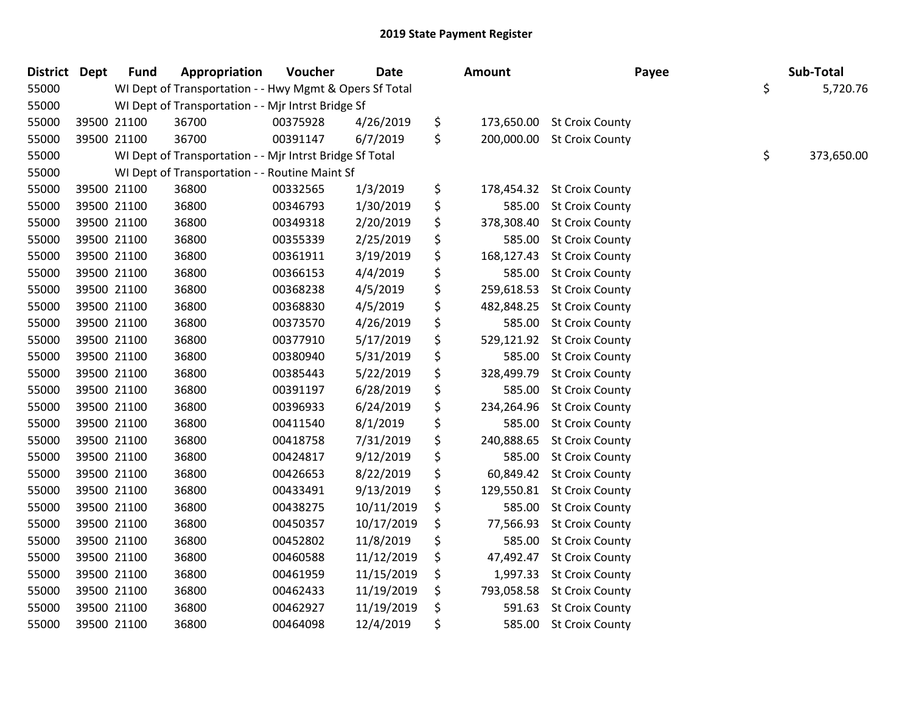| District Dept |             | <b>Fund</b> | Appropriation                                            | Voucher  | <b>Date</b> | Amount           | Payee                      | Sub-Total        |
|---------------|-------------|-------------|----------------------------------------------------------|----------|-------------|------------------|----------------------------|------------------|
| 55000         |             |             | WI Dept of Transportation - - Hwy Mgmt & Opers Sf Total  |          |             |                  |                            | \$<br>5,720.76   |
| 55000         |             |             | WI Dept of Transportation - - Mjr Intrst Bridge Sf       |          |             |                  |                            |                  |
| 55000         | 39500 21100 |             | 36700                                                    | 00375928 | 4/26/2019   | \$               | 173,650.00 St Croix County |                  |
| 55000         | 39500 21100 |             | 36700                                                    | 00391147 | 6/7/2019    | \$               | 200,000.00 St Croix County |                  |
| 55000         |             |             | WI Dept of Transportation - - Mjr Intrst Bridge Sf Total |          |             |                  |                            | \$<br>373,650.00 |
| 55000         |             |             | WI Dept of Transportation - - Routine Maint Sf           |          |             |                  |                            |                  |
| 55000         | 39500 21100 |             | 36800                                                    | 00332565 | 1/3/2019    | \$               | 178,454.32 St Croix County |                  |
| 55000         | 39500 21100 |             | 36800                                                    | 00346793 | 1/30/2019   | \$               | 585.00 St Croix County     |                  |
| 55000         | 39500 21100 |             | 36800                                                    | 00349318 | 2/20/2019   | \$               | 378,308.40 St Croix County |                  |
| 55000         | 39500 21100 |             | 36800                                                    | 00355339 | 2/25/2019   | \$<br>585.00     | <b>St Croix County</b>     |                  |
| 55000         | 39500 21100 |             | 36800                                                    | 00361911 | 3/19/2019   | \$               | 168,127.43 St Croix County |                  |
| 55000         | 39500 21100 |             | 36800                                                    | 00366153 | 4/4/2019    | \$<br>585.00     | <b>St Croix County</b>     |                  |
| 55000         | 39500 21100 |             | 36800                                                    | 00368238 | 4/5/2019    | \$               | 259,618.53 St Croix County |                  |
| 55000         | 39500 21100 |             | 36800                                                    | 00368830 | 4/5/2019    | \$               | 482,848.25 St Croix County |                  |
| 55000         | 39500 21100 |             | 36800                                                    | 00373570 | 4/26/2019   | \$               | 585.00 St Croix County     |                  |
| 55000         | 39500 21100 |             | 36800                                                    | 00377910 | 5/17/2019   | \$               | 529,121.92 St Croix County |                  |
| 55000         | 39500 21100 |             | 36800                                                    | 00380940 | 5/31/2019   | \$<br>585.00     | <b>St Croix County</b>     |                  |
| 55000         | 39500 21100 |             | 36800                                                    | 00385443 | 5/22/2019   | \$               | 328,499.79 St Croix County |                  |
| 55000         | 39500 21100 |             | 36800                                                    | 00391197 | 6/28/2019   | \$<br>585.00     | <b>St Croix County</b>     |                  |
| 55000         | 39500 21100 |             | 36800                                                    | 00396933 | 6/24/2019   | \$<br>234,264.96 | <b>St Croix County</b>     |                  |
| 55000         | 39500 21100 |             | 36800                                                    | 00411540 | 8/1/2019    | \$               | 585.00 St Croix County     |                  |
| 55000         | 39500 21100 |             | 36800                                                    | 00418758 | 7/31/2019   | \$<br>240,888.65 | <b>St Croix County</b>     |                  |
| 55000         | 39500 21100 |             | 36800                                                    | 00424817 | 9/12/2019   | \$               | 585.00 St Croix County     |                  |
| 55000         | 39500 21100 |             | 36800                                                    | 00426653 | 8/22/2019   | \$               | 60,849.42 St Croix County  |                  |
| 55000         | 39500 21100 |             | 36800                                                    | 00433491 | 9/13/2019   | \$               | 129,550.81 St Croix County |                  |
| 55000         | 39500 21100 |             | 36800                                                    | 00438275 | 10/11/2019  | \$               | 585.00 St Croix County     |                  |
| 55000         | 39500 21100 |             | 36800                                                    | 00450357 | 10/17/2019  | \$<br>77,566.93  | <b>St Croix County</b>     |                  |
| 55000         | 39500 21100 |             | 36800                                                    | 00452802 | 11/8/2019   | \$               | 585.00 St Croix County     |                  |
| 55000         | 39500 21100 |             | 36800                                                    | 00460588 | 11/12/2019  | \$<br>47,492.47  | <b>St Croix County</b>     |                  |
| 55000         | 39500 21100 |             | 36800                                                    | 00461959 | 11/15/2019  | \$<br>1,997.33   | <b>St Croix County</b>     |                  |
| 55000         | 39500 21100 |             | 36800                                                    | 00462433 | 11/19/2019  | \$               | 793,058.58 St Croix County |                  |
| 55000         | 39500 21100 |             | 36800                                                    | 00462927 | 11/19/2019  | \$<br>591.63     | <b>St Croix County</b>     |                  |
| 55000         | 39500 21100 |             | 36800                                                    | 00464098 | 12/4/2019   | \$               | 585.00 St Croix County     |                  |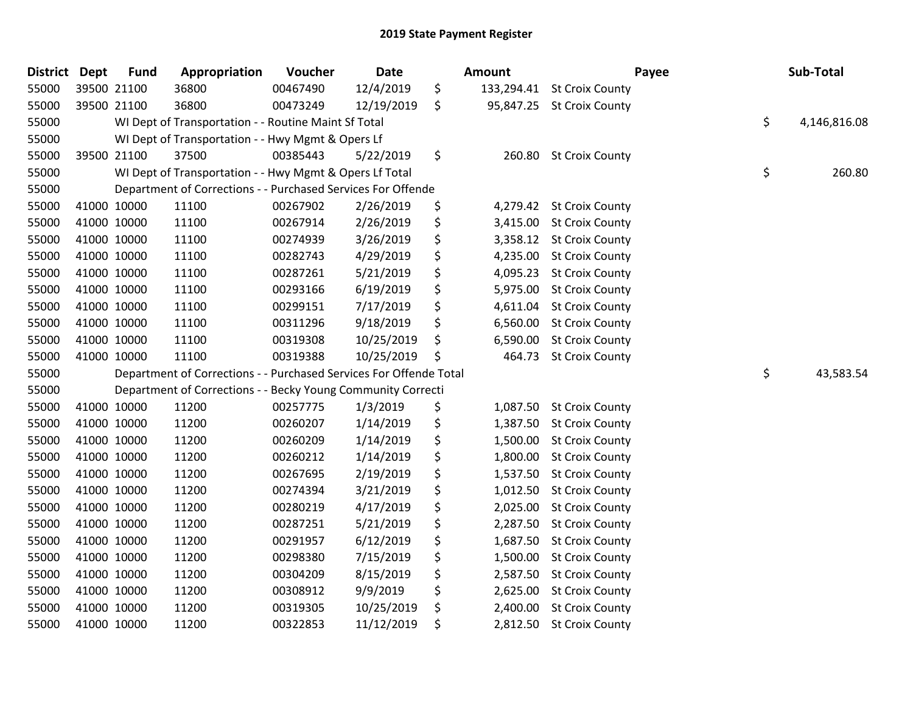| <b>District</b> | <b>Dept</b> | <b>Fund</b> | Appropriation                                                      | Voucher  | <b>Date</b> | <b>Amount</b>  | Payee                      | Sub-Total          |
|-----------------|-------------|-------------|--------------------------------------------------------------------|----------|-------------|----------------|----------------------------|--------------------|
| 55000           | 39500 21100 |             | 36800                                                              | 00467490 | 12/4/2019   | \$             | 133,294.41 St Croix County |                    |
| 55000           | 39500 21100 |             | 36800                                                              | 00473249 | 12/19/2019  | \$             | 95,847.25 St Croix County  |                    |
| 55000           |             |             | WI Dept of Transportation - - Routine Maint Sf Total               |          |             |                |                            | \$<br>4,146,816.08 |
| 55000           |             |             | WI Dept of Transportation - - Hwy Mgmt & Opers Lf                  |          |             |                |                            |                    |
| 55000           | 39500 21100 |             | 37500                                                              | 00385443 | 5/22/2019   | \$<br>260.80   | <b>St Croix County</b>     |                    |
| 55000           |             |             | WI Dept of Transportation - - Hwy Mgmt & Opers Lf Total            |          |             |                |                            | \$<br>260.80       |
| 55000           |             |             | Department of Corrections - - Purchased Services For Offende       |          |             |                |                            |                    |
| 55000           | 41000 10000 |             | 11100                                                              | 00267902 | 2/26/2019   | \$             | 4,279.42 St Croix County   |                    |
| 55000           | 41000 10000 |             | 11100                                                              | 00267914 | 2/26/2019   | \$             | 3,415.00 St Croix County   |                    |
| 55000           | 41000 10000 |             | 11100                                                              | 00274939 | 3/26/2019   | \$             | 3,358.12 St Croix County   |                    |
| 55000           | 41000 10000 |             | 11100                                                              | 00282743 | 4/29/2019   | \$             | 4,235.00 St Croix County   |                    |
| 55000           | 41000 10000 |             | 11100                                                              | 00287261 | 5/21/2019   | \$<br>4,095.23 | <b>St Croix County</b>     |                    |
| 55000           | 41000 10000 |             | 11100                                                              | 00293166 | 6/19/2019   | \$             | 5,975.00 St Croix County   |                    |
| 55000           | 41000 10000 |             | 11100                                                              | 00299151 | 7/17/2019   | \$<br>4,611.04 | <b>St Croix County</b>     |                    |
| 55000           | 41000 10000 |             | 11100                                                              | 00311296 | 9/18/2019   | \$<br>6,560.00 | <b>St Croix County</b>     |                    |
| 55000           | 41000 10000 |             | 11100                                                              | 00319308 | 10/25/2019  | \$<br>6,590.00 | <b>St Croix County</b>     |                    |
| 55000           | 41000 10000 |             | 11100                                                              | 00319388 | 10/25/2019  | \$<br>464.73   | <b>St Croix County</b>     |                    |
| 55000           |             |             | Department of Corrections - - Purchased Services For Offende Total |          |             |                |                            | \$<br>43,583.54    |
| 55000           |             |             | Department of Corrections - - Becky Young Community Correcti       |          |             |                |                            |                    |
| 55000           | 41000 10000 |             | 11200                                                              | 00257775 | 1/3/2019    | \$<br>1,087.50 | <b>St Croix County</b>     |                    |
| 55000           | 41000 10000 |             | 11200                                                              | 00260207 | 1/14/2019   | \$             | 1,387.50 St Croix County   |                    |
| 55000           | 41000 10000 |             | 11200                                                              | 00260209 | 1/14/2019   | \$             | 1,500.00 St Croix County   |                    |
| 55000           | 41000 10000 |             | 11200                                                              | 00260212 | 1/14/2019   | \$             | 1,800.00 St Croix County   |                    |
| 55000           | 41000 10000 |             | 11200                                                              | 00267695 | 2/19/2019   | \$             | 1,537.50 St Croix County   |                    |
| 55000           | 41000 10000 |             | 11200                                                              | 00274394 | 3/21/2019   | \$<br>1,012.50 | <b>St Croix County</b>     |                    |
| 55000           | 41000 10000 |             | 11200                                                              | 00280219 | 4/17/2019   | \$<br>2,025.00 | <b>St Croix County</b>     |                    |
| 55000           | 41000 10000 |             | 11200                                                              | 00287251 | 5/21/2019   | \$<br>2,287.50 | <b>St Croix County</b>     |                    |
| 55000           | 41000 10000 |             | 11200                                                              | 00291957 | 6/12/2019   | \$<br>1,687.50 | <b>St Croix County</b>     |                    |
| 55000           | 41000 10000 |             | 11200                                                              | 00298380 | 7/15/2019   | \$             | 1,500.00 St Croix County   |                    |
| 55000           | 41000 10000 |             | 11200                                                              | 00304209 | 8/15/2019   | \$<br>2,587.50 | <b>St Croix County</b>     |                    |
| 55000           | 41000 10000 |             | 11200                                                              | 00308912 | 9/9/2019    | \$<br>2,625.00 | <b>St Croix County</b>     |                    |
| 55000           | 41000 10000 |             | 11200                                                              | 00319305 | 10/25/2019  | \$<br>2,400.00 | <b>St Croix County</b>     |                    |
| 55000           | 41000 10000 |             | 11200                                                              | 00322853 | 11/12/2019  | \$             | 2,812.50 St Croix County   |                    |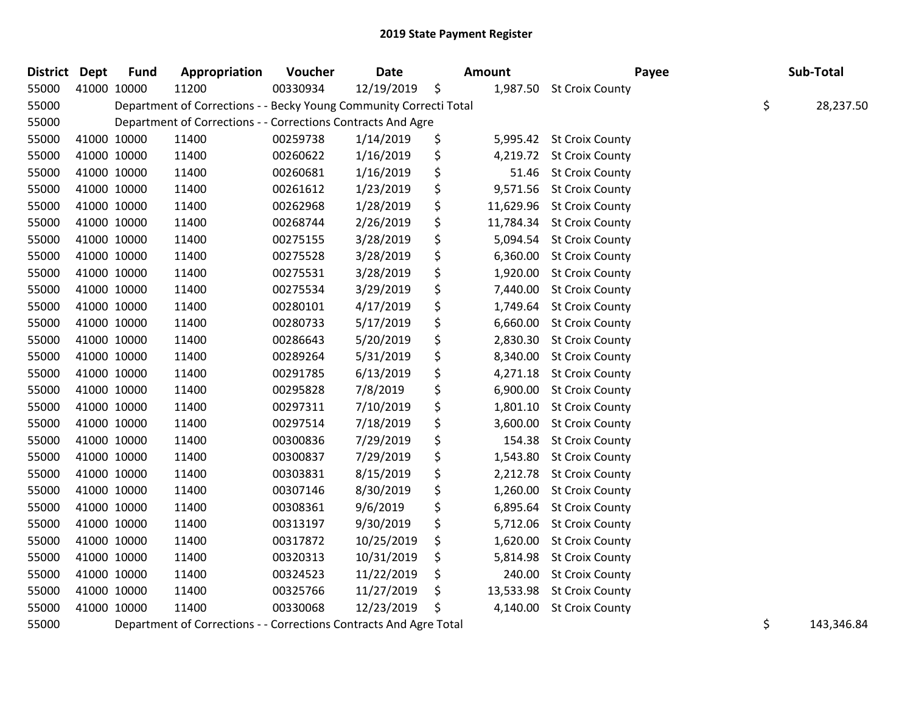| <b>District Dept</b> | <b>Fund</b> | Appropriation                                                      | Voucher  | Date       | <b>Amount</b>   |                          | Payee | Sub-Total        |
|----------------------|-------------|--------------------------------------------------------------------|----------|------------|-----------------|--------------------------|-------|------------------|
| 55000                | 41000 10000 | 11200                                                              | 00330934 | 12/19/2019 | \$              | 1,987.50 St Croix County |       |                  |
| 55000                |             | Department of Corrections - - Becky Young Community Correcti Total |          |            |                 |                          |       | \$<br>28,237.50  |
| 55000                |             | Department of Corrections - - Corrections Contracts And Agre       |          |            |                 |                          |       |                  |
| 55000                | 41000 10000 | 11400                                                              | 00259738 | 1/14/2019  | \$<br>5,995.42  | <b>St Croix County</b>   |       |                  |
| 55000                | 41000 10000 | 11400                                                              | 00260622 | 1/16/2019  | \$<br>4,219.72  | <b>St Croix County</b>   |       |                  |
| 55000                | 41000 10000 | 11400                                                              | 00260681 | 1/16/2019  | \$<br>51.46     | <b>St Croix County</b>   |       |                  |
| 55000                | 41000 10000 | 11400                                                              | 00261612 | 1/23/2019  | \$<br>9,571.56  | <b>St Croix County</b>   |       |                  |
| 55000                | 41000 10000 | 11400                                                              | 00262968 | 1/28/2019  | \$<br>11,629.96 | <b>St Croix County</b>   |       |                  |
| 55000                | 41000 10000 | 11400                                                              | 00268744 | 2/26/2019  | \$<br>11,784.34 | <b>St Croix County</b>   |       |                  |
| 55000                | 41000 10000 | 11400                                                              | 00275155 | 3/28/2019  | \$<br>5,094.54  | <b>St Croix County</b>   |       |                  |
| 55000                | 41000 10000 | 11400                                                              | 00275528 | 3/28/2019  | \$<br>6,360.00  | <b>St Croix County</b>   |       |                  |
| 55000                | 41000 10000 | 11400                                                              | 00275531 | 3/28/2019  | \$<br>1,920.00  | <b>St Croix County</b>   |       |                  |
| 55000                | 41000 10000 | 11400                                                              | 00275534 | 3/29/2019  | \$<br>7,440.00  | <b>St Croix County</b>   |       |                  |
| 55000                | 41000 10000 | 11400                                                              | 00280101 | 4/17/2019  | \$<br>1,749.64  | <b>St Croix County</b>   |       |                  |
| 55000                | 41000 10000 | 11400                                                              | 00280733 | 5/17/2019  | \$<br>6,660.00  | <b>St Croix County</b>   |       |                  |
| 55000                | 41000 10000 | 11400                                                              | 00286643 | 5/20/2019  | \$<br>2,830.30  | <b>St Croix County</b>   |       |                  |
| 55000                | 41000 10000 | 11400                                                              | 00289264 | 5/31/2019  | \$<br>8,340.00  | <b>St Croix County</b>   |       |                  |
| 55000                | 41000 10000 | 11400                                                              | 00291785 | 6/13/2019  | \$<br>4,271.18  | <b>St Croix County</b>   |       |                  |
| 55000                | 41000 10000 | 11400                                                              | 00295828 | 7/8/2019   | \$<br>6,900.00  | <b>St Croix County</b>   |       |                  |
| 55000                | 41000 10000 | 11400                                                              | 00297311 | 7/10/2019  | \$<br>1,801.10  | <b>St Croix County</b>   |       |                  |
| 55000                | 41000 10000 | 11400                                                              | 00297514 | 7/18/2019  | \$<br>3,600.00  | <b>St Croix County</b>   |       |                  |
| 55000                | 41000 10000 | 11400                                                              | 00300836 | 7/29/2019  | \$<br>154.38    | <b>St Croix County</b>   |       |                  |
| 55000                | 41000 10000 | 11400                                                              | 00300837 | 7/29/2019  | \$<br>1,543.80  | <b>St Croix County</b>   |       |                  |
| 55000                | 41000 10000 | 11400                                                              | 00303831 | 8/15/2019  | \$<br>2,212.78  | <b>St Croix County</b>   |       |                  |
| 55000                | 41000 10000 | 11400                                                              | 00307146 | 8/30/2019  | \$<br>1,260.00  | <b>St Croix County</b>   |       |                  |
| 55000                | 41000 10000 | 11400                                                              | 00308361 | 9/6/2019   | \$<br>6,895.64  | <b>St Croix County</b>   |       |                  |
| 55000                | 41000 10000 | 11400                                                              | 00313197 | 9/30/2019  | \$<br>5,712.06  | <b>St Croix County</b>   |       |                  |
| 55000                | 41000 10000 | 11400                                                              | 00317872 | 10/25/2019 | \$<br>1,620.00  | <b>St Croix County</b>   |       |                  |
| 55000                | 41000 10000 | 11400                                                              | 00320313 | 10/31/2019 | \$<br>5,814.98  | <b>St Croix County</b>   |       |                  |
| 55000                | 41000 10000 | 11400                                                              | 00324523 | 11/22/2019 | \$<br>240.00    | <b>St Croix County</b>   |       |                  |
| 55000                | 41000 10000 | 11400                                                              | 00325766 | 11/27/2019 | \$<br>13,533.98 | <b>St Croix County</b>   |       |                  |
| 55000                | 41000 10000 | 11400                                                              | 00330068 | 12/23/2019 | \$<br>4,140.00  | <b>St Croix County</b>   |       |                  |
| 55000                |             | Department of Corrections - - Corrections Contracts And Agre Total |          |            |                 |                          |       | \$<br>143,346.84 |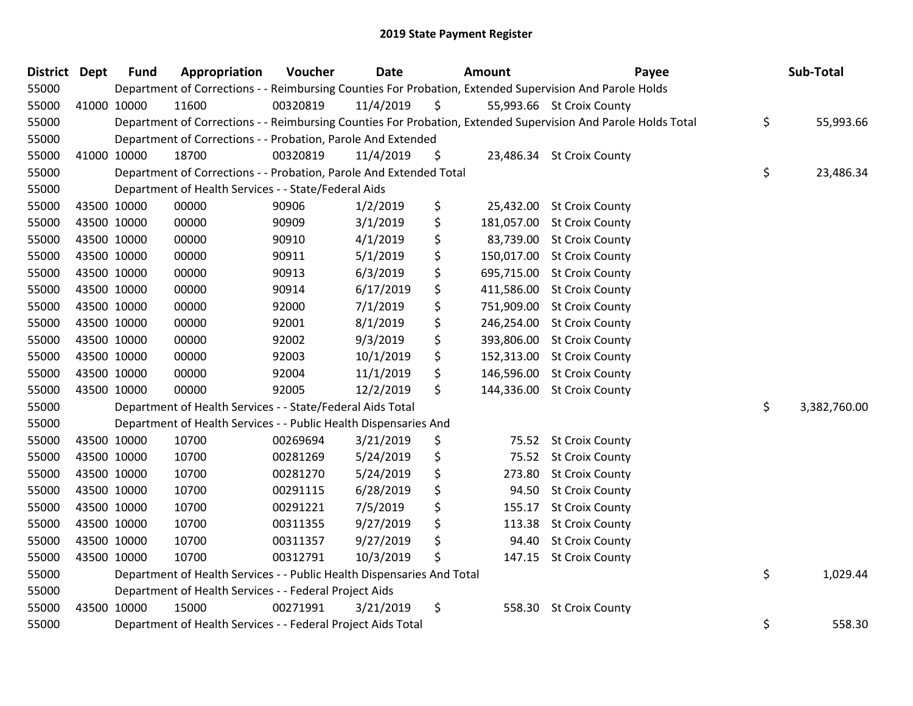| District Dept | <b>Fund</b> | Appropriation                                                          | Voucher  | <b>Date</b> | Amount           | Payee                                                                                                         | Sub-Total          |
|---------------|-------------|------------------------------------------------------------------------|----------|-------------|------------------|---------------------------------------------------------------------------------------------------------------|--------------------|
| 55000         |             |                                                                        |          |             |                  | Department of Corrections - - Reimbursing Counties For Probation, Extended Supervision And Parole Holds       |                    |
| 55000         | 41000 10000 | 11600                                                                  | 00320819 | 11/4/2019   | \$               | 55,993.66 St Croix County                                                                                     |                    |
| 55000         |             |                                                                        |          |             |                  | Department of Corrections - - Reimbursing Counties For Probation, Extended Supervision And Parole Holds Total | \$<br>55,993.66    |
| 55000         |             | Department of Corrections - - Probation, Parole And Extended           |          |             |                  |                                                                                                               |                    |
| 55000         | 41000 10000 | 18700                                                                  | 00320819 | 11/4/2019   | \$               | 23,486.34 St Croix County                                                                                     |                    |
| 55000         |             | Department of Corrections - - Probation, Parole And Extended Total     |          |             |                  |                                                                                                               | \$<br>23,486.34    |
| 55000         |             | Department of Health Services - - State/Federal Aids                   |          |             |                  |                                                                                                               |                    |
| 55000         | 43500 10000 | 00000                                                                  | 90906    | 1/2/2019    | \$<br>25,432.00  | <b>St Croix County</b>                                                                                        |                    |
| 55000         | 43500 10000 | 00000                                                                  | 90909    | 3/1/2019    | \$               | 181,057.00 St Croix County                                                                                    |                    |
| 55000         | 43500 10000 | 00000                                                                  | 90910    | 4/1/2019    | \$<br>83,739.00  | <b>St Croix County</b>                                                                                        |                    |
| 55000         | 43500 10000 | 00000                                                                  | 90911    | 5/1/2019    | \$<br>150,017.00 | <b>St Croix County</b>                                                                                        |                    |
| 55000         | 43500 10000 | 00000                                                                  | 90913    | 6/3/2019    | \$<br>695,715.00 | <b>St Croix County</b>                                                                                        |                    |
| 55000         | 43500 10000 | 00000                                                                  | 90914    | 6/17/2019   | \$<br>411,586.00 | <b>St Croix County</b>                                                                                        |                    |
| 55000         | 43500 10000 | 00000                                                                  | 92000    | 7/1/2019    | \$<br>751,909.00 | <b>St Croix County</b>                                                                                        |                    |
| 55000         | 43500 10000 | 00000                                                                  | 92001    | 8/1/2019    | \$<br>246,254.00 | <b>St Croix County</b>                                                                                        |                    |
| 55000         | 43500 10000 | 00000                                                                  | 92002    | 9/3/2019    | \$<br>393,806.00 | <b>St Croix County</b>                                                                                        |                    |
| 55000         | 43500 10000 | 00000                                                                  | 92003    | 10/1/2019   | \$<br>152,313.00 | <b>St Croix County</b>                                                                                        |                    |
| 55000         | 43500 10000 | 00000                                                                  | 92004    | 11/1/2019   | \$<br>146,596.00 | <b>St Croix County</b>                                                                                        |                    |
| 55000         | 43500 10000 | 00000                                                                  | 92005    | 12/2/2019   | \$<br>144,336.00 | <b>St Croix County</b>                                                                                        |                    |
| 55000         |             | Department of Health Services - - State/Federal Aids Total             |          |             |                  |                                                                                                               | \$<br>3,382,760.00 |
| 55000         |             | Department of Health Services - - Public Health Dispensaries And       |          |             |                  |                                                                                                               |                    |
| 55000         | 43500 10000 | 10700                                                                  | 00269694 | 3/21/2019   | \$               | 75.52 St Croix County                                                                                         |                    |
| 55000         | 43500 10000 | 10700                                                                  | 00281269 | 5/24/2019   | \$               | 75.52 St Croix County                                                                                         |                    |
| 55000         | 43500 10000 | 10700                                                                  | 00281270 | 5/24/2019   | \$<br>273.80     | <b>St Croix County</b>                                                                                        |                    |
| 55000         | 43500 10000 | 10700                                                                  | 00291115 | 6/28/2019   | \$<br>94.50      | <b>St Croix County</b>                                                                                        |                    |
| 55000         | 43500 10000 | 10700                                                                  | 00291221 | 7/5/2019    | \$<br>155.17     | <b>St Croix County</b>                                                                                        |                    |
| 55000         | 43500 10000 | 10700                                                                  | 00311355 | 9/27/2019   | \$<br>113.38     | <b>St Croix County</b>                                                                                        |                    |
| 55000         | 43500 10000 | 10700                                                                  | 00311357 | 9/27/2019   | \$<br>94.40      | <b>St Croix County</b>                                                                                        |                    |
| 55000         | 43500 10000 | 10700                                                                  | 00312791 | 10/3/2019   | \$<br>147.15     | <b>St Croix County</b>                                                                                        |                    |
| 55000         |             | Department of Health Services - - Public Health Dispensaries And Total |          |             |                  |                                                                                                               | \$<br>1,029.44     |
| 55000         |             | Department of Health Services - - Federal Project Aids                 |          |             |                  |                                                                                                               |                    |
| 55000         | 43500 10000 | 15000                                                                  | 00271991 | 3/21/2019   | \$<br>558.30     | <b>St Croix County</b>                                                                                        |                    |
| 55000         |             | Department of Health Services - - Federal Project Aids Total           |          |             |                  |                                                                                                               | \$<br>558.30       |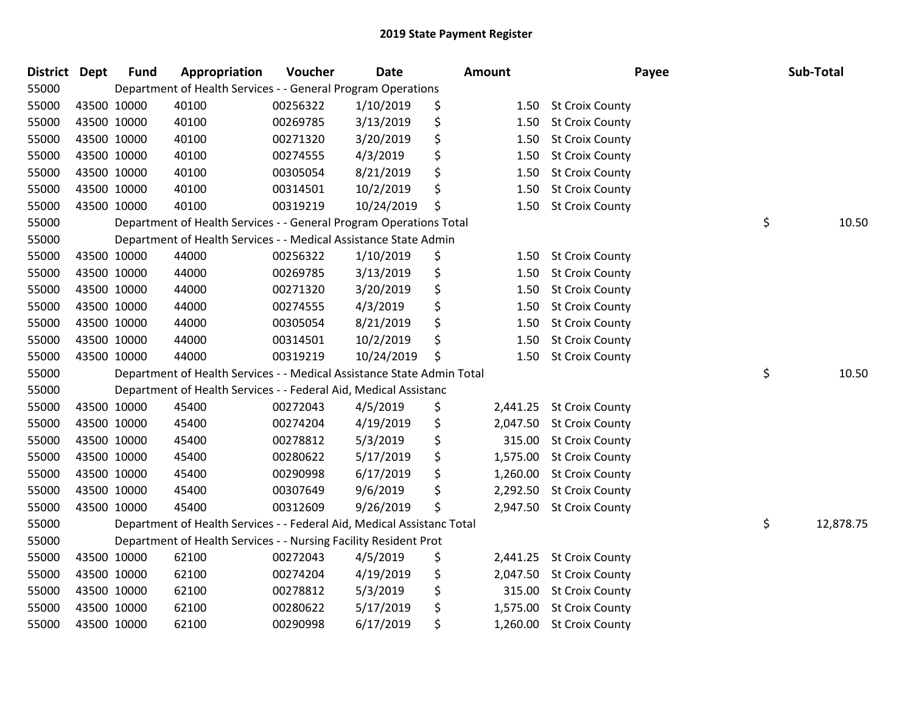| <b>District</b> | <b>Dept</b> | <b>Fund</b> | Appropriation                                                          | Voucher  | <b>Date</b> | Amount |          | Payee                    | Sub-Total       |
|-----------------|-------------|-------------|------------------------------------------------------------------------|----------|-------------|--------|----------|--------------------------|-----------------|
| 55000           |             |             | Department of Health Services - - General Program Operations           |          |             |        |          |                          |                 |
| 55000           |             | 43500 10000 | 40100                                                                  | 00256322 | 1/10/2019   | \$     |          | 1.50 St Croix County     |                 |
| 55000           |             | 43500 10000 | 40100                                                                  | 00269785 | 3/13/2019   | \$     | 1.50     | <b>St Croix County</b>   |                 |
| 55000           |             | 43500 10000 | 40100                                                                  | 00271320 | 3/20/2019   | \$     | 1.50     | <b>St Croix County</b>   |                 |
| 55000           |             | 43500 10000 | 40100                                                                  | 00274555 | 4/3/2019    | \$     | 1.50     | <b>St Croix County</b>   |                 |
| 55000           |             | 43500 10000 | 40100                                                                  | 00305054 | 8/21/2019   | \$     | 1.50     | <b>St Croix County</b>   |                 |
| 55000           |             | 43500 10000 | 40100                                                                  | 00314501 | 10/2/2019   | \$     | 1.50     | <b>St Croix County</b>   |                 |
| 55000           |             | 43500 10000 | 40100                                                                  | 00319219 | 10/24/2019  | \$     | 1.50     | <b>St Croix County</b>   |                 |
| 55000           |             |             | Department of Health Services - - General Program Operations Total     |          |             |        |          |                          | \$<br>10.50     |
| 55000           |             |             | Department of Health Services - - Medical Assistance State Admin       |          |             |        |          |                          |                 |
| 55000           |             | 43500 10000 | 44000                                                                  | 00256322 | 1/10/2019   | \$     |          | 1.50 St Croix County     |                 |
| 55000           |             | 43500 10000 | 44000                                                                  | 00269785 | 3/13/2019   | \$     | 1.50     | <b>St Croix County</b>   |                 |
| 55000           |             | 43500 10000 | 44000                                                                  | 00271320 | 3/20/2019   | \$     | 1.50     | <b>St Croix County</b>   |                 |
| 55000           |             | 43500 10000 | 44000                                                                  | 00274555 | 4/3/2019    | \$     | 1.50     | <b>St Croix County</b>   |                 |
| 55000           |             | 43500 10000 | 44000                                                                  | 00305054 | 8/21/2019   | \$     | 1.50     | <b>St Croix County</b>   |                 |
| 55000           |             | 43500 10000 | 44000                                                                  | 00314501 | 10/2/2019   | \$     | 1.50     | <b>St Croix County</b>   |                 |
| 55000           |             | 43500 10000 | 44000                                                                  | 00319219 | 10/24/2019  | Ś      | 1.50     | <b>St Croix County</b>   |                 |
| 55000           |             |             | Department of Health Services - - Medical Assistance State Admin Total |          |             |        |          |                          | \$<br>10.50     |
| 55000           |             |             | Department of Health Services - - Federal Aid, Medical Assistanc       |          |             |        |          |                          |                 |
| 55000           |             | 43500 10000 | 45400                                                                  | 00272043 | 4/5/2019    | \$     | 2,441.25 | <b>St Croix County</b>   |                 |
| 55000           |             | 43500 10000 | 45400                                                                  | 00274204 | 4/19/2019   | \$     | 2,047.50 | <b>St Croix County</b>   |                 |
| 55000           |             | 43500 10000 | 45400                                                                  | 00278812 | 5/3/2019    | \$     |          | 315.00 St Croix County   |                 |
| 55000           |             | 43500 10000 | 45400                                                                  | 00280622 | 5/17/2019   | \$     | 1,575.00 | <b>St Croix County</b>   |                 |
| 55000           |             | 43500 10000 | 45400                                                                  | 00290998 | 6/17/2019   | \$     | 1,260.00 | <b>St Croix County</b>   |                 |
| 55000           |             | 43500 10000 | 45400                                                                  | 00307649 | 9/6/2019    | \$     | 2,292.50 | <b>St Croix County</b>   |                 |
| 55000           |             | 43500 10000 | 45400                                                                  | 00312609 | 9/26/2019   | \$     |          | 2,947.50 St Croix County |                 |
| 55000           |             |             | Department of Health Services - - Federal Aid, Medical Assistanc Total |          |             |        |          |                          | \$<br>12,878.75 |
| 55000           |             |             | Department of Health Services - - Nursing Facility Resident Prot       |          |             |        |          |                          |                 |
| 55000           |             | 43500 10000 | 62100                                                                  | 00272043 | 4/5/2019    | \$     |          | 2,441.25 St Croix County |                 |
| 55000           |             | 43500 10000 | 62100                                                                  | 00274204 | 4/19/2019   | \$     | 2,047.50 | <b>St Croix County</b>   |                 |
| 55000           |             | 43500 10000 | 62100                                                                  | 00278812 | 5/3/2019    | \$     | 315.00   | <b>St Croix County</b>   |                 |
| 55000           |             | 43500 10000 | 62100                                                                  | 00280622 | 5/17/2019   | \$     | 1,575.00 | <b>St Croix County</b>   |                 |
| 55000           |             | 43500 10000 | 62100                                                                  | 00290998 | 6/17/2019   | \$     | 1,260.00 | <b>St Croix County</b>   |                 |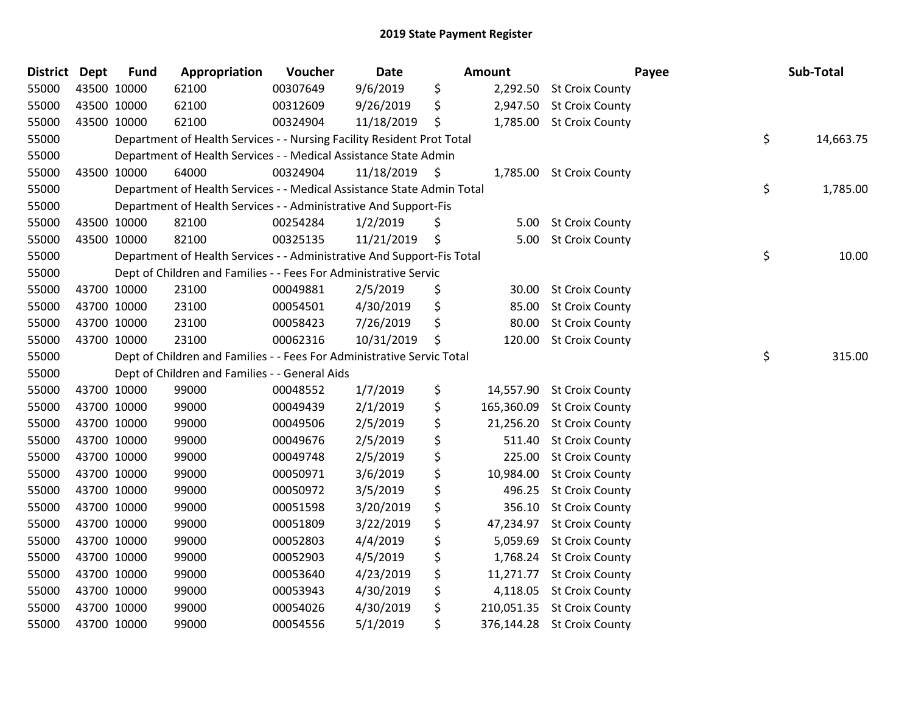| <b>District</b> | <b>Dept</b> | <b>Fund</b> | Appropriation                                                          | Voucher  | Date       |    | Amount     | Payee                      | Sub-Total       |
|-----------------|-------------|-------------|------------------------------------------------------------------------|----------|------------|----|------------|----------------------------|-----------------|
| 55000           | 43500 10000 |             | 62100                                                                  | 00307649 | 9/6/2019   | \$ | 2,292.50   | <b>St Croix County</b>     |                 |
| 55000           |             | 43500 10000 | 62100                                                                  | 00312609 | 9/26/2019  | \$ | 2,947.50   | <b>St Croix County</b>     |                 |
| 55000           | 43500 10000 |             | 62100                                                                  | 00324904 | 11/18/2019 | \$ |            | 1,785.00 St Croix County   |                 |
| 55000           |             |             | Department of Health Services - - Nursing Facility Resident Prot Total |          |            |    |            |                            | \$<br>14,663.75 |
| 55000           |             |             | Department of Health Services - - Medical Assistance State Admin       |          |            |    |            |                            |                 |
| 55000           |             | 43500 10000 | 64000                                                                  | 00324904 | 11/18/2019 | -Ş | 1,785.00   | <b>St Croix County</b>     |                 |
| 55000           |             |             | Department of Health Services - - Medical Assistance State Admin Total |          |            |    |            |                            | \$<br>1,785.00  |
| 55000           |             |             | Department of Health Services - - Administrative And Support-Fis       |          |            |    |            |                            |                 |
| 55000           |             | 43500 10000 | 82100                                                                  | 00254284 | 1/2/2019   | \$ | 5.00       | <b>St Croix County</b>     |                 |
| 55000           | 43500 10000 |             | 82100                                                                  | 00325135 | 11/21/2019 | \$ | 5.00       | <b>St Croix County</b>     |                 |
| 55000           |             |             | Department of Health Services - - Administrative And Support-Fis Total |          |            |    |            |                            | \$<br>10.00     |
| 55000           |             |             | Dept of Children and Families - - Fees For Administrative Servic       |          |            |    |            |                            |                 |
| 55000           | 43700 10000 |             | 23100                                                                  | 00049881 | 2/5/2019   | \$ | 30.00      | <b>St Croix County</b>     |                 |
| 55000           | 43700 10000 |             | 23100                                                                  | 00054501 | 4/30/2019  | \$ | 85.00      | <b>St Croix County</b>     |                 |
| 55000           | 43700 10000 |             | 23100                                                                  | 00058423 | 7/26/2019  | \$ | 80.00      | <b>St Croix County</b>     |                 |
| 55000           |             | 43700 10000 | 23100                                                                  | 00062316 | 10/31/2019 | \$ | 120.00     | <b>St Croix County</b>     |                 |
| 55000           |             |             | Dept of Children and Families - - Fees For Administrative Servic Total |          |            |    |            |                            | \$<br>315.00    |
| 55000           |             |             | Dept of Children and Families - - General Aids                         |          |            |    |            |                            |                 |
| 55000           |             | 43700 10000 | 99000                                                                  | 00048552 | 1/7/2019   | \$ | 14,557.90  | <b>St Croix County</b>     |                 |
| 55000           | 43700 10000 |             | 99000                                                                  | 00049439 | 2/1/2019   | \$ | 165,360.09 | <b>St Croix County</b>     |                 |
| 55000           |             | 43700 10000 | 99000                                                                  | 00049506 | 2/5/2019   | \$ | 21,256.20  | <b>St Croix County</b>     |                 |
| 55000           | 43700 10000 |             | 99000                                                                  | 00049676 | 2/5/2019   | \$ | 511.40     | <b>St Croix County</b>     |                 |
| 55000           | 43700 10000 |             | 99000                                                                  | 00049748 | 2/5/2019   | \$ | 225.00     | <b>St Croix County</b>     |                 |
| 55000           | 43700 10000 |             | 99000                                                                  | 00050971 | 3/6/2019   | \$ | 10,984.00  | <b>St Croix County</b>     |                 |
| 55000           | 43700 10000 |             | 99000                                                                  | 00050972 | 3/5/2019   | \$ | 496.25     | <b>St Croix County</b>     |                 |
| 55000           |             | 43700 10000 | 99000                                                                  | 00051598 | 3/20/2019  | \$ | 356.10     | <b>St Croix County</b>     |                 |
| 55000           | 43700 10000 |             | 99000                                                                  | 00051809 | 3/22/2019  | \$ | 47,234.97  | <b>St Croix County</b>     |                 |
| 55000           | 43700 10000 |             | 99000                                                                  | 00052803 | 4/4/2019   | \$ | 5,059.69   | <b>St Croix County</b>     |                 |
| 55000           | 43700 10000 |             | 99000                                                                  | 00052903 | 4/5/2019   | \$ | 1,768.24   | <b>St Croix County</b>     |                 |
| 55000           | 43700 10000 |             | 99000                                                                  | 00053640 | 4/23/2019  | \$ | 11,271.77  | <b>St Croix County</b>     |                 |
| 55000           | 43700 10000 |             | 99000                                                                  | 00053943 | 4/30/2019  | \$ | 4,118.05   | <b>St Croix County</b>     |                 |
| 55000           | 43700 10000 |             | 99000                                                                  | 00054026 | 4/30/2019  | \$ | 210,051.35 | <b>St Croix County</b>     |                 |
| 55000           | 43700 10000 |             | 99000                                                                  | 00054556 | 5/1/2019   | \$ |            | 376,144.28 St Croix County |                 |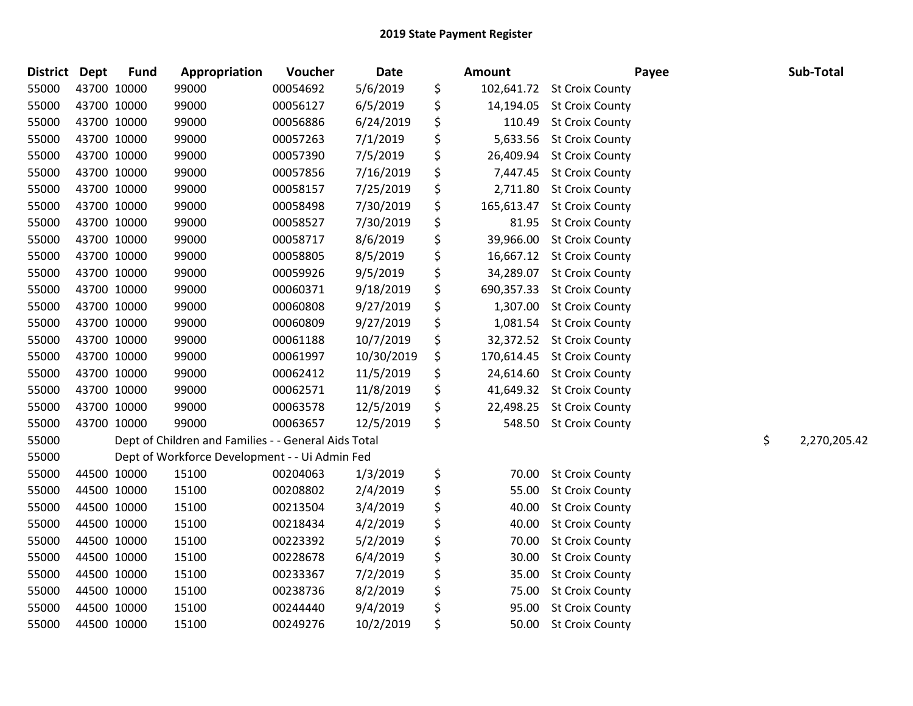| <b>District Dept</b> |             | <b>Fund</b> | Appropriation                                        | Voucher  | <b>Date</b> | Amount           | Payee                    | Sub-Total          |
|----------------------|-------------|-------------|------------------------------------------------------|----------|-------------|------------------|--------------------------|--------------------|
| 55000                | 43700 10000 |             | 99000                                                | 00054692 | 5/6/2019    | \$<br>102,641.72 | <b>St Croix County</b>   |                    |
| 55000                | 43700 10000 |             | 99000                                                | 00056127 | 6/5/2019    | \$<br>14,194.05  | <b>St Croix County</b>   |                    |
| 55000                | 43700 10000 |             | 99000                                                | 00056886 | 6/24/2019   | \$<br>110.49     | <b>St Croix County</b>   |                    |
| 55000                | 43700 10000 |             | 99000                                                | 00057263 | 7/1/2019    | \$               | 5,633.56 St Croix County |                    |
| 55000                | 43700 10000 |             | 99000                                                | 00057390 | 7/5/2019    | \$<br>26,409.94  | <b>St Croix County</b>   |                    |
| 55000                |             | 43700 10000 | 99000                                                | 00057856 | 7/16/2019   | \$<br>7,447.45   | <b>St Croix County</b>   |                    |
| 55000                |             | 43700 10000 | 99000                                                | 00058157 | 7/25/2019   | \$<br>2,711.80   | <b>St Croix County</b>   |                    |
| 55000                |             | 43700 10000 | 99000                                                | 00058498 | 7/30/2019   | \$<br>165,613.47 | <b>St Croix County</b>   |                    |
| 55000                | 43700 10000 |             | 99000                                                | 00058527 | 7/30/2019   | \$<br>81.95      | <b>St Croix County</b>   |                    |
| 55000                | 43700 10000 |             | 99000                                                | 00058717 | 8/6/2019    | \$<br>39,966.00  | <b>St Croix County</b>   |                    |
| 55000                | 43700 10000 |             | 99000                                                | 00058805 | 8/5/2019    | \$<br>16,667.12  | <b>St Croix County</b>   |                    |
| 55000                | 43700 10000 |             | 99000                                                | 00059926 | 9/5/2019    | \$<br>34,289.07  | <b>St Croix County</b>   |                    |
| 55000                |             | 43700 10000 | 99000                                                | 00060371 | 9/18/2019   | \$<br>690,357.33 | <b>St Croix County</b>   |                    |
| 55000                | 43700 10000 |             | 99000                                                | 00060808 | 9/27/2019   | \$<br>1,307.00   | <b>St Croix County</b>   |                    |
| 55000                | 43700 10000 |             | 99000                                                | 00060809 | 9/27/2019   | \$<br>1,081.54   | <b>St Croix County</b>   |                    |
| 55000                | 43700 10000 |             | 99000                                                | 00061188 | 10/7/2019   | \$<br>32,372.52  | <b>St Croix County</b>   |                    |
| 55000                | 43700 10000 |             | 99000                                                | 00061997 | 10/30/2019  | \$<br>170,614.45 | <b>St Croix County</b>   |                    |
| 55000                |             | 43700 10000 | 99000                                                | 00062412 | 11/5/2019   | \$<br>24,614.60  | <b>St Croix County</b>   |                    |
| 55000                | 43700 10000 |             | 99000                                                | 00062571 | 11/8/2019   | \$<br>41,649.32  | <b>St Croix County</b>   |                    |
| 55000                | 43700 10000 |             | 99000                                                | 00063578 | 12/5/2019   | \$<br>22,498.25  | <b>St Croix County</b>   |                    |
| 55000                | 43700 10000 |             | 99000                                                | 00063657 | 12/5/2019   | \$<br>548.50     | <b>St Croix County</b>   |                    |
| 55000                |             |             | Dept of Children and Families - - General Aids Total |          |             |                  |                          | \$<br>2,270,205.42 |
| 55000                |             |             | Dept of Workforce Development - - Ui Admin Fed       |          |             |                  |                          |                    |
| 55000                |             | 44500 10000 | 15100                                                | 00204063 | 1/3/2019    | \$<br>70.00      | <b>St Croix County</b>   |                    |
| 55000                |             | 44500 10000 | 15100                                                | 00208802 | 2/4/2019    | \$<br>55.00      | <b>St Croix County</b>   |                    |
| 55000                | 44500 10000 |             | 15100                                                | 00213504 | 3/4/2019    | \$<br>40.00      | <b>St Croix County</b>   |                    |
| 55000                | 44500 10000 |             | 15100                                                | 00218434 | 4/2/2019    | \$<br>40.00      | <b>St Croix County</b>   |                    |
| 55000                |             | 44500 10000 | 15100                                                | 00223392 | 5/2/2019    | \$<br>70.00      | <b>St Croix County</b>   |                    |
| 55000                | 44500 10000 |             | 15100                                                | 00228678 | 6/4/2019    | \$<br>30.00      | <b>St Croix County</b>   |                    |
| 55000                | 44500 10000 |             | 15100                                                | 00233367 | 7/2/2019    | \$<br>35.00      | <b>St Croix County</b>   |                    |
| 55000                | 44500 10000 |             | 15100                                                | 00238736 | 8/2/2019    | \$<br>75.00      | <b>St Croix County</b>   |                    |
| 55000                | 44500 10000 |             | 15100                                                | 00244440 | 9/4/2019    | \$<br>95.00      | <b>St Croix County</b>   |                    |
| 55000                |             | 44500 10000 | 15100                                                | 00249276 | 10/2/2019   | \$<br>50.00      | <b>St Croix County</b>   |                    |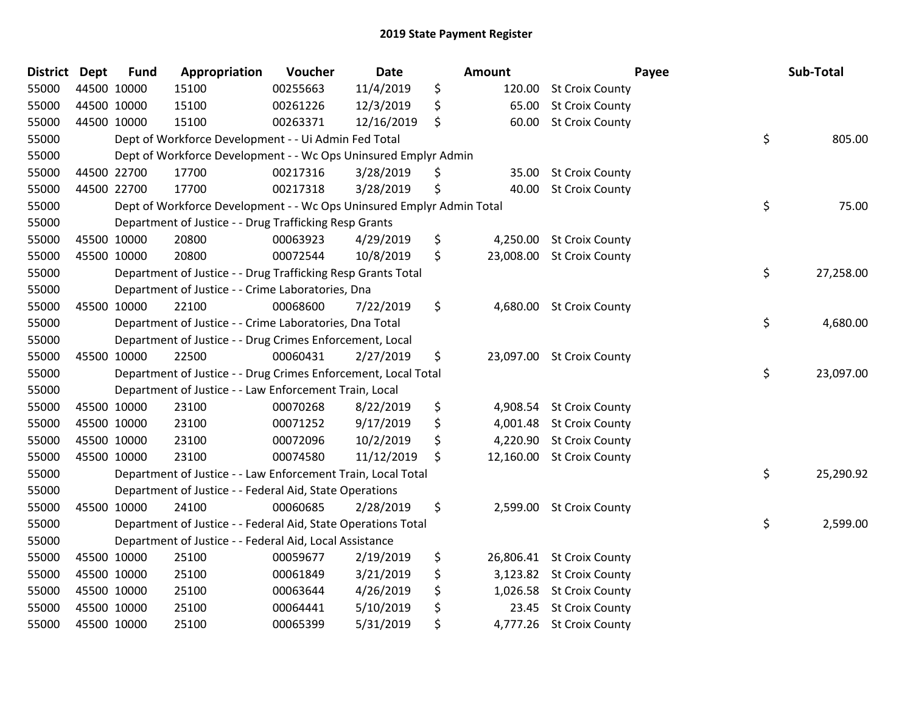| <b>District</b> | <b>Dept</b> | <b>Fund</b> | Appropriation                                                         | Voucher  | Date       | Amount          | Payee                     | Sub-Total       |
|-----------------|-------------|-------------|-----------------------------------------------------------------------|----------|------------|-----------------|---------------------------|-----------------|
| 55000           | 44500 10000 |             | 15100                                                                 | 00255663 | 11/4/2019  | \$<br>120.00    | <b>St Croix County</b>    |                 |
| 55000           | 44500 10000 |             | 15100                                                                 | 00261226 | 12/3/2019  | \$<br>65.00     | <b>St Croix County</b>    |                 |
| 55000           | 44500 10000 |             | 15100                                                                 | 00263371 | 12/16/2019 | \$<br>60.00     | <b>St Croix County</b>    |                 |
| 55000           |             |             | Dept of Workforce Development - - Ui Admin Fed Total                  |          |            |                 |                           | \$<br>805.00    |
| 55000           |             |             | Dept of Workforce Development - - Wc Ops Uninsured Emplyr Admin       |          |            |                 |                           |                 |
| 55000           | 44500 22700 |             | 17700                                                                 | 00217316 | 3/28/2019  | \$<br>35.00     | <b>St Croix County</b>    |                 |
| 55000           | 44500 22700 |             | 17700                                                                 | 00217318 | 3/28/2019  | \$<br>40.00     | <b>St Croix County</b>    |                 |
| 55000           |             |             | Dept of Workforce Development - - Wc Ops Uninsured Emplyr Admin Total |          |            |                 |                           | \$<br>75.00     |
| 55000           |             |             | Department of Justice - - Drug Trafficking Resp Grants                |          |            |                 |                           |                 |
| 55000           | 45500 10000 |             | 20800                                                                 | 00063923 | 4/29/2019  | \$<br>4,250.00  | <b>St Croix County</b>    |                 |
| 55000           | 45500 10000 |             | 20800                                                                 | 00072544 | 10/8/2019  | \$<br>23,008.00 | <b>St Croix County</b>    |                 |
| 55000           |             |             | Department of Justice - - Drug Trafficking Resp Grants Total          |          |            |                 |                           | \$<br>27,258.00 |
| 55000           |             |             | Department of Justice - - Crime Laboratories, Dna                     |          |            |                 |                           |                 |
| 55000           | 45500 10000 |             | 22100                                                                 | 00068600 | 7/22/2019  | \$<br>4,680.00  | <b>St Croix County</b>    |                 |
| 55000           |             |             | Department of Justice - - Crime Laboratories, Dna Total               |          |            |                 |                           | \$<br>4,680.00  |
| 55000           |             |             | Department of Justice - - Drug Crimes Enforcement, Local              |          |            |                 |                           |                 |
| 55000           | 45500 10000 |             | 22500                                                                 | 00060431 | 2/27/2019  | \$              | 23,097.00 St Croix County |                 |
| 55000           |             |             | Department of Justice - - Drug Crimes Enforcement, Local Total        |          |            |                 |                           | \$<br>23,097.00 |
| 55000           |             |             | Department of Justice - - Law Enforcement Train, Local                |          |            |                 |                           |                 |
| 55000           | 45500 10000 |             | 23100                                                                 | 00070268 | 8/22/2019  | \$<br>4,908.54  | <b>St Croix County</b>    |                 |
| 55000           | 45500 10000 |             | 23100                                                                 | 00071252 | 9/17/2019  | \$<br>4,001.48  | <b>St Croix County</b>    |                 |
| 55000           | 45500 10000 |             | 23100                                                                 | 00072096 | 10/2/2019  | \$<br>4,220.90  | <b>St Croix County</b>    |                 |
| 55000           | 45500 10000 |             | 23100                                                                 | 00074580 | 11/12/2019 | \$<br>12,160.00 | <b>St Croix County</b>    |                 |
| 55000           |             |             | Department of Justice - - Law Enforcement Train, Local Total          |          |            |                 |                           | \$<br>25,290.92 |
| 55000           |             |             | Department of Justice - - Federal Aid, State Operations               |          |            |                 |                           |                 |
| 55000           | 45500 10000 |             | 24100                                                                 | 00060685 | 2/28/2019  | \$<br>2,599.00  | <b>St Croix County</b>    |                 |
| 55000           |             |             | Department of Justice - - Federal Aid, State Operations Total         |          |            |                 |                           | \$<br>2,599.00  |
| 55000           |             |             | Department of Justice - - Federal Aid, Local Assistance               |          |            |                 |                           |                 |
| 55000           | 45500 10000 |             | 25100                                                                 | 00059677 | 2/19/2019  | \$              | 26,806.41 St Croix County |                 |
| 55000           | 45500 10000 |             | 25100                                                                 | 00061849 | 3/21/2019  | \$              | 3,123.82 St Croix County  |                 |
| 55000           | 45500 10000 |             | 25100                                                                 | 00063644 | 4/26/2019  | \$<br>1,026.58  | <b>St Croix County</b>    |                 |
| 55000           | 45500 10000 |             | 25100                                                                 | 00064441 | 5/10/2019  | \$<br>23.45     | <b>St Croix County</b>    |                 |
| 55000           | 45500 10000 |             | 25100                                                                 | 00065399 | 5/31/2019  | \$              | 4,777.26 St Croix County  |                 |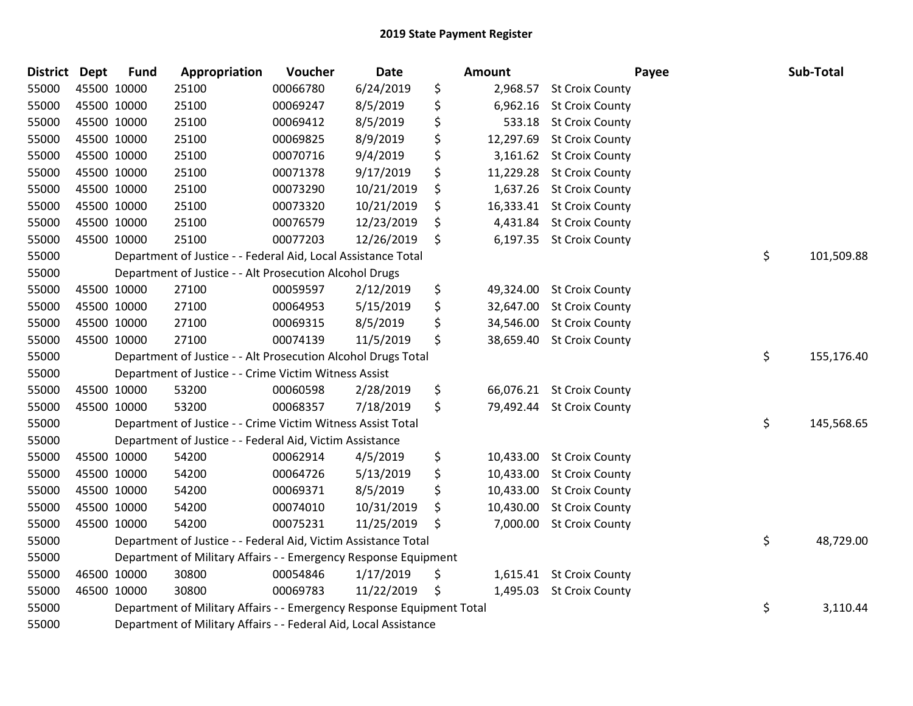| <b>District Dept</b> |             | <b>Fund</b> | Appropriation                                                         | Voucher  | <b>Date</b> | Amount          | Payee                     | Sub-Total        |
|----------------------|-------------|-------------|-----------------------------------------------------------------------|----------|-------------|-----------------|---------------------------|------------------|
| 55000                | 45500 10000 |             | 25100                                                                 | 00066780 | 6/24/2019   | \$<br>2,968.57  | <b>St Croix County</b>    |                  |
| 55000                | 45500 10000 |             | 25100                                                                 | 00069247 | 8/5/2019    | \$<br>6,962.16  | <b>St Croix County</b>    |                  |
| 55000                | 45500 10000 |             | 25100                                                                 | 00069412 | 8/5/2019    | \$<br>533.18    | <b>St Croix County</b>    |                  |
| 55000                | 45500 10000 |             | 25100                                                                 | 00069825 | 8/9/2019    | \$<br>12,297.69 | <b>St Croix County</b>    |                  |
| 55000                | 45500 10000 |             | 25100                                                                 | 00070716 | 9/4/2019    | \$<br>3,161.62  | <b>St Croix County</b>    |                  |
| 55000                | 45500 10000 |             | 25100                                                                 | 00071378 | 9/17/2019   | \$<br>11,229.28 | <b>St Croix County</b>    |                  |
| 55000                | 45500 10000 |             | 25100                                                                 | 00073290 | 10/21/2019  | \$<br>1,637.26  | <b>St Croix County</b>    |                  |
| 55000                | 45500 10000 |             | 25100                                                                 | 00073320 | 10/21/2019  | \$<br>16,333.41 | <b>St Croix County</b>    |                  |
| 55000                | 45500 10000 |             | 25100                                                                 | 00076579 | 12/23/2019  | \$<br>4,431.84  | <b>St Croix County</b>    |                  |
| 55000                | 45500 10000 |             | 25100                                                                 | 00077203 | 12/26/2019  | \$<br>6,197.35  | <b>St Croix County</b>    |                  |
| 55000                |             |             | Department of Justice - - Federal Aid, Local Assistance Total         |          |             |                 |                           | \$<br>101,509.88 |
| 55000                |             |             | Department of Justice - - Alt Prosecution Alcohol Drugs               |          |             |                 |                           |                  |
| 55000                | 45500 10000 |             | 27100                                                                 | 00059597 | 2/12/2019   | \$              | 49,324.00 St Croix County |                  |
| 55000                | 45500 10000 |             | 27100                                                                 | 00064953 | 5/15/2019   | \$<br>32,647.00 | <b>St Croix County</b>    |                  |
| 55000                | 45500 10000 |             | 27100                                                                 | 00069315 | 8/5/2019    | \$<br>34,546.00 | <b>St Croix County</b>    |                  |
| 55000                |             | 45500 10000 | 27100                                                                 | 00074139 | 11/5/2019   | \$<br>38,659.40 | <b>St Croix County</b>    |                  |
| 55000                |             |             | Department of Justice - - Alt Prosecution Alcohol Drugs Total         |          |             |                 |                           | \$<br>155,176.40 |
| 55000                |             |             | Department of Justice - - Crime Victim Witness Assist                 |          |             |                 |                           |                  |
| 55000                | 45500 10000 |             | 53200                                                                 | 00060598 | 2/28/2019   | \$              | 66,076.21 St Croix County |                  |
| 55000                | 45500 10000 |             | 53200                                                                 | 00068357 | 7/18/2019   | \$<br>79,492.44 | <b>St Croix County</b>    |                  |
| 55000                |             |             | Department of Justice - - Crime Victim Witness Assist Total           |          |             |                 |                           | \$<br>145,568.65 |
| 55000                |             |             | Department of Justice - - Federal Aid, Victim Assistance              |          |             |                 |                           |                  |
| 55000                | 45500 10000 |             | 54200                                                                 | 00062914 | 4/5/2019    | \$              | 10,433.00 St Croix County |                  |
| 55000                | 45500 10000 |             | 54200                                                                 | 00064726 | 5/13/2019   | \$<br>10,433.00 | <b>St Croix County</b>    |                  |
| 55000                | 45500 10000 |             | 54200                                                                 | 00069371 | 8/5/2019    | \$<br>10,433.00 | <b>St Croix County</b>    |                  |
| 55000                | 45500 10000 |             | 54200                                                                 | 00074010 | 10/31/2019  | \$<br>10,430.00 | <b>St Croix County</b>    |                  |
| 55000                | 45500 10000 |             | 54200                                                                 | 00075231 | 11/25/2019  | \$<br>7,000.00  | <b>St Croix County</b>    |                  |
| 55000                |             |             | Department of Justice - - Federal Aid, Victim Assistance Total        |          |             |                 |                           | \$<br>48,729.00  |
| 55000                |             |             | Department of Military Affairs - - Emergency Response Equipment       |          |             |                 |                           |                  |
| 55000                | 46500 10000 |             | 30800                                                                 | 00054846 | 1/17/2019   | \$<br>1,615.41  | <b>St Croix County</b>    |                  |
| 55000                | 46500 10000 |             | 30800                                                                 | 00069783 | 11/22/2019  | \$<br>1,495.03  | <b>St Croix County</b>    |                  |
| 55000                |             |             | Department of Military Affairs - - Emergency Response Equipment Total |          |             |                 |                           | \$<br>3,110.44   |
| 55000                |             |             | Department of Military Affairs - - Federal Aid, Local Assistance      |          |             |                 |                           |                  |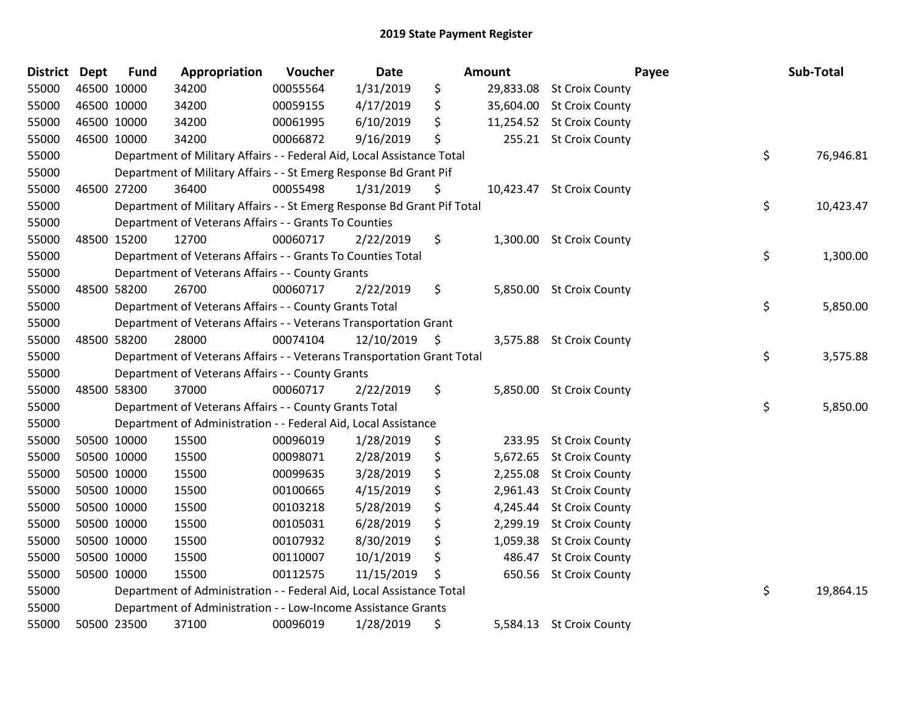| District | Dept | <b>Fund</b> | Appropriation                                                           | Voucher  | <b>Date</b> |     | <b>Amount</b> | Payee                     | Sub-Total       |
|----------|------|-------------|-------------------------------------------------------------------------|----------|-------------|-----|---------------|---------------------------|-----------------|
| 55000    |      | 46500 10000 | 34200                                                                   | 00055564 | 1/31/2019   | \$  | 29,833.08     | <b>St Croix County</b>    |                 |
| 55000    |      | 46500 10000 | 34200                                                                   | 00059155 | 4/17/2019   | \$  | 35,604.00     | <b>St Croix County</b>    |                 |
| 55000    |      | 46500 10000 | 34200                                                                   | 00061995 | 6/10/2019   | \$  |               | 11,254.52 St Croix County |                 |
| 55000    |      | 46500 10000 | 34200                                                                   | 00066872 | 9/16/2019   | \$  |               | 255.21 St Croix County    |                 |
| 55000    |      |             | Department of Military Affairs - - Federal Aid, Local Assistance Total  |          |             |     |               |                           | \$<br>76,946.81 |
| 55000    |      |             | Department of Military Affairs - - St Emerg Response Bd Grant Pif       |          |             |     |               |                           |                 |
| 55000    |      | 46500 27200 | 36400                                                                   | 00055498 | 1/31/2019   | \$  |               | 10,423.47 St Croix County |                 |
| 55000    |      |             | Department of Military Affairs - - St Emerg Response Bd Grant Pif Total |          |             |     |               |                           | \$<br>10,423.47 |
| 55000    |      |             | Department of Veterans Affairs - - Grants To Counties                   |          |             |     |               |                           |                 |
| 55000    |      | 48500 15200 | 12700                                                                   | 00060717 | 2/22/2019   | \$  |               | 1,300.00 St Croix County  |                 |
| 55000    |      |             | Department of Veterans Affairs - - Grants To Counties Total             |          |             |     |               |                           | \$<br>1,300.00  |
| 55000    |      |             | Department of Veterans Affairs - - County Grants                        |          |             |     |               |                           |                 |
| 55000    |      | 48500 58200 | 26700                                                                   | 00060717 | 2/22/2019   | \$  |               | 5,850.00 St Croix County  |                 |
| 55000    |      |             | Department of Veterans Affairs - - County Grants Total                  |          |             |     |               |                           | \$<br>5,850.00  |
| 55000    |      |             | Department of Veterans Affairs - - Veterans Transportation Grant        |          |             |     |               |                           |                 |
| 55000    |      | 48500 58200 | 28000                                                                   | 00074104 | 12/10/2019  | -\$ |               | 3,575.88 St Croix County  |                 |
| 55000    |      |             | Department of Veterans Affairs - - Veterans Transportation Grant Total  |          |             |     |               |                           | \$<br>3,575.88  |
| 55000    |      |             | Department of Veterans Affairs - - County Grants                        |          |             |     |               |                           |                 |
| 55000    |      | 48500 58300 | 37000                                                                   | 00060717 | 2/22/2019   | \$  | 5,850.00      | <b>St Croix County</b>    |                 |
| 55000    |      |             | Department of Veterans Affairs - - County Grants Total                  |          |             |     |               |                           | \$<br>5,850.00  |
| 55000    |      |             | Department of Administration - - Federal Aid, Local Assistance          |          |             |     |               |                           |                 |
| 55000    |      | 50500 10000 | 15500                                                                   | 00096019 | 1/28/2019   | \$  |               | 233.95 St Croix County    |                 |
| 55000    |      | 50500 10000 | 15500                                                                   | 00098071 | 2/28/2019   | \$  |               | 5,672.65 St Croix County  |                 |
| 55000    |      | 50500 10000 | 15500                                                                   | 00099635 | 3/28/2019   | \$  | 2,255.08      | <b>St Croix County</b>    |                 |
| 55000    |      | 50500 10000 | 15500                                                                   | 00100665 | 4/15/2019   | \$  | 2,961.43      | <b>St Croix County</b>    |                 |
| 55000    |      | 50500 10000 | 15500                                                                   | 00103218 | 5/28/2019   | \$  | 4,245.44      | <b>St Croix County</b>    |                 |
| 55000    |      | 50500 10000 | 15500                                                                   | 00105031 | 6/28/2019   | \$  | 2,299.19      | <b>St Croix County</b>    |                 |
| 55000    |      | 50500 10000 | 15500                                                                   | 00107932 | 8/30/2019   | \$  | 1,059.38      | <b>St Croix County</b>    |                 |
| 55000    |      | 50500 10000 | 15500                                                                   | 00110007 | 10/1/2019   | \$  | 486.47        | <b>St Croix County</b>    |                 |
| 55000    |      | 50500 10000 | 15500                                                                   | 00112575 | 11/15/2019  | \$  | 650.56        | <b>St Croix County</b>    |                 |
| 55000    |      |             | Department of Administration - - Federal Aid, Local Assistance Total    |          |             |     |               |                           | \$<br>19,864.15 |
| 55000    |      |             | Department of Administration - - Low-Income Assistance Grants           |          |             |     |               |                           |                 |
| 55000    |      | 50500 23500 | 37100                                                                   | 00096019 | 1/28/2019   | \$  | 5,584.13      | <b>St Croix County</b>    |                 |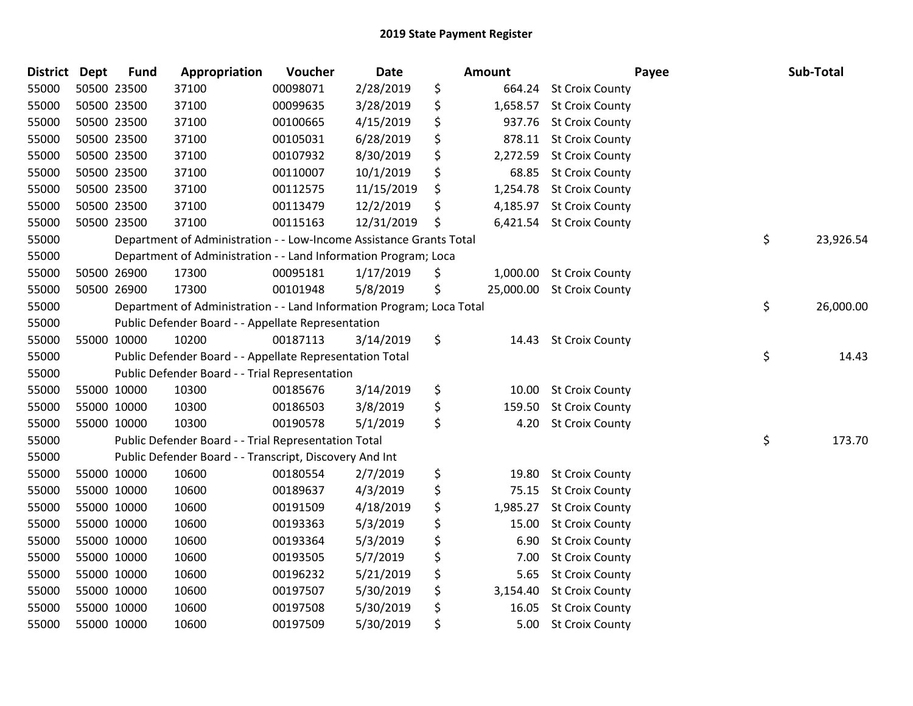| District Dept |             | <b>Fund</b> | Appropriation                                                         | Voucher  | Date       | <b>Amount</b>   | Payee                  | Sub-Total       |
|---------------|-------------|-------------|-----------------------------------------------------------------------|----------|------------|-----------------|------------------------|-----------------|
| 55000         | 50500 23500 |             | 37100                                                                 | 00098071 | 2/28/2019  | \$<br>664.24    | <b>St Croix County</b> |                 |
| 55000         | 50500 23500 |             | 37100                                                                 | 00099635 | 3/28/2019  | \$<br>1,658.57  | <b>St Croix County</b> |                 |
| 55000         | 50500 23500 |             | 37100                                                                 | 00100665 | 4/15/2019  | \$<br>937.76    | <b>St Croix County</b> |                 |
| 55000         | 50500 23500 |             | 37100                                                                 | 00105031 | 6/28/2019  | \$<br>878.11    | <b>St Croix County</b> |                 |
| 55000         | 50500 23500 |             | 37100                                                                 | 00107932 | 8/30/2019  | \$<br>2,272.59  | <b>St Croix County</b> |                 |
| 55000         | 50500 23500 |             | 37100                                                                 | 00110007 | 10/1/2019  | \$<br>68.85     | <b>St Croix County</b> |                 |
| 55000         | 50500 23500 |             | 37100                                                                 | 00112575 | 11/15/2019 | \$<br>1,254.78  | <b>St Croix County</b> |                 |
| 55000         | 50500 23500 |             | 37100                                                                 | 00113479 | 12/2/2019  | \$<br>4,185.97  | <b>St Croix County</b> |                 |
| 55000         | 50500 23500 |             | 37100                                                                 | 00115163 | 12/31/2019 | \$<br>6,421.54  | <b>St Croix County</b> |                 |
| 55000         |             |             | Department of Administration - - Low-Income Assistance Grants Total   |          |            |                 |                        | \$<br>23,926.54 |
| 55000         |             |             | Department of Administration - - Land Information Program; Loca       |          |            |                 |                        |                 |
| 55000         |             | 50500 26900 | 17300                                                                 | 00095181 | 1/17/2019  | \$<br>1,000.00  | <b>St Croix County</b> |                 |
| 55000         | 50500 26900 |             | 17300                                                                 | 00101948 | 5/8/2019   | \$<br>25,000.00 | <b>St Croix County</b> |                 |
| 55000         |             |             | Department of Administration - - Land Information Program; Loca Total |          |            |                 |                        | \$<br>26,000.00 |
| 55000         |             |             | Public Defender Board - - Appellate Representation                    |          |            |                 |                        |                 |
| 55000         | 55000 10000 |             | 10200                                                                 | 00187113 | 3/14/2019  | \$<br>14.43     | <b>St Croix County</b> |                 |
| 55000         |             |             | Public Defender Board - - Appellate Representation Total              |          |            |                 |                        | \$<br>14.43     |
| 55000         |             |             | Public Defender Board - - Trial Representation                        |          |            |                 |                        |                 |
| 55000         | 55000 10000 |             | 10300                                                                 | 00185676 | 3/14/2019  | \$<br>10.00     | <b>St Croix County</b> |                 |
| 55000         | 55000 10000 |             | 10300                                                                 | 00186503 | 3/8/2019   | \$<br>159.50    | <b>St Croix County</b> |                 |
| 55000         | 55000 10000 |             | 10300                                                                 | 00190578 | 5/1/2019   | \$<br>4.20      | <b>St Croix County</b> |                 |
| 55000         |             |             | Public Defender Board - - Trial Representation Total                  |          |            |                 |                        | \$<br>173.70    |
| 55000         |             |             | Public Defender Board - - Transcript, Discovery And Int               |          |            |                 |                        |                 |
| 55000         | 55000 10000 |             | 10600                                                                 | 00180554 | 2/7/2019   | \$<br>19.80     | <b>St Croix County</b> |                 |
| 55000         | 55000 10000 |             | 10600                                                                 | 00189637 | 4/3/2019   | \$<br>75.15     | <b>St Croix County</b> |                 |
| 55000         | 55000 10000 |             | 10600                                                                 | 00191509 | 4/18/2019  | \$<br>1,985.27  | <b>St Croix County</b> |                 |
| 55000         | 55000 10000 |             | 10600                                                                 | 00193363 | 5/3/2019   | \$<br>15.00     | <b>St Croix County</b> |                 |
| 55000         | 55000 10000 |             | 10600                                                                 | 00193364 | 5/3/2019   | \$<br>6.90      | <b>St Croix County</b> |                 |
| 55000         | 55000 10000 |             | 10600                                                                 | 00193505 | 5/7/2019   | \$<br>7.00      | <b>St Croix County</b> |                 |
| 55000         | 55000 10000 |             | 10600                                                                 | 00196232 | 5/21/2019  | \$<br>5.65      | <b>St Croix County</b> |                 |
| 55000         | 55000 10000 |             | 10600                                                                 | 00197507 | 5/30/2019  | \$<br>3,154.40  | <b>St Croix County</b> |                 |
| 55000         | 55000 10000 |             | 10600                                                                 | 00197508 | 5/30/2019  | \$<br>16.05     | <b>St Croix County</b> |                 |
| 55000         | 55000 10000 |             | 10600                                                                 | 00197509 | 5/30/2019  | \$<br>$5.00$    | <b>St Croix County</b> |                 |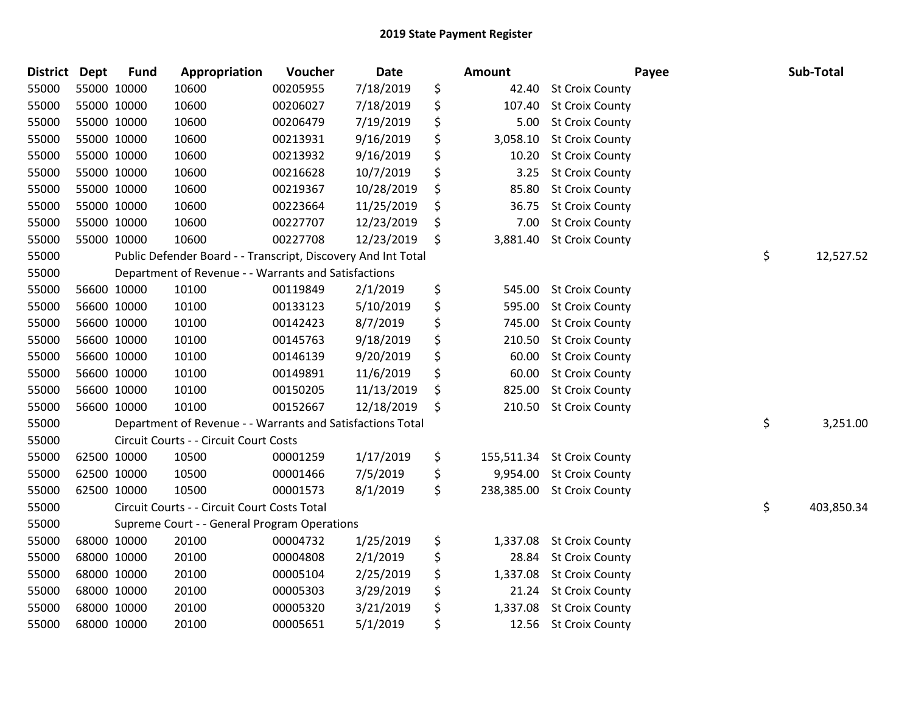| <b>District</b> | <b>Dept</b> | <b>Fund</b> | Appropriation                                                 | Voucher  | <b>Date</b> | <b>Amount</b>  |                            | Payee | Sub-Total  |
|-----------------|-------------|-------------|---------------------------------------------------------------|----------|-------------|----------------|----------------------------|-------|------------|
| 55000           |             | 55000 10000 | 10600                                                         | 00205955 | 7/18/2019   | \$<br>42.40    | <b>St Croix County</b>     |       |            |
| 55000           |             | 55000 10000 | 10600                                                         | 00206027 | 7/18/2019   | \$<br>107.40   | <b>St Croix County</b>     |       |            |
| 55000           | 55000 10000 |             | 10600                                                         | 00206479 | 7/19/2019   | \$<br>5.00     | <b>St Croix County</b>     |       |            |
| 55000           |             | 55000 10000 | 10600                                                         | 00213931 | 9/16/2019   | \$<br>3,058.10 | <b>St Croix County</b>     |       |            |
| 55000           | 55000 10000 |             | 10600                                                         | 00213932 | 9/16/2019   | \$<br>10.20    | <b>St Croix County</b>     |       |            |
| 55000           |             | 55000 10000 | 10600                                                         | 00216628 | 10/7/2019   | \$<br>3.25     | <b>St Croix County</b>     |       |            |
| 55000           |             | 55000 10000 | 10600                                                         | 00219367 | 10/28/2019  | \$<br>85.80    | <b>St Croix County</b>     |       |            |
| 55000           |             | 55000 10000 | 10600                                                         | 00223664 | 11/25/2019  | \$<br>36.75    | <b>St Croix County</b>     |       |            |
| 55000           |             | 55000 10000 | 10600                                                         | 00227707 | 12/23/2019  | \$<br>7.00     | <b>St Croix County</b>     |       |            |
| 55000           | 55000 10000 |             | 10600                                                         | 00227708 | 12/23/2019  | \$<br>3,881.40 | <b>St Croix County</b>     |       |            |
| 55000           |             |             | Public Defender Board - - Transcript, Discovery And Int Total |          |             |                |                            | \$    | 12,527.52  |
| 55000           |             |             | Department of Revenue - - Warrants and Satisfactions          |          |             |                |                            |       |            |
| 55000           |             | 56600 10000 | 10100                                                         | 00119849 | 2/1/2019    | \$<br>545.00   | <b>St Croix County</b>     |       |            |
| 55000           |             | 56600 10000 | 10100                                                         | 00133123 | 5/10/2019   | \$<br>595.00   | <b>St Croix County</b>     |       |            |
| 55000           |             | 56600 10000 | 10100                                                         | 00142423 | 8/7/2019    | \$<br>745.00   | <b>St Croix County</b>     |       |            |
| 55000           |             | 56600 10000 | 10100                                                         | 00145763 | 9/18/2019   | \$<br>210.50   | <b>St Croix County</b>     |       |            |
| 55000           |             | 56600 10000 | 10100                                                         | 00146139 | 9/20/2019   | \$<br>60.00    | <b>St Croix County</b>     |       |            |
| 55000           |             | 56600 10000 | 10100                                                         | 00149891 | 11/6/2019   | \$<br>60.00    | <b>St Croix County</b>     |       |            |
| 55000           |             | 56600 10000 | 10100                                                         | 00150205 | 11/13/2019  | \$<br>825.00   | <b>St Croix County</b>     |       |            |
| 55000           |             | 56600 10000 | 10100                                                         | 00152667 | 12/18/2019  | \$<br>210.50   | <b>St Croix County</b>     |       |            |
| 55000           |             |             | Department of Revenue - - Warrants and Satisfactions Total    |          |             |                |                            | \$    | 3,251.00   |
| 55000           |             |             | Circuit Courts - - Circuit Court Costs                        |          |             |                |                            |       |            |
| 55000           |             | 62500 10000 | 10500                                                         | 00001259 | 1/17/2019   | \$             | 155,511.34 St Croix County |       |            |
| 55000           |             | 62500 10000 | 10500                                                         | 00001466 | 7/5/2019    | \$<br>9,954.00 | <b>St Croix County</b>     |       |            |
| 55000           |             | 62500 10000 | 10500                                                         | 00001573 | 8/1/2019    | \$             | 238,385.00 St Croix County |       |            |
| 55000           |             |             | Circuit Courts - - Circuit Court Costs Total                  |          |             |                |                            | \$    | 403,850.34 |
| 55000           |             |             | Supreme Court - - General Program Operations                  |          |             |                |                            |       |            |
| 55000           |             | 68000 10000 | 20100                                                         | 00004732 | 1/25/2019   | \$<br>1,337.08 | <b>St Croix County</b>     |       |            |
| 55000           |             | 68000 10000 | 20100                                                         | 00004808 | 2/1/2019    | \$<br>28.84    | <b>St Croix County</b>     |       |            |
| 55000           |             | 68000 10000 | 20100                                                         | 00005104 | 2/25/2019   | \$<br>1,337.08 | <b>St Croix County</b>     |       |            |
| 55000           |             | 68000 10000 | 20100                                                         | 00005303 | 3/29/2019   | \$<br>21.24    | <b>St Croix County</b>     |       |            |
| 55000           |             | 68000 10000 | 20100                                                         | 00005320 | 3/21/2019   | \$<br>1,337.08 | <b>St Croix County</b>     |       |            |
| 55000           |             | 68000 10000 | 20100                                                         | 00005651 | 5/1/2019    | \$             | 12.56 St Croix County      |       |            |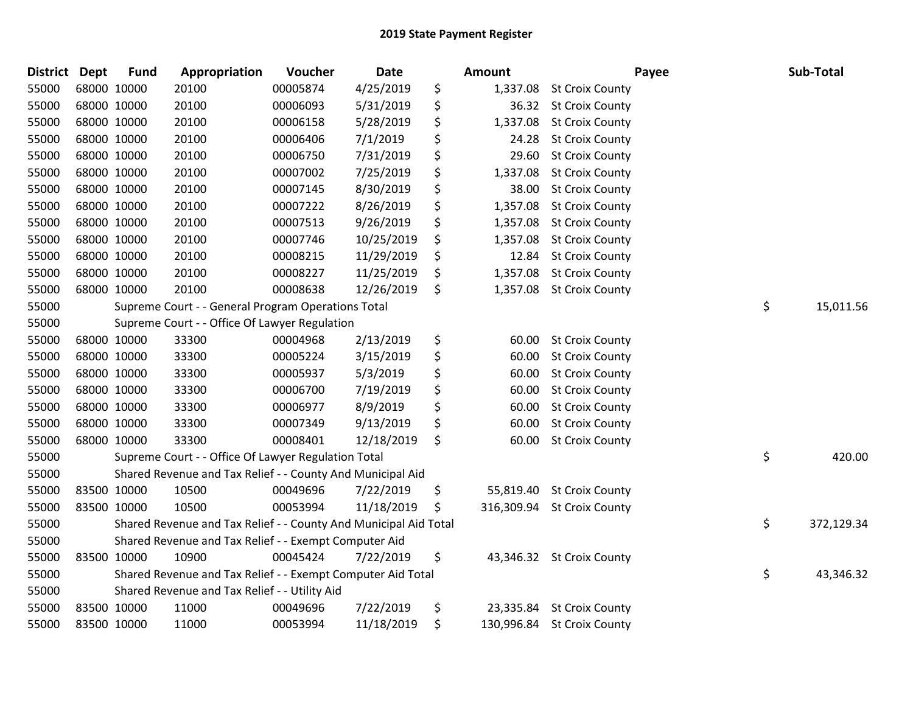| <b>District</b> | <b>Dept</b> | <b>Fund</b> | Appropriation                                                    | Voucher  | Date       | <b>Amount</b>    |                            | Payee | Sub-Total  |
|-----------------|-------------|-------------|------------------------------------------------------------------|----------|------------|------------------|----------------------------|-------|------------|
| 55000           | 68000 10000 |             | 20100                                                            | 00005874 | 4/25/2019  | \$<br>1,337.08   | <b>St Croix County</b>     |       |            |
| 55000           | 68000 10000 |             | 20100                                                            | 00006093 | 5/31/2019  | \$<br>36.32      | <b>St Croix County</b>     |       |            |
| 55000           | 68000 10000 |             | 20100                                                            | 00006158 | 5/28/2019  | \$<br>1,337.08   | <b>St Croix County</b>     |       |            |
| 55000           | 68000 10000 |             | 20100                                                            | 00006406 | 7/1/2019   | \$<br>24.28      | <b>St Croix County</b>     |       |            |
| 55000           | 68000 10000 |             | 20100                                                            | 00006750 | 7/31/2019  | \$<br>29.60      | <b>St Croix County</b>     |       |            |
| 55000           | 68000 10000 |             | 20100                                                            | 00007002 | 7/25/2019  | \$<br>1,337.08   | <b>St Croix County</b>     |       |            |
| 55000           | 68000 10000 |             | 20100                                                            | 00007145 | 8/30/2019  | \$<br>38.00      | <b>St Croix County</b>     |       |            |
| 55000           | 68000 10000 |             | 20100                                                            | 00007222 | 8/26/2019  | \$<br>1,357.08   | <b>St Croix County</b>     |       |            |
| 55000           | 68000 10000 |             | 20100                                                            | 00007513 | 9/26/2019  | \$<br>1,357.08   | <b>St Croix County</b>     |       |            |
| 55000           | 68000 10000 |             | 20100                                                            | 00007746 | 10/25/2019 | \$<br>1,357.08   | <b>St Croix County</b>     |       |            |
| 55000           | 68000 10000 |             | 20100                                                            | 00008215 | 11/29/2019 | \$<br>12.84      | <b>St Croix County</b>     |       |            |
| 55000           | 68000 10000 |             | 20100                                                            | 00008227 | 11/25/2019 | \$<br>1,357.08   | <b>St Croix County</b>     |       |            |
| 55000           | 68000 10000 |             | 20100                                                            | 00008638 | 12/26/2019 | \$<br>1,357.08   | <b>St Croix County</b>     |       |            |
| 55000           |             |             | Supreme Court - - General Program Operations Total               |          |            |                  |                            | \$    | 15,011.56  |
| 55000           |             |             | Supreme Court - - Office Of Lawyer Regulation                    |          |            |                  |                            |       |            |
| 55000           |             | 68000 10000 | 33300                                                            | 00004968 | 2/13/2019  | \$<br>60.00      | <b>St Croix County</b>     |       |            |
| 55000           | 68000 10000 |             | 33300                                                            | 00005224 | 3/15/2019  | \$<br>60.00      | <b>St Croix County</b>     |       |            |
| 55000           | 68000 10000 |             | 33300                                                            | 00005937 | 5/3/2019   | \$<br>60.00      | <b>St Croix County</b>     |       |            |
| 55000           | 68000 10000 |             | 33300                                                            | 00006700 | 7/19/2019  | \$<br>60.00      | <b>St Croix County</b>     |       |            |
| 55000           | 68000 10000 |             | 33300                                                            | 00006977 | 8/9/2019   | \$<br>60.00      | <b>St Croix County</b>     |       |            |
| 55000           | 68000 10000 |             | 33300                                                            | 00007349 | 9/13/2019  | \$<br>60.00      | <b>St Croix County</b>     |       |            |
| 55000           | 68000 10000 |             | 33300                                                            | 00008401 | 12/18/2019 | \$<br>60.00      | <b>St Croix County</b>     |       |            |
| 55000           |             |             | Supreme Court - - Office Of Lawyer Regulation Total              |          |            |                  |                            | \$    | 420.00     |
| 55000           |             |             | Shared Revenue and Tax Relief - - County And Municipal Aid       |          |            |                  |                            |       |            |
| 55000           | 83500 10000 |             | 10500                                                            | 00049696 | 7/22/2019  | \$<br>55,819.40  | <b>St Croix County</b>     |       |            |
| 55000           | 83500 10000 |             | 10500                                                            | 00053994 | 11/18/2019 | \$<br>316,309.94 | <b>St Croix County</b>     |       |            |
| 55000           |             |             | Shared Revenue and Tax Relief - - County And Municipal Aid Total |          |            |                  |                            | \$    | 372,129.34 |
| 55000           |             |             | Shared Revenue and Tax Relief - - Exempt Computer Aid            |          |            |                  |                            |       |            |
| 55000           | 83500 10000 |             | 10900                                                            | 00045424 | 7/22/2019  | \$<br>43,346.32  | <b>St Croix County</b>     |       |            |
| 55000           |             |             | Shared Revenue and Tax Relief - - Exempt Computer Aid Total      |          |            |                  |                            | \$    | 43,346.32  |
| 55000           |             |             | Shared Revenue and Tax Relief - - Utility Aid                    |          |            |                  |                            |       |            |
| 55000           | 83500 10000 |             | 11000                                                            | 00049696 | 7/22/2019  | \$               | 23,335.84 St Croix County  |       |            |
| 55000           | 83500 10000 |             | 11000                                                            | 00053994 | 11/18/2019 | \$               | 130,996.84 St Croix County |       |            |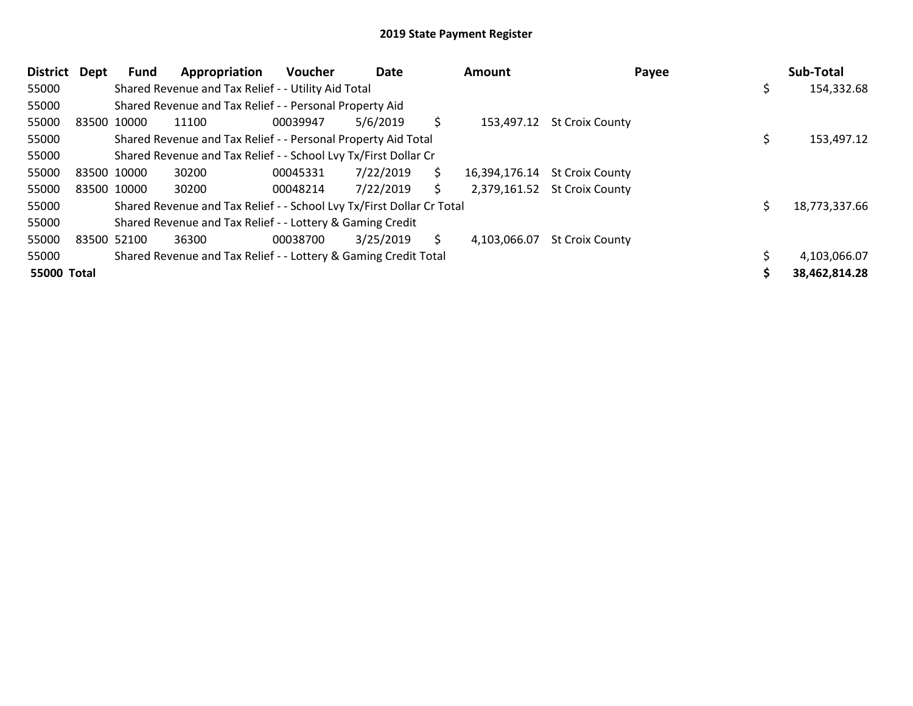| District Dept | Fund        | Appropriation                                                         | Voucher  | Date      |     | <b>Amount</b> | Payee                        |   | Sub-Total     |
|---------------|-------------|-----------------------------------------------------------------------|----------|-----------|-----|---------------|------------------------------|---|---------------|
| 55000         |             | Shared Revenue and Tax Relief - - Utility Aid Total                   |          |           |     |               |                              | s | 154,332.68    |
| 55000         |             | Shared Revenue and Tax Relief - - Personal Property Aid               |          |           |     |               |                              |   |               |
| 55000         | 83500 10000 | 11100                                                                 | 00039947 | 5/6/2019  | Ś.  |               | 153,497.12 St Croix County   |   |               |
| 55000         |             | Shared Revenue and Tax Relief - - Personal Property Aid Total         |          |           |     |               |                              |   | 153,497.12    |
| 55000         |             | Shared Revenue and Tax Relief - - School Lvy Tx/First Dollar Cr       |          |           |     |               |                              |   |               |
| 55000         | 83500 10000 | 30200                                                                 | 00045331 | 7/22/2019 | \$. | 16,394,176.14 | <b>St Croix County</b>       |   |               |
| 55000         | 83500 10000 | 30200                                                                 | 00048214 | 7/22/2019 | \$. |               | 2,379,161.52 St Croix County |   |               |
| 55000         |             | Shared Revenue and Tax Relief - - School Lvy Tx/First Dollar Cr Total |          |           |     |               |                              |   | 18,773,337.66 |
| 55000         |             | Shared Revenue and Tax Relief - - Lottery & Gaming Credit             |          |           |     |               |                              |   |               |
| 55000         | 83500 52100 | 36300                                                                 | 00038700 | 3/25/2019 | S.  | 4,103,066.07  | <b>St Croix County</b>       |   |               |
| 55000         |             | Shared Revenue and Tax Relief - - Lottery & Gaming Credit Total       |          |           |     |               |                              |   | 4,103,066.07  |
| 55000 Total   |             |                                                                       |          |           |     |               |                              |   | 38,462,814.28 |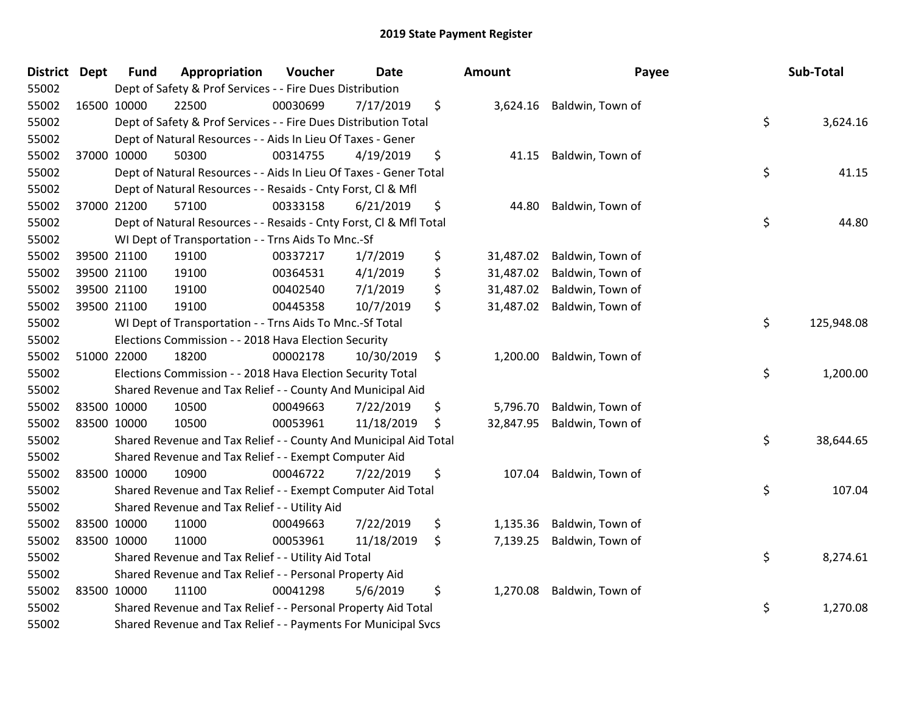| <b>District</b> | Dept | <b>Fund</b> | Appropriation                                                      | Voucher  | <b>Date</b> | <b>Amount</b>   | Payee            | Sub-Total        |
|-----------------|------|-------------|--------------------------------------------------------------------|----------|-------------|-----------------|------------------|------------------|
| 55002           |      |             | Dept of Safety & Prof Services - - Fire Dues Distribution          |          |             |                 |                  |                  |
| 55002           |      | 16500 10000 | 22500                                                              | 00030699 | 7/17/2019   | \$<br>3,624.16  | Baldwin, Town of |                  |
| 55002           |      |             | Dept of Safety & Prof Services - - Fire Dues Distribution Total    |          |             |                 |                  | \$<br>3,624.16   |
| 55002           |      |             | Dept of Natural Resources - - Aids In Lieu Of Taxes - Gener        |          |             |                 |                  |                  |
| 55002           |      | 37000 10000 | 50300                                                              | 00314755 | 4/19/2019   | \$<br>41.15     | Baldwin, Town of |                  |
| 55002           |      |             | Dept of Natural Resources - - Aids In Lieu Of Taxes - Gener Total  |          |             |                 |                  | \$<br>41.15      |
| 55002           |      |             | Dept of Natural Resources - - Resaids - Cnty Forst, Cl & Mfl       |          |             |                 |                  |                  |
| 55002           |      | 37000 21200 | 57100                                                              | 00333158 | 6/21/2019   | \$<br>44.80     | Baldwin, Town of |                  |
| 55002           |      |             | Dept of Natural Resources - - Resaids - Cnty Forst, CI & Mfl Total |          |             |                 |                  | \$<br>44.80      |
| 55002           |      |             | WI Dept of Transportation - - Trns Aids To Mnc.-Sf                 |          |             |                 |                  |                  |
| 55002           |      | 39500 21100 | 19100                                                              | 00337217 | 1/7/2019    | \$<br>31,487.02 | Baldwin, Town of |                  |
| 55002           |      | 39500 21100 | 19100                                                              | 00364531 | 4/1/2019    | \$<br>31,487.02 | Baldwin, Town of |                  |
| 55002           |      | 39500 21100 | 19100                                                              | 00402540 | 7/1/2019    | \$<br>31,487.02 | Baldwin, Town of |                  |
| 55002           |      | 39500 21100 | 19100                                                              | 00445358 | 10/7/2019   | \$<br>31,487.02 | Baldwin, Town of |                  |
| 55002           |      |             | WI Dept of Transportation - - Trns Aids To Mnc.-Sf Total           |          |             |                 |                  | \$<br>125,948.08 |
| 55002           |      |             | Elections Commission - - 2018 Hava Election Security               |          |             |                 |                  |                  |
| 55002           |      | 51000 22000 | 18200                                                              | 00002178 | 10/30/2019  | \$<br>1,200.00  | Baldwin, Town of |                  |
| 55002           |      |             | Elections Commission - - 2018 Hava Election Security Total         |          |             |                 |                  | \$<br>1,200.00   |
| 55002           |      |             | Shared Revenue and Tax Relief - - County And Municipal Aid         |          |             |                 |                  |                  |
| 55002           |      | 83500 10000 | 10500                                                              | 00049663 | 7/22/2019   | \$<br>5,796.70  | Baldwin, Town of |                  |
| 55002           |      | 83500 10000 | 10500                                                              | 00053961 | 11/18/2019  | \$<br>32,847.95 | Baldwin, Town of |                  |
| 55002           |      |             | Shared Revenue and Tax Relief - - County And Municipal Aid Total   |          |             |                 |                  | \$<br>38,644.65  |
| 55002           |      |             | Shared Revenue and Tax Relief - - Exempt Computer Aid              |          |             |                 |                  |                  |
| 55002           |      | 83500 10000 | 10900                                                              | 00046722 | 7/22/2019   | \$<br>107.04    | Baldwin, Town of |                  |
| 55002           |      |             | Shared Revenue and Tax Relief - - Exempt Computer Aid Total        |          |             |                 |                  | \$<br>107.04     |
| 55002           |      |             | Shared Revenue and Tax Relief - - Utility Aid                      |          |             |                 |                  |                  |
| 55002           |      | 83500 10000 | 11000                                                              | 00049663 | 7/22/2019   | \$<br>1,135.36  | Baldwin, Town of |                  |
| 55002           |      | 83500 10000 | 11000                                                              | 00053961 | 11/18/2019  | \$<br>7,139.25  | Baldwin, Town of |                  |
| 55002           |      |             | Shared Revenue and Tax Relief - - Utility Aid Total                |          |             |                 |                  | \$<br>8,274.61   |
| 55002           |      |             | Shared Revenue and Tax Relief - - Personal Property Aid            |          |             |                 |                  |                  |
| 55002           |      | 83500 10000 | 11100                                                              | 00041298 | 5/6/2019    | \$<br>1,270.08  | Baldwin, Town of |                  |
| 55002           |      |             | Shared Revenue and Tax Relief - - Personal Property Aid Total      |          |             |                 |                  | \$<br>1,270.08   |
| 55002           |      |             | Shared Revenue and Tax Relief - - Payments For Municipal Svcs      |          |             |                 |                  |                  |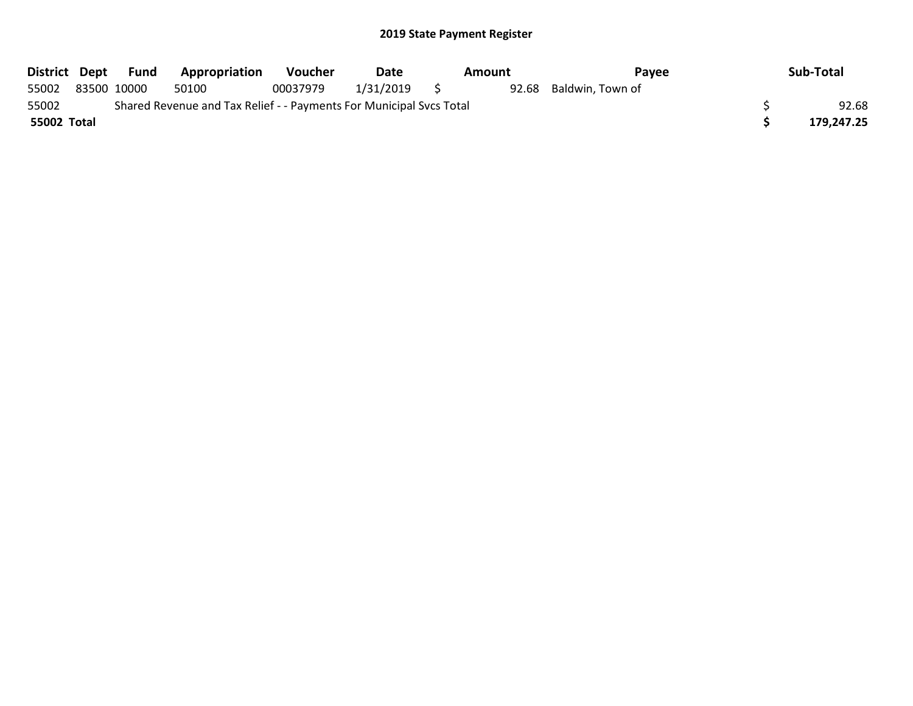| District Dept |             | Fund | Appropriation                                                       | <b>Voucher</b> | <b>Date</b> |   | Amount | Payee                  | Sub-Total  |
|---------------|-------------|------|---------------------------------------------------------------------|----------------|-------------|---|--------|------------------------|------------|
| 55002         | 83500 10000 |      | 50100                                                               | 00037979       | 1/31/2019   | S |        | 92.68 Baldwin, Town of |            |
| 55002         |             |      | Shared Revenue and Tax Relief - - Payments For Municipal Svcs Total |                |             |   |        |                        | 92.68      |
| 55002 Total   |             |      |                                                                     |                |             |   |        |                        | 179,247.25 |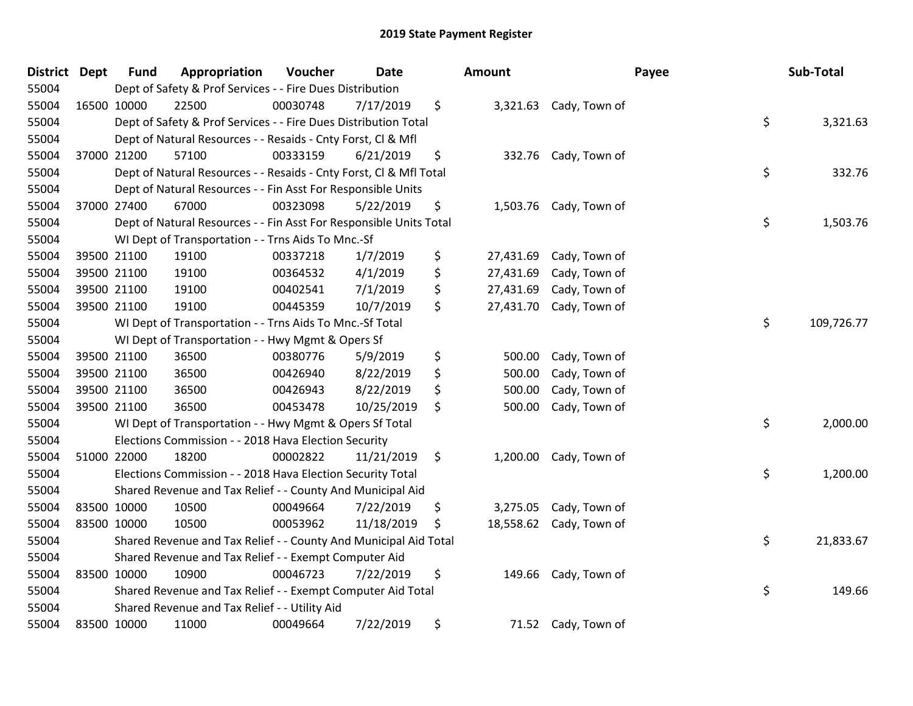| <b>District</b> | <b>Dept</b> | <b>Fund</b> | Appropriation                                                      | Voucher  | <b>Date</b> | <b>Amount</b>   |                         | Payee | Sub-Total  |
|-----------------|-------------|-------------|--------------------------------------------------------------------|----------|-------------|-----------------|-------------------------|-------|------------|
| 55004           |             |             | Dept of Safety & Prof Services - - Fire Dues Distribution          |          |             |                 |                         |       |            |
| 55004           | 16500 10000 |             | 22500                                                              | 00030748 | 7/17/2019   | \$              | 3,321.63 Cady, Town of  |       |            |
| 55004           |             |             | Dept of Safety & Prof Services - - Fire Dues Distribution Total    |          |             |                 |                         | \$    | 3,321.63   |
| 55004           |             |             | Dept of Natural Resources - - Resaids - Cnty Forst, Cl & Mfl       |          |             |                 |                         |       |            |
| 55004           |             | 37000 21200 | 57100                                                              | 00333159 | 6/21/2019   | \$<br>332.76    | Cady, Town of           |       |            |
| 55004           |             |             | Dept of Natural Resources - - Resaids - Cnty Forst, Cl & Mfl Total |          |             |                 |                         | \$    | 332.76     |
| 55004           |             |             | Dept of Natural Resources - - Fin Asst For Responsible Units       |          |             |                 |                         |       |            |
| 55004           |             | 37000 27400 | 67000                                                              | 00323098 | 5/22/2019   | \$              | 1,503.76 Cady, Town of  |       |            |
| 55004           |             |             | Dept of Natural Resources - - Fin Asst For Responsible Units Total |          |             |                 |                         | \$    | 1,503.76   |
| 55004           |             |             | WI Dept of Transportation - - Trns Aids To Mnc.-Sf                 |          |             |                 |                         |       |            |
| 55004           |             | 39500 21100 | 19100                                                              | 00337218 | 1/7/2019    | \$<br>27,431.69 | Cady, Town of           |       |            |
| 55004           |             | 39500 21100 | 19100                                                              | 00364532 | 4/1/2019    | \$<br>27,431.69 | Cady, Town of           |       |            |
| 55004           | 39500 21100 |             | 19100                                                              | 00402541 | 7/1/2019    | \$<br>27,431.69 | Cady, Town of           |       |            |
| 55004           | 39500 21100 |             | 19100                                                              | 00445359 | 10/7/2019   | \$<br>27,431.70 | Cady, Town of           |       |            |
| 55004           |             |             | WI Dept of Transportation - - Trns Aids To Mnc.-Sf Total           |          |             |                 |                         | \$    | 109,726.77 |
| 55004           |             |             | WI Dept of Transportation - - Hwy Mgmt & Opers Sf                  |          |             |                 |                         |       |            |
| 55004           |             | 39500 21100 | 36500                                                              | 00380776 | 5/9/2019    | \$<br>500.00    | Cady, Town of           |       |            |
| 55004           |             | 39500 21100 | 36500                                                              | 00426940 | 8/22/2019   | \$<br>500.00    | Cady, Town of           |       |            |
| 55004           |             | 39500 21100 | 36500                                                              | 00426943 | 8/22/2019   | \$<br>500.00    | Cady, Town of           |       |            |
| 55004           | 39500 21100 |             | 36500                                                              | 00453478 | 10/25/2019  | \$<br>500.00    | Cady, Town of           |       |            |
| 55004           |             |             | WI Dept of Transportation - - Hwy Mgmt & Opers Sf Total            |          |             |                 |                         | \$    | 2,000.00   |
| 55004           |             |             | Elections Commission - - 2018 Hava Election Security               |          |             |                 |                         |       |            |
| 55004           | 51000 22000 |             | 18200                                                              | 00002822 | 11/21/2019  | \$              | 1,200.00 Cady, Town of  |       |            |
| 55004           |             |             | Elections Commission - - 2018 Hava Election Security Total         |          |             |                 |                         | \$    | 1,200.00   |
| 55004           |             |             | Shared Revenue and Tax Relief - - County And Municipal Aid         |          |             |                 |                         |       |            |
| 55004           | 83500 10000 |             | 10500                                                              | 00049664 | 7/22/2019   | \$<br>3,275.05  | Cady, Town of           |       |            |
| 55004           | 83500 10000 |             | 10500                                                              | 00053962 | 11/18/2019  | \$              | 18,558.62 Cady, Town of |       |            |
| 55004           |             |             | Shared Revenue and Tax Relief - - County And Municipal Aid Total   |          |             |                 |                         | \$    | 21,833.67  |
| 55004           |             |             | Shared Revenue and Tax Relief - - Exempt Computer Aid              |          |             |                 |                         |       |            |
| 55004           | 83500 10000 |             | 10900                                                              | 00046723 | 7/22/2019   | \$<br>149.66    | Cady, Town of           |       |            |
| 55004           |             |             | Shared Revenue and Tax Relief - - Exempt Computer Aid Total        |          |             |                 |                         | \$    | 149.66     |
| 55004           |             |             | Shared Revenue and Tax Relief - - Utility Aid                      |          |             |                 |                         |       |            |
| 55004           | 83500 10000 |             | 11000                                                              | 00049664 | 7/22/2019   | \$              | 71.52 Cady, Town of     |       |            |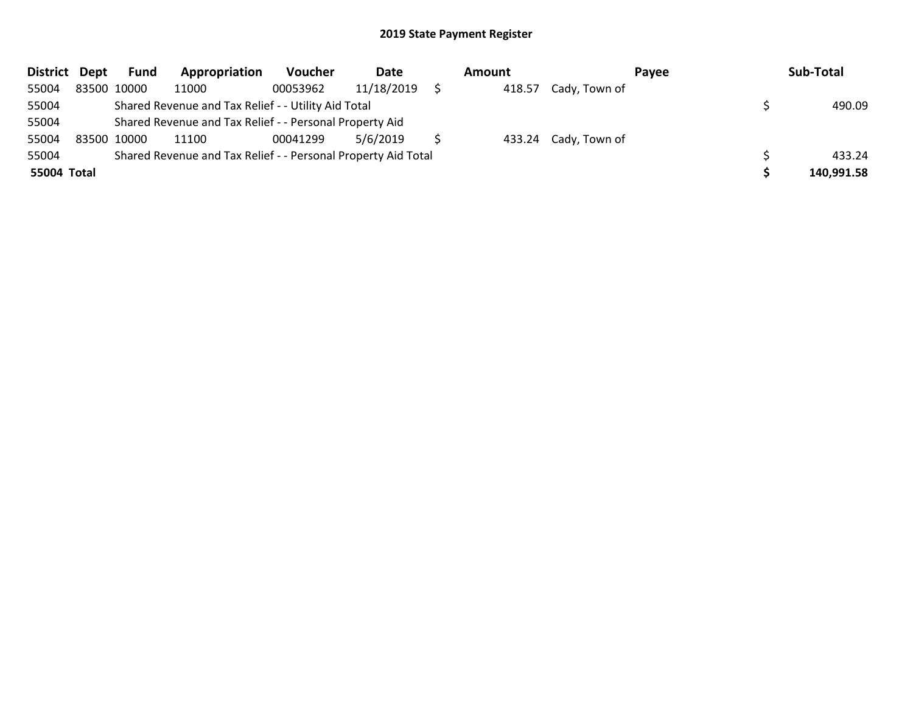| District Dept | Fund        | Appropriation                                                 | Voucher  | Date       | Amount |                      | <b>Pavee</b> | Sub-Total  |
|---------------|-------------|---------------------------------------------------------------|----------|------------|--------|----------------------|--------------|------------|
| 55004         | 83500 10000 | 11000                                                         | 00053962 | 11/18/2019 | 418.57 | Cady, Town of        |              |            |
| 55004         |             | Shared Revenue and Tax Relief - - Utility Aid Total           |          |            |        |                      |              | 490.09     |
| 55004         |             | Shared Revenue and Tax Relief - - Personal Property Aid       |          |            |        |                      |              |            |
| 55004         | 83500 10000 | 11100                                                         | 00041299 | 5/6/2019   |        | 433.24 Cady, Town of |              |            |
| 55004         |             | Shared Revenue and Tax Relief - - Personal Property Aid Total |          |            |        |                      |              | 433.24     |
| 55004 Total   |             |                                                               |          |            |        |                      |              | 140,991.58 |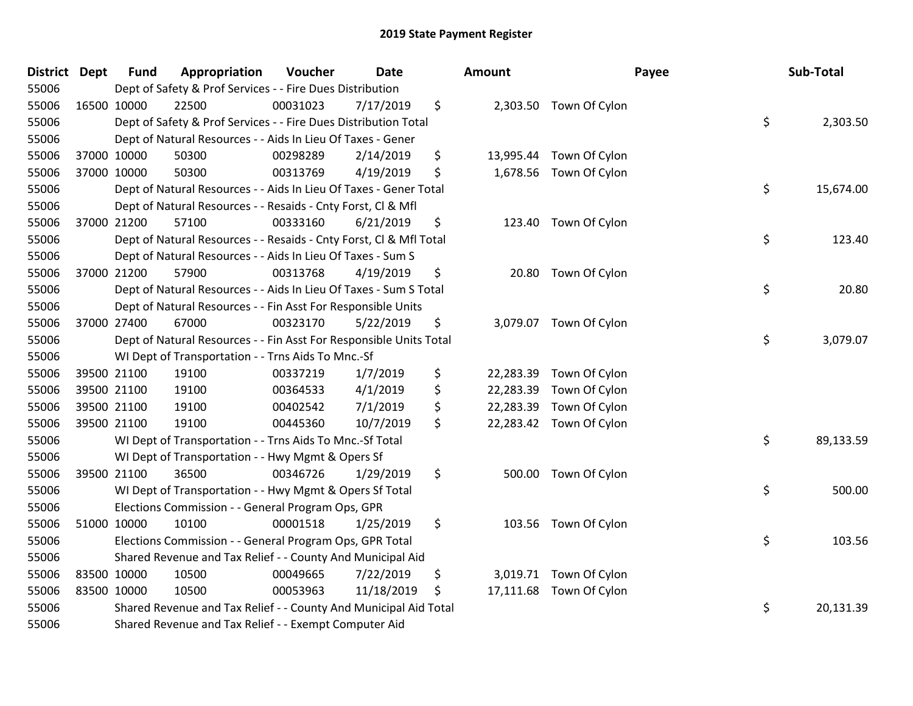| District Dept |             | <b>Fund</b> | Appropriation                                                      | Voucher  | <b>Date</b> | <b>Amount</b>   |                         | Payee | Sub-Total |
|---------------|-------------|-------------|--------------------------------------------------------------------|----------|-------------|-----------------|-------------------------|-------|-----------|
| 55006         |             |             | Dept of Safety & Prof Services - - Fire Dues Distribution          |          |             |                 |                         |       |           |
| 55006         | 16500 10000 |             | 22500                                                              | 00031023 | 7/17/2019   | \$              | 2,303.50 Town Of Cylon  |       |           |
| 55006         |             |             | Dept of Safety & Prof Services - - Fire Dues Distribution Total    |          |             |                 |                         | \$    | 2,303.50  |
| 55006         |             |             | Dept of Natural Resources - - Aids In Lieu Of Taxes - Gener        |          |             |                 |                         |       |           |
| 55006         | 37000 10000 |             | 50300                                                              | 00298289 | 2/14/2019   | \$<br>13,995.44 | Town Of Cylon           |       |           |
| 55006         |             | 37000 10000 | 50300                                                              | 00313769 | 4/19/2019   | \$<br>1,678.56  | Town Of Cylon           |       |           |
| 55006         |             |             | Dept of Natural Resources - - Aids In Lieu Of Taxes - Gener Total  |          |             |                 |                         | \$    | 15,674.00 |
| 55006         |             |             | Dept of Natural Resources - - Resaids - Cnty Forst, Cl & Mfl       |          |             |                 |                         |       |           |
| 55006         |             | 37000 21200 | 57100                                                              | 00333160 | 6/21/2019   | \$              | 123.40 Town Of Cylon    |       |           |
| 55006         |             |             | Dept of Natural Resources - - Resaids - Cnty Forst, Cl & Mfl Total |          |             |                 |                         | \$    | 123.40    |
| 55006         |             |             | Dept of Natural Resources - - Aids In Lieu Of Taxes - Sum S        |          |             |                 |                         |       |           |
| 55006         |             | 37000 21200 | 57900                                                              | 00313768 | 4/19/2019   | \$              | 20.80 Town Of Cylon     |       |           |
| 55006         |             |             | Dept of Natural Resources - - Aids In Lieu Of Taxes - Sum S Total  |          |             |                 |                         | \$    | 20.80     |
| 55006         |             |             | Dept of Natural Resources - - Fin Asst For Responsible Units       |          |             |                 |                         |       |           |
| 55006         | 37000 27400 |             | 67000                                                              | 00323170 | 5/22/2019   | \$              | 3,079.07 Town Of Cylon  |       |           |
| 55006         |             |             | Dept of Natural Resources - - Fin Asst For Responsible Units Total |          |             |                 |                         | \$    | 3,079.07  |
| 55006         |             |             | WI Dept of Transportation - - Trns Aids To Mnc.-Sf                 |          |             |                 |                         |       |           |
| 55006         |             | 39500 21100 | 19100                                                              | 00337219 | 1/7/2019    | \$              | 22,283.39 Town Of Cylon |       |           |
| 55006         |             | 39500 21100 | 19100                                                              | 00364533 | 4/1/2019    | \$<br>22,283.39 | Town Of Cylon           |       |           |
| 55006         |             | 39500 21100 | 19100                                                              | 00402542 | 7/1/2019    | \$<br>22,283.39 | Town Of Cylon           |       |           |
| 55006         |             | 39500 21100 | 19100                                                              | 00445360 | 10/7/2019   | \$              | 22,283.42 Town Of Cylon |       |           |
| 55006         |             |             | WI Dept of Transportation - - Trns Aids To Mnc.-Sf Total           |          |             |                 |                         | \$    | 89,133.59 |
| 55006         |             |             | WI Dept of Transportation - - Hwy Mgmt & Opers Sf                  |          |             |                 |                         |       |           |
| 55006         | 39500 21100 |             | 36500                                                              | 00346726 | 1/29/2019   | \$<br>500.00    | Town Of Cylon           |       |           |
| 55006         |             |             | WI Dept of Transportation - - Hwy Mgmt & Opers Sf Total            |          |             |                 |                         | \$    | 500.00    |
| 55006         |             |             | Elections Commission - - General Program Ops, GPR                  |          |             |                 |                         |       |           |
| 55006         | 51000 10000 |             | 10100                                                              | 00001518 | 1/25/2019   | \$              | 103.56 Town Of Cylon    |       |           |
| 55006         |             |             | Elections Commission - - General Program Ops, GPR Total            |          |             |                 |                         | \$    | 103.56    |
| 55006         |             |             | Shared Revenue and Tax Relief - - County And Municipal Aid         |          |             |                 |                         |       |           |
| 55006         | 83500 10000 |             | 10500                                                              | 00049665 | 7/22/2019   | \$              | 3,019.71 Town Of Cylon  |       |           |
| 55006         | 83500 10000 |             | 10500                                                              | 00053963 | 11/18/2019  | \$              | 17,111.68 Town Of Cylon |       |           |
| 55006         |             |             | Shared Revenue and Tax Relief - - County And Municipal Aid Total   |          |             |                 |                         | \$    | 20,131.39 |
| 55006         |             |             | Shared Revenue and Tax Relief - - Exempt Computer Aid              |          |             |                 |                         |       |           |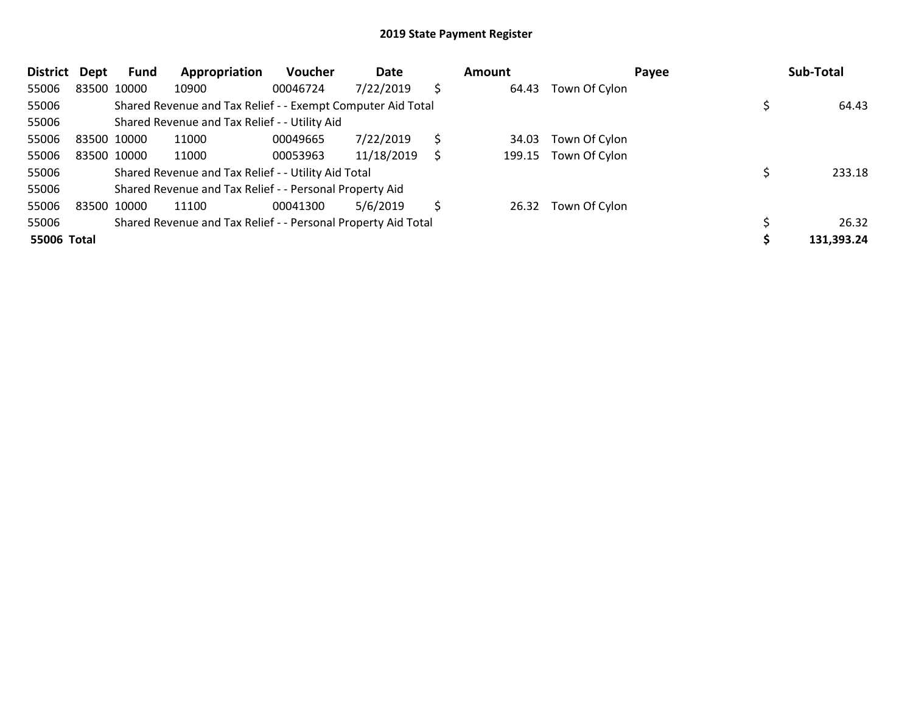| <b>District</b> | Dept        | Fund        | Appropriation                                                 | <b>Voucher</b> | Date       |    | <b>Amount</b> |               | Payee | Sub-Total  |
|-----------------|-------------|-------------|---------------------------------------------------------------|----------------|------------|----|---------------|---------------|-------|------------|
| 55006           |             | 83500 10000 | 10900                                                         | 00046724       | 7/22/2019  | \$ | 64.43         | Town Of Cylon |       |            |
| 55006           |             |             | Shared Revenue and Tax Relief - - Exempt Computer Aid Total   |                |            |    |               |               |       | 64.43      |
| 55006           |             |             | Shared Revenue and Tax Relief - - Utility Aid                 |                |            |    |               |               |       |            |
| 55006           | 83500 10000 |             | 11000                                                         | 00049665       | 7/22/2019  | S. | 34.03         | Town Of Cylon |       |            |
| 55006           |             | 83500 10000 | 11000                                                         | 00053963       | 11/18/2019 | S  | 199.15        | Town Of Cylon |       |            |
| 55006           |             |             | Shared Revenue and Tax Relief - - Utility Aid Total           |                |            |    |               |               |       | 233.18     |
| 55006           |             |             | Shared Revenue and Tax Relief - - Personal Property Aid       |                |            |    |               |               |       |            |
| 55006           |             | 83500 10000 | 11100                                                         | 00041300       | 5/6/2019   | \$ | 26.32         | Town Of Cylon |       |            |
| 55006           |             |             | Shared Revenue and Tax Relief - - Personal Property Aid Total |                |            |    |               |               |       | 26.32      |
| 55006 Total     |             |             |                                                               |                |            |    |               |               |       | 131,393.24 |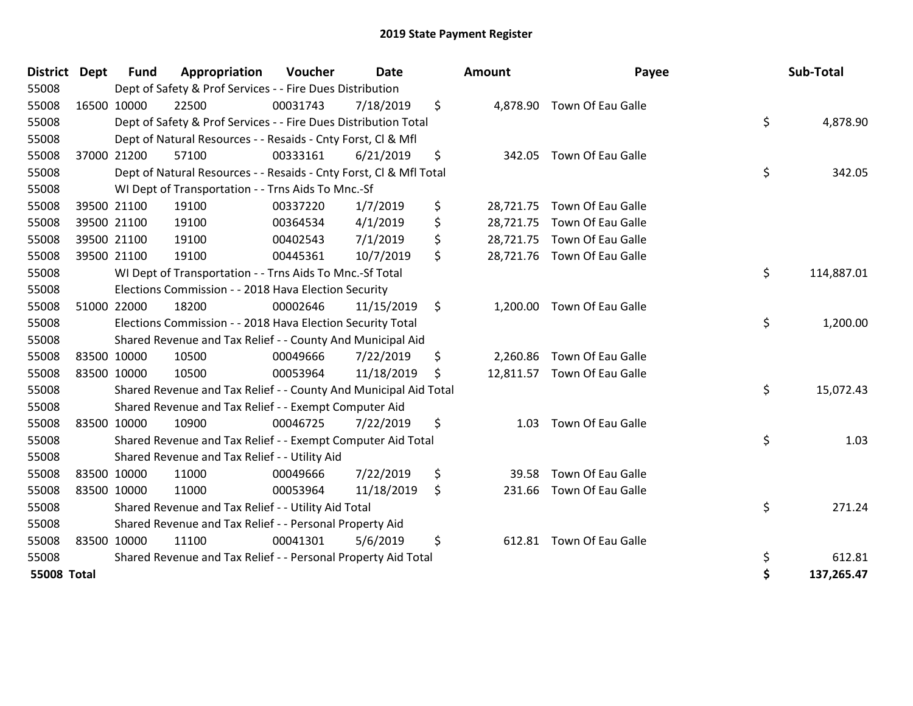| 55008<br>Dept of Safety & Prof Services - - Fire Dues Distribution<br>\$<br>55008<br>16500 10000<br>22500<br>00031743<br>7/18/2019<br>4,878.90 Town Of Eau Galle<br>\$<br>55008<br>Dept of Safety & Prof Services - - Fire Dues Distribution Total<br>55008<br>Dept of Natural Resources - - Resaids - Cnty Forst, Cl & Mfl<br>\$<br>37000 21200<br>57100<br>00333161<br>6/21/2019<br><b>Town Of Eau Galle</b><br>55008<br>342.05<br>\$<br>55008<br>Dept of Natural Resources - - Resaids - Cnty Forst, CI & Mfl Total<br>55008<br>WI Dept of Transportation - - Trns Aids To Mnc.-Sf<br>\$<br>55008<br>19100<br>00337220<br>1/7/2019<br><b>Town Of Eau Galle</b><br>39500 21100<br>28,721.75<br>\$<br>55008<br>39500 21100<br>4/1/2019<br><b>Town Of Eau Galle</b><br>19100<br>00364534<br>28,721.75<br>\$<br>28,721.75 Town Of Eau Galle<br>55008<br>39500 21100<br>19100<br>7/1/2019<br>00402543<br>\$<br>19100<br>28,721.76 Town Of Eau Galle<br>55008<br>39500 21100<br>00445361<br>10/7/2019<br>\$<br>55008<br>WI Dept of Transportation - - Trns Aids To Mnc.-Sf Total<br>55008<br>Elections Commission - - 2018 Hava Election Security<br>55008<br>51000 22000<br>18200<br>11/15/2019<br><b>Town Of Eau Galle</b><br>00002646<br>\$<br>1,200.00<br>\$<br>55008<br>Elections Commission - - 2018 Hava Election Security Total<br>55008<br>Shared Revenue and Tax Relief - - County And Municipal Aid<br>55008<br>10500<br>00049666<br>\$<br>Town Of Eau Galle<br>83500 10000<br>7/22/2019<br>2,260.86<br>55008<br>83500 10000<br>10500<br>11/18/2019<br>12,811.57 Town Of Eau Galle<br>00053964<br>\$<br>\$<br>55008<br>Shared Revenue and Tax Relief - - County And Municipal Aid Total<br>55008<br>Shared Revenue and Tax Relief - - Exempt Computer Aid<br>\$<br><b>Town Of Eau Galle</b><br>55008<br>83500 10000<br>10900<br>00046725<br>7/22/2019<br>1.03<br>\$<br>55008<br>Shared Revenue and Tax Relief - - Exempt Computer Aid Total<br>55008<br>Shared Revenue and Tax Relief - - Utility Aid<br>\$<br><b>Town Of Eau Galle</b><br>55008<br>83500 10000<br>11000<br>00049666<br>7/22/2019<br>39.58<br>\$<br><b>Town Of Eau Galle</b><br>55008<br>83500 10000<br>11000<br>00053964<br>11/18/2019<br>231.66<br>\$<br>55008<br>Shared Revenue and Tax Relief - - Utility Aid Total<br>55008<br>Shared Revenue and Tax Relief - - Personal Property Aid<br>11100<br>Town Of Eau Galle<br>55008<br>83500 10000<br>00041301<br>5/6/2019<br>\$<br>612.81<br>Shared Revenue and Tax Relief - - Personal Property Aid Total<br>\$<br>55008<br>\$<br><b>55008 Total</b> | District Dept | Fund | Appropriation | Voucher | Date | <b>Amount</b> | Payee | Sub-Total  |
|-------------------------------------------------------------------------------------------------------------------------------------------------------------------------------------------------------------------------------------------------------------------------------------------------------------------------------------------------------------------------------------------------------------------------------------------------------------------------------------------------------------------------------------------------------------------------------------------------------------------------------------------------------------------------------------------------------------------------------------------------------------------------------------------------------------------------------------------------------------------------------------------------------------------------------------------------------------------------------------------------------------------------------------------------------------------------------------------------------------------------------------------------------------------------------------------------------------------------------------------------------------------------------------------------------------------------------------------------------------------------------------------------------------------------------------------------------------------------------------------------------------------------------------------------------------------------------------------------------------------------------------------------------------------------------------------------------------------------------------------------------------------------------------------------------------------------------------------------------------------------------------------------------------------------------------------------------------------------------------------------------------------------------------------------------------------------------------------------------------------------------------------------------------------------------------------------------------------------------------------------------------------------------------------------------------------------------------------------------------------------------------------------------------------------------------------------------------------------------------------------------------------------------------------------------------------------------|---------------|------|---------------|---------|------|---------------|-------|------------|
|                                                                                                                                                                                                                                                                                                                                                                                                                                                                                                                                                                                                                                                                                                                                                                                                                                                                                                                                                                                                                                                                                                                                                                                                                                                                                                                                                                                                                                                                                                                                                                                                                                                                                                                                                                                                                                                                                                                                                                                                                                                                                                                                                                                                                                                                                                                                                                                                                                                                                                                                                                               |               |      |               |         |      |               |       |            |
|                                                                                                                                                                                                                                                                                                                                                                                                                                                                                                                                                                                                                                                                                                                                                                                                                                                                                                                                                                                                                                                                                                                                                                                                                                                                                                                                                                                                                                                                                                                                                                                                                                                                                                                                                                                                                                                                                                                                                                                                                                                                                                                                                                                                                                                                                                                                                                                                                                                                                                                                                                               |               |      |               |         |      |               |       |            |
|                                                                                                                                                                                                                                                                                                                                                                                                                                                                                                                                                                                                                                                                                                                                                                                                                                                                                                                                                                                                                                                                                                                                                                                                                                                                                                                                                                                                                                                                                                                                                                                                                                                                                                                                                                                                                                                                                                                                                                                                                                                                                                                                                                                                                                                                                                                                                                                                                                                                                                                                                                               |               |      |               |         |      |               |       | 4,878.90   |
|                                                                                                                                                                                                                                                                                                                                                                                                                                                                                                                                                                                                                                                                                                                                                                                                                                                                                                                                                                                                                                                                                                                                                                                                                                                                                                                                                                                                                                                                                                                                                                                                                                                                                                                                                                                                                                                                                                                                                                                                                                                                                                                                                                                                                                                                                                                                                                                                                                                                                                                                                                               |               |      |               |         |      |               |       |            |
|                                                                                                                                                                                                                                                                                                                                                                                                                                                                                                                                                                                                                                                                                                                                                                                                                                                                                                                                                                                                                                                                                                                                                                                                                                                                                                                                                                                                                                                                                                                                                                                                                                                                                                                                                                                                                                                                                                                                                                                                                                                                                                                                                                                                                                                                                                                                                                                                                                                                                                                                                                               |               |      |               |         |      |               |       |            |
|                                                                                                                                                                                                                                                                                                                                                                                                                                                                                                                                                                                                                                                                                                                                                                                                                                                                                                                                                                                                                                                                                                                                                                                                                                                                                                                                                                                                                                                                                                                                                                                                                                                                                                                                                                                                                                                                                                                                                                                                                                                                                                                                                                                                                                                                                                                                                                                                                                                                                                                                                                               |               |      |               |         |      |               |       | 342.05     |
|                                                                                                                                                                                                                                                                                                                                                                                                                                                                                                                                                                                                                                                                                                                                                                                                                                                                                                                                                                                                                                                                                                                                                                                                                                                                                                                                                                                                                                                                                                                                                                                                                                                                                                                                                                                                                                                                                                                                                                                                                                                                                                                                                                                                                                                                                                                                                                                                                                                                                                                                                                               |               |      |               |         |      |               |       |            |
|                                                                                                                                                                                                                                                                                                                                                                                                                                                                                                                                                                                                                                                                                                                                                                                                                                                                                                                                                                                                                                                                                                                                                                                                                                                                                                                                                                                                                                                                                                                                                                                                                                                                                                                                                                                                                                                                                                                                                                                                                                                                                                                                                                                                                                                                                                                                                                                                                                                                                                                                                                               |               |      |               |         |      |               |       |            |
|                                                                                                                                                                                                                                                                                                                                                                                                                                                                                                                                                                                                                                                                                                                                                                                                                                                                                                                                                                                                                                                                                                                                                                                                                                                                                                                                                                                                                                                                                                                                                                                                                                                                                                                                                                                                                                                                                                                                                                                                                                                                                                                                                                                                                                                                                                                                                                                                                                                                                                                                                                               |               |      |               |         |      |               |       |            |
|                                                                                                                                                                                                                                                                                                                                                                                                                                                                                                                                                                                                                                                                                                                                                                                                                                                                                                                                                                                                                                                                                                                                                                                                                                                                                                                                                                                                                                                                                                                                                                                                                                                                                                                                                                                                                                                                                                                                                                                                                                                                                                                                                                                                                                                                                                                                                                                                                                                                                                                                                                               |               |      |               |         |      |               |       |            |
|                                                                                                                                                                                                                                                                                                                                                                                                                                                                                                                                                                                                                                                                                                                                                                                                                                                                                                                                                                                                                                                                                                                                                                                                                                                                                                                                                                                                                                                                                                                                                                                                                                                                                                                                                                                                                                                                                                                                                                                                                                                                                                                                                                                                                                                                                                                                                                                                                                                                                                                                                                               |               |      |               |         |      |               |       |            |
|                                                                                                                                                                                                                                                                                                                                                                                                                                                                                                                                                                                                                                                                                                                                                                                                                                                                                                                                                                                                                                                                                                                                                                                                                                                                                                                                                                                                                                                                                                                                                                                                                                                                                                                                                                                                                                                                                                                                                                                                                                                                                                                                                                                                                                                                                                                                                                                                                                                                                                                                                                               |               |      |               |         |      |               |       | 114,887.01 |
|                                                                                                                                                                                                                                                                                                                                                                                                                                                                                                                                                                                                                                                                                                                                                                                                                                                                                                                                                                                                                                                                                                                                                                                                                                                                                                                                                                                                                                                                                                                                                                                                                                                                                                                                                                                                                                                                                                                                                                                                                                                                                                                                                                                                                                                                                                                                                                                                                                                                                                                                                                               |               |      |               |         |      |               |       |            |
|                                                                                                                                                                                                                                                                                                                                                                                                                                                                                                                                                                                                                                                                                                                                                                                                                                                                                                                                                                                                                                                                                                                                                                                                                                                                                                                                                                                                                                                                                                                                                                                                                                                                                                                                                                                                                                                                                                                                                                                                                                                                                                                                                                                                                                                                                                                                                                                                                                                                                                                                                                               |               |      |               |         |      |               |       |            |
|                                                                                                                                                                                                                                                                                                                                                                                                                                                                                                                                                                                                                                                                                                                                                                                                                                                                                                                                                                                                                                                                                                                                                                                                                                                                                                                                                                                                                                                                                                                                                                                                                                                                                                                                                                                                                                                                                                                                                                                                                                                                                                                                                                                                                                                                                                                                                                                                                                                                                                                                                                               |               |      |               |         |      |               |       | 1,200.00   |
|                                                                                                                                                                                                                                                                                                                                                                                                                                                                                                                                                                                                                                                                                                                                                                                                                                                                                                                                                                                                                                                                                                                                                                                                                                                                                                                                                                                                                                                                                                                                                                                                                                                                                                                                                                                                                                                                                                                                                                                                                                                                                                                                                                                                                                                                                                                                                                                                                                                                                                                                                                               |               |      |               |         |      |               |       |            |
|                                                                                                                                                                                                                                                                                                                                                                                                                                                                                                                                                                                                                                                                                                                                                                                                                                                                                                                                                                                                                                                                                                                                                                                                                                                                                                                                                                                                                                                                                                                                                                                                                                                                                                                                                                                                                                                                                                                                                                                                                                                                                                                                                                                                                                                                                                                                                                                                                                                                                                                                                                               |               |      |               |         |      |               |       |            |
|                                                                                                                                                                                                                                                                                                                                                                                                                                                                                                                                                                                                                                                                                                                                                                                                                                                                                                                                                                                                                                                                                                                                                                                                                                                                                                                                                                                                                                                                                                                                                                                                                                                                                                                                                                                                                                                                                                                                                                                                                                                                                                                                                                                                                                                                                                                                                                                                                                                                                                                                                                               |               |      |               |         |      |               |       |            |
|                                                                                                                                                                                                                                                                                                                                                                                                                                                                                                                                                                                                                                                                                                                                                                                                                                                                                                                                                                                                                                                                                                                                                                                                                                                                                                                                                                                                                                                                                                                                                                                                                                                                                                                                                                                                                                                                                                                                                                                                                                                                                                                                                                                                                                                                                                                                                                                                                                                                                                                                                                               |               |      |               |         |      |               |       | 15,072.43  |
|                                                                                                                                                                                                                                                                                                                                                                                                                                                                                                                                                                                                                                                                                                                                                                                                                                                                                                                                                                                                                                                                                                                                                                                                                                                                                                                                                                                                                                                                                                                                                                                                                                                                                                                                                                                                                                                                                                                                                                                                                                                                                                                                                                                                                                                                                                                                                                                                                                                                                                                                                                               |               |      |               |         |      |               |       |            |
|                                                                                                                                                                                                                                                                                                                                                                                                                                                                                                                                                                                                                                                                                                                                                                                                                                                                                                                                                                                                                                                                                                                                                                                                                                                                                                                                                                                                                                                                                                                                                                                                                                                                                                                                                                                                                                                                                                                                                                                                                                                                                                                                                                                                                                                                                                                                                                                                                                                                                                                                                                               |               |      |               |         |      |               |       |            |
|                                                                                                                                                                                                                                                                                                                                                                                                                                                                                                                                                                                                                                                                                                                                                                                                                                                                                                                                                                                                                                                                                                                                                                                                                                                                                                                                                                                                                                                                                                                                                                                                                                                                                                                                                                                                                                                                                                                                                                                                                                                                                                                                                                                                                                                                                                                                                                                                                                                                                                                                                                               |               |      |               |         |      |               |       | 1.03       |
|                                                                                                                                                                                                                                                                                                                                                                                                                                                                                                                                                                                                                                                                                                                                                                                                                                                                                                                                                                                                                                                                                                                                                                                                                                                                                                                                                                                                                                                                                                                                                                                                                                                                                                                                                                                                                                                                                                                                                                                                                                                                                                                                                                                                                                                                                                                                                                                                                                                                                                                                                                               |               |      |               |         |      |               |       |            |
|                                                                                                                                                                                                                                                                                                                                                                                                                                                                                                                                                                                                                                                                                                                                                                                                                                                                                                                                                                                                                                                                                                                                                                                                                                                                                                                                                                                                                                                                                                                                                                                                                                                                                                                                                                                                                                                                                                                                                                                                                                                                                                                                                                                                                                                                                                                                                                                                                                                                                                                                                                               |               |      |               |         |      |               |       |            |
|                                                                                                                                                                                                                                                                                                                                                                                                                                                                                                                                                                                                                                                                                                                                                                                                                                                                                                                                                                                                                                                                                                                                                                                                                                                                                                                                                                                                                                                                                                                                                                                                                                                                                                                                                                                                                                                                                                                                                                                                                                                                                                                                                                                                                                                                                                                                                                                                                                                                                                                                                                               |               |      |               |         |      |               |       |            |
|                                                                                                                                                                                                                                                                                                                                                                                                                                                                                                                                                                                                                                                                                                                                                                                                                                                                                                                                                                                                                                                                                                                                                                                                                                                                                                                                                                                                                                                                                                                                                                                                                                                                                                                                                                                                                                                                                                                                                                                                                                                                                                                                                                                                                                                                                                                                                                                                                                                                                                                                                                               |               |      |               |         |      |               |       | 271.24     |
|                                                                                                                                                                                                                                                                                                                                                                                                                                                                                                                                                                                                                                                                                                                                                                                                                                                                                                                                                                                                                                                                                                                                                                                                                                                                                                                                                                                                                                                                                                                                                                                                                                                                                                                                                                                                                                                                                                                                                                                                                                                                                                                                                                                                                                                                                                                                                                                                                                                                                                                                                                               |               |      |               |         |      |               |       |            |
|                                                                                                                                                                                                                                                                                                                                                                                                                                                                                                                                                                                                                                                                                                                                                                                                                                                                                                                                                                                                                                                                                                                                                                                                                                                                                                                                                                                                                                                                                                                                                                                                                                                                                                                                                                                                                                                                                                                                                                                                                                                                                                                                                                                                                                                                                                                                                                                                                                                                                                                                                                               |               |      |               |         |      |               |       |            |
|                                                                                                                                                                                                                                                                                                                                                                                                                                                                                                                                                                                                                                                                                                                                                                                                                                                                                                                                                                                                                                                                                                                                                                                                                                                                                                                                                                                                                                                                                                                                                                                                                                                                                                                                                                                                                                                                                                                                                                                                                                                                                                                                                                                                                                                                                                                                                                                                                                                                                                                                                                               |               |      |               |         |      |               |       | 612.81     |
|                                                                                                                                                                                                                                                                                                                                                                                                                                                                                                                                                                                                                                                                                                                                                                                                                                                                                                                                                                                                                                                                                                                                                                                                                                                                                                                                                                                                                                                                                                                                                                                                                                                                                                                                                                                                                                                                                                                                                                                                                                                                                                                                                                                                                                                                                                                                                                                                                                                                                                                                                                               |               |      |               |         |      |               |       | 137,265.47 |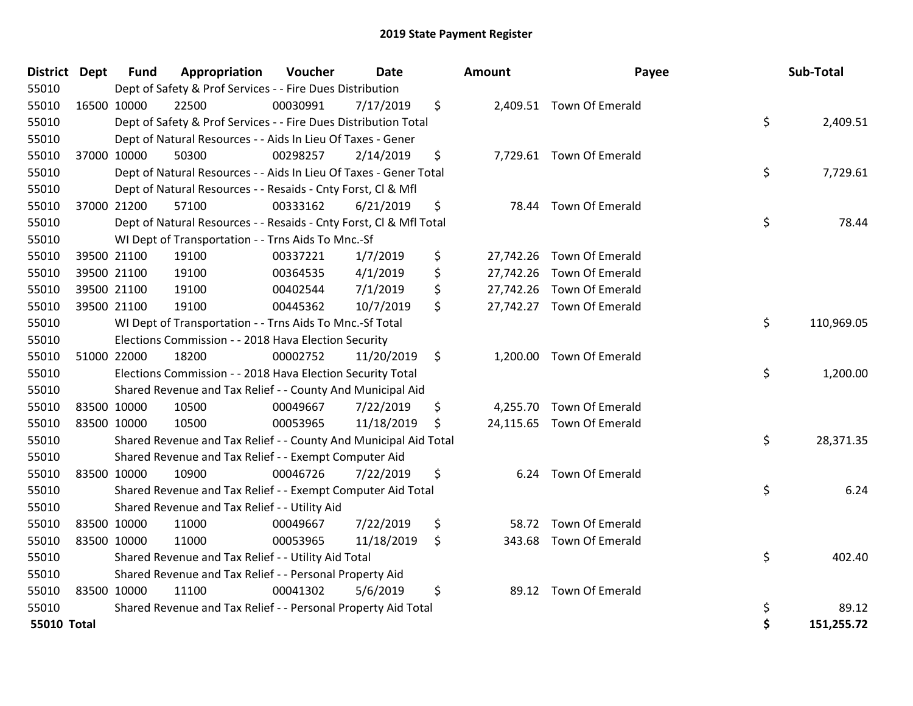| District Dept      |             | <b>Fund</b> | Appropriation                                                      | Voucher  | Date       | Amount       | Payee                     | Sub-Total        |
|--------------------|-------------|-------------|--------------------------------------------------------------------|----------|------------|--------------|---------------------------|------------------|
| 55010              |             |             | Dept of Safety & Prof Services - - Fire Dues Distribution          |          |            |              |                           |                  |
| 55010              |             | 16500 10000 | 22500                                                              | 00030991 | 7/17/2019  | \$           | 2,409.51 Town Of Emerald  |                  |
| 55010              |             |             | Dept of Safety & Prof Services - - Fire Dues Distribution Total    |          |            |              |                           | \$<br>2,409.51   |
| 55010              |             |             | Dept of Natural Resources - - Aids In Lieu Of Taxes - Gener        |          |            |              |                           |                  |
| 55010              |             | 37000 10000 | 50300                                                              | 00298257 | 2/14/2019  | \$           | 7,729.61 Town Of Emerald  |                  |
| 55010              |             |             | Dept of Natural Resources - - Aids In Lieu Of Taxes - Gener Total  |          |            |              |                           | \$<br>7,729.61   |
| 55010              |             |             | Dept of Natural Resources - - Resaids - Cnty Forst, Cl & Mfl       |          |            |              |                           |                  |
| 55010              |             | 37000 21200 | 57100                                                              | 00333162 | 6/21/2019  | \$           | 78.44 Town Of Emerald     |                  |
| 55010              |             |             | Dept of Natural Resources - - Resaids - Cnty Forst, Cl & Mfl Total |          |            |              |                           | \$<br>78.44      |
| 55010              |             |             | WI Dept of Transportation - - Trns Aids To Mnc.-Sf                 |          |            |              |                           |                  |
| 55010              |             | 39500 21100 | 19100                                                              | 00337221 | 1/7/2019   | \$           | 27,742.26 Town Of Emerald |                  |
| 55010              |             | 39500 21100 | 19100                                                              | 00364535 | 4/1/2019   | \$           | 27,742.26 Town Of Emerald |                  |
| 55010              |             | 39500 21100 | 19100                                                              | 00402544 | 7/1/2019   | \$           | 27,742.26 Town Of Emerald |                  |
| 55010              |             | 39500 21100 | 19100                                                              | 00445362 | 10/7/2019  | \$           | 27,742.27 Town Of Emerald |                  |
| 55010              |             |             | WI Dept of Transportation - - Trns Aids To Mnc.-Sf Total           |          |            |              |                           | \$<br>110,969.05 |
| 55010              |             |             | Elections Commission - - 2018 Hava Election Security               |          |            |              |                           |                  |
| 55010              |             | 51000 22000 | 18200                                                              | 00002752 | 11/20/2019 | \$           | 1,200.00 Town Of Emerald  |                  |
| 55010              |             |             | Elections Commission - - 2018 Hava Election Security Total         |          |            |              |                           | \$<br>1,200.00   |
| 55010              |             |             | Shared Revenue and Tax Relief - - County And Municipal Aid         |          |            |              |                           |                  |
| 55010              | 83500 10000 |             | 10500                                                              | 00049667 | 7/22/2019  | \$           | 4,255.70 Town Of Emerald  |                  |
| 55010              | 83500 10000 |             | 10500                                                              | 00053965 | 11/18/2019 | \$           | 24,115.65 Town Of Emerald |                  |
| 55010              |             |             | Shared Revenue and Tax Relief - - County And Municipal Aid Total   |          |            |              |                           | \$<br>28,371.35  |
| 55010              |             |             | Shared Revenue and Tax Relief - - Exempt Computer Aid              |          |            |              |                           |                  |
| 55010              |             | 83500 10000 | 10900                                                              | 00046726 | 7/22/2019  | \$           | 6.24 Town Of Emerald      |                  |
| 55010              |             |             | Shared Revenue and Tax Relief - - Exempt Computer Aid Total        |          |            |              |                           | \$<br>6.24       |
| 55010              |             |             | Shared Revenue and Tax Relief - - Utility Aid                      |          |            |              |                           |                  |
| 55010              | 83500 10000 |             | 11000                                                              | 00049667 | 7/22/2019  | \$<br>58.72  | Town Of Emerald           |                  |
| 55010              | 83500 10000 |             | 11000                                                              | 00053965 | 11/18/2019 | \$<br>343.68 | Town Of Emerald           |                  |
| 55010              |             |             | Shared Revenue and Tax Relief - - Utility Aid Total                |          |            |              |                           | \$<br>402.40     |
| 55010              |             |             | Shared Revenue and Tax Relief - - Personal Property Aid            |          |            |              |                           |                  |
| 55010              |             | 83500 10000 | 11100                                                              | 00041302 | 5/6/2019   | \$           | 89.12 Town Of Emerald     |                  |
| 55010              |             |             | Shared Revenue and Tax Relief - - Personal Property Aid Total      |          |            |              |                           | \$<br>89.12      |
| <b>55010 Total</b> |             |             |                                                                    |          |            |              |                           | \$<br>151,255.72 |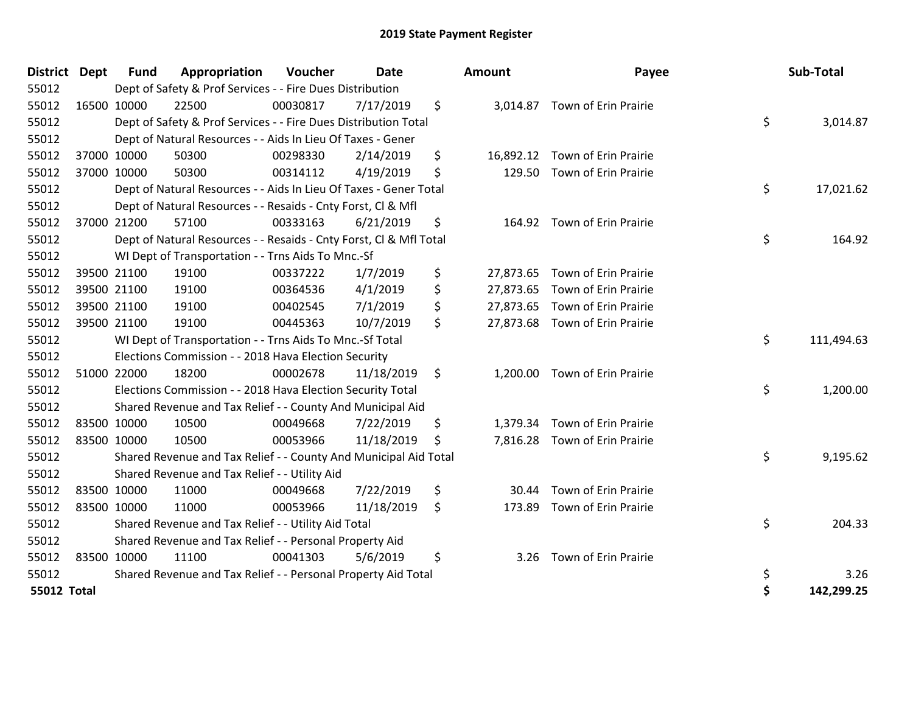| District Dept      | <b>Fund</b> | Appropriation                                                      | Voucher  | <b>Date</b> | <b>Amount</b>   | Payee                          | Sub-Total        |
|--------------------|-------------|--------------------------------------------------------------------|----------|-------------|-----------------|--------------------------------|------------------|
| 55012              |             | Dept of Safety & Prof Services - - Fire Dues Distribution          |          |             |                 |                                |                  |
| 55012              | 16500 10000 | 22500                                                              | 00030817 | 7/17/2019   | \$              | 3,014.87 Town of Erin Prairie  |                  |
| 55012              |             | Dept of Safety & Prof Services - - Fire Dues Distribution Total    |          |             |                 |                                | \$<br>3,014.87   |
| 55012              |             | Dept of Natural Resources - - Aids In Lieu Of Taxes - Gener        |          |             |                 |                                |                  |
| 55012              | 37000 10000 | 50300                                                              | 00298330 | 2/14/2019   | \$<br>16,892.12 | Town of Erin Prairie           |                  |
| 55012              | 37000 10000 | 50300                                                              | 00314112 | 4/19/2019   | \$<br>129.50    | Town of Erin Prairie           |                  |
| 55012              |             | Dept of Natural Resources - - Aids In Lieu Of Taxes - Gener Total  |          |             |                 |                                | \$<br>17,021.62  |
| 55012              |             | Dept of Natural Resources - - Resaids - Cnty Forst, Cl & Mfl       |          |             |                 |                                |                  |
| 55012              | 37000 21200 | 57100                                                              | 00333163 | 6/21/2019   | \$<br>164.92    | Town of Erin Prairie           |                  |
| 55012              |             | Dept of Natural Resources - - Resaids - Cnty Forst, CI & Mfl Total |          |             |                 |                                | \$<br>164.92     |
| 55012              |             | WI Dept of Transportation - - Trns Aids To Mnc.-Sf                 |          |             |                 |                                |                  |
| 55012              | 39500 21100 | 19100                                                              | 00337222 | 1/7/2019    | \$              | 27,873.65 Town of Erin Prairie |                  |
| 55012              | 39500 21100 | 19100                                                              | 00364536 | 4/1/2019    | \$              | 27,873.65 Town of Erin Prairie |                  |
| 55012              | 39500 21100 | 19100                                                              | 00402545 | 7/1/2019    | \$              | 27,873.65 Town of Erin Prairie |                  |
| 55012              | 39500 21100 | 19100                                                              | 00445363 | 10/7/2019   | \$              | 27,873.68 Town of Erin Prairie |                  |
| 55012              |             | WI Dept of Transportation - - Trns Aids To Mnc.-Sf Total           |          |             |                 |                                | \$<br>111,494.63 |
| 55012              |             | Elections Commission - - 2018 Hava Election Security               |          |             |                 |                                |                  |
| 55012              | 51000 22000 | 18200                                                              | 00002678 | 11/18/2019  | \$              | 1,200.00 Town of Erin Prairie  |                  |
| 55012              |             | Elections Commission - - 2018 Hava Election Security Total         |          |             |                 |                                | \$<br>1,200.00   |
| 55012              |             | Shared Revenue and Tax Relief - - County And Municipal Aid         |          |             |                 |                                |                  |
| 55012              | 83500 10000 | 10500                                                              | 00049668 | 7/22/2019   | \$<br>1,379.34  | Town of Erin Prairie           |                  |
| 55012              | 83500 10000 | 10500                                                              | 00053966 | 11/18/2019  | \$              | 7,816.28 Town of Erin Prairie  |                  |
| 55012              |             | Shared Revenue and Tax Relief - - County And Municipal Aid Total   |          |             |                 |                                | \$<br>9,195.62   |
| 55012              |             | Shared Revenue and Tax Relief - - Utility Aid                      |          |             |                 |                                |                  |
| 55012              | 83500 10000 | 11000                                                              | 00049668 | 7/22/2019   | \$<br>30.44     | Town of Erin Prairie           |                  |
| 55012              | 83500 10000 | 11000                                                              | 00053966 | 11/18/2019  | \$<br>173.89    | Town of Erin Prairie           |                  |
| 55012              |             | Shared Revenue and Tax Relief - - Utility Aid Total                |          |             |                 |                                | \$<br>204.33     |
| 55012              |             | Shared Revenue and Tax Relief - - Personal Property Aid            |          |             |                 |                                |                  |
| 55012              | 83500 10000 | 11100                                                              | 00041303 | 5/6/2019    | \$<br>3.26      | Town of Erin Prairie           |                  |
| 55012              |             | Shared Revenue and Tax Relief - - Personal Property Aid Total      |          |             |                 |                                | \$<br>3.26       |
| <b>55012 Total</b> |             |                                                                    |          |             |                 |                                | \$<br>142,299.25 |

| nount     | Payee                       | Sub-Total        |
|-----------|-----------------------------|------------------|
| 3,014.87  | Town of Erin Prairie        | \$<br>3,014.87   |
| 16,892.12 | Town of Erin Prairie        |                  |
|           | 129.50 Town of Erin Prairie |                  |
|           |                             | \$<br>17,021.62  |
| 164.92    | Town of Erin Prairie        |                  |
|           |                             | \$<br>164.92     |
| 27,873.65 | Town of Erin Prairie        |                  |
| 27,873.65 | Town of Erin Prairie        |                  |
| 27,873.65 | Town of Erin Prairie        |                  |
| 27,873.68 | Town of Erin Prairie        |                  |
|           |                             | \$<br>111,494.63 |
| 1,200.00  | Town of Erin Prairie        | \$<br>1,200.00   |
|           |                             |                  |
| 1,379.34  | Town of Erin Prairie        |                  |
| 7,816.28  | Town of Erin Prairie        |                  |
|           |                             | \$<br>9,195.62   |
|           | 30.44 Town of Erin Prairie  |                  |
| 173.89    | Town of Erin Prairie        |                  |
|           |                             | \$<br>204.33     |
| 3.26      | Town of Erin Prairie        |                  |
|           |                             | \$<br>3.26       |
|           |                             | \$<br>142,299.25 |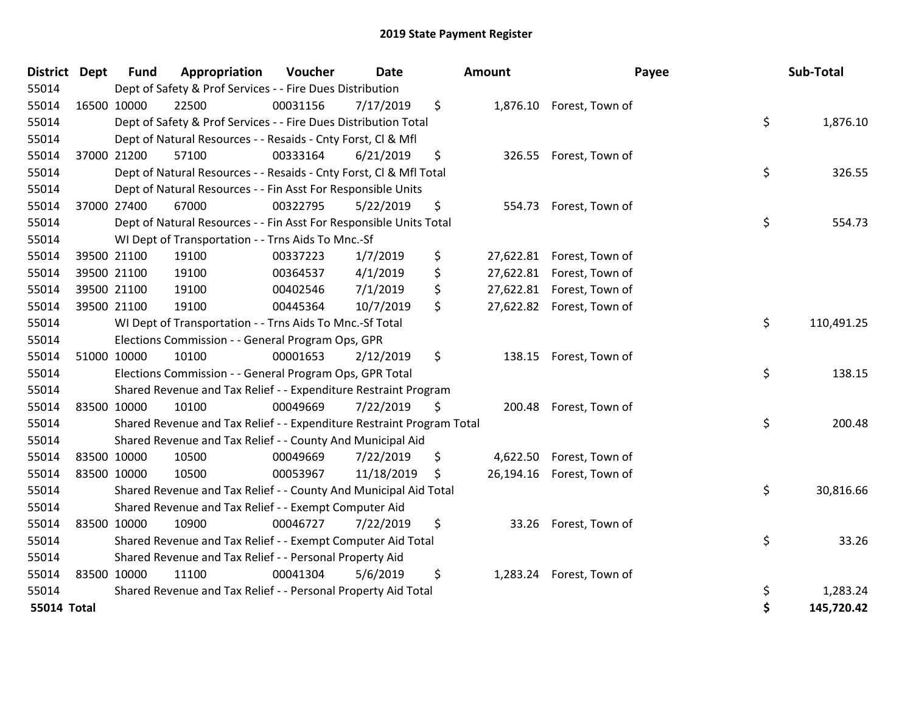| District           | <b>Dept</b> | <b>Fund</b> | Appropriation                                                         | Voucher  | <b>Date</b> | <b>Amount</b>   |                           | Payee | Sub-Total  |
|--------------------|-------------|-------------|-----------------------------------------------------------------------|----------|-------------|-----------------|---------------------------|-------|------------|
| 55014              |             |             | Dept of Safety & Prof Services - - Fire Dues Distribution             |          |             |                 |                           |       |            |
| 55014              |             | 16500 10000 | 22500                                                                 | 00031156 | 7/17/2019   | \$              | 1,876.10 Forest, Town of  |       |            |
| 55014              |             |             | Dept of Safety & Prof Services - - Fire Dues Distribution Total       |          |             |                 |                           | \$    | 1,876.10   |
| 55014              |             |             | Dept of Natural Resources - - Resaids - Cnty Forst, Cl & Mfl          |          |             |                 |                           |       |            |
| 55014              |             | 37000 21200 | 57100                                                                 | 00333164 | 6/21/2019   | \$<br>326.55    | Forest, Town of           |       |            |
| 55014              |             |             | Dept of Natural Resources - - Resaids - Cnty Forst, Cl & Mfl Total    |          |             |                 |                           | \$    | 326.55     |
| 55014              |             |             | Dept of Natural Resources - - Fin Asst For Responsible Units          |          |             |                 |                           |       |            |
| 55014              |             | 37000 27400 | 67000                                                                 | 00322795 | 5/22/2019   | \$              | 554.73 Forest, Town of    |       |            |
| 55014              |             |             | Dept of Natural Resources - - Fin Asst For Responsible Units Total    |          |             |                 |                           | \$    | 554.73     |
| 55014              |             |             | WI Dept of Transportation - - Trns Aids To Mnc.-Sf                    |          |             |                 |                           |       |            |
| 55014              |             | 39500 21100 | 19100                                                                 | 00337223 | 1/7/2019    | \$<br>27,622.81 | Forest, Town of           |       |            |
| 55014              |             | 39500 21100 | 19100                                                                 | 00364537 | 4/1/2019    | \$<br>27,622.81 | Forest, Town of           |       |            |
| 55014              |             | 39500 21100 | 19100                                                                 | 00402546 | 7/1/2019    | \$<br>27,622.81 | Forest, Town of           |       |            |
| 55014              |             | 39500 21100 | 19100                                                                 | 00445364 | 10/7/2019   | \$              | 27,622.82 Forest, Town of |       |            |
| 55014              |             |             | WI Dept of Transportation - - Trns Aids To Mnc.-Sf Total              |          |             |                 |                           | \$    | 110,491.25 |
| 55014              |             |             | Elections Commission - - General Program Ops, GPR                     |          |             |                 |                           |       |            |
| 55014              |             | 51000 10000 | 10100                                                                 | 00001653 | 2/12/2019   | \$              | 138.15 Forest, Town of    |       |            |
| 55014              |             |             | Elections Commission - - General Program Ops, GPR Total               |          |             |                 |                           | \$    | 138.15     |
| 55014              |             |             | Shared Revenue and Tax Relief - - Expenditure Restraint Program       |          |             |                 |                           |       |            |
| 55014              |             | 83500 10000 | 10100                                                                 | 00049669 | 7/22/2019   | \$              | 200.48 Forest, Town of    |       |            |
| 55014              |             |             | Shared Revenue and Tax Relief - - Expenditure Restraint Program Total |          |             |                 |                           | \$    | 200.48     |
| 55014              |             |             | Shared Revenue and Tax Relief - - County And Municipal Aid            |          |             |                 |                           |       |            |
| 55014              |             | 83500 10000 | 10500                                                                 | 00049669 | 7/22/2019   | \$<br>4,622.50  | Forest, Town of           |       |            |
| 55014              |             | 83500 10000 | 10500                                                                 | 00053967 | 11/18/2019  | \$<br>26,194.16 | Forest, Town of           |       |            |
| 55014              |             |             | Shared Revenue and Tax Relief - - County And Municipal Aid Total      |          |             |                 |                           | \$    | 30,816.66  |
| 55014              |             |             | Shared Revenue and Tax Relief - - Exempt Computer Aid                 |          |             |                 |                           |       |            |
| 55014              |             | 83500 10000 | 10900                                                                 | 00046727 | 7/22/2019   | \$<br>33.26     | Forest, Town of           |       |            |
| 55014              |             |             | Shared Revenue and Tax Relief - - Exempt Computer Aid Total           |          |             |                 |                           | \$    | 33.26      |
| 55014              |             |             | Shared Revenue and Tax Relief - - Personal Property Aid               |          |             |                 |                           |       |            |
| 55014              |             | 83500 10000 | 11100                                                                 | 00041304 | 5/6/2019    | \$              | 1,283.24 Forest, Town of  |       |            |
| 55014              |             |             | Shared Revenue and Tax Relief - - Personal Property Aid Total         |          |             |                 |                           | \$    | 1,283.24   |
| <b>55014 Total</b> |             |             |                                                                       |          |             |                 |                           | \$    | 145,720.42 |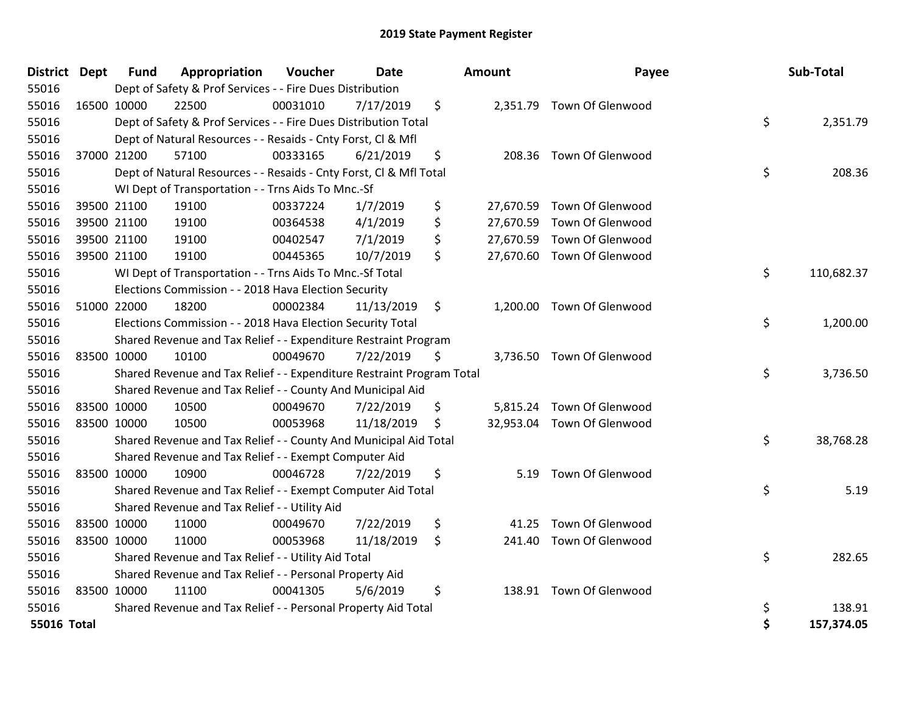| District Dept |             | <b>Fund</b> | Appropriation                                                         | Voucher  | Date       | Amount      | Payee                      | Sub-Total        |
|---------------|-------------|-------------|-----------------------------------------------------------------------|----------|------------|-------------|----------------------------|------------------|
| 55016         |             |             | Dept of Safety & Prof Services - - Fire Dues Distribution             |          |            |             |                            |                  |
| 55016         | 16500 10000 |             | 22500                                                                 | 00031010 | 7/17/2019  | \$          | 2,351.79 Town Of Glenwood  |                  |
| 55016         |             |             | Dept of Safety & Prof Services - - Fire Dues Distribution Total       |          |            |             |                            | \$<br>2,351.79   |
| 55016         |             |             | Dept of Natural Resources - - Resaids - Cnty Forst, Cl & Mfl          |          |            |             |                            |                  |
| 55016         | 37000 21200 |             | 57100                                                                 | 00333165 | 6/21/2019  | \$          | 208.36 Town Of Glenwood    |                  |
| 55016         |             |             | Dept of Natural Resources - - Resaids - Cnty Forst, Cl & Mfl Total    |          |            |             |                            | \$<br>208.36     |
| 55016         |             |             | WI Dept of Transportation - - Trns Aids To Mnc.-Sf                    |          |            |             |                            |                  |
| 55016         |             | 39500 21100 | 19100                                                                 | 00337224 | 1/7/2019   | \$          | 27,670.59 Town Of Glenwood |                  |
| 55016         | 39500 21100 |             | 19100                                                                 | 00364538 | 4/1/2019   | \$          | 27,670.59 Town Of Glenwood |                  |
| 55016         |             | 39500 21100 | 19100                                                                 | 00402547 | 7/1/2019   | \$          | 27,670.59 Town Of Glenwood |                  |
| 55016         |             | 39500 21100 | 19100                                                                 | 00445365 | 10/7/2019  | \$          | 27,670.60 Town Of Glenwood |                  |
| 55016         |             |             | WI Dept of Transportation - - Trns Aids To Mnc.-Sf Total              |          |            |             |                            | \$<br>110,682.37 |
| 55016         |             |             | Elections Commission - - 2018 Hava Election Security                  |          |            |             |                            |                  |
| 55016         | 51000 22000 |             | 18200                                                                 | 00002384 | 11/13/2019 | \$          | 1,200.00 Town Of Glenwood  |                  |
| 55016         |             |             | Elections Commission - - 2018 Hava Election Security Total            |          |            |             |                            | \$<br>1,200.00   |
| 55016         |             |             | Shared Revenue and Tax Relief - - Expenditure Restraint Program       |          |            |             |                            |                  |
| 55016         | 83500 10000 |             | 10100                                                                 | 00049670 | 7/22/2019  | \$          | 3,736.50 Town Of Glenwood  |                  |
| 55016         |             |             | Shared Revenue and Tax Relief - - Expenditure Restraint Program Total |          |            |             |                            | \$<br>3,736.50   |
| 55016         |             |             | Shared Revenue and Tax Relief - - County And Municipal Aid            |          |            |             |                            |                  |
| 55016         | 83500 10000 |             | 10500                                                                 | 00049670 | 7/22/2019  | \$          | 5,815.24 Town Of Glenwood  |                  |
| 55016         | 83500 10000 |             | 10500                                                                 | 00053968 | 11/18/2019 | \$          | 32,953.04 Town Of Glenwood |                  |
| 55016         |             |             | Shared Revenue and Tax Relief - - County And Municipal Aid Total      |          |            |             |                            | \$<br>38,768.28  |
| 55016         |             |             | Shared Revenue and Tax Relief - - Exempt Computer Aid                 |          |            |             |                            |                  |
| 55016         | 83500 10000 |             | 10900                                                                 | 00046728 | 7/22/2019  | \$<br>5.19  | Town Of Glenwood           |                  |
| 55016         |             |             | Shared Revenue and Tax Relief - - Exempt Computer Aid Total           |          |            |             |                            | \$<br>5.19       |
| 55016         |             |             | Shared Revenue and Tax Relief - - Utility Aid                         |          |            |             |                            |                  |
| 55016         | 83500 10000 |             | 11000                                                                 | 00049670 | 7/22/2019  | \$<br>41.25 | Town Of Glenwood           |                  |
| 55016         | 83500 10000 |             | 11000                                                                 | 00053968 | 11/18/2019 | \$          | 241.40 Town Of Glenwood    |                  |
| 55016         |             |             | Shared Revenue and Tax Relief - - Utility Aid Total                   |          |            |             |                            | \$<br>282.65     |
| 55016         |             |             | Shared Revenue and Tax Relief - - Personal Property Aid               |          |            |             |                            |                  |
| 55016         | 83500 10000 |             | 11100                                                                 | 00041305 | 5/6/2019   | \$          | 138.91 Town Of Glenwood    |                  |
| 55016         |             |             | Shared Revenue and Tax Relief - - Personal Property Aid Total         |          |            |             |                            | \$<br>138.91     |
| 55016 Total   |             |             |                                                                       |          |            |             |                            | \$<br>157,374.05 |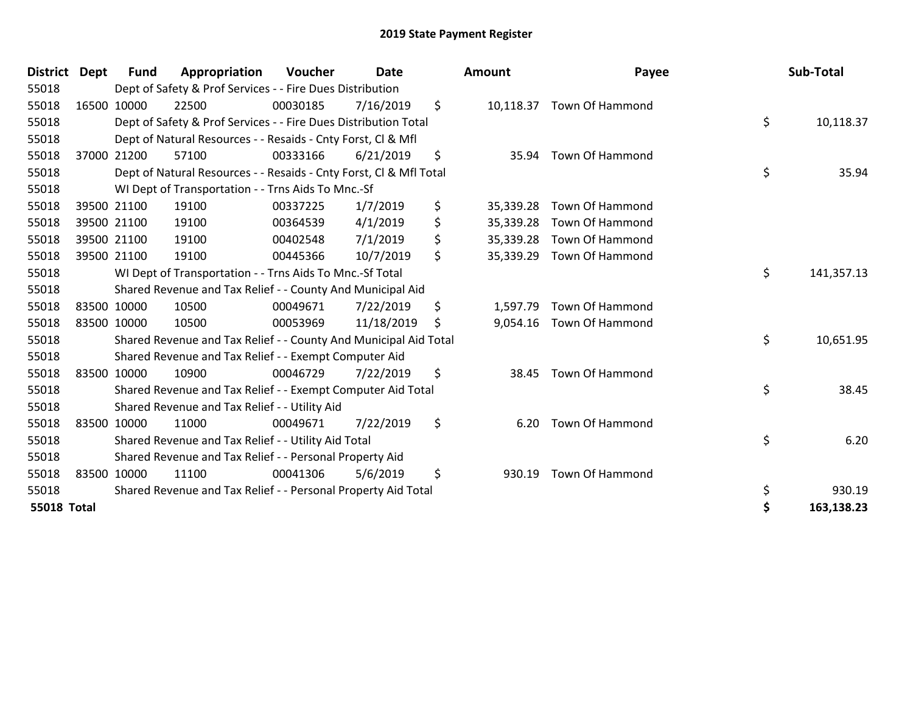| District           | <b>Dept</b> | <b>Fund</b> | Appropriation                                                      | Voucher  | <b>Date</b> | <b>Amount</b>   | Payee                     | Sub-Total        |
|--------------------|-------------|-------------|--------------------------------------------------------------------|----------|-------------|-----------------|---------------------------|------------------|
| 55018              |             |             | Dept of Safety & Prof Services - - Fire Dues Distribution          |          |             |                 |                           |                  |
| 55018              | 16500 10000 |             | 22500                                                              | 00030185 | 7/16/2019   | \$              | 10,118.37 Town Of Hammond |                  |
| 55018              |             |             | Dept of Safety & Prof Services - - Fire Dues Distribution Total    |          |             |                 |                           | \$<br>10,118.37  |
| 55018              |             |             | Dept of Natural Resources - - Resaids - Cnty Forst, CI & Mfl       |          |             |                 |                           |                  |
| 55018              | 37000 21200 |             | 57100                                                              | 00333166 | 6/21/2019   | \$<br>35.94     | <b>Town Of Hammond</b>    |                  |
| 55018              |             |             | Dept of Natural Resources - - Resaids - Cnty Forst, CI & Mfl Total |          |             |                 |                           | \$<br>35.94      |
| 55018              |             |             | WI Dept of Transportation - - Trns Aids To Mnc.-Sf                 |          |             |                 |                           |                  |
| 55018              | 39500 21100 |             | 19100                                                              | 00337225 | 1/7/2019    | \$<br>35,339.28 | <b>Town Of Hammond</b>    |                  |
| 55018              | 39500 21100 |             | 19100                                                              | 00364539 | 4/1/2019    | \$<br>35,339.28 | <b>Town Of Hammond</b>    |                  |
| 55018              | 39500 21100 |             | 19100                                                              | 00402548 | 7/1/2019    | \$              | 35,339.28 Town Of Hammond |                  |
| 55018              | 39500 21100 |             | 19100                                                              | 00445366 | 10/7/2019   | \$              | 35,339.29 Town Of Hammond |                  |
| 55018              |             |             | WI Dept of Transportation - - Trns Aids To Mnc.-Sf Total           |          |             |                 |                           | \$<br>141,357.13 |
| 55018              |             |             | Shared Revenue and Tax Relief - - County And Municipal Aid         |          |             |                 |                           |                  |
| 55018              | 83500 10000 |             | 10500                                                              | 00049671 | 7/22/2019   | \$<br>1,597.79  | <b>Town Of Hammond</b>    |                  |
| 55018              | 83500 10000 |             | 10500                                                              | 00053969 | 11/18/2019  | \$              | 9,054.16 Town Of Hammond  |                  |
| 55018              |             |             | Shared Revenue and Tax Relief - - County And Municipal Aid Total   |          |             |                 |                           | \$<br>10,651.95  |
| 55018              |             |             | Shared Revenue and Tax Relief - - Exempt Computer Aid              |          |             |                 |                           |                  |
| 55018              | 83500 10000 |             | 10900                                                              | 00046729 | 7/22/2019   | \$<br>38.45     | Town Of Hammond           |                  |
| 55018              |             |             | Shared Revenue and Tax Relief - - Exempt Computer Aid Total        |          |             |                 |                           | \$<br>38.45      |
| 55018              |             |             | Shared Revenue and Tax Relief - - Utility Aid                      |          |             |                 |                           |                  |
| 55018              |             | 83500 10000 | 11000                                                              | 00049671 | 7/22/2019   | \$<br>6.20      | Town Of Hammond           |                  |
| 55018              |             |             | Shared Revenue and Tax Relief - - Utility Aid Total                |          |             |                 |                           | \$<br>6.20       |
| 55018              |             |             | Shared Revenue and Tax Relief - - Personal Property Aid            |          |             |                 |                           |                  |
| 55018              | 83500 10000 |             | 11100                                                              | 00041306 | 5/6/2019    | \$<br>930.19    | <b>Town Of Hammond</b>    |                  |
| 55018              |             |             | Shared Revenue and Tax Relief - - Personal Property Aid Total      |          |             |                 |                           | \$<br>930.19     |
| <b>55018 Total</b> |             |             |                                                                    |          |             |                 |                           | \$<br>163,138.23 |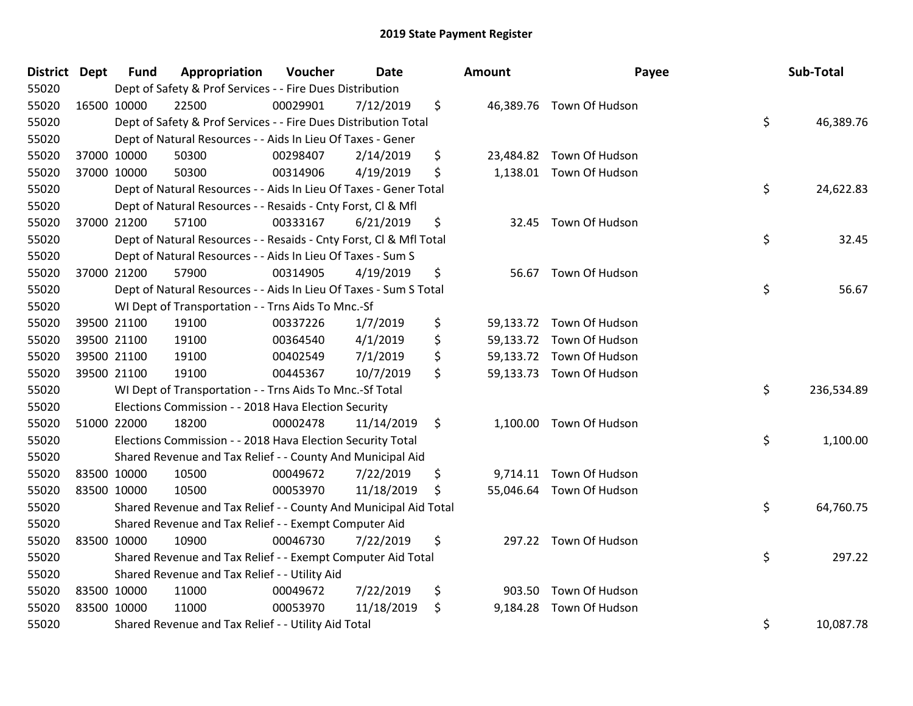| <b>District Dept</b> |             | <b>Fund</b> | Appropriation                                                      | Voucher  | Date       | Amount         | Payee                    | Sub-Total        |
|----------------------|-------------|-------------|--------------------------------------------------------------------|----------|------------|----------------|--------------------------|------------------|
| 55020                |             |             | Dept of Safety & Prof Services - - Fire Dues Distribution          |          |            |                |                          |                  |
| 55020                | 16500 10000 |             | 22500                                                              | 00029901 | 7/12/2019  | \$             | 46,389.76 Town Of Hudson |                  |
| 55020                |             |             | Dept of Safety & Prof Services - - Fire Dues Distribution Total    |          |            |                |                          | \$<br>46,389.76  |
| 55020                |             |             | Dept of Natural Resources - - Aids In Lieu Of Taxes - Gener        |          |            |                |                          |                  |
| 55020                | 37000 10000 |             | 50300                                                              | 00298407 | 2/14/2019  | \$             | 23,484.82 Town Of Hudson |                  |
| 55020                | 37000 10000 |             | 50300                                                              | 00314906 | 4/19/2019  | \$             | 1,138.01 Town Of Hudson  |                  |
| 55020                |             |             | Dept of Natural Resources - - Aids In Lieu Of Taxes - Gener Total  |          |            |                |                          | \$<br>24,622.83  |
| 55020                |             |             | Dept of Natural Resources - - Resaids - Cnty Forst, Cl & Mfl       |          |            |                |                          |                  |
| 55020                | 37000 21200 |             | 57100                                                              | 00333167 | 6/21/2019  | \$             | 32.45 Town Of Hudson     |                  |
| 55020                |             |             | Dept of Natural Resources - - Resaids - Cnty Forst, Cl & Mfl Total |          |            |                |                          | \$<br>32.45      |
| 55020                |             |             | Dept of Natural Resources - - Aids In Lieu Of Taxes - Sum S        |          |            |                |                          |                  |
| 55020                | 37000 21200 |             | 57900                                                              | 00314905 | 4/19/2019  | \$             | 56.67 Town Of Hudson     |                  |
| 55020                |             |             | Dept of Natural Resources - - Aids In Lieu Of Taxes - Sum S Total  |          |            |                |                          | \$<br>56.67      |
| 55020                |             |             | WI Dept of Transportation - - Trns Aids To Mnc.-Sf                 |          |            |                |                          |                  |
| 55020                | 39500 21100 |             | 19100                                                              | 00337226 | 1/7/2019   | \$             | 59,133.72 Town Of Hudson |                  |
| 55020                | 39500 21100 |             | 19100                                                              | 00364540 | 4/1/2019   | \$             | 59,133.72 Town Of Hudson |                  |
| 55020                | 39500 21100 |             | 19100                                                              | 00402549 | 7/1/2019   | \$             | 59,133.72 Town Of Hudson |                  |
| 55020                | 39500 21100 |             | 19100                                                              | 00445367 | 10/7/2019  | \$             | 59,133.73 Town Of Hudson |                  |
| 55020                |             |             | WI Dept of Transportation - - Trns Aids To Mnc.-Sf Total           |          |            |                |                          | \$<br>236,534.89 |
| 55020                |             |             | Elections Commission - - 2018 Hava Election Security               |          |            |                |                          |                  |
| 55020                | 51000 22000 |             | 18200                                                              | 00002478 | 11/14/2019 | \$             | 1,100.00 Town Of Hudson  |                  |
| 55020                |             |             | Elections Commission - - 2018 Hava Election Security Total         |          |            |                |                          | \$<br>1,100.00   |
| 55020                |             |             | Shared Revenue and Tax Relief - - County And Municipal Aid         |          |            |                |                          |                  |
| 55020                |             | 83500 10000 | 10500                                                              | 00049672 | 7/22/2019  | \$             | 9,714.11 Town Of Hudson  |                  |
| 55020                | 83500 10000 |             | 10500                                                              | 00053970 | 11/18/2019 | \$             | 55,046.64 Town Of Hudson |                  |
| 55020                |             |             | Shared Revenue and Tax Relief - - County And Municipal Aid Total   |          |            |                |                          | \$<br>64,760.75  |
| 55020                |             |             | Shared Revenue and Tax Relief - - Exempt Computer Aid              |          |            |                |                          |                  |
| 55020                |             | 83500 10000 | 10900                                                              | 00046730 | 7/22/2019  | \$             | 297.22 Town Of Hudson    |                  |
| 55020                |             |             | Shared Revenue and Tax Relief - - Exempt Computer Aid Total        |          |            |                |                          | \$<br>297.22     |
| 55020                |             |             | Shared Revenue and Tax Relief - - Utility Aid                      |          |            |                |                          |                  |
| 55020                | 83500 10000 |             | 11000                                                              | 00049672 | 7/22/2019  | \$             | 903.50 Town Of Hudson    |                  |
| 55020                | 83500 10000 |             | 11000                                                              | 00053970 | 11/18/2019 | \$<br>9,184.28 | Town Of Hudson           |                  |
| 55020                |             |             | Shared Revenue and Tax Relief - - Utility Aid Total                |          |            |                |                          | \$<br>10,087.78  |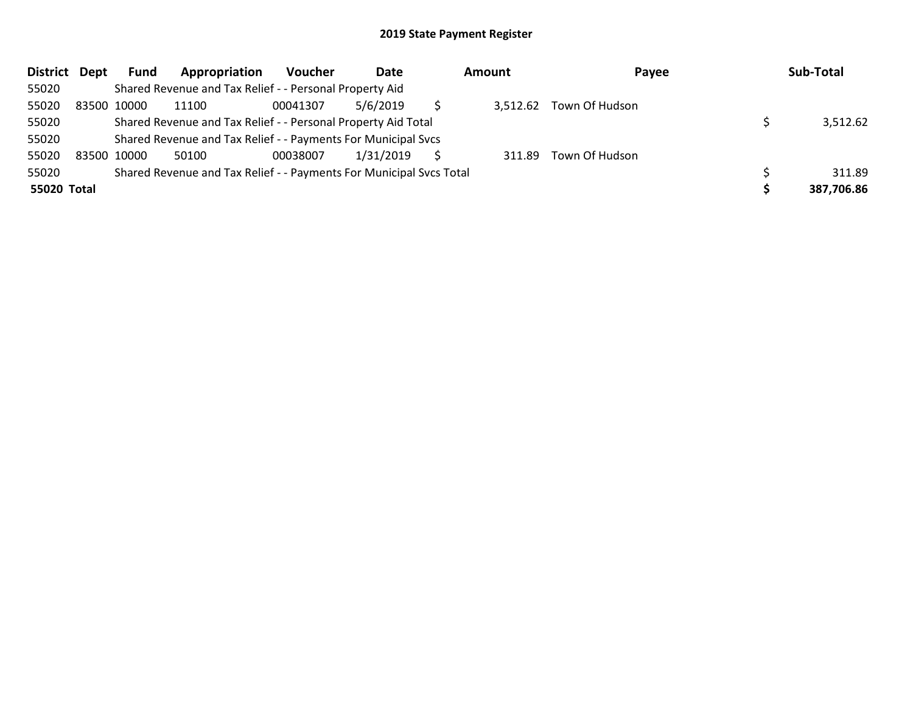| District Dept | Fund        | Appropriation                                                       | Voucher  | Date      | <b>Amount</b> | Payee                   | Sub-Total  |
|---------------|-------------|---------------------------------------------------------------------|----------|-----------|---------------|-------------------------|------------|
| 55020         |             | Shared Revenue and Tax Relief - - Personal Property Aid             |          |           |               |                         |            |
| 55020         | 83500 10000 | 11100                                                               | 00041307 | 5/6/2019  |               | 3,512.62 Town Of Hudson |            |
| 55020         |             | Shared Revenue and Tax Relief - - Personal Property Aid Total       |          |           |               |                         | 3,512.62   |
| 55020         |             | Shared Revenue and Tax Relief - - Payments For Municipal Svcs       |          |           |               |                         |            |
| 55020         | 83500 10000 | 50100                                                               | 00038007 | 1/31/2019 | 311.89        | Town Of Hudson          |            |
| 55020         |             | Shared Revenue and Tax Relief - - Payments For Municipal Svcs Total |          |           |               |                         | 311.89     |
| 55020 Total   |             |                                                                     |          |           |               |                         | 387,706.86 |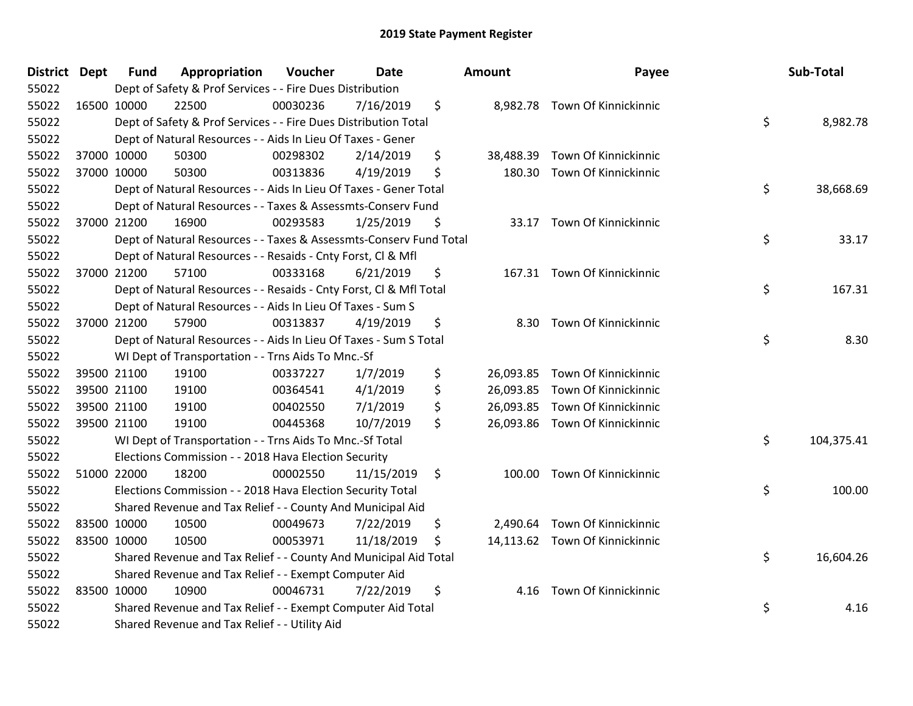| <b>District Dept</b> | Fund        | Appropriation                                                      | Voucher  | <b>Date</b> | <b>Amount</b>   | Payee                          | <b>Sub-Total</b> |
|----------------------|-------------|--------------------------------------------------------------------|----------|-------------|-----------------|--------------------------------|------------------|
| 55022                |             | Dept of Safety & Prof Services - - Fire Dues Distribution          |          |             |                 |                                |                  |
| 55022                | 16500 10000 | 22500                                                              | 00030236 | 7/16/2019   | \$              | 8,982.78 Town Of Kinnickinnic  |                  |
| 55022                |             | Dept of Safety & Prof Services - - Fire Dues Distribution Total    |          |             |                 |                                | \$<br>8,982.78   |
| 55022                |             | Dept of Natural Resources - - Aids In Lieu Of Taxes - Gener        |          |             |                 |                                |                  |
| 55022                | 37000 10000 | 50300                                                              | 00298302 | 2/14/2019   | \$<br>38,488.39 | Town Of Kinnickinnic           |                  |
| 55022                | 37000 10000 | 50300                                                              | 00313836 | 4/19/2019   | \$<br>180.30    | Town Of Kinnickinnic           |                  |
| 55022                |             | Dept of Natural Resources - - Aids In Lieu Of Taxes - Gener Total  |          |             |                 |                                | \$<br>38,668.69  |
| 55022                |             | Dept of Natural Resources - - Taxes & Assessmts-Conserv Fund       |          |             |                 |                                |                  |
| 55022                | 37000 21200 | 16900                                                              | 00293583 | 1/25/2019   | \$              | 33.17 Town Of Kinnickinnic     |                  |
| 55022                |             | Dept of Natural Resources - - Taxes & Assessmts-Conserv Fund Total |          |             |                 |                                | \$<br>33.17      |
| 55022                |             | Dept of Natural Resources - - Resaids - Cnty Forst, CI & Mfl       |          |             |                 |                                |                  |
| 55022                | 37000 21200 | 57100                                                              | 00333168 | 6/21/2019   | \$              | 167.31 Town Of Kinnickinnic    |                  |
| 55022                |             | Dept of Natural Resources - - Resaids - Cnty Forst, Cl & Mfl Total |          |             |                 |                                | \$<br>167.31     |
| 55022                |             | Dept of Natural Resources - - Aids In Lieu Of Taxes - Sum S        |          |             |                 |                                |                  |
| 55022                | 37000 21200 | 57900                                                              | 00313837 | 4/19/2019   | \$<br>8.30      | <b>Town Of Kinnickinnic</b>    |                  |
| 55022                |             | Dept of Natural Resources - - Aids In Lieu Of Taxes - Sum S Total  |          |             |                 |                                | \$<br>8.30       |
| 55022                |             | WI Dept of Transportation - - Trns Aids To Mnc.-Sf                 |          |             |                 |                                |                  |
| 55022                | 39500 21100 | 19100                                                              | 00337227 | 1/7/2019    | \$              | 26,093.85 Town Of Kinnickinnic |                  |
| 55022                | 39500 21100 | 19100                                                              | 00364541 | 4/1/2019    | \$              | 26,093.85 Town Of Kinnickinnic |                  |
| 55022                | 39500 21100 | 19100                                                              | 00402550 | 7/1/2019    | \$              | 26,093.85 Town Of Kinnickinnic |                  |
| 55022                | 39500 21100 | 19100                                                              | 00445368 | 10/7/2019   | \$              | 26,093.86 Town Of Kinnickinnic |                  |
| 55022                |             | WI Dept of Transportation - - Trns Aids To Mnc.-Sf Total           |          |             |                 |                                | \$<br>104,375.41 |
| 55022                |             | Elections Commission - - 2018 Hava Election Security               |          |             |                 |                                |                  |
| 55022                | 51000 22000 | 18200                                                              | 00002550 | 11/15/2019  | \$<br>100.00    | Town Of Kinnickinnic           |                  |
| 55022                |             | Elections Commission - - 2018 Hava Election Security Total         |          |             |                 |                                | \$<br>100.00     |
| 55022                |             | Shared Revenue and Tax Relief - - County And Municipal Aid         |          |             |                 |                                |                  |
| 55022                | 83500 10000 | 10500                                                              | 00049673 | 7/22/2019   | \$<br>2,490.64  | Town Of Kinnickinnic           |                  |
| 55022                | 83500 10000 | 10500                                                              | 00053971 | 11/18/2019  | \$              | 14,113.62 Town Of Kinnickinnic |                  |
| 55022                |             | Shared Revenue and Tax Relief - - County And Municipal Aid Total   |          |             |                 |                                | \$<br>16,604.26  |
| 55022                |             | Shared Revenue and Tax Relief - - Exempt Computer Aid              |          |             |                 |                                |                  |
| 55022                | 83500 10000 | 10900                                                              | 00046731 | 7/22/2019   | \$<br>4.16      | Town Of Kinnickinnic           |                  |
| 55022                |             | Shared Revenue and Tax Relief - - Exempt Computer Aid Total        |          |             |                 |                                | \$<br>4.16       |
| 55022                |             | Shared Revenue and Tax Relief - - Utility Aid                      |          |             |                 |                                |                  |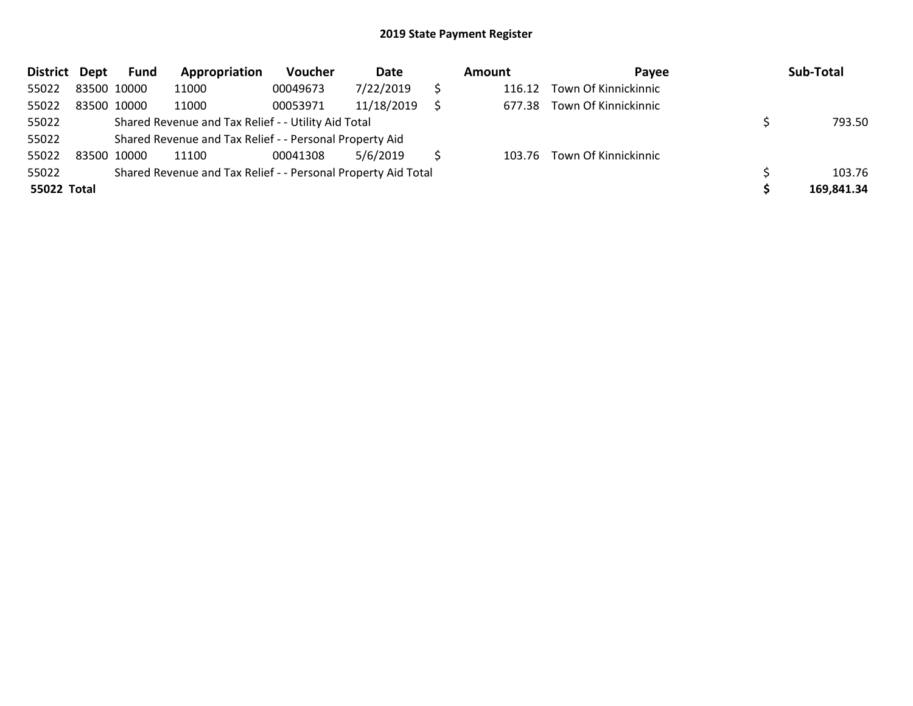| <b>District</b> | Dept        | Fund | Appropriation                                                 | Voucher  | Date       | Amount | Pavee                       | Sub-Total  |
|-----------------|-------------|------|---------------------------------------------------------------|----------|------------|--------|-----------------------------|------------|
| 55022           | 83500 10000 |      | 11000                                                         | 00049673 | 7/22/2019  | 116.12 | Town Of Kinnickinnic        |            |
| 55022           | 83500 10000 |      | 11000                                                         | 00053971 | 11/18/2019 | 677.38 | Town Of Kinnickinnic        |            |
| 55022           |             |      | Shared Revenue and Tax Relief - - Utility Aid Total           |          |            |        |                             | 793.50     |
| 55022           |             |      | Shared Revenue and Tax Relief - - Personal Property Aid       |          |            |        |                             |            |
| 55022           | 83500 10000 |      | 11100                                                         | 00041308 | 5/6/2019   |        | 103.76 Town Of Kinnickinnic |            |
| 55022           |             |      | Shared Revenue and Tax Relief - - Personal Property Aid Total |          |            |        |                             | 103.76     |
| 55022 Total     |             |      |                                                               |          |            |        |                             | 169,841.34 |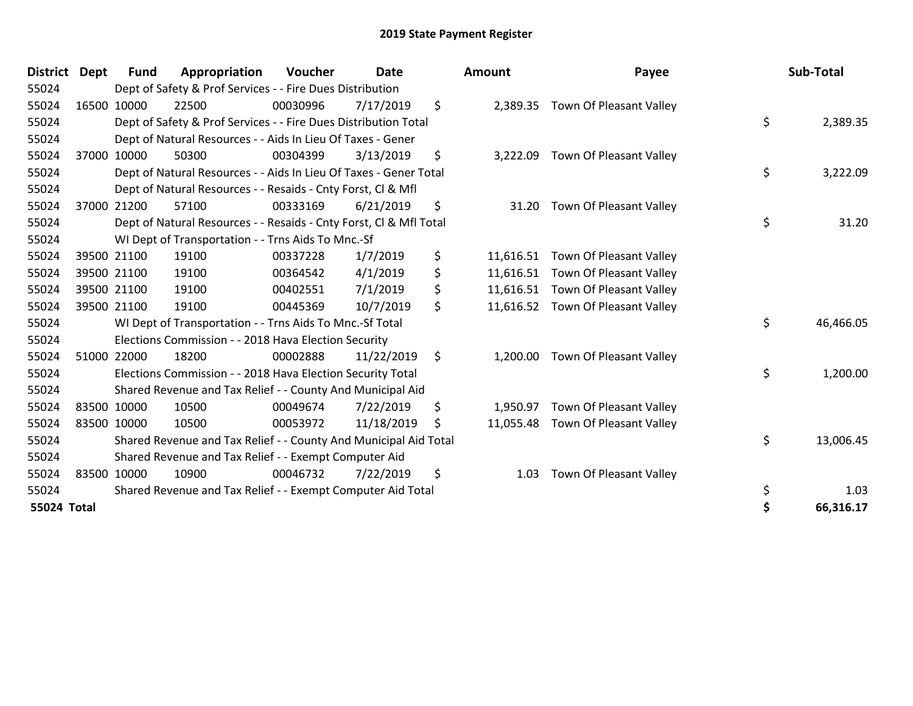| District Dept |       | Fund        | Appropriation                                                      | <b>Voucher</b> | <b>Date</b> |    | <b>Amount</b> | Payee                             | Sub-Total       |
|---------------|-------|-------------|--------------------------------------------------------------------|----------------|-------------|----|---------------|-----------------------------------|-----------------|
| 55024         |       |             | Dept of Safety & Prof Services - - Fire Dues Distribution          |                |             |    |               |                                   |                 |
| 55024         |       | 16500 10000 | 22500                                                              | 00030996       | 7/17/2019   | \$ | 2,389.35      | Town Of Pleasant Valley           |                 |
| 55024         |       |             | Dept of Safety & Prof Services - - Fire Dues Distribution Total    |                |             |    |               |                                   | \$<br>2,389.35  |
| 55024         |       |             | Dept of Natural Resources - - Aids In Lieu Of Taxes - Gener        |                |             |    |               |                                   |                 |
| 55024         | 37000 | 10000       | 50300                                                              | 00304399       | 3/13/2019   | \$ | 3,222.09      | Town Of Pleasant Valley           |                 |
| 55024         |       |             | Dept of Natural Resources - - Aids In Lieu Of Taxes - Gener Total  |                |             |    |               |                                   | \$<br>3,222.09  |
| 55024         |       |             | Dept of Natural Resources - - Resaids - Cnty Forst, CI & Mfl       |                |             |    |               |                                   |                 |
| 55024         |       | 37000 21200 | 57100                                                              | 00333169       | 6/21/2019   | \$ | 31.20         | Town Of Pleasant Valley           |                 |
| 55024         |       |             | Dept of Natural Resources - - Resaids - Cnty Forst, CI & Mfl Total |                |             |    |               |                                   | \$<br>31.20     |
| 55024         |       |             | WI Dept of Transportation - - Trns Aids To Mnc.-Sf                 |                |             |    |               |                                   |                 |
| 55024         |       | 39500 21100 | 19100                                                              | 00337228       | 1/7/2019    | \$ | 11,616.51     | Town Of Pleasant Valley           |                 |
| 55024         |       | 39500 21100 | 19100                                                              | 00364542       | 4/1/2019    | \$ | 11,616.51     | Town Of Pleasant Valley           |                 |
| 55024         |       | 39500 21100 | 19100                                                              | 00402551       | 7/1/2019    | \$ | 11,616.51     | Town Of Pleasant Valley           |                 |
| 55024         |       | 39500 21100 | 19100                                                              | 00445369       | 10/7/2019   | \$ |               | 11,616.52 Town Of Pleasant Valley |                 |
| 55024         |       |             | WI Dept of Transportation - - Trns Aids To Mnc.-Sf Total           |                |             |    |               |                                   | \$<br>46,466.05 |
| 55024         |       |             | Elections Commission - - 2018 Hava Election Security               |                |             |    |               |                                   |                 |
| 55024         |       | 51000 22000 | 18200                                                              | 00002888       | 11/22/2019  | \$ | 1,200.00      | Town Of Pleasant Valley           |                 |
| 55024         |       |             | Elections Commission - - 2018 Hava Election Security Total         |                |             |    |               |                                   | \$<br>1,200.00  |
| 55024         |       |             | Shared Revenue and Tax Relief - - County And Municipal Aid         |                |             |    |               |                                   |                 |
| 55024         |       | 83500 10000 | 10500                                                              | 00049674       | 7/22/2019   | \$ | 1,950.97      | Town Of Pleasant Valley           |                 |
| 55024         |       | 83500 10000 | 10500                                                              | 00053972       | 11/18/2019  | S  | 11,055.48     | Town Of Pleasant Valley           |                 |
| 55024         |       |             | Shared Revenue and Tax Relief - - County And Municipal Aid Total   |                |             |    |               |                                   | \$<br>13,006.45 |
| 55024         |       |             | Shared Revenue and Tax Relief - - Exempt Computer Aid              |                |             |    |               |                                   |                 |
| 55024         | 83500 | 10000       | 10900                                                              | 00046732       | 7/22/2019   | \$ | 1.03          | Town Of Pleasant Valley           |                 |
| 55024         |       |             | Shared Revenue and Tax Relief - - Exempt Computer Aid Total        |                |             |    |               |                                   | \$<br>1.03      |
| 55024 Total   |       |             |                                                                    |                |             |    |               |                                   | 66.316.17       |

| District    | Dept        | <b>Fund</b>                                                        | Appropriation                                               | Voucher  | <b>Date</b> |     | <b>Amount</b> | Payee                             |    | Sub-Total |
|-------------|-------------|--------------------------------------------------------------------|-------------------------------------------------------------|----------|-------------|-----|---------------|-----------------------------------|----|-----------|
| 55024       |             | Dept of Safety & Prof Services - - Fire Dues Distribution          |                                                             |          |             |     |               |                                   |    |           |
| 55024       |             | 16500 10000                                                        | 22500                                                       | 00030996 | 7/17/2019   | \$  |               | 2,389.35 Town Of Pleasant Valley  |    |           |
| 55024       |             | Dept of Safety & Prof Services - - Fire Dues Distribution Total    |                                                             |          |             |     |               |                                   | \$ | 2,389.35  |
| 55024       |             | Dept of Natural Resources - - Aids In Lieu Of Taxes - Gener        |                                                             |          |             |     |               |                                   |    |           |
| 55024       |             | 37000 10000                                                        | 50300                                                       | 00304399 | 3/13/2019   | \$  |               | 3,222.09 Town Of Pleasant Valley  |    |           |
| 55024       |             | Dept of Natural Resources - - Aids In Lieu Of Taxes - Gener Total  |                                                             |          |             |     |               |                                   |    | 3,222.09  |
| 55024       |             | Dept of Natural Resources - - Resaids - Cnty Forst, CI & Mfl       |                                                             |          |             |     |               |                                   |    |           |
| 55024       |             | 37000 21200                                                        | 57100                                                       | 00333169 | 6/21/2019   | \$. | 31.20         | Town Of Pleasant Valley           |    |           |
| 55024       |             | Dept of Natural Resources - - Resaids - Cnty Forst, CI & Mfl Total |                                                             |          |             |     |               |                                   |    | 31.20     |
| 55024       |             |                                                                    | WI Dept of Transportation - - Trns Aids To Mnc.-Sf          |          |             |     |               |                                   |    |           |
| 55024       |             | 39500 21100                                                        | 19100                                                       | 00337228 | 1/7/2019    | \$  |               | 11,616.51 Town Of Pleasant Valley |    |           |
| 55024       |             | 39500 21100                                                        | 19100                                                       | 00364542 | 4/1/2019    | \$  |               | 11,616.51 Town Of Pleasant Valley |    |           |
| 55024       |             | 39500 21100                                                        | 19100                                                       | 00402551 | 7/1/2019    | \$  |               | 11,616.51 Town Of Pleasant Valley |    |           |
| 55024       |             | 39500 21100                                                        | 19100                                                       | 00445369 | 10/7/2019   | \$  |               | 11,616.52 Town Of Pleasant Valley | \$ |           |
| 55024       |             | WI Dept of Transportation - - Trns Aids To Mnc.-Sf Total           |                                                             |          |             |     |               |                                   |    | 46,466.05 |
| 55024       |             | Elections Commission - - 2018 Hava Election Security               |                                                             |          |             |     |               |                                   |    |           |
| 55024       |             | 51000 22000                                                        | 18200                                                       | 00002888 | 11/22/2019  | Ŝ.  | 1,200.00      | Town Of Pleasant Valley           |    |           |
| 55024       |             |                                                                    | Elections Commission - - 2018 Hava Election Security Total  |          |             |     |               |                                   | \$ | 1,200.00  |
| 55024       |             | Shared Revenue and Tax Relief - - County And Municipal Aid         |                                                             |          |             |     |               |                                   |    |           |
| 55024       |             | 83500 10000                                                        | 10500                                                       | 00049674 | 7/22/2019   | \$  | 1,950.97      | Town Of Pleasant Valley           |    |           |
| 55024       | 83500 10000 |                                                                    | 10500                                                       | 00053972 | 11/18/2019  |     |               | 11,055.48 Town Of Pleasant Valley | \$ |           |
| 55024       |             | Shared Revenue and Tax Relief - - County And Municipal Aid Total   |                                                             |          |             |     |               |                                   |    | 13,006.45 |
| 55024       |             | Shared Revenue and Tax Relief - - Exempt Computer Aid              |                                                             |          |             |     |               |                                   |    |           |
| 55024       |             | 83500 10000                                                        | 10900                                                       | 00046732 | 7/22/2019   | \$  | 1.03          | Town Of Pleasant Valley           |    |           |
| 55024       |             |                                                                    | Shared Revenue and Tax Relief - - Exempt Computer Aid Total |          |             |     |               |                                   | \$ | 1.03      |
| 55024 Total |             |                                                                    |                                                             |          |             |     |               |                                   |    | 66,316.17 |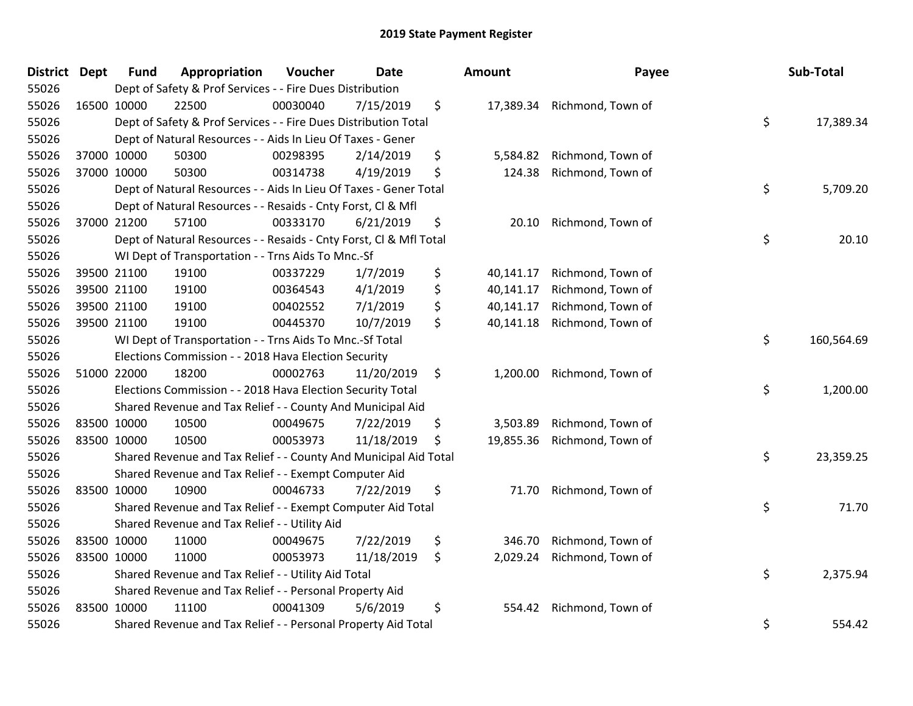| <b>District</b> | <b>Dept</b> | <b>Fund</b>                                                            | Appropriation                                                            | Voucher  | <b>Date</b> |    | Amount    | Payee             |           | Sub-Total  |
|-----------------|-------------|------------------------------------------------------------------------|--------------------------------------------------------------------------|----------|-------------|----|-----------|-------------------|-----------|------------|
| 55026           |             | Dept of Safety & Prof Services - - Fire Dues Distribution              |                                                                          |          |             |    |           |                   |           |            |
| 55026           |             | 16500 10000                                                            | 22500                                                                    | 00030040 | 7/15/2019   | \$ | 17,389.34 | Richmond, Town of |           |            |
| 55026           |             | \$<br>Dept of Safety & Prof Services - - Fire Dues Distribution Total  |                                                                          |          |             |    |           |                   |           | 17,389.34  |
| 55026           |             | Dept of Natural Resources - - Aids In Lieu Of Taxes - Gener            |                                                                          |          |             |    |           |                   |           |            |
| 55026           |             | 37000 10000                                                            | 50300                                                                    | 00298395 | 2/14/2019   | \$ | 5,584.82  | Richmond, Town of |           |            |
| 55026           |             | 37000 10000                                                            | 50300                                                                    | 00314738 | 4/19/2019   | \$ | 124.38    | Richmond, Town of |           |            |
| 55026           |             | Dept of Natural Resources - - Aids In Lieu Of Taxes - Gener Total      |                                                                          |          |             |    |           |                   | \$        | 5,709.20   |
| 55026           |             |                                                                        | Dept of Natural Resources - - Resaids - Cnty Forst, Cl & Mfl             |          |             |    |           |                   |           |            |
| 55026           |             | 37000 21200                                                            | 57100                                                                    | 00333170 | 6/21/2019   | \$ | 20.10     | Richmond, Town of |           |            |
| 55026           |             |                                                                        | \$<br>Dept of Natural Resources - - Resaids - Cnty Forst, Cl & Mfl Total |          |             |    |           |                   |           | 20.10      |
| 55026           |             |                                                                        | WI Dept of Transportation - - Trns Aids To Mnc.-Sf                       |          |             |    |           |                   |           |            |
| 55026           |             | 39500 21100                                                            | 19100                                                                    | 00337229 | 1/7/2019    | \$ | 40,141.17 | Richmond, Town of |           |            |
| 55026           |             | 39500 21100                                                            | 19100                                                                    | 00364543 | 4/1/2019    | \$ | 40,141.17 | Richmond, Town of |           |            |
| 55026           |             | 39500 21100                                                            | 19100                                                                    | 00402552 | 7/1/2019    | \$ | 40,141.17 | Richmond, Town of |           |            |
| 55026           |             | 39500 21100                                                            | 19100                                                                    | 00445370 | 10/7/2019   | \$ | 40,141.18 | Richmond, Town of |           |            |
| 55026           |             | WI Dept of Transportation - - Trns Aids To Mnc.-Sf Total               |                                                                          |          |             |    |           |                   | \$        | 160,564.69 |
| 55026           |             |                                                                        | Elections Commission - - 2018 Hava Election Security                     |          |             |    |           |                   |           |            |
| 55026           |             | 51000 22000                                                            | 18200                                                                    | 00002763 | 11/20/2019  | \$ | 1,200.00  | Richmond, Town of |           |            |
| 55026           |             |                                                                        | Elections Commission - - 2018 Hava Election Security Total               |          |             |    |           |                   | \$        | 1,200.00   |
| 55026           |             | Shared Revenue and Tax Relief - - County And Municipal Aid             |                                                                          |          |             |    |           |                   |           |            |
| 55026           |             | 83500 10000                                                            | 10500                                                                    | 00049675 | 7/22/2019   | \$ | 3,503.89  | Richmond, Town of |           |            |
| 55026           |             | 83500 10000                                                            | 10500                                                                    | 00053973 | 11/18/2019  | \$ | 19,855.36 | Richmond, Town of |           |            |
| 55026           |             | \$<br>Shared Revenue and Tax Relief - - County And Municipal Aid Total |                                                                          |          |             |    |           |                   | 23,359.25 |            |
| 55026           |             | Shared Revenue and Tax Relief - - Exempt Computer Aid                  |                                                                          |          |             |    |           |                   |           |            |
| 55026           |             | 83500 10000                                                            | 10900                                                                    | 00046733 | 7/22/2019   | \$ | 71.70     | Richmond, Town of |           |            |
| 55026           |             | Shared Revenue and Tax Relief - - Exempt Computer Aid Total            |                                                                          |          |             |    |           | \$                | 71.70     |            |
| 55026           |             | Shared Revenue and Tax Relief - - Utility Aid                          |                                                                          |          |             |    |           |                   |           |            |
| 55026           |             | 83500 10000                                                            | 11000                                                                    | 00049675 | 7/22/2019   | \$ | 346.70    | Richmond, Town of |           |            |
| 55026           |             | 83500 10000                                                            | 11000                                                                    | 00053973 | 11/18/2019  | \$ | 2,029.24  | Richmond, Town of |           |            |
| 55026           |             | Shared Revenue and Tax Relief - - Utility Aid Total                    |                                                                          |          |             |    |           |                   | \$        | 2,375.94   |
| 55026           |             | Shared Revenue and Tax Relief - - Personal Property Aid                |                                                                          |          |             |    |           |                   |           |            |
| 55026           |             | 83500 10000                                                            | 11100                                                                    | 00041309 | 5/6/2019    | \$ | 554.42    | Richmond, Town of |           |            |
| 55026           |             | Shared Revenue and Tax Relief - - Personal Property Aid Total          |                                                                          |          |             |    |           | \$                | 554.42    |            |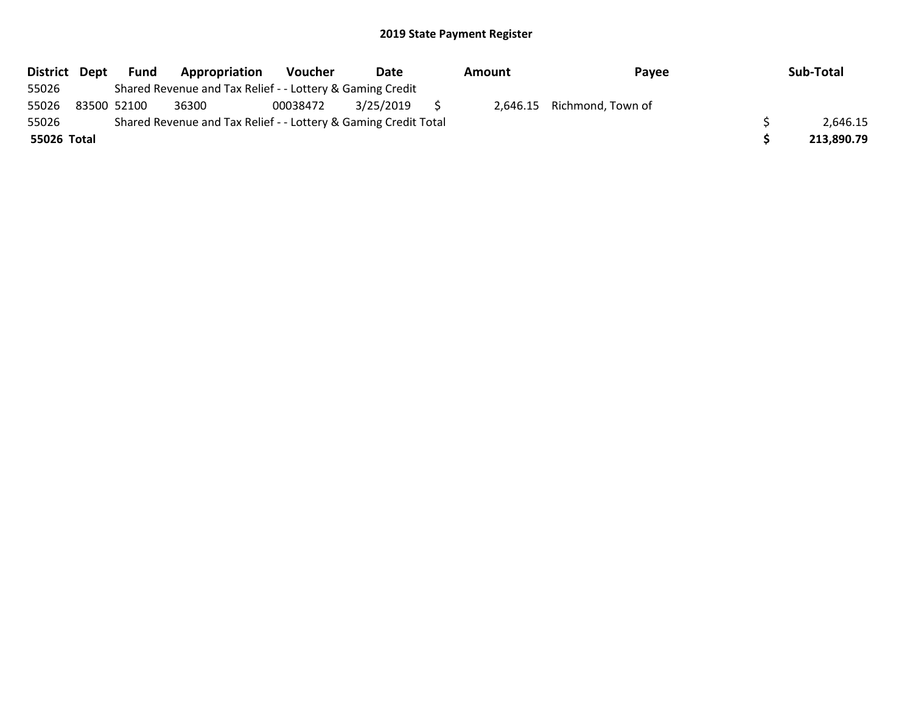| District Dept | Fund        | Appropriation                                                   | Voucher  | Date      | Amount | Payee                      | Sub-Total  |
|---------------|-------------|-----------------------------------------------------------------|----------|-----------|--------|----------------------------|------------|
| 55026         |             | Shared Revenue and Tax Relief - - Lottery & Gaming Credit       |          |           |        |                            |            |
| 55026         | 83500 52100 | 36300                                                           | 00038472 | 3/25/2019 |        | 2,646.15 Richmond, Town of |            |
| 55026         |             | Shared Revenue and Tax Relief - - Lottery & Gaming Credit Total |          |           |        |                            | 2.646.15   |
| 55026 Total   |             |                                                                 |          |           |        |                            | 213,890.79 |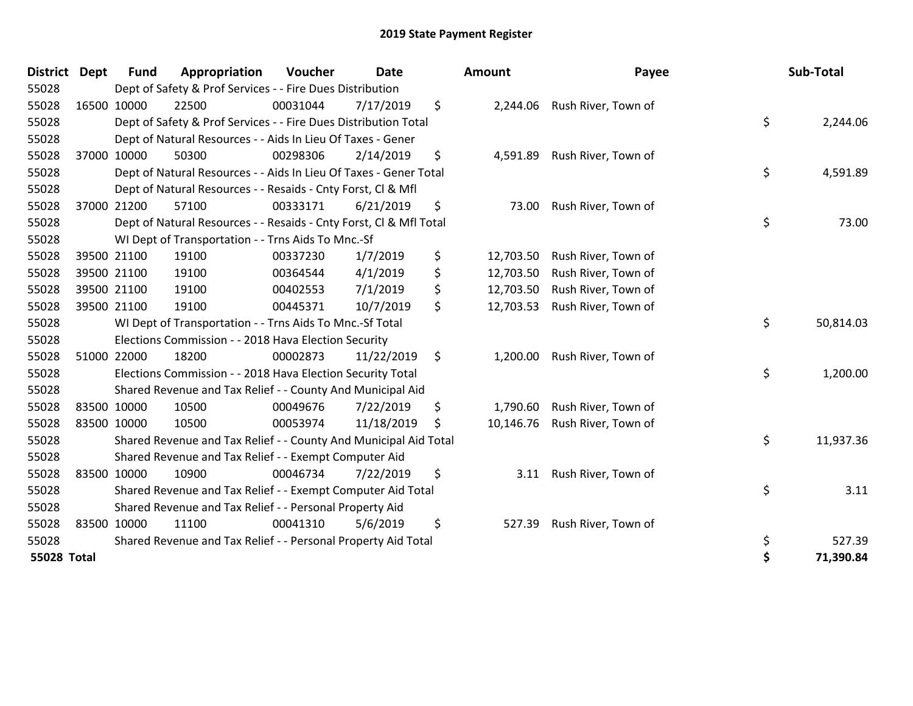| <b>District</b>    | <b>Dept</b> | <b>Fund</b> | Appropriation                                                      | Voucher  | <b>Date</b> | Amount          | Payee                         | Sub-Total       |
|--------------------|-------------|-------------|--------------------------------------------------------------------|----------|-------------|-----------------|-------------------------------|-----------------|
| 55028              |             |             | Dept of Safety & Prof Services - - Fire Dues Distribution          |          |             |                 |                               |                 |
| 55028              | 16500 10000 |             | 22500                                                              | 00031044 | 7/17/2019   | \$              | 2,244.06 Rush River, Town of  |                 |
| 55028              |             |             | Dept of Safety & Prof Services - - Fire Dues Distribution Total    |          |             |                 |                               | \$<br>2,244.06  |
| 55028              |             |             | Dept of Natural Resources - - Aids In Lieu Of Taxes - Gener        |          |             |                 |                               |                 |
| 55028              |             | 37000 10000 | 50300                                                              | 00298306 | 2/14/2019   | \$              | 4,591.89 Rush River, Town of  |                 |
| 55028              |             |             | Dept of Natural Resources - - Aids In Lieu Of Taxes - Gener Total  |          |             |                 |                               | \$<br>4,591.89  |
| 55028              |             |             | Dept of Natural Resources - - Resaids - Cnty Forst, CI & Mfl       |          |             |                 |                               |                 |
| 55028              | 37000 21200 |             | 57100                                                              | 00333171 | 6/21/2019   | \$<br>73.00     | Rush River, Town of           |                 |
| 55028              |             |             | Dept of Natural Resources - - Resaids - Cnty Forst, Cl & Mfl Total |          |             |                 |                               | \$<br>73.00     |
| 55028              |             |             | WI Dept of Transportation - - Trns Aids To Mnc.-Sf                 |          |             |                 |                               |                 |
| 55028              |             | 39500 21100 | 19100                                                              | 00337230 | 1/7/2019    | \$<br>12,703.50 | Rush River, Town of           |                 |
| 55028              |             | 39500 21100 | 19100                                                              | 00364544 | 4/1/2019    | \$<br>12,703.50 | Rush River, Town of           |                 |
| 55028              |             | 39500 21100 | 19100                                                              | 00402553 | 7/1/2019    | \$<br>12,703.50 | Rush River, Town of           |                 |
| 55028              | 39500 21100 |             | 19100                                                              | 00445371 | 10/7/2019   | \$<br>12,703.53 | Rush River, Town of           |                 |
| 55028              |             |             | WI Dept of Transportation - - Trns Aids To Mnc.-Sf Total           |          |             |                 |                               | \$<br>50,814.03 |
| 55028              |             |             | Elections Commission - - 2018 Hava Election Security               |          |             |                 |                               |                 |
| 55028              | 51000 22000 |             | 18200                                                              | 00002873 | 11/22/2019  | \$              | 1,200.00 Rush River, Town of  |                 |
| 55028              |             |             | Elections Commission - - 2018 Hava Election Security Total         |          |             |                 |                               | \$<br>1,200.00  |
| 55028              |             |             | Shared Revenue and Tax Relief - - County And Municipal Aid         |          |             |                 |                               |                 |
| 55028              | 83500 10000 |             | 10500                                                              | 00049676 | 7/22/2019   | \$<br>1,790.60  | Rush River, Town of           |                 |
| 55028              | 83500 10000 |             | 10500                                                              | 00053974 | 11/18/2019  | \$              | 10,146.76 Rush River, Town of |                 |
| 55028              |             |             | Shared Revenue and Tax Relief - - County And Municipal Aid Total   |          |             |                 |                               | \$<br>11,937.36 |
| 55028              |             |             | Shared Revenue and Tax Relief - - Exempt Computer Aid              |          |             |                 |                               |                 |
| 55028              | 83500 10000 |             | 10900                                                              | 00046734 | 7/22/2019   | \$<br>3.11      | Rush River, Town of           |                 |
| 55028              |             |             | Shared Revenue and Tax Relief - - Exempt Computer Aid Total        |          |             |                 |                               | \$<br>3.11      |
| 55028              |             |             | Shared Revenue and Tax Relief - - Personal Property Aid            |          |             |                 |                               |                 |
| 55028              | 83500 10000 |             | 11100                                                              | 00041310 | 5/6/2019    | \$<br>527.39    | Rush River, Town of           |                 |
| 55028              |             |             | Shared Revenue and Tax Relief - - Personal Property Aid Total      |          |             |                 |                               | \$<br>527.39    |
| <b>55028 Total</b> |             |             |                                                                    |          |             |                 |                               | \$<br>71,390.84 |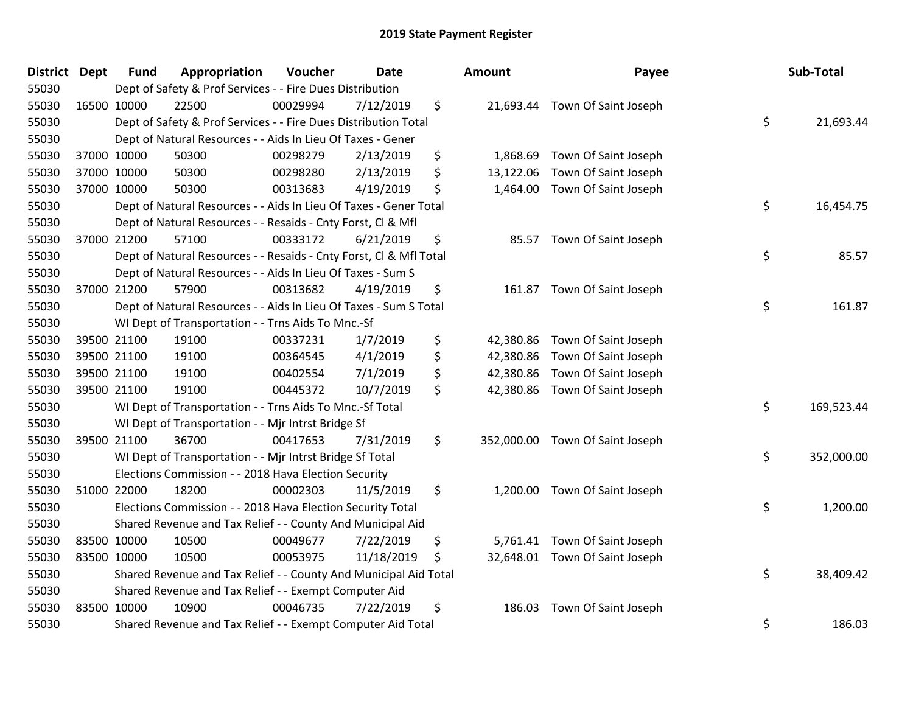| <b>District Dept</b> | <b>Fund</b> | Appropriation                                                      | Voucher  | <b>Date</b> | Amount          | Payee                           | Sub-Total        |
|----------------------|-------------|--------------------------------------------------------------------|----------|-------------|-----------------|---------------------------------|------------------|
| 55030                |             | Dept of Safety & Prof Services - - Fire Dues Distribution          |          |             |                 |                                 |                  |
| 55030                | 16500 10000 | 22500                                                              | 00029994 | 7/12/2019   | \$              | 21,693.44 Town Of Saint Joseph  |                  |
| 55030                |             | Dept of Safety & Prof Services - - Fire Dues Distribution Total    |          |             |                 |                                 | \$<br>21,693.44  |
| 55030                |             | Dept of Natural Resources - - Aids In Lieu Of Taxes - Gener        |          |             |                 |                                 |                  |
| 55030                | 37000 10000 | 50300                                                              | 00298279 | 2/13/2019   | \$<br>1,868.69  | Town Of Saint Joseph            |                  |
| 55030                | 37000 10000 | 50300                                                              | 00298280 | 2/13/2019   | \$<br>13,122.06 | Town Of Saint Joseph            |                  |
| 55030                | 37000 10000 | 50300                                                              | 00313683 | 4/19/2019   | \$<br>1,464.00  | Town Of Saint Joseph            |                  |
| 55030                |             | Dept of Natural Resources - - Aids In Lieu Of Taxes - Gener Total  |          |             |                 |                                 | \$<br>16,454.75  |
| 55030                |             | Dept of Natural Resources - - Resaids - Cnty Forst, Cl & Mfl       |          |             |                 |                                 |                  |
| 55030                | 37000 21200 | 57100                                                              | 00333172 | 6/21/2019   | \$<br>85.57     | Town Of Saint Joseph            |                  |
| 55030                |             | Dept of Natural Resources - - Resaids - Cnty Forst, Cl & Mfl Total |          |             |                 |                                 | \$<br>85.57      |
| 55030                |             | Dept of Natural Resources - - Aids In Lieu Of Taxes - Sum S        |          |             |                 |                                 |                  |
| 55030                | 37000 21200 | 57900                                                              | 00313682 | 4/19/2019   | \$              | 161.87 Town Of Saint Joseph     |                  |
| 55030                |             | Dept of Natural Resources - - Aids In Lieu Of Taxes - Sum S Total  |          |             |                 |                                 | \$<br>161.87     |
| 55030                |             | WI Dept of Transportation - - Trns Aids To Mnc.-Sf                 |          |             |                 |                                 |                  |
| 55030                | 39500 21100 | 19100                                                              | 00337231 | 1/7/2019    | \$<br>42,380.86 | Town Of Saint Joseph            |                  |
| 55030                | 39500 21100 | 19100                                                              | 00364545 | 4/1/2019    | \$<br>42,380.86 | Town Of Saint Joseph            |                  |
| 55030                | 39500 21100 | 19100                                                              | 00402554 | 7/1/2019    | \$<br>42,380.86 | Town Of Saint Joseph            |                  |
| 55030                | 39500 21100 | 19100                                                              | 00445372 | 10/7/2019   | \$<br>42,380.86 | Town Of Saint Joseph            |                  |
| 55030                |             | WI Dept of Transportation - - Trns Aids To Mnc.-Sf Total           |          |             |                 |                                 | \$<br>169,523.44 |
| 55030                |             | WI Dept of Transportation - - Mjr Intrst Bridge Sf                 |          |             |                 |                                 |                  |
| 55030                | 39500 21100 | 36700                                                              | 00417653 | 7/31/2019   | \$              | 352,000.00 Town Of Saint Joseph |                  |
| 55030                |             | WI Dept of Transportation - - Mjr Intrst Bridge Sf Total           |          |             |                 |                                 | \$<br>352,000.00 |
| 55030                |             | Elections Commission - - 2018 Hava Election Security               |          |             |                 |                                 |                  |
| 55030                | 51000 22000 | 18200                                                              | 00002303 | 11/5/2019   | \$<br>1,200.00  | Town Of Saint Joseph            |                  |
| 55030                |             | Elections Commission - - 2018 Hava Election Security Total         |          |             |                 |                                 | \$<br>1,200.00   |
| 55030                |             | Shared Revenue and Tax Relief - - County And Municipal Aid         |          |             |                 |                                 |                  |
| 55030                | 83500 10000 | 10500                                                              | 00049677 | 7/22/2019   | \$              | 5,761.41 Town Of Saint Joseph   |                  |
| 55030                | 83500 10000 | 10500                                                              | 00053975 | 11/18/2019  | \$              | 32,648.01 Town Of Saint Joseph  |                  |
| 55030                |             | Shared Revenue and Tax Relief - - County And Municipal Aid Total   |          |             |                 |                                 | \$<br>38,409.42  |
| 55030                |             | Shared Revenue and Tax Relief - - Exempt Computer Aid              |          |             |                 |                                 |                  |
| 55030                | 83500 10000 | 10900                                                              | 00046735 | 7/22/2019   | \$<br>186.03    | Town Of Saint Joseph            |                  |
| 55030                |             | Shared Revenue and Tax Relief - - Exempt Computer Aid Total        |          |             |                 |                                 | \$<br>186.03     |

| mount      | Payee                | Sub-Total        |
|------------|----------------------|------------------|
| 21,693.44  | Town Of Saint Joseph | \$<br>21,693.44  |
| 1,868.69   | Town Of Saint Joseph |                  |
| 13,122.06  | Town Of Saint Joseph |                  |
| 1,464.00   | Town Of Saint Joseph |                  |
|            |                      | \$<br>16,454.75  |
| 85.57      | Town Of Saint Joseph |                  |
|            |                      | \$<br>85.57      |
| 161.87     | Town Of Saint Joseph |                  |
|            |                      | \$<br>161.87     |
| 42,380.86  | Town Of Saint Joseph |                  |
| 42,380.86  | Town Of Saint Joseph |                  |
| 42,380.86  | Town Of Saint Joseph |                  |
| 42,380.86  | Town Of Saint Joseph |                  |
|            |                      | \$<br>169,523.44 |
| 352,000.00 | Town Of Saint Joseph |                  |
|            |                      | \$<br>352,000.00 |
| 1,200.00   | Town Of Saint Joseph |                  |
|            |                      | \$<br>1,200.00   |
| 5,761.41   | Town Of Saint Joseph |                  |
| 32,648.01  | Town Of Saint Joseph |                  |
|            |                      | \$<br>38,409.42  |
| 186.03     | Town Of Saint Joseph |                  |
|            |                      | \$<br>186.03     |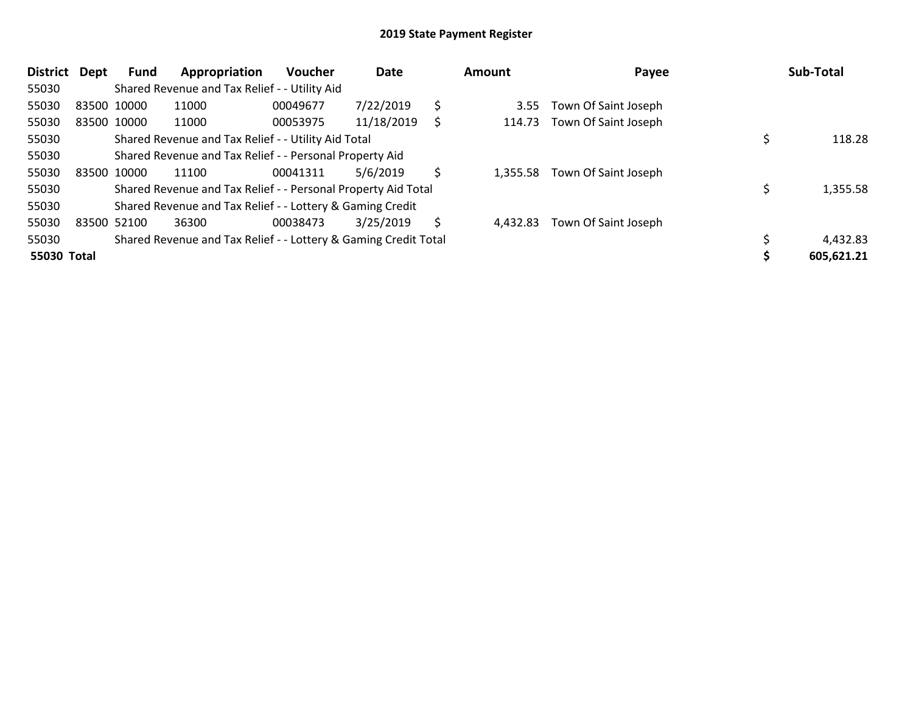| <b>District</b> | <b>Dept</b> | <b>Fund</b> | Appropriation                                                   | <b>Voucher</b> | Date       |    | Amount   | Payee                | Sub-Total  |
|-----------------|-------------|-------------|-----------------------------------------------------------------|----------------|------------|----|----------|----------------------|------------|
| 55030           |             |             | Shared Revenue and Tax Relief - - Utility Aid                   |                |            |    |          |                      |            |
| 55030           |             | 83500 10000 | 11000                                                           | 00049677       | 7/22/2019  | \$ | 3.55     | Town Of Saint Joseph |            |
| 55030           |             | 83500 10000 | 11000                                                           | 00053975       | 11/18/2019 | S  | 114.73   | Town Of Saint Joseph |            |
| 55030           |             |             | Shared Revenue and Tax Relief - - Utility Aid Total             |                |            |    |          |                      | 118.28     |
| 55030           |             |             | Shared Revenue and Tax Relief - - Personal Property Aid         |                |            |    |          |                      |            |
| 55030           |             | 83500 10000 | 11100                                                           | 00041311       | 5/6/2019   | \$ | 1,355.58 | Town Of Saint Joseph |            |
| 55030           |             |             | Shared Revenue and Tax Relief - - Personal Property Aid Total   |                |            |    |          |                      | 1,355.58   |
| 55030           |             |             | Shared Revenue and Tax Relief - - Lottery & Gaming Credit       |                |            |    |          |                      |            |
| 55030           |             | 83500 52100 | 36300                                                           | 00038473       | 3/25/2019  | \$ | 4.432.83 | Town Of Saint Joseph |            |
| 55030           |             |             | Shared Revenue and Tax Relief - - Lottery & Gaming Credit Total |                |            |    |          |                      | 4,432.83   |
| 55030 Total     |             |             |                                                                 |                |            |    |          |                      | 605,621.21 |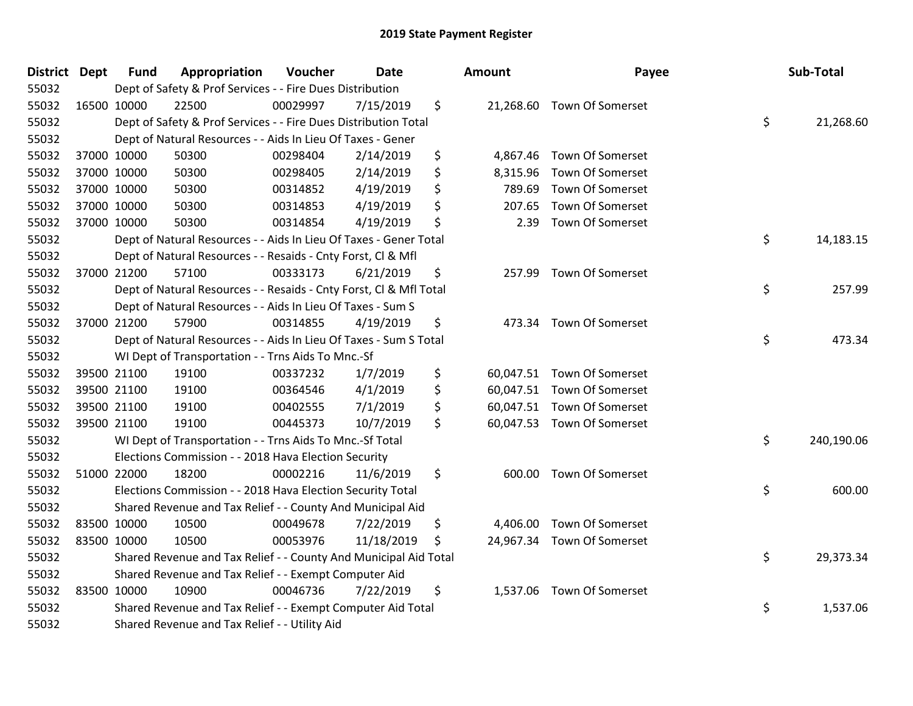| <b>District Dept</b> | <b>Fund</b> | Appropriation                                                      | Voucher  | <b>Date</b> | Amount         | Payee                      | Sub-Total        |
|----------------------|-------------|--------------------------------------------------------------------|----------|-------------|----------------|----------------------------|------------------|
| 55032                |             | Dept of Safety & Prof Services - - Fire Dues Distribution          |          |             |                |                            |                  |
| 55032                | 16500 10000 | 22500                                                              | 00029997 | 7/15/2019   | \$             | 21,268.60 Town Of Somerset |                  |
| 55032                |             | Dept of Safety & Prof Services - - Fire Dues Distribution Total    |          |             |                |                            | \$<br>21,268.60  |
| 55032                |             | Dept of Natural Resources - - Aids In Lieu Of Taxes - Gener        |          |             |                |                            |                  |
| 55032                | 37000 10000 | 50300                                                              | 00298404 | 2/14/2019   | \$<br>4,867.46 | Town Of Somerset           |                  |
| 55032                | 37000 10000 | 50300                                                              | 00298405 | 2/14/2019   | \$<br>8,315.96 | Town Of Somerset           |                  |
| 55032                | 37000 10000 | 50300                                                              | 00314852 | 4/19/2019   | \$<br>789.69   | Town Of Somerset           |                  |
| 55032                | 37000 10000 | 50300                                                              | 00314853 | 4/19/2019   | \$<br>207.65   | <b>Town Of Somerset</b>    |                  |
| 55032                | 37000 10000 | 50300                                                              | 00314854 | 4/19/2019   | \$<br>2.39     | Town Of Somerset           |                  |
| 55032                |             | Dept of Natural Resources - - Aids In Lieu Of Taxes - Gener Total  |          |             |                |                            | \$<br>14,183.15  |
| 55032                |             | Dept of Natural Resources - - Resaids - Cnty Forst, Cl & Mfl       |          |             |                |                            |                  |
| 55032                | 37000 21200 | 57100                                                              | 00333173 | 6/21/2019   | \$             | 257.99 Town Of Somerset    |                  |
| 55032                |             | Dept of Natural Resources - - Resaids - Cnty Forst, Cl & Mfl Total |          |             |                |                            | \$<br>257.99     |
| 55032                |             | Dept of Natural Resources - - Aids In Lieu Of Taxes - Sum S        |          |             |                |                            |                  |
| 55032                | 37000 21200 | 57900                                                              | 00314855 | 4/19/2019   | \$<br>473.34   | <b>Town Of Somerset</b>    |                  |
| 55032                |             | Dept of Natural Resources - - Aids In Lieu Of Taxes - Sum S Total  |          |             |                |                            | \$<br>473.34     |
| 55032                |             | WI Dept of Transportation - - Trns Aids To Mnc.-Sf                 |          |             |                |                            |                  |
| 55032                | 39500 21100 | 19100                                                              | 00337232 | 1/7/2019    | \$             | 60,047.51 Town Of Somerset |                  |
| 55032                | 39500 21100 | 19100                                                              | 00364546 | 4/1/2019    | \$             | 60,047.51 Town Of Somerset |                  |
| 55032                | 39500 21100 | 19100                                                              | 00402555 | 7/1/2019    | \$             | 60,047.51 Town Of Somerset |                  |
| 55032                | 39500 21100 | 19100                                                              | 00445373 | 10/7/2019   | \$             | 60,047.53 Town Of Somerset |                  |
| 55032                |             | WI Dept of Transportation - - Trns Aids To Mnc.-Sf Total           |          |             |                |                            | \$<br>240,190.06 |
| 55032                |             | Elections Commission - - 2018 Hava Election Security               |          |             |                |                            |                  |
| 55032                | 51000 22000 | 18200                                                              | 00002216 | 11/6/2019   | \$             | 600.00 Town Of Somerset    |                  |
| 55032                |             | Elections Commission - - 2018 Hava Election Security Total         |          |             |                |                            | \$<br>600.00     |
| 55032                |             | Shared Revenue and Tax Relief - - County And Municipal Aid         |          |             |                |                            |                  |
| 55032                | 83500 10000 | 10500                                                              | 00049678 | 7/22/2019   | \$<br>4,406.00 | <b>Town Of Somerset</b>    |                  |
| 55032                | 83500 10000 | 10500                                                              | 00053976 | 11/18/2019  | \$             | 24,967.34 Town Of Somerset |                  |
| 55032                |             | Shared Revenue and Tax Relief - - County And Municipal Aid Total   |          |             |                |                            | \$<br>29,373.34  |
| 55032                |             | Shared Revenue and Tax Relief - - Exempt Computer Aid              |          |             |                |                            |                  |
| 55032                | 83500 10000 | 10900                                                              | 00046736 | 7/22/2019   | \$             | 1,537.06 Town Of Somerset  |                  |
| 55032                |             | Shared Revenue and Tax Relief - - Exempt Computer Aid Total        |          |             |                |                            | \$<br>1,537.06   |
| 55032                |             | Shared Revenue and Tax Relief - - Utility Aid                      |          |             |                |                            |                  |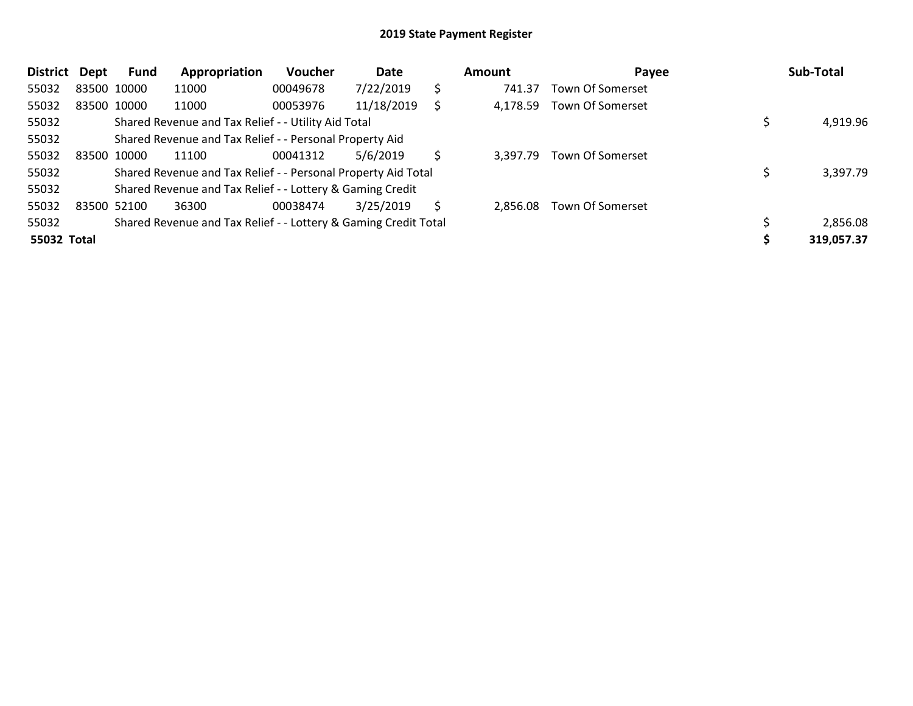| <b>District</b> | Dept | Fund        | Appropriation                                                   | Voucher  | Date       |    | Amount   | Payee                   | Sub-Total  |
|-----------------|------|-------------|-----------------------------------------------------------------|----------|------------|----|----------|-------------------------|------------|
| 55032           |      | 83500 10000 | 11000                                                           | 00049678 | 7/22/2019  | \$ | 741.37   | <b>Town Of Somerset</b> |            |
| 55032           |      | 83500 10000 | 11000                                                           | 00053976 | 11/18/2019 |    | 4,178.59 | Town Of Somerset        |            |
| 55032           |      |             | Shared Revenue and Tax Relief - - Utility Aid Total             |          |            |    |          |                         | 4,919.96   |
| 55032           |      |             | Shared Revenue and Tax Relief - - Personal Property Aid         |          |            |    |          |                         |            |
| 55032           |      | 83500 10000 | 11100                                                           | 00041312 | 5/6/2019   |    | 3.397.79 | Town Of Somerset        |            |
| 55032           |      |             | Shared Revenue and Tax Relief - - Personal Property Aid Total   |          |            |    |          |                         | 3,397.79   |
| 55032           |      |             | Shared Revenue and Tax Relief - - Lottery & Gaming Credit       |          |            |    |          |                         |            |
| 55032           |      | 83500 52100 | 36300                                                           | 00038474 | 3/25/2019  | Ŝ  | 2.856.08 | Town Of Somerset        |            |
| 55032           |      |             | Shared Revenue and Tax Relief - - Lottery & Gaming Credit Total |          |            |    |          |                         | 2,856.08   |
| 55032 Total     |      |             |                                                                 |          |            |    |          |                         | 319,057.37 |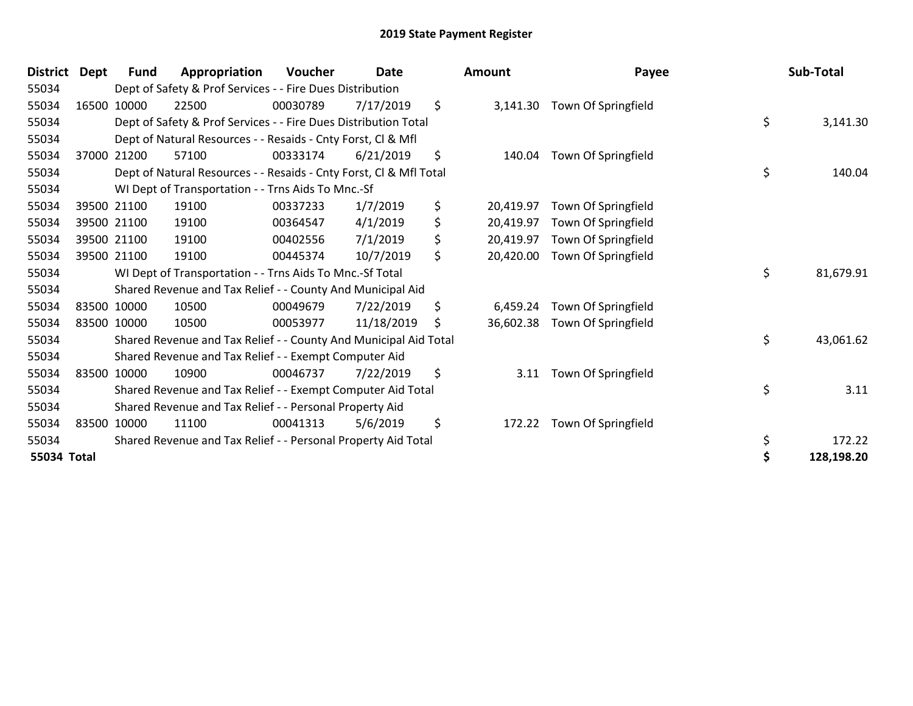| District    | Dept | Fund        | Appropriation                                                      | <b>Voucher</b> | <b>Date</b> | <b>Amount</b>   | Payee               | Sub-Total        |
|-------------|------|-------------|--------------------------------------------------------------------|----------------|-------------|-----------------|---------------------|------------------|
| 55034       |      |             | Dept of Safety & Prof Services - - Fire Dues Distribution          |                |             |                 |                     |                  |
| 55034       |      | 16500 10000 | 22500                                                              | 00030789       | 7/17/2019   | \$<br>3,141.30  | Town Of Springfield |                  |
| 55034       |      |             | Dept of Safety & Prof Services - - Fire Dues Distribution Total    |                |             |                 |                     | \$<br>3,141.30   |
| 55034       |      |             | Dept of Natural Resources - - Resaids - Cnty Forst, Cl & Mfl       |                |             |                 |                     |                  |
| 55034       |      | 37000 21200 | 57100                                                              | 00333174       | 6/21/2019   | \$<br>140.04    | Town Of Springfield |                  |
| 55034       |      |             | Dept of Natural Resources - - Resaids - Cnty Forst, CI & Mfl Total |                |             |                 |                     | \$<br>140.04     |
| 55034       |      |             | WI Dept of Transportation - - Trns Aids To Mnc.-Sf                 |                |             |                 |                     |                  |
| 55034       |      | 39500 21100 | 19100                                                              | 00337233       | 1/7/2019    | \$<br>20,419.97 | Town Of Springfield |                  |
| 55034       |      | 39500 21100 | 19100                                                              | 00364547       | 4/1/2019    | \$<br>20,419.97 | Town Of Springfield |                  |
| 55034       |      | 39500 21100 | 19100                                                              | 00402556       | 7/1/2019    | \$<br>20,419.97 | Town Of Springfield |                  |
| 55034       |      | 39500 21100 | 19100                                                              | 00445374       | 10/7/2019   | \$<br>20,420.00 | Town Of Springfield |                  |
| 55034       |      |             | WI Dept of Transportation - - Trns Aids To Mnc.-Sf Total           |                |             |                 |                     | \$<br>81,679.91  |
| 55034       |      |             | Shared Revenue and Tax Relief - - County And Municipal Aid         |                |             |                 |                     |                  |
| 55034       |      | 83500 10000 | 10500                                                              | 00049679       | 7/22/2019   | \$<br>6,459.24  | Town Of Springfield |                  |
| 55034       |      | 83500 10000 | 10500                                                              | 00053977       | 11/18/2019  | \$<br>36,602.38 | Town Of Springfield |                  |
| 55034       |      |             | Shared Revenue and Tax Relief - - County And Municipal Aid Total   |                |             |                 |                     | \$<br>43,061.62  |
| 55034       |      |             | Shared Revenue and Tax Relief - - Exempt Computer Aid              |                |             |                 |                     |                  |
| 55034       |      | 83500 10000 | 10900                                                              | 00046737       | 7/22/2019   | \$<br>3.11      | Town Of Springfield |                  |
| 55034       |      |             | Shared Revenue and Tax Relief - - Exempt Computer Aid Total        |                |             |                 |                     | \$<br>3.11       |
| 55034       |      |             | Shared Revenue and Tax Relief - - Personal Property Aid            |                |             |                 |                     |                  |
| 55034       |      | 83500 10000 | 11100                                                              | 00041313       | 5/6/2019    | \$<br>172.22    | Town Of Springfield |                  |
| 55034       |      |             | Shared Revenue and Tax Relief - - Personal Property Aid Total      |                |             |                 |                     | \$<br>172.22     |
| 55034 Total |      |             |                                                                    |                |             |                 |                     | \$<br>128,198.20 |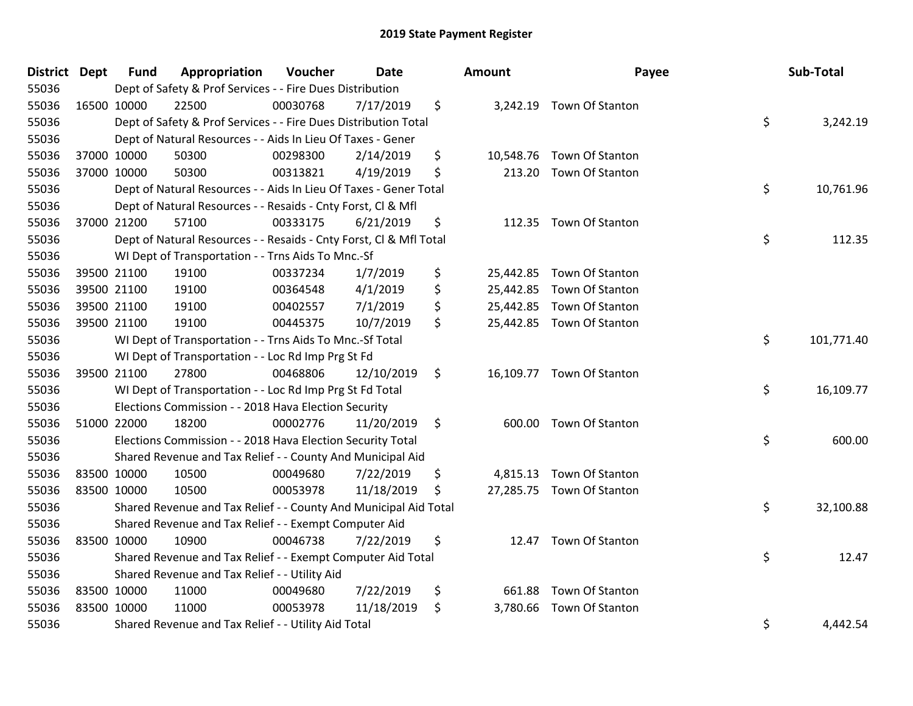| <b>District Dept</b> |             | <b>Fund</b> | Appropriation                                                      | Voucher  | <b>Date</b> | <b>Amount</b> | Payee                     | Sub-Total        |
|----------------------|-------------|-------------|--------------------------------------------------------------------|----------|-------------|---------------|---------------------------|------------------|
| 55036                |             |             | Dept of Safety & Prof Services - - Fire Dues Distribution          |          |             |               |                           |                  |
| 55036                | 16500 10000 |             | 22500                                                              | 00030768 | 7/17/2019   | \$            | 3,242.19 Town Of Stanton  |                  |
| 55036                |             |             | Dept of Safety & Prof Services - - Fire Dues Distribution Total    |          |             |               |                           | \$<br>3,242.19   |
| 55036                |             |             | Dept of Natural Resources - - Aids In Lieu Of Taxes - Gener        |          |             |               |                           |                  |
| 55036                | 37000 10000 |             | 50300                                                              | 00298300 | 2/14/2019   | \$            | 10,548.76 Town Of Stanton |                  |
| 55036                | 37000 10000 |             | 50300                                                              | 00313821 | 4/19/2019   | \$            | 213.20 Town Of Stanton    |                  |
| 55036                |             |             | Dept of Natural Resources - - Aids In Lieu Of Taxes - Gener Total  |          |             |               |                           | \$<br>10,761.96  |
| 55036                |             |             | Dept of Natural Resources - - Resaids - Cnty Forst, Cl & Mfl       |          |             |               |                           |                  |
| 55036                | 37000 21200 |             | 57100                                                              | 00333175 | 6/21/2019   | \$            | 112.35 Town Of Stanton    |                  |
| 55036                |             |             | Dept of Natural Resources - - Resaids - Cnty Forst, Cl & Mfl Total |          |             |               |                           | \$<br>112.35     |
| 55036                |             |             | WI Dept of Transportation - - Trns Aids To Mnc.-Sf                 |          |             |               |                           |                  |
| 55036                | 39500 21100 |             | 19100                                                              | 00337234 | 1/7/2019    | \$            | 25,442.85 Town Of Stanton |                  |
| 55036                | 39500 21100 |             | 19100                                                              | 00364548 | 4/1/2019    | \$            | 25,442.85 Town Of Stanton |                  |
| 55036                | 39500 21100 |             | 19100                                                              | 00402557 | 7/1/2019    | \$            | 25,442.85 Town Of Stanton |                  |
| 55036                | 39500 21100 |             | 19100                                                              | 00445375 | 10/7/2019   | \$            | 25,442.85 Town Of Stanton |                  |
| 55036                |             |             | WI Dept of Transportation - - Trns Aids To Mnc.-Sf Total           |          |             |               |                           | \$<br>101,771.40 |
| 55036                |             |             | WI Dept of Transportation - - Loc Rd Imp Prg St Fd                 |          |             |               |                           |                  |
| 55036                | 39500 21100 |             | 27800                                                              | 00468806 | 12/10/2019  | \$            | 16,109.77 Town Of Stanton |                  |
| 55036                |             |             | WI Dept of Transportation - - Loc Rd Imp Prg St Fd Total           |          |             |               |                           | \$<br>16,109.77  |
| 55036                |             |             | Elections Commission - - 2018 Hava Election Security               |          |             |               |                           |                  |
| 55036                | 51000 22000 |             | 18200                                                              | 00002776 | 11/20/2019  | \$            | 600.00 Town Of Stanton    |                  |
| 55036                |             |             | Elections Commission - - 2018 Hava Election Security Total         |          |             |               |                           | \$<br>600.00     |
| 55036                |             |             | Shared Revenue and Tax Relief - - County And Municipal Aid         |          |             |               |                           |                  |
| 55036                | 83500 10000 |             | 10500                                                              | 00049680 | 7/22/2019   | \$            | 4,815.13 Town Of Stanton  |                  |
| 55036                | 83500 10000 |             | 10500                                                              | 00053978 | 11/18/2019  | \$            | 27,285.75 Town Of Stanton |                  |
| 55036                |             |             | Shared Revenue and Tax Relief - - County And Municipal Aid Total   |          |             |               |                           | \$<br>32,100.88  |
| 55036                |             |             | Shared Revenue and Tax Relief - - Exempt Computer Aid              |          |             |               |                           |                  |
| 55036                | 83500 10000 |             | 10900                                                              | 00046738 | 7/22/2019   | \$            | 12.47 Town Of Stanton     |                  |
| 55036                |             |             | Shared Revenue and Tax Relief - - Exempt Computer Aid Total        |          |             |               |                           | \$<br>12.47      |
| 55036                |             |             | Shared Revenue and Tax Relief - - Utility Aid                      |          |             |               |                           |                  |
| 55036                | 83500 10000 |             | 11000                                                              | 00049680 | 7/22/2019   | \$<br>661.88  | Town Of Stanton           |                  |
| 55036                | 83500 10000 |             | 11000                                                              | 00053978 | 11/18/2019  | \$            | 3,780.66 Town Of Stanton  |                  |
| 55036                |             |             | Shared Revenue and Tax Relief - - Utility Aid Total                |          |             |               |                           | \$<br>4,442.54   |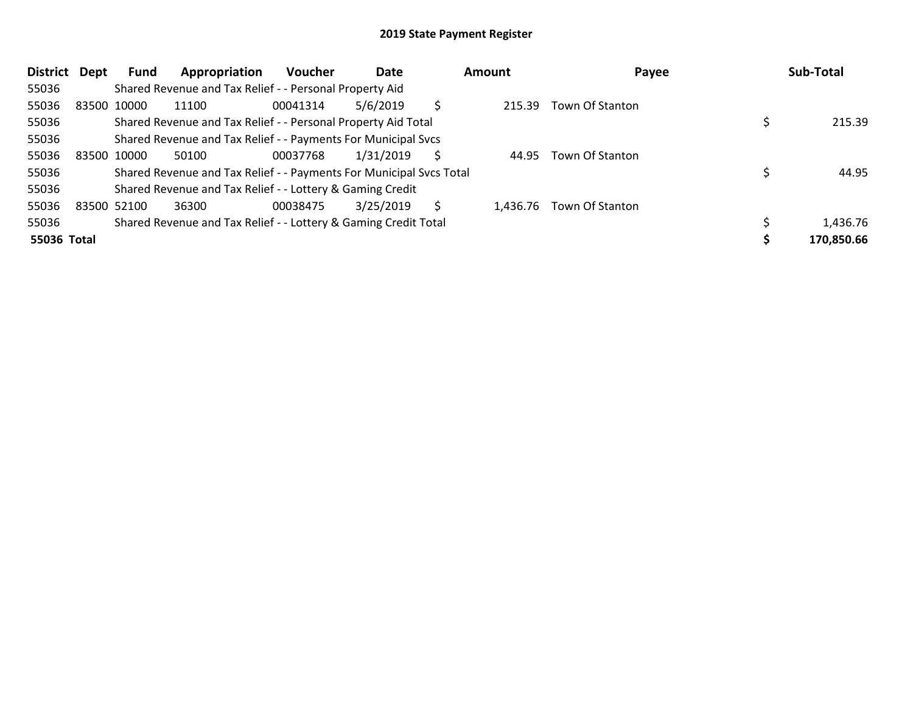| <b>District</b> | <b>Dept</b> | Fund        | Appropriation                                                       | <b>Voucher</b> | Date      |   | Amount   | Payee           | Sub-Total  |
|-----------------|-------------|-------------|---------------------------------------------------------------------|----------------|-----------|---|----------|-----------------|------------|
| 55036           |             |             | Shared Revenue and Tax Relief - - Personal Property Aid             |                |           |   |          |                 |            |
| 55036           |             | 83500 10000 | 11100                                                               | 00041314       | 5/6/2019  |   | 215.39   | Town Of Stanton |            |
| 55036           |             |             | Shared Revenue and Tax Relief - - Personal Property Aid Total       |                |           |   |          |                 | 215.39     |
| 55036           |             |             | Shared Revenue and Tax Relief - - Payments For Municipal Svcs       |                |           |   |          |                 |            |
| 55036           |             | 83500 10000 | 50100                                                               | 00037768       | 1/31/2019 | Ś | 44.95    | Town Of Stanton |            |
| 55036           |             |             | Shared Revenue and Tax Relief - - Payments For Municipal Svcs Total |                |           |   |          |                 | 44.95      |
| 55036           |             |             | Shared Revenue and Tax Relief - - Lottery & Gaming Credit           |                |           |   |          |                 |            |
| 55036           |             | 83500 52100 | 36300                                                               | 00038475       | 3/25/2019 | Ś | 1.436.76 | Town Of Stanton |            |
| 55036           |             |             | Shared Revenue and Tax Relief - - Lottery & Gaming Credit Total     |                |           |   |          |                 | 1,436.76   |
| 55036 Total     |             |             |                                                                     |                |           |   |          |                 | 170,850.66 |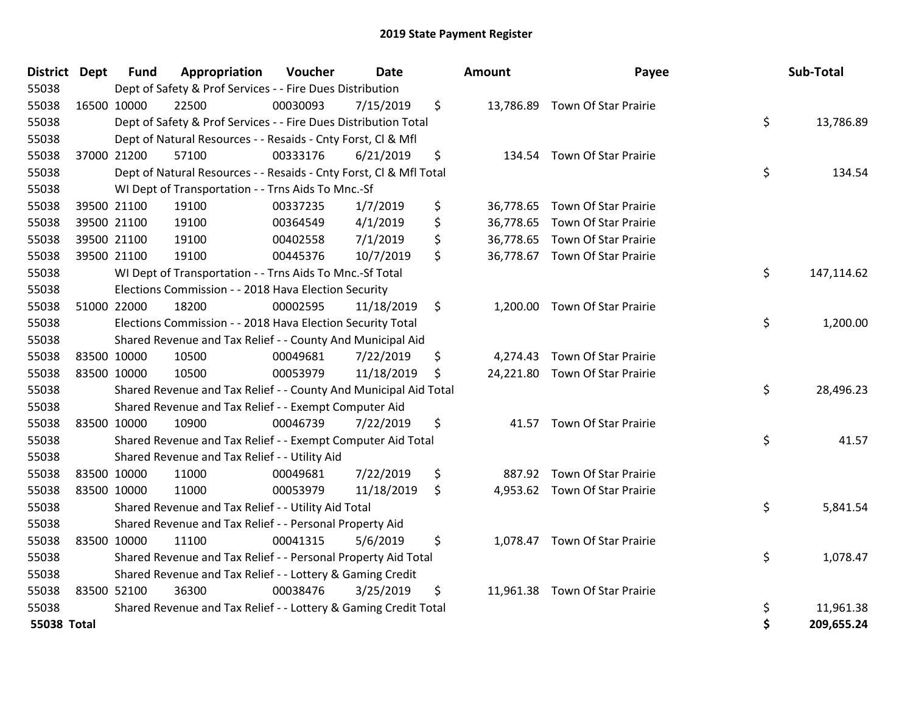| District Dept | <b>Fund</b> | Appropriation                                                      | Voucher  | <b>Date</b> | <b>Amount</b>   | Payee                          | Sub-Total        |
|---------------|-------------|--------------------------------------------------------------------|----------|-------------|-----------------|--------------------------------|------------------|
| 55038         |             | Dept of Safety & Prof Services - - Fire Dues Distribution          |          |             |                 |                                |                  |
| 55038         | 16500 10000 | 22500                                                              | 00030093 | 7/15/2019   | \$              | 13,786.89 Town Of Star Prairie |                  |
| 55038         |             | Dept of Safety & Prof Services - - Fire Dues Distribution Total    |          |             |                 |                                | \$<br>13,786.89  |
| 55038         |             | Dept of Natural Resources - - Resaids - Cnty Forst, Cl & Mfl       |          |             |                 |                                |                  |
| 55038         | 37000 21200 | 57100                                                              | 00333176 | 6/21/2019   | \$              | 134.54 Town Of Star Prairie    |                  |
| 55038         |             | Dept of Natural Resources - - Resaids - Cnty Forst, CI & Mfl Total |          |             |                 |                                | \$<br>134.54     |
| 55038         |             | WI Dept of Transportation - - Trns Aids To Mnc.-Sf                 |          |             |                 |                                |                  |
| 55038         | 39500 21100 | 19100                                                              | 00337235 | 1/7/2019    | \$<br>36,778.65 | <b>Town Of Star Prairie</b>    |                  |
| 55038         | 39500 21100 | 19100                                                              | 00364549 | 4/1/2019    | \$<br>36,778.65 | Town Of Star Prairie           |                  |
| 55038         | 39500 21100 | 19100                                                              | 00402558 | 7/1/2019    | \$<br>36,778.65 | <b>Town Of Star Prairie</b>    |                  |
| 55038         | 39500 21100 | 19100                                                              | 00445376 | 10/7/2019   | \$              | 36,778.67 Town Of Star Prairie |                  |
| 55038         |             | WI Dept of Transportation - - Trns Aids To Mnc.-Sf Total           |          |             |                 |                                | \$<br>147,114.62 |
| 55038         |             | Elections Commission - - 2018 Hava Election Security               |          |             |                 |                                |                  |
| 55038         | 51000 22000 | 18200                                                              | 00002595 | 11/18/2019  | \$              | 1,200.00 Town Of Star Prairie  |                  |
| 55038         |             | Elections Commission - - 2018 Hava Election Security Total         |          |             |                 |                                | \$<br>1,200.00   |
| 55038         |             | Shared Revenue and Tax Relief - - County And Municipal Aid         |          |             |                 |                                |                  |
| 55038         | 83500 10000 | 10500                                                              | 00049681 | 7/22/2019   | \$<br>4,274.43  | <b>Town Of Star Prairie</b>    |                  |
| 55038         | 83500 10000 | 10500                                                              | 00053979 | 11/18/2019  | \$              | 24,221.80 Town Of Star Prairie |                  |
| 55038         |             | Shared Revenue and Tax Relief - - County And Municipal Aid Total   |          |             |                 |                                | \$<br>28,496.23  |
| 55038         |             | Shared Revenue and Tax Relief - - Exempt Computer Aid              |          |             |                 |                                |                  |
| 55038         | 83500 10000 | 10900                                                              | 00046739 | 7/22/2019   | \$              | 41.57 Town Of Star Prairie     |                  |
| 55038         |             | Shared Revenue and Tax Relief - - Exempt Computer Aid Total        |          |             |                 |                                | \$<br>41.57      |
| 55038         |             | Shared Revenue and Tax Relief - - Utility Aid                      |          |             |                 |                                |                  |
| 55038         | 83500 10000 | 11000                                                              | 00049681 | 7/22/2019   | \$<br>887.92    | <b>Town Of Star Prairie</b>    |                  |
| 55038         | 83500 10000 | 11000                                                              | 00053979 | 11/18/2019  | \$              | 4,953.62 Town Of Star Prairie  |                  |
| 55038         |             | Shared Revenue and Tax Relief - - Utility Aid Total                |          |             |                 |                                | \$<br>5,841.54   |
| 55038         |             | Shared Revenue and Tax Relief - - Personal Property Aid            |          |             |                 |                                |                  |
| 55038         | 83500 10000 | 11100                                                              | 00041315 | 5/6/2019    | \$              | 1,078.47 Town Of Star Prairie  |                  |
| 55038         |             | Shared Revenue and Tax Relief - - Personal Property Aid Total      |          |             |                 |                                | \$<br>1,078.47   |
| 55038         |             | Shared Revenue and Tax Relief - - Lottery & Gaming Credit          |          |             |                 |                                |                  |
| 55038         | 83500 52100 | 36300                                                              | 00038476 | 3/25/2019   | \$<br>11,961.38 | Town Of Star Prairie           |                  |
| 55038         |             | Shared Revenue and Tax Relief - - Lottery & Gaming Credit Total    |          |             |                 |                                | \$<br>11,961.38  |
| 55038 Total   |             |                                                                    |          |             |                 |                                | \$<br>209,655.24 |

| ount     | Payee                                                            | Sub-Total        |
|----------|------------------------------------------------------------------|------------------|
|          | 13,786.89 Town Of Star Prairie                                   | \$<br>13,786.89  |
|          | 134.54 Town Of Star Prairie                                      | \$<br>134.54     |
|          | 36,778.65 Town Of Star Prairie<br>36,778.65 Town Of Star Prairie |                  |
|          | 36,778.65 Town Of Star Prairie                                   |                  |
|          | 36,778.67 Town Of Star Prairie                                   |                  |
|          |                                                                  | \$<br>147,114.62 |
| 1,200.00 | <b>Town Of Star Prairie</b>                                      | \$<br>1,200.00   |
|          | 4,274.43 Town Of Star Prairie                                    |                  |
|          | 24,221.80 Town Of Star Prairie                                   | \$<br>28,496.23  |
| 41.57    | <b>Town Of Star Prairie</b>                                      | \$<br>41.57      |
|          | 887.92 Town Of Star Prairie                                      |                  |
|          | 4,953.62 Town Of Star Prairie                                    | \$<br>5,841.54   |
| 1,078.47 | Town Of Star Prairie                                             | \$<br>1,078.47   |
|          | 11,961.38 Town Of Star Prairie                                   | \$<br>11,961.38  |
|          |                                                                  | \$<br>209,655.24 |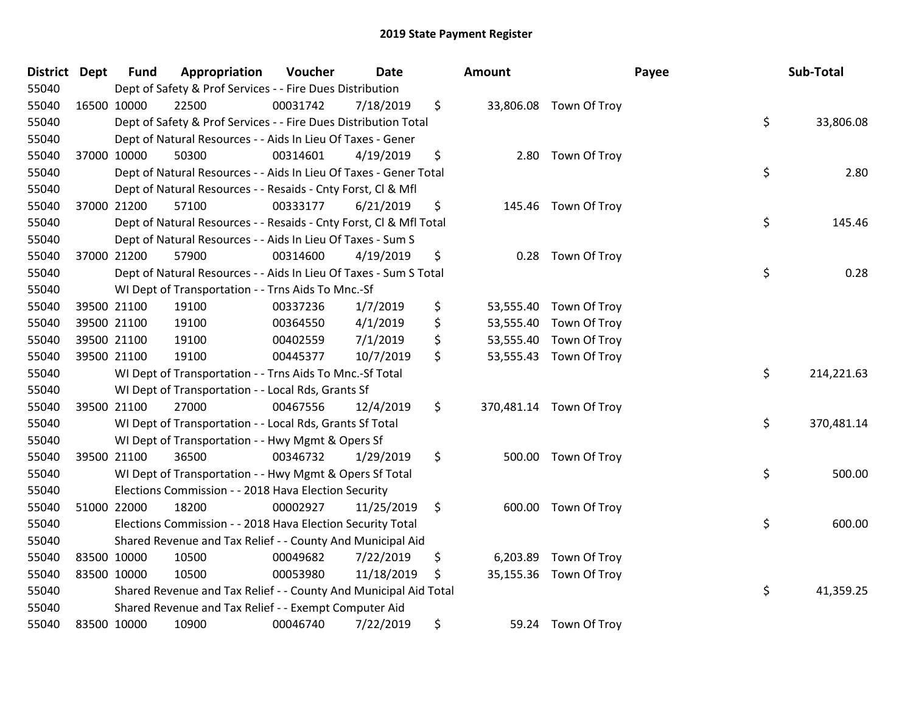| <b>District Dept</b> | <b>Fund</b> | Appropriation                                                      | Voucher  | <b>Date</b> | Amount     |                         | Payee | Sub-Total  |
|----------------------|-------------|--------------------------------------------------------------------|----------|-------------|------------|-------------------------|-------|------------|
| 55040                |             | Dept of Safety & Prof Services - - Fire Dues Distribution          |          |             |            |                         |       |            |
| 55040                | 16500 10000 | 22500                                                              | 00031742 | 7/18/2019   | \$         | 33,806.08 Town Of Troy  |       |            |
| 55040                |             | Dept of Safety & Prof Services - - Fire Dues Distribution Total    |          |             |            |                         | \$    | 33,806.08  |
| 55040                |             | Dept of Natural Resources - - Aids In Lieu Of Taxes - Gener        |          |             |            |                         |       |            |
| 55040                | 37000 10000 | 50300                                                              | 00314601 | 4/19/2019   | \$<br>2.80 | Town Of Troy            |       |            |
| 55040                |             | Dept of Natural Resources - - Aids In Lieu Of Taxes - Gener Total  |          |             |            |                         | \$    | 2.80       |
| 55040                |             | Dept of Natural Resources - - Resaids - Cnty Forst, Cl & Mfl       |          |             |            |                         |       |            |
| 55040                | 37000 21200 | 57100                                                              | 00333177 | 6/21/2019   | \$         | 145.46 Town Of Troy     |       |            |
| 55040                |             | Dept of Natural Resources - - Resaids - Cnty Forst, Cl & Mfl Total |          |             |            |                         | \$    | 145.46     |
| 55040                |             | Dept of Natural Resources - - Aids In Lieu Of Taxes - Sum S        |          |             |            |                         |       |            |
| 55040                | 37000 21200 | 57900                                                              | 00314600 | 4/19/2019   | \$<br>0.28 | Town Of Troy            |       |            |
| 55040                |             | Dept of Natural Resources - - Aids In Lieu Of Taxes - Sum S Total  |          |             |            |                         | \$    | 0.28       |
| 55040                |             | WI Dept of Transportation - - Trns Aids To Mnc.-Sf                 |          |             |            |                         |       |            |
| 55040                | 39500 21100 | 19100                                                              | 00337236 | 1/7/2019    | \$         | 53,555.40 Town Of Troy  |       |            |
| 55040                | 39500 21100 | 19100                                                              | 00364550 | 4/1/2019    | \$         | 53,555.40 Town Of Troy  |       |            |
| 55040                | 39500 21100 | 19100                                                              | 00402559 | 7/1/2019    | \$         | 53,555.40 Town Of Troy  |       |            |
| 55040                | 39500 21100 | 19100                                                              | 00445377 | 10/7/2019   | \$         | 53,555.43 Town Of Troy  |       |            |
| 55040                |             | WI Dept of Transportation - - Trns Aids To Mnc.-Sf Total           |          |             |            |                         | \$    | 214,221.63 |
| 55040                |             | WI Dept of Transportation - - Local Rds, Grants Sf                 |          |             |            |                         |       |            |
| 55040                | 39500 21100 | 27000                                                              | 00467556 | 12/4/2019   | \$         | 370,481.14 Town Of Troy |       |            |
| 55040                |             | WI Dept of Transportation - - Local Rds, Grants Sf Total           |          |             |            |                         | \$    | 370,481.14 |
| 55040                |             | WI Dept of Transportation - - Hwy Mgmt & Opers Sf                  |          |             |            |                         |       |            |
| 55040                | 39500 21100 | 36500                                                              | 00346732 | 1/29/2019   | \$         | 500.00 Town Of Troy     |       |            |
| 55040                |             | WI Dept of Transportation - - Hwy Mgmt & Opers Sf Total            |          |             |            |                         | \$    | 500.00     |
| 55040                |             | Elections Commission - - 2018 Hava Election Security               |          |             |            |                         |       |            |
| 55040                | 51000 22000 | 18200                                                              | 00002927 | 11/25/2019  | \$         | 600.00 Town Of Troy     |       |            |
| 55040                |             | Elections Commission - - 2018 Hava Election Security Total         |          |             |            |                         | \$    | 600.00     |
| 55040                |             | Shared Revenue and Tax Relief - - County And Municipal Aid         |          |             |            |                         |       |            |
| 55040                | 83500 10000 | 10500                                                              | 00049682 | 7/22/2019   | \$         | 6,203.89 Town Of Troy   |       |            |
| 55040                | 83500 10000 | 10500                                                              | 00053980 | 11/18/2019  | \$         | 35,155.36 Town Of Troy  |       |            |
| 55040                |             | Shared Revenue and Tax Relief - - County And Municipal Aid Total   |          |             |            |                         | \$    | 41,359.25  |
| 55040                |             | Shared Revenue and Tax Relief - - Exempt Computer Aid              |          |             |            |                         |       |            |
| 55040                | 83500 10000 | 10900                                                              | 00046740 | 7/22/2019   | \$         | 59.24 Town Of Troy      |       |            |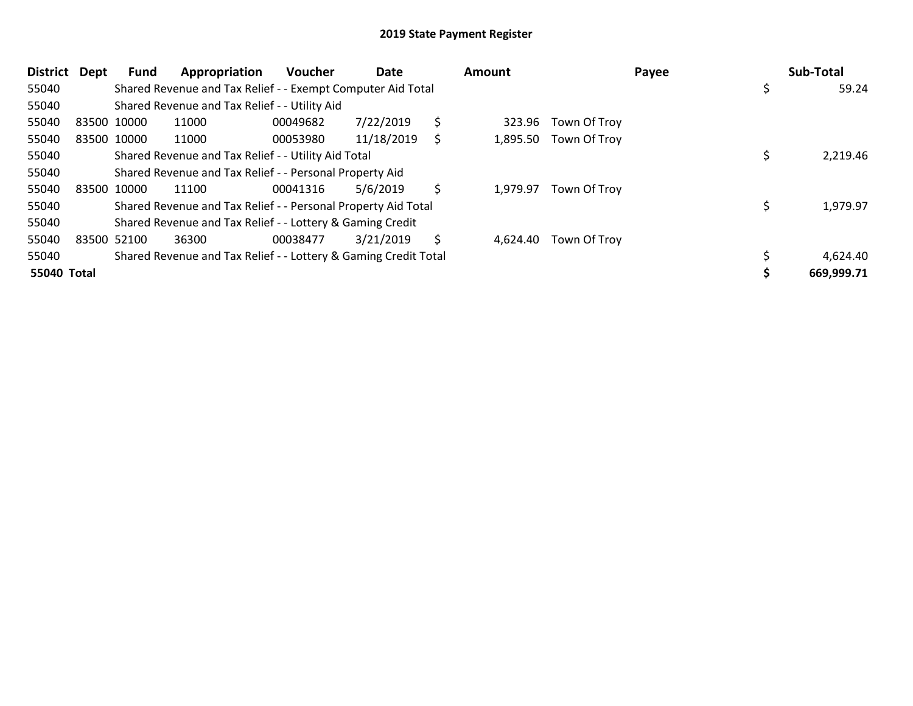| <b>District</b> | Dept | Fund        | Appropriation                                                   | Voucher  | Date       |    | Amount   |                       | Payee | Sub-Total   |
|-----------------|------|-------------|-----------------------------------------------------------------|----------|------------|----|----------|-----------------------|-------|-------------|
| 55040           |      |             | Shared Revenue and Tax Relief - - Exempt Computer Aid Total     |          |            |    |          |                       |       | \$<br>59.24 |
| 55040           |      |             | Shared Revenue and Tax Relief - - Utility Aid                   |          |            |    |          |                       |       |             |
| 55040           |      | 83500 10000 | 11000                                                           | 00049682 | 7/22/2019  | \$ | 323.96   | Town Of Troy          |       |             |
| 55040           |      | 83500 10000 | 11000                                                           | 00053980 | 11/18/2019 | S  |          | 1,895.50 Town Of Troy |       |             |
| 55040           |      |             | Shared Revenue and Tax Relief - - Utility Aid Total             |          |            |    |          |                       |       | 2,219.46    |
| 55040           |      |             | Shared Revenue and Tax Relief - - Personal Property Aid         |          |            |    |          |                       |       |             |
| 55040           |      | 83500 10000 | 11100                                                           | 00041316 | 5/6/2019   | \$ | 1,979.97 | Town Of Troy          |       |             |
| 55040           |      |             | Shared Revenue and Tax Relief - - Personal Property Aid Total   |          |            |    |          |                       |       | 1,979.97    |
| 55040           |      |             | Shared Revenue and Tax Relief - - Lottery & Gaming Credit       |          |            |    |          |                       |       |             |
| 55040           |      | 83500 52100 | 36300                                                           | 00038477 | 3/21/2019  | S  | 4,624.40 | Town Of Troy          |       |             |
| 55040           |      |             | Shared Revenue and Tax Relief - - Lottery & Gaming Credit Total |          |            |    |          |                       |       | 4,624.40    |
| 55040 Total     |      |             |                                                                 |          |            |    |          |                       |       | 669,999.71  |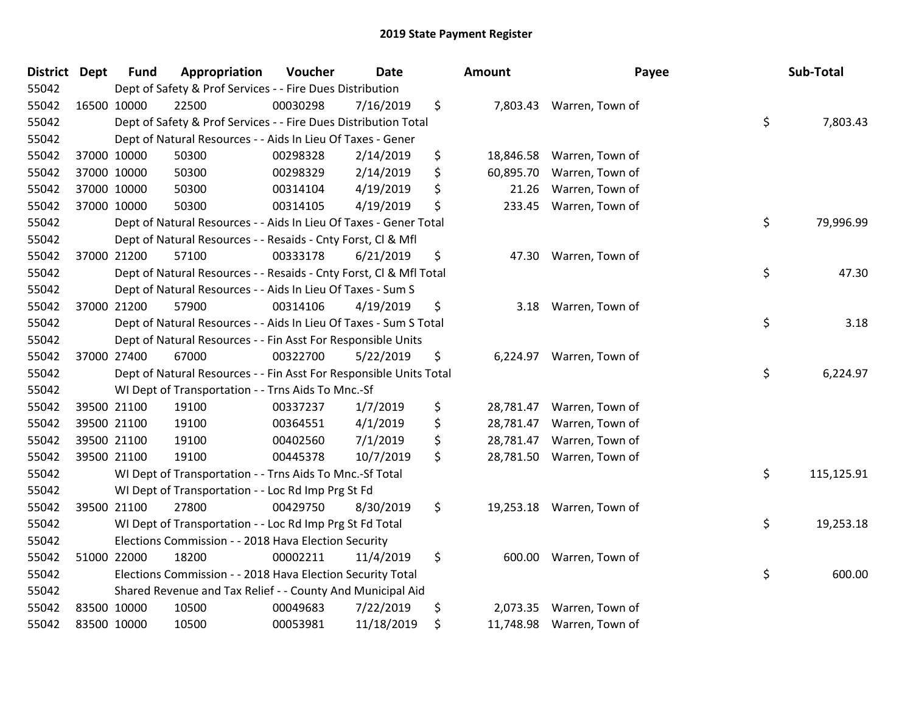| <b>District Dept</b> |             | <b>Fund</b> | Appropriation                                                      | Voucher  | <b>Date</b> | <b>Amount</b>   | Payee                     | Sub-Total        |
|----------------------|-------------|-------------|--------------------------------------------------------------------|----------|-------------|-----------------|---------------------------|------------------|
| 55042                |             |             | Dept of Safety & Prof Services - - Fire Dues Distribution          |          |             |                 |                           |                  |
| 55042                | 16500 10000 |             | 22500                                                              | 00030298 | 7/16/2019   | \$              | 7,803.43 Warren, Town of  |                  |
| 55042                |             |             | Dept of Safety & Prof Services - - Fire Dues Distribution Total    |          |             |                 |                           | \$<br>7,803.43   |
| 55042                |             |             | Dept of Natural Resources - - Aids In Lieu Of Taxes - Gener        |          |             |                 |                           |                  |
| 55042                |             | 37000 10000 | 50300                                                              | 00298328 | 2/14/2019   | \$<br>18,846.58 | Warren, Town of           |                  |
| 55042                |             | 37000 10000 | 50300                                                              | 00298329 | 2/14/2019   | \$<br>60,895.70 | Warren, Town of           |                  |
| 55042                |             | 37000 10000 | 50300                                                              | 00314104 | 4/19/2019   | \$<br>21.26     | Warren, Town of           |                  |
| 55042                | 37000 10000 |             | 50300                                                              | 00314105 | 4/19/2019   | \$<br>233.45    | Warren, Town of           |                  |
| 55042                |             |             | Dept of Natural Resources - - Aids In Lieu Of Taxes - Gener Total  |          |             |                 |                           | \$<br>79,996.99  |
| 55042                |             |             | Dept of Natural Resources - - Resaids - Cnty Forst, Cl & Mfl       |          |             |                 |                           |                  |
| 55042                |             | 37000 21200 | 57100                                                              | 00333178 | 6/21/2019   | \$<br>47.30     | Warren, Town of           |                  |
| 55042                |             |             | Dept of Natural Resources - - Resaids - Cnty Forst, CI & Mfl Total |          |             |                 |                           | \$<br>47.30      |
| 55042                |             |             | Dept of Natural Resources - - Aids In Lieu Of Taxes - Sum S        |          |             |                 |                           |                  |
| 55042                |             | 37000 21200 | 57900                                                              | 00314106 | 4/19/2019   | \$<br>3.18      | Warren, Town of           |                  |
| 55042                |             |             | Dept of Natural Resources - - Aids In Lieu Of Taxes - Sum S Total  |          |             |                 |                           | \$<br>3.18       |
| 55042                |             |             | Dept of Natural Resources - - Fin Asst For Responsible Units       |          |             |                 |                           |                  |
| 55042                |             | 37000 27400 | 67000                                                              | 00322700 | 5/22/2019   | \$<br>6,224.97  | Warren, Town of           |                  |
| 55042                |             |             | Dept of Natural Resources - - Fin Asst For Responsible Units Total |          |             |                 |                           | \$<br>6,224.97   |
| 55042                |             |             | WI Dept of Transportation - - Trns Aids To Mnc.-Sf                 |          |             |                 |                           |                  |
| 55042                |             | 39500 21100 | 19100                                                              | 00337237 | 1/7/2019    | \$<br>28,781.47 | Warren, Town of           |                  |
| 55042                |             | 39500 21100 | 19100                                                              | 00364551 | 4/1/2019    | \$<br>28,781.47 | Warren, Town of           |                  |
| 55042                |             | 39500 21100 | 19100                                                              | 00402560 | 7/1/2019    | \$<br>28,781.47 | Warren, Town of           |                  |
| 55042                |             | 39500 21100 | 19100                                                              | 00445378 | 10/7/2019   | \$<br>28,781.50 | Warren, Town of           |                  |
| 55042                |             |             | WI Dept of Transportation - - Trns Aids To Mnc.-Sf Total           |          |             |                 |                           | \$<br>115,125.91 |
| 55042                |             |             | WI Dept of Transportation - - Loc Rd Imp Prg St Fd                 |          |             |                 |                           |                  |
| 55042                |             | 39500 21100 | 27800                                                              | 00429750 | 8/30/2019   | \$              | 19,253.18 Warren, Town of |                  |
| 55042                |             |             | WI Dept of Transportation - - Loc Rd Imp Prg St Fd Total           |          |             |                 |                           | \$<br>19,253.18  |
| 55042                |             |             | Elections Commission - - 2018 Hava Election Security               |          |             |                 |                           |                  |
| 55042                | 51000 22000 |             | 18200                                                              | 00002211 | 11/4/2019   | \$<br>600.00    | Warren, Town of           |                  |
| 55042                |             |             | Elections Commission - - 2018 Hava Election Security Total         |          |             |                 |                           | \$<br>600.00     |
| 55042                |             |             | Shared Revenue and Tax Relief - - County And Municipal Aid         |          |             |                 |                           |                  |
| 55042                |             | 83500 10000 | 10500                                                              | 00049683 | 7/22/2019   | \$<br>2,073.35  | Warren, Town of           |                  |
| 55042                |             | 83500 10000 | 10500                                                              | 00053981 | 11/18/2019  | \$<br>11,748.98 | Warren, Town of           |                  |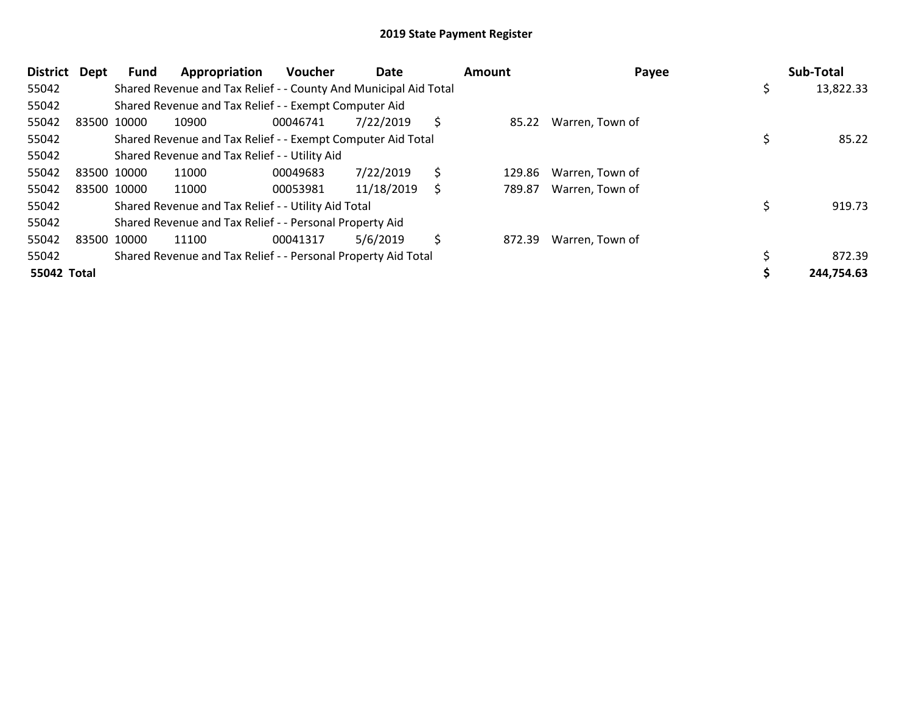| <b>District</b> | Dept        | Fund | Appropriation                                                    | <b>Voucher</b> | Date       |     | <b>Amount</b> | Payee                 | Sub-Total  |
|-----------------|-------------|------|------------------------------------------------------------------|----------------|------------|-----|---------------|-----------------------|------------|
| 55042           |             |      | Shared Revenue and Tax Relief - - County And Municipal Aid Total |                |            |     |               |                       | 13,822.33  |
| 55042           |             |      | Shared Revenue and Tax Relief - - Exempt Computer Aid            |                |            |     |               |                       |            |
| 55042           | 83500 10000 |      | 10900                                                            | 00046741       | 7/22/2019  | \$. |               | 85.22 Warren, Town of |            |
| 55042           |             |      | Shared Revenue and Tax Relief - - Exempt Computer Aid Total      |                |            |     |               |                       | 85.22      |
| 55042           |             |      | Shared Revenue and Tax Relief - - Utility Aid                    |                |            |     |               |                       |            |
| 55042           | 83500 10000 |      | 11000                                                            | 00049683       | 7/22/2019  | \$  | 129.86        | Warren, Town of       |            |
| 55042           | 83500 10000 |      | 11000                                                            | 00053981       | 11/18/2019 | \$  | 789.87        | Warren, Town of       |            |
| 55042           |             |      | Shared Revenue and Tax Relief - - Utility Aid Total              |                |            |     |               |                       | 919.73     |
| 55042           |             |      | Shared Revenue and Tax Relief - - Personal Property Aid          |                |            |     |               |                       |            |
| 55042           | 83500 10000 |      | 11100                                                            | 00041317       | 5/6/2019   | \$  | 872.39        | Warren, Town of       |            |
| 55042           |             |      | Shared Revenue and Tax Relief - - Personal Property Aid Total    |                |            |     |               |                       | 872.39     |
| 55042 Total     |             |      |                                                                  |                |            |     |               |                       | 244,754.63 |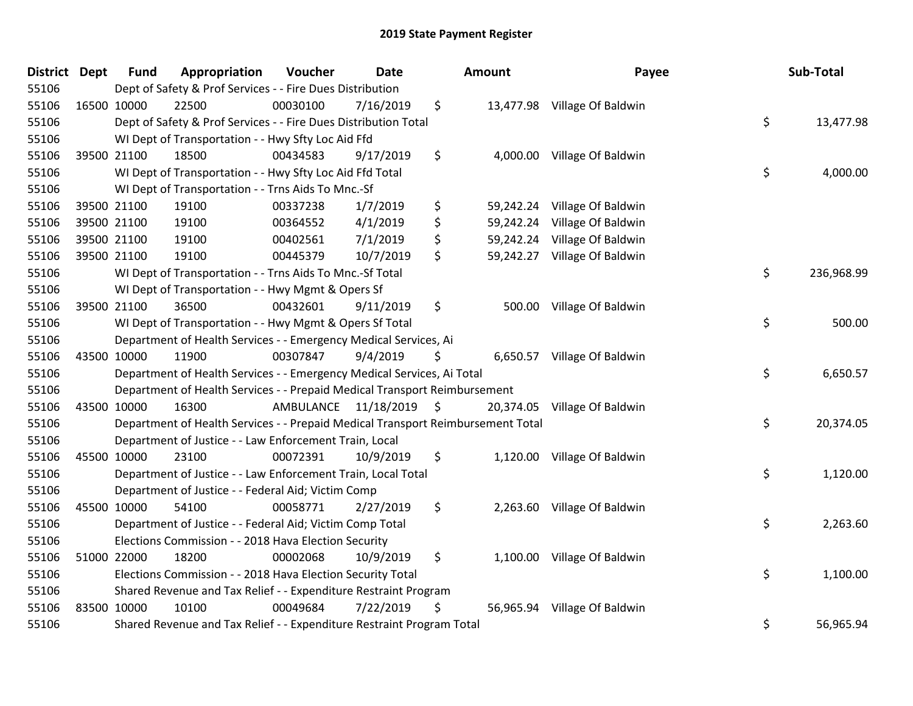| District Dept | <b>Fund</b> | Appropriation                                                                   | Voucher  | <b>Date</b>             | Amount          | Payee                        | Sub-Total        |
|---------------|-------------|---------------------------------------------------------------------------------|----------|-------------------------|-----------------|------------------------------|------------------|
| 55106         |             | Dept of Safety & Prof Services - - Fire Dues Distribution                       |          |                         |                 |                              |                  |
| 55106         | 16500 10000 | 22500                                                                           | 00030100 | 7/16/2019               | \$              | 13,477.98 Village Of Baldwin |                  |
| 55106         |             | Dept of Safety & Prof Services - - Fire Dues Distribution Total                 |          |                         |                 |                              | \$<br>13,477.98  |
| 55106         |             | WI Dept of Transportation - - Hwy Sfty Loc Aid Ffd                              |          |                         |                 |                              |                  |
| 55106         | 39500 21100 | 18500                                                                           | 00434583 | 9/17/2019               | \$              | 4,000.00 Village Of Baldwin  |                  |
| 55106         |             | WI Dept of Transportation - - Hwy Sfty Loc Aid Ffd Total                        |          |                         |                 |                              | \$<br>4,000.00   |
| 55106         |             | WI Dept of Transportation - - Trns Aids To Mnc.-Sf                              |          |                         |                 |                              |                  |
| 55106         | 39500 21100 | 19100                                                                           | 00337238 | 1/7/2019                | \$              | 59,242.24 Village Of Baldwin |                  |
| 55106         | 39500 21100 | 19100                                                                           | 00364552 | 4/1/2019                | \$              | 59,242.24 Village Of Baldwin |                  |
| 55106         | 39500 21100 | 19100                                                                           | 00402561 | 7/1/2019                | \$<br>59,242.24 | Village Of Baldwin           |                  |
| 55106         | 39500 21100 | 19100                                                                           | 00445379 | 10/7/2019               | \$              | 59,242.27 Village Of Baldwin |                  |
| 55106         |             | WI Dept of Transportation - - Trns Aids To Mnc.-Sf Total                        |          |                         |                 |                              | \$<br>236,968.99 |
| 55106         |             | WI Dept of Transportation - - Hwy Mgmt & Opers Sf                               |          |                         |                 |                              |                  |
| 55106         | 39500 21100 | 36500                                                                           | 00432601 | 9/11/2019               | \$              | 500.00 Village Of Baldwin    |                  |
| 55106         |             | WI Dept of Transportation - - Hwy Mgmt & Opers Sf Total                         |          |                         |                 |                              | \$<br>500.00     |
| 55106         |             | Department of Health Services - - Emergency Medical Services, Ai                |          |                         |                 |                              |                  |
| 55106         | 43500 10000 | 11900                                                                           | 00307847 | 9/4/2019                | \$              | 6,650.57 Village Of Baldwin  |                  |
| 55106         |             | Department of Health Services - - Emergency Medical Services, Ai Total          |          |                         |                 |                              | \$<br>6,650.57   |
| 55106         |             | Department of Health Services - - Prepaid Medical Transport Reimbursement       |          |                         |                 |                              |                  |
| 55106         | 43500 10000 | 16300                                                                           |          | AMBULANCE 11/18/2019 \$ | 20,374.05       | Village Of Baldwin           |                  |
| 55106         |             | Department of Health Services - - Prepaid Medical Transport Reimbursement Total |          |                         |                 |                              | \$<br>20,374.05  |
| 55106         |             | Department of Justice - - Law Enforcement Train, Local                          |          |                         |                 |                              |                  |
| 55106         | 45500 10000 | 23100                                                                           | 00072391 | 10/9/2019               | \$              | 1,120.00 Village Of Baldwin  |                  |
| 55106         |             | Department of Justice - - Law Enforcement Train, Local Total                    |          |                         |                 |                              | \$<br>1,120.00   |
| 55106         |             | Department of Justice - - Federal Aid; Victim Comp                              |          |                         |                 |                              |                  |
| 55106         | 45500 10000 | 54100                                                                           | 00058771 | 2/27/2019               | \$              | 2,263.60 Village Of Baldwin  |                  |
| 55106         |             | Department of Justice - - Federal Aid; Victim Comp Total                        |          |                         |                 |                              | \$<br>2,263.60   |
| 55106         |             | Elections Commission - - 2018 Hava Election Security                            |          |                         |                 |                              |                  |
| 55106         | 51000 22000 | 18200                                                                           | 00002068 | 10/9/2019               | \$              | 1,100.00 Village Of Baldwin  |                  |
| 55106         |             | Elections Commission - - 2018 Hava Election Security Total                      |          |                         |                 |                              | \$<br>1,100.00   |
| 55106         |             | Shared Revenue and Tax Relief - - Expenditure Restraint Program                 |          |                         |                 |                              |                  |
| 55106         | 83500 10000 | 10100                                                                           | 00049684 | 7/22/2019               | \$              | 56,965.94 Village Of Baldwin |                  |
| 55106         |             | Shared Revenue and Tax Relief - - Expenditure Restraint Program Total           |          |                         |                 |                              | \$<br>56,965.94  |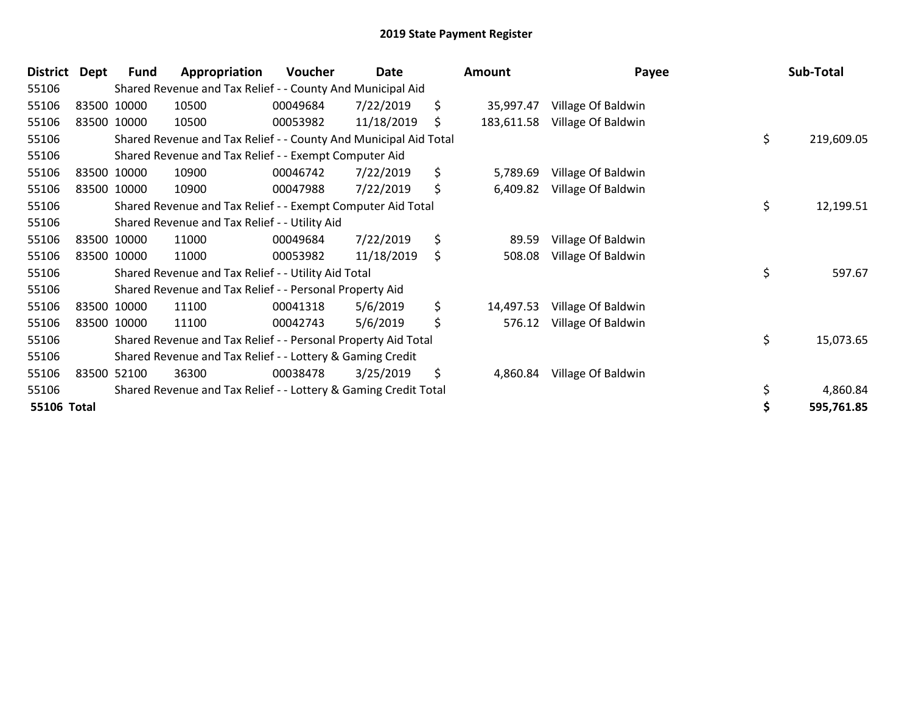| <b>District</b> | Dept | <b>Fund</b> | Appropriation                                                    | Voucher  | Date       | <b>Amount</b>    | Payee              | Sub-Total        |
|-----------------|------|-------------|------------------------------------------------------------------|----------|------------|------------------|--------------------|------------------|
| 55106           |      |             | Shared Revenue and Tax Relief - - County And Municipal Aid       |          |            |                  |                    |                  |
| 55106           |      | 83500 10000 | 10500                                                            | 00049684 | 7/22/2019  | \$<br>35,997.47  | Village Of Baldwin |                  |
| 55106           |      | 83500 10000 | 10500                                                            | 00053982 | 11/18/2019 | \$<br>183,611.58 | Village Of Baldwin |                  |
| 55106           |      |             | Shared Revenue and Tax Relief - - County And Municipal Aid Total |          |            |                  |                    | \$<br>219,609.05 |
| 55106           |      |             | Shared Revenue and Tax Relief - - Exempt Computer Aid            |          |            |                  |                    |                  |
| 55106           |      | 83500 10000 | 10900                                                            | 00046742 | 7/22/2019  | \$<br>5,789.69   | Village Of Baldwin |                  |
| 55106           |      | 83500 10000 | 10900                                                            | 00047988 | 7/22/2019  | \$<br>6,409.82   | Village Of Baldwin |                  |
| 55106           |      |             | Shared Revenue and Tax Relief - - Exempt Computer Aid Total      |          |            |                  |                    | \$<br>12,199.51  |
| 55106           |      |             | Shared Revenue and Tax Relief - - Utility Aid                    |          |            |                  |                    |                  |
| 55106           |      | 83500 10000 | 11000                                                            | 00049684 | 7/22/2019  | \$<br>89.59      | Village Of Baldwin |                  |
| 55106           |      | 83500 10000 | 11000                                                            | 00053982 | 11/18/2019 | \$<br>508.08     | Village Of Baldwin |                  |
| 55106           |      |             | Shared Revenue and Tax Relief - - Utility Aid Total              |          |            |                  |                    | \$<br>597.67     |
| 55106           |      |             | Shared Revenue and Tax Relief - - Personal Property Aid          |          |            |                  |                    |                  |
| 55106           |      | 83500 10000 | 11100                                                            | 00041318 | 5/6/2019   | \$<br>14,497.53  | Village Of Baldwin |                  |
| 55106           |      | 83500 10000 | 11100                                                            | 00042743 | 5/6/2019   | \$<br>576.12     | Village Of Baldwin |                  |
| 55106           |      |             | Shared Revenue and Tax Relief - - Personal Property Aid Total    |          |            |                  |                    | \$<br>15,073.65  |
| 55106           |      |             | Shared Revenue and Tax Relief - - Lottery & Gaming Credit        |          |            |                  |                    |                  |
| 55106           |      | 83500 52100 | 36300                                                            | 00038478 | 3/25/2019  | \$<br>4,860.84   | Village Of Baldwin |                  |
| 55106           |      |             | Shared Revenue and Tax Relief - - Lottery & Gaming Credit Total  |          |            |                  |                    | 4,860.84         |
| 55106 Total     |      |             |                                                                  |          |            |                  |                    | 595,761.85       |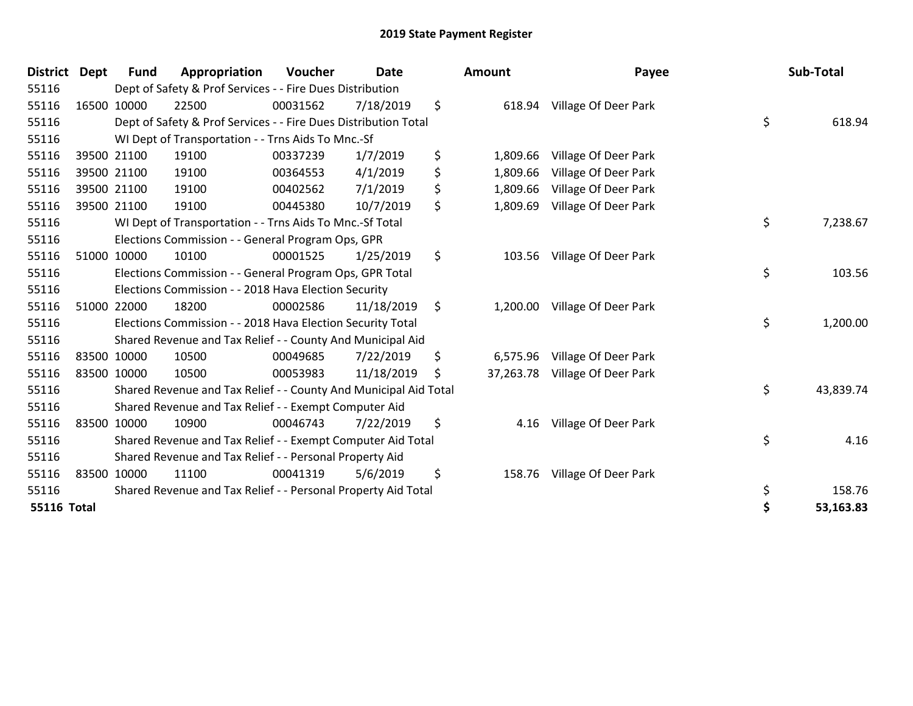| <b>District</b>    | <b>Dept</b> | <b>Fund</b> | Appropriation                                                    | Voucher  | <b>Date</b> |      | <b>Amount</b> | Payee                       | Sub-Total       |
|--------------------|-------------|-------------|------------------------------------------------------------------|----------|-------------|------|---------------|-----------------------------|-----------------|
| 55116              |             |             | Dept of Safety & Prof Services - - Fire Dues Distribution        |          |             |      |               |                             |                 |
| 55116              |             | 16500 10000 | 22500                                                            | 00031562 | 7/18/2019   | \$   |               | 618.94 Village Of Deer Park |                 |
| 55116              |             |             | Dept of Safety & Prof Services - - Fire Dues Distribution Total  |          |             |      |               |                             | \$<br>618.94    |
| 55116              |             |             | WI Dept of Transportation - - Trns Aids To Mnc.-Sf               |          |             |      |               |                             |                 |
| 55116              |             | 39500 21100 | 19100                                                            | 00337239 | 1/7/2019    | \$   | 1,809.66      | Village Of Deer Park        |                 |
| 55116              |             | 39500 21100 | 19100                                                            | 00364553 | 4/1/2019    | \$   | 1,809.66      | Village Of Deer Park        |                 |
| 55116              |             | 39500 21100 | 19100                                                            | 00402562 | 7/1/2019    | \$   | 1,809.66      | Village Of Deer Park        |                 |
| 55116              |             | 39500 21100 | 19100                                                            | 00445380 | 10/7/2019   | \$   | 1,809.69      | Village Of Deer Park        |                 |
| 55116              |             |             | WI Dept of Transportation - - Trns Aids To Mnc.-Sf Total         |          |             |      |               |                             | \$<br>7,238.67  |
| 55116              |             |             | Elections Commission - - General Program Ops, GPR                |          |             |      |               |                             |                 |
| 55116              |             | 51000 10000 | 10100                                                            | 00001525 | 1/25/2019   | \$   | 103.56        | Village Of Deer Park        |                 |
| 55116              |             |             | Elections Commission - - General Program Ops, GPR Total          |          |             |      |               |                             | \$<br>103.56    |
| 55116              |             |             | Elections Commission - - 2018 Hava Election Security             |          |             |      |               |                             |                 |
| 55116              |             | 51000 22000 | 18200                                                            | 00002586 | 11/18/2019  | - \$ | 1,200.00      | Village Of Deer Park        |                 |
| 55116              |             |             | Elections Commission - - 2018 Hava Election Security Total       |          |             |      |               |                             | \$<br>1,200.00  |
| 55116              |             |             | Shared Revenue and Tax Relief - - County And Municipal Aid       |          |             |      |               |                             |                 |
| 55116              |             | 83500 10000 | 10500                                                            | 00049685 | 7/22/2019   | \$   | 6,575.96      | Village Of Deer Park        |                 |
| 55116              |             | 83500 10000 | 10500                                                            | 00053983 | 11/18/2019  | S    | 37,263.78     | Village Of Deer Park        |                 |
| 55116              |             |             | Shared Revenue and Tax Relief - - County And Municipal Aid Total |          |             |      |               |                             | \$<br>43,839.74 |
| 55116              |             |             | Shared Revenue and Tax Relief - - Exempt Computer Aid            |          |             |      |               |                             |                 |
| 55116              |             | 83500 10000 | 10900                                                            | 00046743 | 7/22/2019   | \$   | 4.16          | Village Of Deer Park        |                 |
| 55116              |             |             | Shared Revenue and Tax Relief - - Exempt Computer Aid Total      |          |             |      |               |                             | \$<br>4.16      |
| 55116              |             |             | Shared Revenue and Tax Relief - - Personal Property Aid          |          |             |      |               |                             |                 |
| 55116              |             | 83500 10000 | 11100                                                            | 00041319 | 5/6/2019    | \$   | 158.76        | Village Of Deer Park        |                 |
| 55116              |             |             | Shared Revenue and Tax Relief - - Personal Property Aid Total    |          |             |      |               |                             | \$<br>158.76    |
| <b>55116 Total</b> |             |             |                                                                  |          |             |      |               |                             | \$<br>53,163.83 |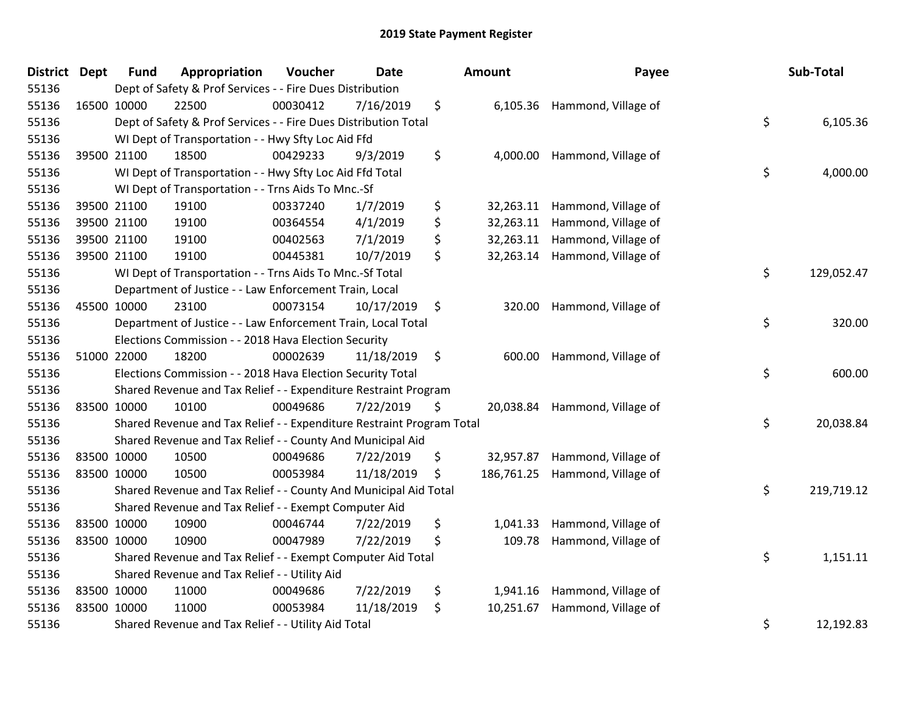| <b>District</b> | <b>Dept</b> | <b>Fund</b> | Appropriation                                                         | Voucher  | <b>Date</b> |               | Amount   | Payee                          | Sub-Total        |
|-----------------|-------------|-------------|-----------------------------------------------------------------------|----------|-------------|---------------|----------|--------------------------------|------------------|
| 55136           |             |             | Dept of Safety & Prof Services - - Fire Dues Distribution             |          |             |               |          |                                |                  |
| 55136           | 16500 10000 |             | 22500                                                                 | 00030412 | 7/16/2019   | \$            |          | 6,105.36 Hammond, Village of   |                  |
| 55136           |             |             | Dept of Safety & Prof Services - - Fire Dues Distribution Total       |          |             |               |          |                                | \$<br>6,105.36   |
| 55136           |             |             | WI Dept of Transportation - - Hwy Sfty Loc Aid Ffd                    |          |             |               |          |                                |                  |
| 55136           |             | 39500 21100 | 18500                                                                 | 00429233 | 9/3/2019    | \$            |          | 4,000.00 Hammond, Village of   |                  |
| 55136           |             |             | WI Dept of Transportation - - Hwy Sfty Loc Aid Ffd Total              |          |             |               |          |                                | \$<br>4,000.00   |
| 55136           |             |             | WI Dept of Transportation - - Trns Aids To Mnc.-Sf                    |          |             |               |          |                                |                  |
| 55136           |             | 39500 21100 | 19100                                                                 | 00337240 | 1/7/2019    | \$            |          | 32,263.11 Hammond, Village of  |                  |
| 55136           |             | 39500 21100 | 19100                                                                 | 00364554 | 4/1/2019    | \$            |          | 32,263.11 Hammond, Village of  |                  |
| 55136           |             | 39500 21100 | 19100                                                                 | 00402563 | 7/1/2019    | \$            |          | 32,263.11 Hammond, Village of  |                  |
| 55136           |             | 39500 21100 | 19100                                                                 | 00445381 | 10/7/2019   | \$            |          | 32,263.14 Hammond, Village of  |                  |
| 55136           |             |             | WI Dept of Transportation - - Trns Aids To Mnc.-Sf Total              |          |             |               |          |                                | \$<br>129,052.47 |
| 55136           |             |             | Department of Justice - - Law Enforcement Train, Local                |          |             |               |          |                                |                  |
| 55136           | 45500 10000 |             | 23100                                                                 | 00073154 | 10/17/2019  | $\ddot{\phi}$ | 320.00   | Hammond, Village of            |                  |
| 55136           |             |             | Department of Justice - - Law Enforcement Train, Local Total          |          |             |               |          |                                | \$<br>320.00     |
| 55136           |             |             | Elections Commission - - 2018 Hava Election Security                  |          |             |               |          |                                |                  |
| 55136           |             | 51000 22000 | 18200                                                                 | 00002639 | 11/18/2019  | \$            | 600.00   | Hammond, Village of            |                  |
| 55136           |             |             | Elections Commission - - 2018 Hava Election Security Total            |          |             |               |          |                                | \$<br>600.00     |
| 55136           |             |             | Shared Revenue and Tax Relief - - Expenditure Restraint Program       |          |             |               |          |                                |                  |
| 55136           | 83500 10000 |             | 10100                                                                 | 00049686 | 7/22/2019   | \$.           |          | 20,038.84 Hammond, Village of  |                  |
| 55136           |             |             | Shared Revenue and Tax Relief - - Expenditure Restraint Program Total |          |             |               |          |                                | \$<br>20,038.84  |
| 55136           |             |             | Shared Revenue and Tax Relief - - County And Municipal Aid            |          |             |               |          |                                |                  |
| 55136           | 83500 10000 |             | 10500                                                                 | 00049686 | 7/22/2019   | \$            |          | 32,957.87 Hammond, Village of  |                  |
| 55136           | 83500 10000 |             | 10500                                                                 | 00053984 | 11/18/2019  | \$            |          | 186,761.25 Hammond, Village of |                  |
| 55136           |             |             | Shared Revenue and Tax Relief - - County And Municipal Aid Total      |          |             |               |          |                                | \$<br>219,719.12 |
| 55136           |             |             | Shared Revenue and Tax Relief - - Exempt Computer Aid                 |          |             |               |          |                                |                  |
| 55136           | 83500 10000 |             | 10900                                                                 | 00046744 | 7/22/2019   | \$            | 1,041.33 | Hammond, Village of            |                  |
| 55136           | 83500 10000 |             | 10900                                                                 | 00047989 | 7/22/2019   | \$            |          | 109.78 Hammond, Village of     |                  |
| 55136           |             |             | Shared Revenue and Tax Relief - - Exempt Computer Aid Total           |          |             |               |          |                                | \$<br>1,151.11   |
| 55136           |             |             | Shared Revenue and Tax Relief - - Utility Aid                         |          |             |               |          |                                |                  |
| 55136           |             | 83500 10000 | 11000                                                                 | 00049686 | 7/22/2019   | \$            | 1,941.16 | Hammond, Village of            |                  |
| 55136           | 83500 10000 |             | 11000                                                                 | 00053984 | 11/18/2019  | \$            |          | 10,251.67 Hammond, Village of  |                  |
| 55136           |             |             | Shared Revenue and Tax Relief - - Utility Aid Total                   |          |             |               |          |                                | \$<br>12,192.83  |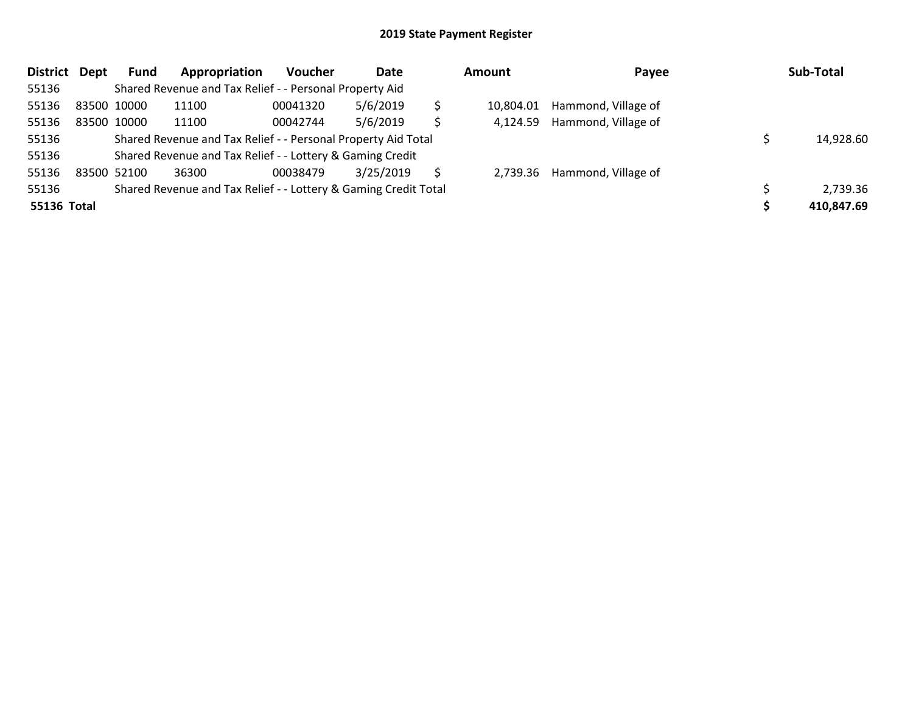| <b>District</b> | Dept | Fund        | Appropriation                                                   | <b>Voucher</b> | Date      |    | Amount    | Payee                        | Sub-Total  |
|-----------------|------|-------------|-----------------------------------------------------------------|----------------|-----------|----|-----------|------------------------------|------------|
| 55136           |      |             | Shared Revenue and Tax Relief - - Personal Property Aid         |                |           |    |           |                              |            |
| 55136           |      | 83500 10000 | 11100                                                           | 00041320       | 5/6/2019  | \$ | 10,804.01 | Hammond, Village of          |            |
| 55136           |      | 83500 10000 | 11100                                                           | 00042744       | 5/6/2019  | \$ | 4.124.59  | Hammond, Village of          |            |
| 55136           |      |             | Shared Revenue and Tax Relief - - Personal Property Aid Total   |                |           |    |           |                              | 14,928.60  |
| 55136           |      |             | Shared Revenue and Tax Relief - - Lottery & Gaming Credit       |                |           |    |           |                              |            |
| 55136           |      | 83500 52100 | 36300                                                           | 00038479       | 3/25/2019 | S  |           | 2,739.36 Hammond, Village of |            |
| 55136           |      |             | Shared Revenue and Tax Relief - - Lottery & Gaming Credit Total |                |           |    |           |                              | 2,739.36   |
| 55136 Total     |      |             |                                                                 |                |           |    |           |                              | 410,847.69 |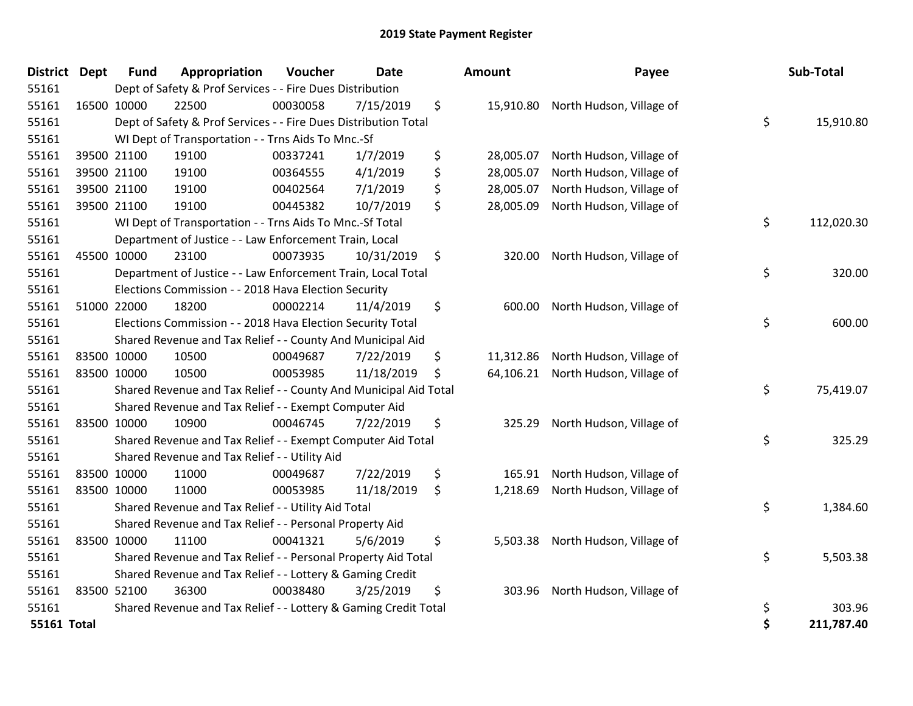| <b>District Dept</b> | <b>Fund</b> | Appropriation                                                    | Voucher  | <b>Date</b> | Amount          | Payee                              | Sub-Total        |
|----------------------|-------------|------------------------------------------------------------------|----------|-------------|-----------------|------------------------------------|------------------|
| 55161                |             | Dept of Safety & Prof Services - - Fire Dues Distribution        |          |             |                 |                                    |                  |
| 55161                | 16500 10000 | 22500                                                            | 00030058 | 7/15/2019   | \$              | 15,910.80 North Hudson, Village of |                  |
| 55161                |             | Dept of Safety & Prof Services - - Fire Dues Distribution Total  |          |             |                 |                                    | \$<br>15,910.80  |
| 55161                |             | WI Dept of Transportation - - Trns Aids To Mnc.-Sf               |          |             |                 |                                    |                  |
| 55161                | 39500 21100 | 19100                                                            | 00337241 | 1/7/2019    | \$<br>28,005.07 | North Hudson, Village of           |                  |
| 55161                | 39500 21100 | 19100                                                            | 00364555 | 4/1/2019    | \$<br>28,005.07 | North Hudson, Village of           |                  |
| 55161                | 39500 21100 | 19100                                                            | 00402564 | 7/1/2019    | \$<br>28,005.07 | North Hudson, Village of           |                  |
| 55161                | 39500 21100 | 19100                                                            | 00445382 | 10/7/2019   | \$<br>28,005.09 | North Hudson, Village of           |                  |
| 55161                |             | WI Dept of Transportation - - Trns Aids To Mnc.-Sf Total         |          |             |                 |                                    | \$<br>112,020.30 |
| 55161                |             | Department of Justice - - Law Enforcement Train, Local           |          |             |                 |                                    |                  |
| 55161                | 45500 10000 | 23100                                                            | 00073935 | 10/31/2019  | \$<br>320.00    | North Hudson, Village of           |                  |
| 55161                |             | Department of Justice - - Law Enforcement Train, Local Total     |          |             |                 |                                    | \$<br>320.00     |
| 55161                |             | Elections Commission - - 2018 Hava Election Security             |          |             |                 |                                    |                  |
| 55161                | 51000 22000 | 18200                                                            | 00002214 | 11/4/2019   | \$<br>600.00    | North Hudson, Village of           |                  |
| 55161                |             | Elections Commission - - 2018 Hava Election Security Total       |          |             |                 |                                    | \$<br>600.00     |
| 55161                |             | Shared Revenue and Tax Relief - - County And Municipal Aid       |          |             |                 |                                    |                  |
| 55161                | 83500 10000 | 10500                                                            | 00049687 | 7/22/2019   | \$<br>11,312.86 | North Hudson, Village of           |                  |
| 55161                | 83500 10000 | 10500                                                            | 00053985 | 11/18/2019  | \$<br>64,106.21 | North Hudson, Village of           |                  |
| 55161                |             | Shared Revenue and Tax Relief - - County And Municipal Aid Total |          |             |                 |                                    | \$<br>75,419.07  |
| 55161                |             | Shared Revenue and Tax Relief - - Exempt Computer Aid            |          |             |                 |                                    |                  |
| 55161                | 83500 10000 | 10900                                                            | 00046745 | 7/22/2019   | \$<br>325.29    | North Hudson, Village of           |                  |
| 55161                |             | Shared Revenue and Tax Relief - - Exempt Computer Aid Total      |          |             |                 |                                    | \$<br>325.29     |
| 55161                |             | Shared Revenue and Tax Relief - - Utility Aid                    |          |             |                 |                                    |                  |
| 55161                | 83500 10000 | 11000                                                            | 00049687 | 7/22/2019   | \$<br>165.91    | North Hudson, Village of           |                  |
| 55161                | 83500 10000 | 11000                                                            | 00053985 | 11/18/2019  | \$<br>1,218.69  | North Hudson, Village of           |                  |
| 55161                |             | Shared Revenue and Tax Relief - - Utility Aid Total              |          |             |                 |                                    | \$<br>1,384.60   |
| 55161                |             | Shared Revenue and Tax Relief - - Personal Property Aid          |          |             |                 |                                    |                  |
| 55161                | 83500 10000 | 11100                                                            | 00041321 | 5/6/2019    | \$<br>5,503.38  | North Hudson, Village of           |                  |
| 55161                |             | Shared Revenue and Tax Relief - - Personal Property Aid Total    |          |             |                 |                                    | \$<br>5,503.38   |
| 55161                |             | Shared Revenue and Tax Relief - - Lottery & Gaming Credit        |          |             |                 |                                    |                  |
| 55161                | 83500 52100 | 36300                                                            | 00038480 | 3/25/2019   | \$<br>303.96    | North Hudson, Village of           |                  |
| 55161                |             | Shared Revenue and Tax Relief - - Lottery & Gaming Credit Total  |          |             |                 |                                    | \$<br>303.96     |
| 55161 Total          |             |                                                                  |          |             |                 |                                    | \$<br>211,787.40 |

| District Dept      |             | <b>Fund</b> | Appropriation                                                    | Voucher  | Date       |    | Amount    | Payee                              | Sub-Total        |
|--------------------|-------------|-------------|------------------------------------------------------------------|----------|------------|----|-----------|------------------------------------|------------------|
| 55161              |             |             | Dept of Safety & Prof Services - - Fire Dues Distribution        |          |            |    |           |                                    |                  |
| 55161              | 16500 10000 |             | 22500                                                            | 00030058 | 7/15/2019  | \$ |           | 15,910.80 North Hudson, Village of |                  |
| 55161              |             |             | Dept of Safety & Prof Services - - Fire Dues Distribution Total  |          |            |    |           |                                    | \$<br>15,910.80  |
| 55161              |             |             | WI Dept of Transportation - - Trns Aids To Mnc.-Sf               |          |            |    |           |                                    |                  |
| 55161              |             | 39500 21100 | 19100                                                            | 00337241 | 1/7/2019   | \$ | 28,005.07 | North Hudson, Village of           |                  |
| 55161              |             | 39500 21100 | 19100                                                            | 00364555 | 4/1/2019   | \$ | 28,005.07 | North Hudson, Village of           |                  |
| 55161              |             | 39500 21100 | 19100                                                            | 00402564 | 7/1/2019   | \$ | 28,005.07 | North Hudson, Village of           |                  |
| 55161              | 39500 21100 |             | 19100                                                            | 00445382 | 10/7/2019  | \$ | 28,005.09 | North Hudson, Village of           |                  |
| 55161              |             |             | WI Dept of Transportation - - Trns Aids To Mnc.-Sf Total         |          |            |    |           |                                    | \$<br>112,020.30 |
| 55161              |             |             | Department of Justice - - Law Enforcement Train, Local           |          |            |    |           |                                    |                  |
| 55161              |             | 45500 10000 | 23100                                                            | 00073935 | 10/31/2019 | \$ | 320.00    | North Hudson, Village of           |                  |
| 55161              |             |             | Department of Justice - - Law Enforcement Train, Local Total     |          |            |    |           |                                    | \$<br>320.00     |
| 55161              |             |             | Elections Commission - - 2018 Hava Election Security             |          |            |    |           |                                    |                  |
| 55161              | 51000 22000 |             | 18200                                                            | 00002214 | 11/4/2019  | \$ |           | 600.00 North Hudson, Village of    |                  |
| 55161              |             |             | Elections Commission - - 2018 Hava Election Security Total       |          |            |    |           |                                    | \$<br>600.00     |
| 55161              |             |             | Shared Revenue and Tax Relief - - County And Municipal Aid       |          |            |    |           |                                    |                  |
| 55161              |             | 83500 10000 | 10500                                                            | 00049687 | 7/22/2019  | \$ | 11,312.86 | North Hudson, Village of           |                  |
| 55161              | 83500 10000 |             | 10500                                                            | 00053985 | 11/18/2019 | S  | 64,106.21 | North Hudson, Village of           |                  |
| 55161              |             |             | Shared Revenue and Tax Relief - - County And Municipal Aid Total |          |            |    |           |                                    | \$<br>75,419.07  |
| 55161              |             |             | Shared Revenue and Tax Relief - - Exempt Computer Aid            |          |            |    |           |                                    |                  |
| 55161              | 83500 10000 |             | 10900                                                            | 00046745 | 7/22/2019  | \$ | 325.29    | North Hudson, Village of           |                  |
| 55161              |             |             | Shared Revenue and Tax Relief - - Exempt Computer Aid Total      |          |            |    |           |                                    | \$<br>325.29     |
| 55161              |             |             | Shared Revenue and Tax Relief - - Utility Aid                    |          |            |    |           |                                    |                  |
| 55161              |             | 83500 10000 | 11000                                                            | 00049687 | 7/22/2019  | \$ | 165.91    | North Hudson, Village of           |                  |
| 55161              |             | 83500 10000 | 11000                                                            | 00053985 | 11/18/2019 | \$ | 1,218.69  | North Hudson, Village of           |                  |
| 55161              |             |             | Shared Revenue and Tax Relief - - Utility Aid Total              |          |            |    |           |                                    | \$<br>1,384.60   |
| 55161              |             |             | Shared Revenue and Tax Relief - - Personal Property Aid          |          |            |    |           |                                    |                  |
| 55161              |             | 83500 10000 | 11100                                                            | 00041321 | 5/6/2019   | \$ | 5,503.38  | North Hudson, Village of           |                  |
| 55161              |             |             | Shared Revenue and Tax Relief - - Personal Property Aid Total    |          |            |    |           |                                    | \$<br>5,503.38   |
| 55161              |             |             | Shared Revenue and Tax Relief - - Lottery & Gaming Credit        |          |            |    |           |                                    |                  |
| 55161              | 83500 52100 |             | 36300                                                            | 00038480 | 3/25/2019  | \$ |           | 303.96 North Hudson, Village of    |                  |
| 55161              |             |             | Shared Revenue and Tax Relief - - Lottery & Gaming Credit Total  |          |            |    |           |                                    | \$<br>303.96     |
| <b>55161 Total</b> |             |             |                                                                  |          |            |    |           |                                    | \$<br>211,787.40 |
|                    |             |             |                                                                  |          |            |    |           |                                    |                  |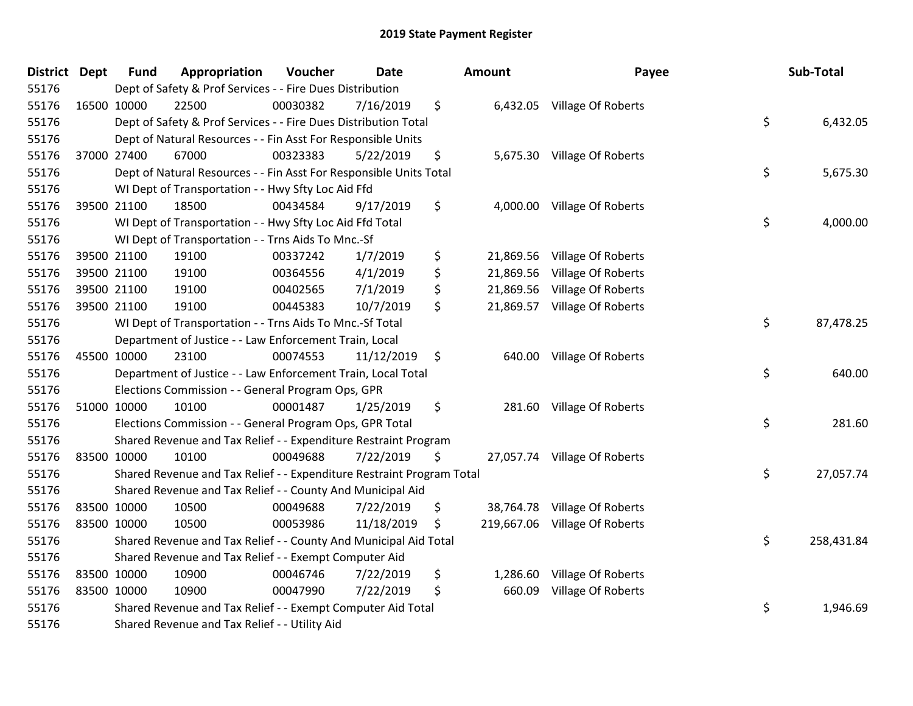| District | <b>Dept</b> | <b>Fund</b> | Appropriation                                                         | Voucher  | <b>Date</b> | Amount          | Payee                         | Sub-Total        |
|----------|-------------|-------------|-----------------------------------------------------------------------|----------|-------------|-----------------|-------------------------------|------------------|
| 55176    |             |             | Dept of Safety & Prof Services - - Fire Dues Distribution             |          |             |                 |                               |                  |
| 55176    | 16500 10000 |             | 22500                                                                 | 00030382 | 7/16/2019   | \$              | 6,432.05 Village Of Roberts   |                  |
| 55176    |             |             | Dept of Safety & Prof Services - - Fire Dues Distribution Total       |          |             |                 |                               | \$<br>6,432.05   |
| 55176    |             |             | Dept of Natural Resources - - Fin Asst For Responsible Units          |          |             |                 |                               |                  |
| 55176    |             | 37000 27400 | 67000                                                                 | 00323383 | 5/22/2019   | \$              | 5,675.30 Village Of Roberts   |                  |
| 55176    |             |             | Dept of Natural Resources - - Fin Asst For Responsible Units Total    |          |             |                 |                               | \$<br>5,675.30   |
| 55176    |             |             | WI Dept of Transportation - - Hwy Sfty Loc Aid Ffd                    |          |             |                 |                               |                  |
| 55176    |             | 39500 21100 | 18500                                                                 | 00434584 | 9/17/2019   | \$              | 4,000.00 Village Of Roberts   |                  |
| 55176    |             |             | WI Dept of Transportation - - Hwy Sfty Loc Aid Ffd Total              |          |             |                 |                               | \$<br>4,000.00   |
| 55176    |             |             | WI Dept of Transportation - - Trns Aids To Mnc.-Sf                    |          |             |                 |                               |                  |
| 55176    |             | 39500 21100 | 19100                                                                 | 00337242 | 1/7/2019    | \$              | 21,869.56 Village Of Roberts  |                  |
| 55176    |             | 39500 21100 | 19100                                                                 | 00364556 | 4/1/2019    | \$<br>21,869.56 | Village Of Roberts            |                  |
| 55176    |             | 39500 21100 | 19100                                                                 | 00402565 | 7/1/2019    | \$<br>21,869.56 | Village Of Roberts            |                  |
| 55176    |             | 39500 21100 | 19100                                                                 | 00445383 | 10/7/2019   | \$<br>21,869.57 | Village Of Roberts            |                  |
| 55176    |             |             | WI Dept of Transportation - - Trns Aids To Mnc.-Sf Total              |          |             |                 |                               | \$<br>87,478.25  |
| 55176    |             |             | Department of Justice - - Law Enforcement Train, Local                |          |             |                 |                               |                  |
| 55176    | 45500 10000 |             | 23100                                                                 | 00074553 | 11/12/2019  | \$              | 640.00 Village Of Roberts     |                  |
| 55176    |             |             | Department of Justice - - Law Enforcement Train, Local Total          |          |             |                 |                               | \$<br>640.00     |
| 55176    |             |             | Elections Commission - - General Program Ops, GPR                     |          |             |                 |                               |                  |
| 55176    |             | 51000 10000 | 10100                                                                 | 00001487 | 1/25/2019   | \$              | 281.60 Village Of Roberts     |                  |
| 55176    |             |             | Elections Commission - - General Program Ops, GPR Total               |          |             |                 |                               | \$<br>281.60     |
| 55176    |             |             | Shared Revenue and Tax Relief - - Expenditure Restraint Program       |          |             |                 |                               |                  |
| 55176    | 83500 10000 |             | 10100                                                                 | 00049688 | 7/22/2019   | \$              | 27,057.74 Village Of Roberts  |                  |
| 55176    |             |             | Shared Revenue and Tax Relief - - Expenditure Restraint Program Total |          |             |                 |                               | \$<br>27,057.74  |
| 55176    |             |             | Shared Revenue and Tax Relief - - County And Municipal Aid            |          |             |                 |                               |                  |
| 55176    |             | 83500 10000 | 10500                                                                 | 00049688 | 7/22/2019   | \$              | 38,764.78 Village Of Roberts  |                  |
| 55176    | 83500 10000 |             | 10500                                                                 | 00053986 | 11/18/2019  | \$              | 219,667.06 Village Of Roberts |                  |
| 55176    |             |             | Shared Revenue and Tax Relief - - County And Municipal Aid Total      |          |             |                 |                               | \$<br>258,431.84 |
| 55176    |             |             | Shared Revenue and Tax Relief - - Exempt Computer Aid                 |          |             |                 |                               |                  |
| 55176    | 83500 10000 |             | 10900                                                                 | 00046746 | 7/22/2019   | \$<br>1,286.60  | Village Of Roberts            |                  |
| 55176    | 83500 10000 |             | 10900                                                                 | 00047990 | 7/22/2019   | \$<br>660.09    | Village Of Roberts            |                  |
| 55176    |             |             | Shared Revenue and Tax Relief - - Exempt Computer Aid Total           |          |             |                 |                               | \$<br>1,946.69   |
| 55176    |             |             | Shared Revenue and Tax Relief - - Utility Aid                         |          |             |                 |                               |                  |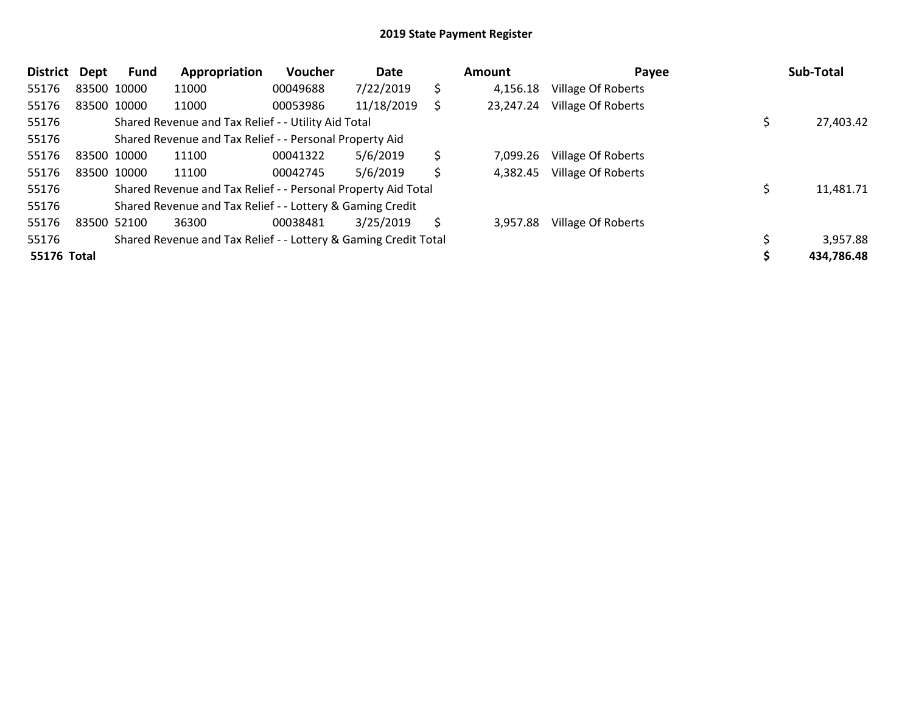| District    | Dept        | Fund        | Appropriation                                                   | Voucher  | Date       |    | <b>Amount</b> | Payee                     | Sub-Total  |
|-------------|-------------|-------------|-----------------------------------------------------------------|----------|------------|----|---------------|---------------------------|------------|
| 55176       |             | 83500 10000 | 11000                                                           | 00049688 | 7/22/2019  | \$ | 4,156.18      | <b>Village Of Roberts</b> |            |
| 55176       | 83500 10000 |             | 11000                                                           | 00053986 | 11/18/2019 | S  | 23,247.24     | <b>Village Of Roberts</b> |            |
| 55176       |             |             | Shared Revenue and Tax Relief - - Utility Aid Total             |          |            |    |               |                           | 27,403.42  |
| 55176       |             |             | Shared Revenue and Tax Relief - - Personal Property Aid         |          |            |    |               |                           |            |
| 55176       | 83500 10000 |             | 11100                                                           | 00041322 | 5/6/2019   | \$ | 7,099.26      | Village Of Roberts        |            |
| 55176       |             | 83500 10000 | 11100                                                           | 00042745 | 5/6/2019   | \$ | 4.382.45      | Village Of Roberts        |            |
| 55176       |             |             | Shared Revenue and Tax Relief - - Personal Property Aid Total   |          |            |    |               |                           | 11,481.71  |
| 55176       |             |             | Shared Revenue and Tax Relief - - Lottery & Gaming Credit       |          |            |    |               |                           |            |
| 55176       |             | 83500 52100 | 36300                                                           | 00038481 | 3/25/2019  | S  | 3,957.88      | Village Of Roberts        |            |
| 55176       |             |             | Shared Revenue and Tax Relief - - Lottery & Gaming Credit Total |          |            |    |               |                           | 3,957.88   |
| 55176 Total |             |             |                                                                 |          |            |    |               |                           | 434,786.48 |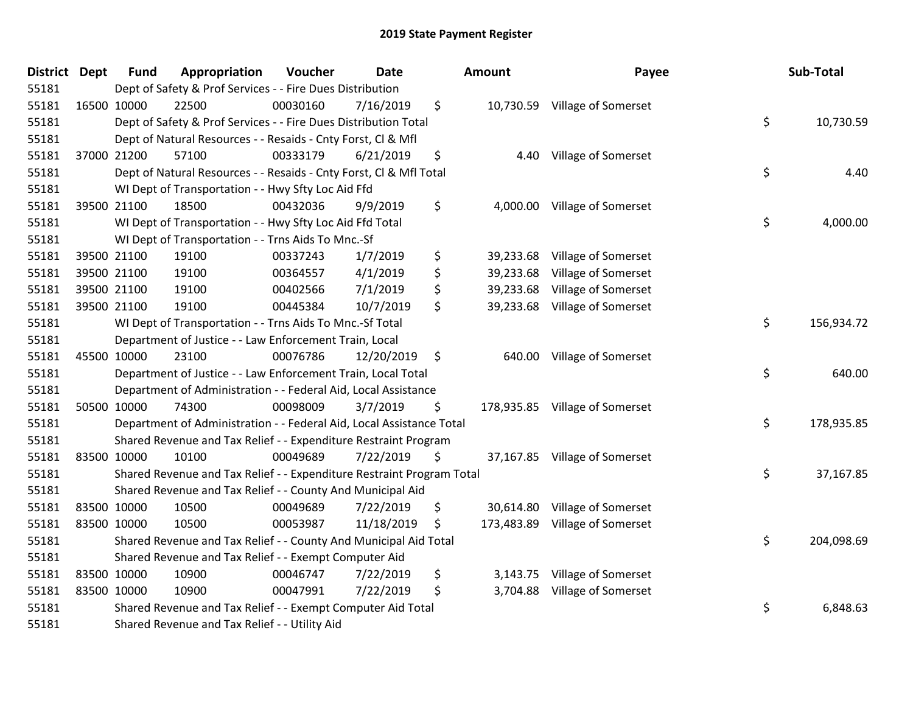| District Dept | <b>Fund</b> | Appropriation                                                         | Voucher  | <b>Date</b> | Amount          | Payee                          | Sub-Total        |
|---------------|-------------|-----------------------------------------------------------------------|----------|-------------|-----------------|--------------------------------|------------------|
| 55181         |             | Dept of Safety & Prof Services - - Fire Dues Distribution             |          |             |                 |                                |                  |
| 55181         | 16500 10000 | 22500                                                                 | 00030160 | 7/16/2019   | \$              | 10,730.59 Village of Somerset  |                  |
| 55181         |             | Dept of Safety & Prof Services - - Fire Dues Distribution Total       |          |             |                 |                                | \$<br>10,730.59  |
| 55181         |             | Dept of Natural Resources - - Resaids - Cnty Forst, Cl & Mfl          |          |             |                 |                                |                  |
| 55181         | 37000 21200 | 57100                                                                 | 00333179 | 6/21/2019   | \$<br>4.40      | Village of Somerset            |                  |
| 55181         |             | Dept of Natural Resources - - Resaids - Cnty Forst, Cl & Mfl Total    |          |             |                 |                                | \$<br>4.40       |
| 55181         |             | WI Dept of Transportation - - Hwy Sfty Loc Aid Ffd                    |          |             |                 |                                |                  |
| 55181         | 39500 21100 | 18500                                                                 | 00432036 | 9/9/2019    | \$              | 4,000.00 Village of Somerset   |                  |
| 55181         |             | WI Dept of Transportation - - Hwy Sfty Loc Aid Ffd Total              |          |             |                 |                                | \$<br>4,000.00   |
| 55181         |             | WI Dept of Transportation - - Trns Aids To Mnc.-Sf                    |          |             |                 |                                |                  |
| 55181         | 39500 21100 | 19100                                                                 | 00337243 | 1/7/2019    | \$              | 39,233.68 Village of Somerset  |                  |
| 55181         | 39500 21100 | 19100                                                                 | 00364557 | 4/1/2019    | \$<br>39,233.68 | Village of Somerset            |                  |
| 55181         | 39500 21100 | 19100                                                                 | 00402566 | 7/1/2019    | \$              | 39,233.68 Village of Somerset  |                  |
| 55181         | 39500 21100 | 19100                                                                 | 00445384 | 10/7/2019   | \$<br>39,233.68 | <b>Village of Somerset</b>     |                  |
| 55181         |             | WI Dept of Transportation - - Trns Aids To Mnc.-Sf Total              |          |             |                 |                                | \$<br>156,934.72 |
| 55181         |             | Department of Justice - - Law Enforcement Train, Local                |          |             |                 |                                |                  |
| 55181         | 45500 10000 | 23100                                                                 | 00076786 | 12/20/2019  | \$              | 640.00 Village of Somerset     |                  |
| 55181         |             | Department of Justice - - Law Enforcement Train, Local Total          |          |             |                 |                                | \$<br>640.00     |
| 55181         |             | Department of Administration - - Federal Aid, Local Assistance        |          |             |                 |                                |                  |
| 55181         | 50500 10000 | 74300                                                                 | 00098009 | 3/7/2019    | \$              | 178,935.85 Village of Somerset |                  |
| 55181         |             | Department of Administration - - Federal Aid, Local Assistance Total  |          |             |                 |                                | \$<br>178,935.85 |
| 55181         |             | Shared Revenue and Tax Relief - - Expenditure Restraint Program       |          |             |                 |                                |                  |
| 55181         | 83500 10000 | 10100                                                                 | 00049689 | 7/22/2019   | \$              | 37,167.85 Village of Somerset  |                  |
| 55181         |             | Shared Revenue and Tax Relief - - Expenditure Restraint Program Total |          |             |                 |                                | \$<br>37,167.85  |
| 55181         |             | Shared Revenue and Tax Relief - - County And Municipal Aid            |          |             |                 |                                |                  |
| 55181         | 83500 10000 | 10500                                                                 | 00049689 | 7/22/2019   | \$<br>30,614.80 | Village of Somerset            |                  |
| 55181         | 83500 10000 | 10500                                                                 | 00053987 | 11/18/2019  | \$              | 173,483.89 Village of Somerset |                  |
| 55181         |             | Shared Revenue and Tax Relief - - County And Municipal Aid Total      |          |             |                 |                                | \$<br>204,098.69 |
| 55181         |             | Shared Revenue and Tax Relief - - Exempt Computer Aid                 |          |             |                 |                                |                  |
| 55181         | 83500 10000 | 10900                                                                 | 00046747 | 7/22/2019   | \$              | 3,143.75 Village of Somerset   |                  |
| 55181         | 83500 10000 | 10900                                                                 | 00047991 | 7/22/2019   | \$              | 3,704.88 Village of Somerset   |                  |
| 55181         |             | Shared Revenue and Tax Relief - - Exempt Computer Aid Total           |          |             |                 |                                | \$<br>6,848.63   |
| 55181         |             | Shared Revenue and Tax Relief - - Utility Aid                         |          |             |                 |                                |                  |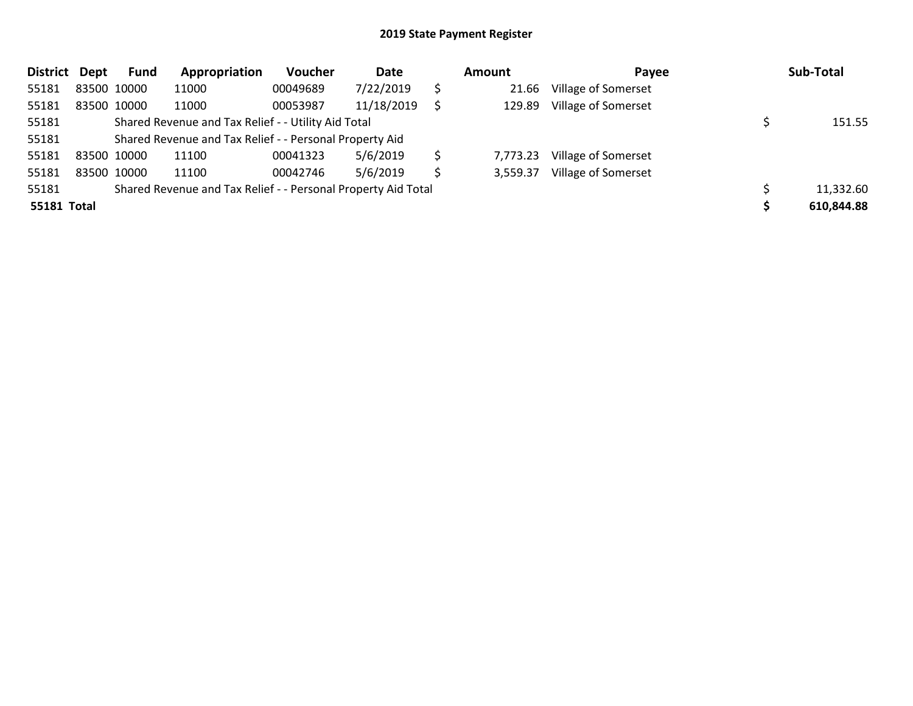| District Dept | <b>Fund</b> | Appropriation                                                 | Voucher  | Date       |    | Amount   | Payee                      | Sub-Total  |
|---------------|-------------|---------------------------------------------------------------|----------|------------|----|----------|----------------------------|------------|
| 55181         | 83500 10000 | 11000                                                         | 00049689 | 7/22/2019  | \$ | 21.66    | Village of Somerset        |            |
| 55181         | 83500 10000 | 11000                                                         | 00053987 | 11/18/2019 |    | 129.89   | Village of Somerset        |            |
| 55181         |             | Shared Revenue and Tax Relief - - Utility Aid Total           |          |            |    |          |                            | 151.55     |
| 55181         |             | Shared Revenue and Tax Relief - - Personal Property Aid       |          |            |    |          |                            |            |
| 55181         | 83500 10000 | 11100                                                         | 00041323 | 5/6/2019   | \$ | 7,773.23 | Village of Somerset        |            |
| 55181         | 83500 10000 | 11100                                                         | 00042746 | 5/6/2019   | S  | 3,559.37 | <b>Village of Somerset</b> |            |
| 55181         |             | Shared Revenue and Tax Relief - - Personal Property Aid Total |          |            |    |          |                            | 11,332.60  |
| 55181 Total   |             |                                                               |          |            |    |          |                            | 610,844.88 |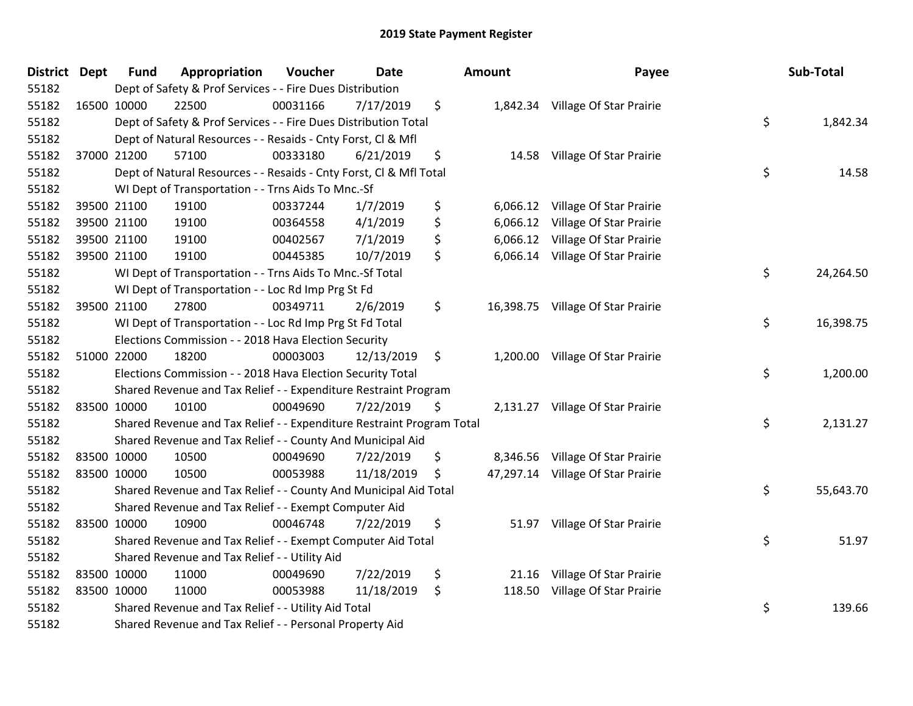| <b>District Dept</b> | <b>Fund</b> | Appropriation                                                         | Voucher  | <b>Date</b> | <b>Amount</b>  | Payee                             | Sub-Total       |
|----------------------|-------------|-----------------------------------------------------------------------|----------|-------------|----------------|-----------------------------------|-----------------|
| 55182                |             | Dept of Safety & Prof Services - - Fire Dues Distribution             |          |             |                |                                   |                 |
| 55182                | 16500 10000 | 22500                                                                 | 00031166 | 7/17/2019   | \$             | 1,842.34 Village Of Star Prairie  |                 |
| 55182                |             | Dept of Safety & Prof Services - - Fire Dues Distribution Total       |          |             |                |                                   | \$<br>1,842.34  |
| 55182                |             | Dept of Natural Resources - - Resaids - Cnty Forst, Cl & Mfl          |          |             |                |                                   |                 |
| 55182                | 37000 21200 | 57100                                                                 | 00333180 | 6/21/2019   | \$<br>14.58    | Village Of Star Prairie           |                 |
| 55182                |             | Dept of Natural Resources - - Resaids - Cnty Forst, Cl & Mfl Total    |          |             |                |                                   | \$<br>14.58     |
| 55182                |             | WI Dept of Transportation - - Trns Aids To Mnc.-Sf                    |          |             |                |                                   |                 |
| 55182                | 39500 21100 | 19100                                                                 | 00337244 | 1/7/2019    | \$             | 6,066.12 Village Of Star Prairie  |                 |
| 55182                | 39500 21100 | 19100                                                                 | 00364558 | 4/1/2019    | \$<br>6,066.12 | Village Of Star Prairie           |                 |
| 55182                | 39500 21100 | 19100                                                                 | 00402567 | 7/1/2019    | \$<br>6,066.12 | Village Of Star Prairie           |                 |
| 55182                | 39500 21100 | 19100                                                                 | 00445385 | 10/7/2019   | \$             | 6,066.14 Village Of Star Prairie  |                 |
| 55182                |             | WI Dept of Transportation - - Trns Aids To Mnc.-Sf Total              |          |             |                |                                   | \$<br>24,264.50 |
| 55182                |             | WI Dept of Transportation - - Loc Rd Imp Prg St Fd                    |          |             |                |                                   |                 |
| 55182                | 39500 21100 | 27800                                                                 | 00349711 | 2/6/2019    | \$             | 16,398.75 Village Of Star Prairie |                 |
| 55182                |             | WI Dept of Transportation - - Loc Rd Imp Prg St Fd Total              |          |             |                |                                   | \$<br>16,398.75 |
| 55182                |             | Elections Commission - - 2018 Hava Election Security                  |          |             |                |                                   |                 |
| 55182                | 51000 22000 | 18200                                                                 | 00003003 | 12/13/2019  | \$             | 1,200.00 Village Of Star Prairie  |                 |
| 55182                |             | Elections Commission - - 2018 Hava Election Security Total            |          |             |                |                                   | \$<br>1,200.00  |
| 55182                |             | Shared Revenue and Tax Relief - - Expenditure Restraint Program       |          |             |                |                                   |                 |
| 55182                | 83500 10000 | 10100                                                                 | 00049690 | 7/22/2019   | \$             | 2,131.27 Village Of Star Prairie  |                 |
| 55182                |             | Shared Revenue and Tax Relief - - Expenditure Restraint Program Total |          |             |                |                                   | \$<br>2,131.27  |
| 55182                |             | Shared Revenue and Tax Relief - - County And Municipal Aid            |          |             |                |                                   |                 |
| 55182                | 83500 10000 | 10500                                                                 | 00049690 | 7/22/2019   | \$             | 8,346.56 Village Of Star Prairie  |                 |
| 55182                | 83500 10000 | 10500                                                                 | 00053988 | 11/18/2019  | \$             | 47,297.14 Village Of Star Prairie |                 |
| 55182                |             | Shared Revenue and Tax Relief - - County And Municipal Aid Total      |          |             |                |                                   | \$<br>55,643.70 |
| 55182                |             | Shared Revenue and Tax Relief - - Exempt Computer Aid                 |          |             |                |                                   |                 |
| 55182                | 83500 10000 | 10900                                                                 | 00046748 | 7/22/2019   | \$<br>51.97    | Village Of Star Prairie           |                 |
| 55182                |             | Shared Revenue and Tax Relief - - Exempt Computer Aid Total           |          |             |                |                                   | \$<br>51.97     |
| 55182                |             | Shared Revenue and Tax Relief - - Utility Aid                         |          |             |                |                                   |                 |
| 55182                | 83500 10000 | 11000                                                                 | 00049690 | 7/22/2019   | \$<br>21.16    | Village Of Star Prairie           |                 |
| 55182                | 83500 10000 | 11000                                                                 | 00053988 | 11/18/2019  | \$<br>118.50   | Village Of Star Prairie           |                 |
| 55182                |             | Shared Revenue and Tax Relief - - Utility Aid Total                   |          |             |                |                                   | \$<br>139.66    |
| 55182                |             | Shared Revenue and Tax Relief - - Personal Property Aid               |          |             |                |                                   |                 |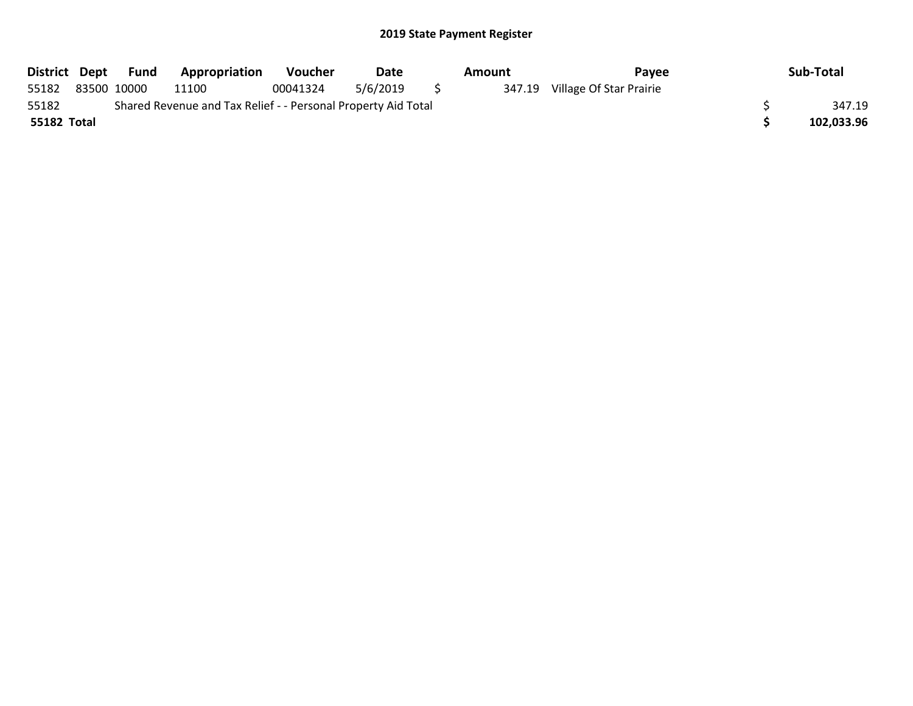| District Dept |             | Fund | <b>Appropriation</b>                                          | <b>Voucher</b> | Date     | Amount | Pavee                          | Sub-Total  |
|---------------|-------------|------|---------------------------------------------------------------|----------------|----------|--------|--------------------------------|------------|
| 55182         | 83500 10000 |      | 11100                                                         | 00041324       | 5/6/2019 |        | 347.19 Village Of Star Prairie |            |
| 55182         |             |      | Shared Revenue and Tax Relief - - Personal Property Aid Total |                |          |        |                                | 347.19     |
| 55182 Total   |             |      |                                                               |                |          |        |                                | 102,033.96 |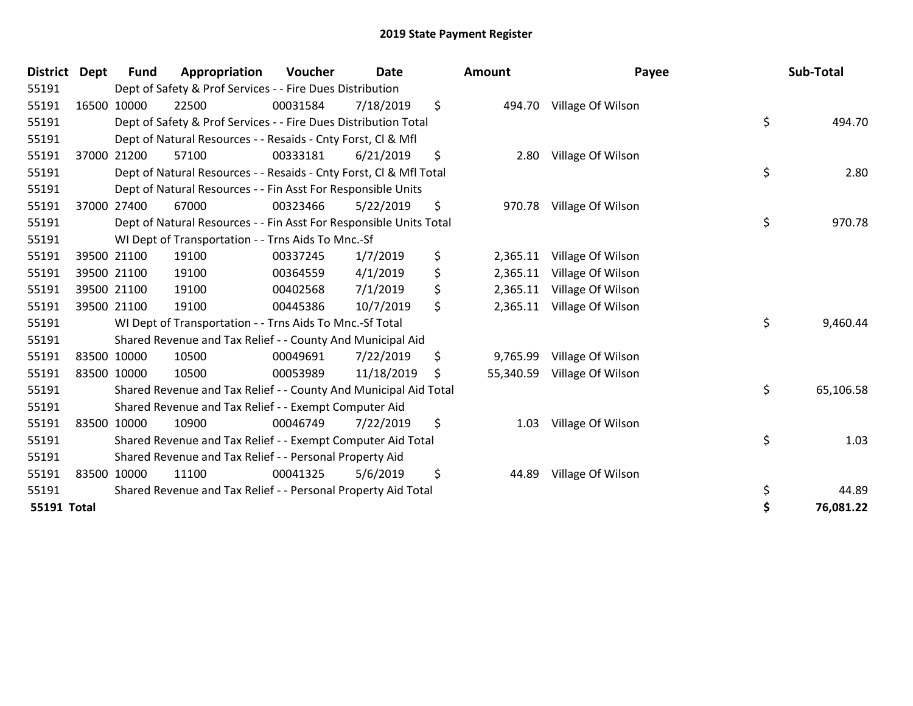| <b>District</b>    | <b>Dept</b> | <b>Fund</b> | Appropriation                                                      | Voucher  | <b>Date</b> | <b>Amount</b>   | Payee             | Sub-Total       |
|--------------------|-------------|-------------|--------------------------------------------------------------------|----------|-------------|-----------------|-------------------|-----------------|
| 55191              |             |             | Dept of Safety & Prof Services - - Fire Dues Distribution          |          |             |                 |                   |                 |
| 55191              |             | 16500 10000 | 22500                                                              | 00031584 | 7/18/2019   | \$<br>494.70    | Village Of Wilson |                 |
| 55191              |             |             | Dept of Safety & Prof Services - - Fire Dues Distribution Total    |          |             |                 |                   | \$<br>494.70    |
| 55191              |             |             | Dept of Natural Resources - - Resaids - Cnty Forst, CI & Mfl       |          |             |                 |                   |                 |
| 55191              |             | 37000 21200 | 57100                                                              | 00333181 | 6/21/2019   | \$<br>2.80      | Village Of Wilson |                 |
| 55191              |             |             | Dept of Natural Resources - - Resaids - Cnty Forst, CI & Mfl Total |          |             |                 |                   | \$<br>2.80      |
| 55191              |             |             | Dept of Natural Resources - - Fin Asst For Responsible Units       |          |             |                 |                   |                 |
| 55191              |             | 37000 27400 | 67000                                                              | 00323466 | 5/22/2019   | \$<br>970.78    | Village Of Wilson |                 |
| 55191              |             |             | Dept of Natural Resources - - Fin Asst For Responsible Units Total |          |             |                 |                   | \$<br>970.78    |
| 55191              |             |             | WI Dept of Transportation - - Trns Aids To Mnc.-Sf                 |          |             |                 |                   |                 |
| 55191              |             | 39500 21100 | 19100                                                              | 00337245 | 1/7/2019    | \$<br>2,365.11  | Village Of Wilson |                 |
| 55191              |             | 39500 21100 | 19100                                                              | 00364559 | 4/1/2019    | \$<br>2,365.11  | Village Of Wilson |                 |
| 55191              |             | 39500 21100 | 19100                                                              | 00402568 | 7/1/2019    | \$<br>2,365.11  | Village Of Wilson |                 |
| 55191              |             | 39500 21100 | 19100                                                              | 00445386 | 10/7/2019   | \$<br>2,365.11  | Village Of Wilson |                 |
| 55191              |             |             | WI Dept of Transportation - - Trns Aids To Mnc.-Sf Total           |          |             |                 |                   | \$<br>9,460.44  |
| 55191              |             |             | Shared Revenue and Tax Relief - - County And Municipal Aid         |          |             |                 |                   |                 |
| 55191              |             | 83500 10000 | 10500                                                              | 00049691 | 7/22/2019   | \$<br>9,765.99  | Village Of Wilson |                 |
| 55191              |             | 83500 10000 | 10500                                                              | 00053989 | 11/18/2019  | \$<br>55,340.59 | Village Of Wilson |                 |
| 55191              |             |             | Shared Revenue and Tax Relief - - County And Municipal Aid Total   |          |             |                 |                   | \$<br>65,106.58 |
| 55191              |             |             | Shared Revenue and Tax Relief - - Exempt Computer Aid              |          |             |                 |                   |                 |
| 55191              |             | 83500 10000 | 10900                                                              | 00046749 | 7/22/2019   | \$<br>1.03      | Village Of Wilson |                 |
| 55191              |             |             | Shared Revenue and Tax Relief - - Exempt Computer Aid Total        |          |             |                 |                   | \$<br>1.03      |
| 55191              |             |             | Shared Revenue and Tax Relief - - Personal Property Aid            |          |             |                 |                   |                 |
| 55191              |             | 83500 10000 | 11100                                                              | 00041325 | 5/6/2019    | \$<br>44.89     | Village Of Wilson |                 |
| 55191              |             |             | Shared Revenue and Tax Relief - - Personal Property Aid Total      |          |             |                 |                   | \$<br>44.89     |
| <b>55191 Total</b> |             |             |                                                                    |          |             |                 |                   | \$<br>76,081.22 |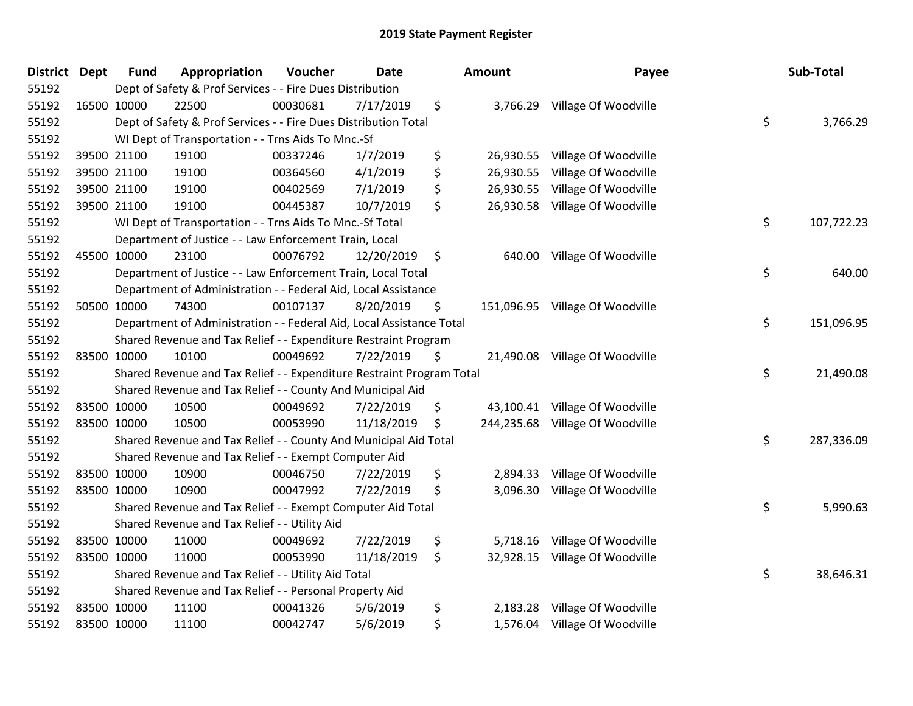| <b>District</b> | <b>Dept</b> | <b>Fund</b> | Appropriation                                                         | Voucher  | <b>Date</b> | Amount          | Payee                           | Sub-Total        |
|-----------------|-------------|-------------|-----------------------------------------------------------------------|----------|-------------|-----------------|---------------------------------|------------------|
| 55192           |             |             | Dept of Safety & Prof Services - - Fire Dues Distribution             |          |             |                 |                                 |                  |
| 55192           |             | 16500 10000 | 22500                                                                 | 00030681 | 7/17/2019   | \$              | 3,766.29 Village Of Woodville   |                  |
| 55192           |             |             | Dept of Safety & Prof Services - - Fire Dues Distribution Total       |          |             |                 |                                 | \$<br>3,766.29   |
| 55192           |             |             | WI Dept of Transportation - - Trns Aids To Mnc.-Sf                    |          |             |                 |                                 |                  |
| 55192           |             | 39500 21100 | 19100                                                                 | 00337246 | 1/7/2019    | \$<br>26,930.55 | Village Of Woodville            |                  |
| 55192           |             | 39500 21100 | 19100                                                                 | 00364560 | 4/1/2019    | \$<br>26,930.55 | Village Of Woodville            |                  |
| 55192           |             | 39500 21100 | 19100                                                                 | 00402569 | 7/1/2019    | \$<br>26,930.55 | Village Of Woodville            |                  |
| 55192           |             | 39500 21100 | 19100                                                                 | 00445387 | 10/7/2019   | \$              | 26,930.58 Village Of Woodville  |                  |
| 55192           |             |             | WI Dept of Transportation - - Trns Aids To Mnc.-Sf Total              |          |             |                 |                                 | \$<br>107,722.23 |
| 55192           |             |             | Department of Justice - - Law Enforcement Train, Local                |          |             |                 |                                 |                  |
| 55192           |             | 45500 10000 | 23100                                                                 | 00076792 | 12/20/2019  | \$<br>640.00    | Village Of Woodville            |                  |
| 55192           |             |             | Department of Justice - - Law Enforcement Train, Local Total          |          |             |                 |                                 | \$<br>640.00     |
| 55192           |             |             | Department of Administration - - Federal Aid, Local Assistance        |          |             |                 |                                 |                  |
| 55192           |             | 50500 10000 | 74300                                                                 | 00107137 | 8/20/2019   | \$              | 151,096.95 Village Of Woodville |                  |
| 55192           |             |             | Department of Administration - - Federal Aid, Local Assistance Total  |          |             |                 |                                 | \$<br>151,096.95 |
| 55192           |             |             | Shared Revenue and Tax Relief - - Expenditure Restraint Program       |          |             |                 |                                 |                  |
| 55192           |             | 83500 10000 | 10100                                                                 | 00049692 | 7/22/2019   | \$<br>21,490.08 | Village Of Woodville            |                  |
| 55192           |             |             | Shared Revenue and Tax Relief - - Expenditure Restraint Program Total |          |             |                 |                                 | \$<br>21,490.08  |
| 55192           |             |             | Shared Revenue and Tax Relief - - County And Municipal Aid            |          |             |                 |                                 |                  |
| 55192           |             | 83500 10000 | 10500                                                                 | 00049692 | 7/22/2019   | \$<br>43,100.41 | Village Of Woodville            |                  |
| 55192           |             | 83500 10000 | 10500                                                                 | 00053990 | 11/18/2019  | \$              | 244,235.68 Village Of Woodville |                  |
| 55192           |             |             | Shared Revenue and Tax Relief - - County And Municipal Aid Total      |          |             |                 |                                 | \$<br>287,336.09 |
| 55192           |             |             | Shared Revenue and Tax Relief - - Exempt Computer Aid                 |          |             |                 |                                 |                  |
| 55192           |             | 83500 10000 | 10900                                                                 | 00046750 | 7/22/2019   | \$<br>2,894.33  | Village Of Woodville            |                  |
| 55192           |             | 83500 10000 | 10900                                                                 | 00047992 | 7/22/2019   | \$<br>3,096.30  | Village Of Woodville            |                  |
| 55192           |             |             | Shared Revenue and Tax Relief - - Exempt Computer Aid Total           |          |             |                 |                                 | \$<br>5,990.63   |
| 55192           |             |             | Shared Revenue and Tax Relief - - Utility Aid                         |          |             |                 |                                 |                  |
| 55192           |             | 83500 10000 | 11000                                                                 | 00049692 | 7/22/2019   | \$              | 5,718.16 Village Of Woodville   |                  |
| 55192           |             | 83500 10000 | 11000                                                                 | 00053990 | 11/18/2019  | \$              | 32,928.15 Village Of Woodville  |                  |
| 55192           |             |             | Shared Revenue and Tax Relief - - Utility Aid Total                   |          |             |                 |                                 | \$<br>38,646.31  |
| 55192           |             |             | Shared Revenue and Tax Relief - - Personal Property Aid               |          |             |                 |                                 |                  |
| 55192           |             | 83500 10000 | 11100                                                                 | 00041326 | 5/6/2019    | \$<br>2,183.28  | Village Of Woodville            |                  |
| 55192           |             | 83500 10000 | 11100                                                                 | 00042747 | 5/6/2019    | \$<br>1,576.04  | Village Of Woodville            |                  |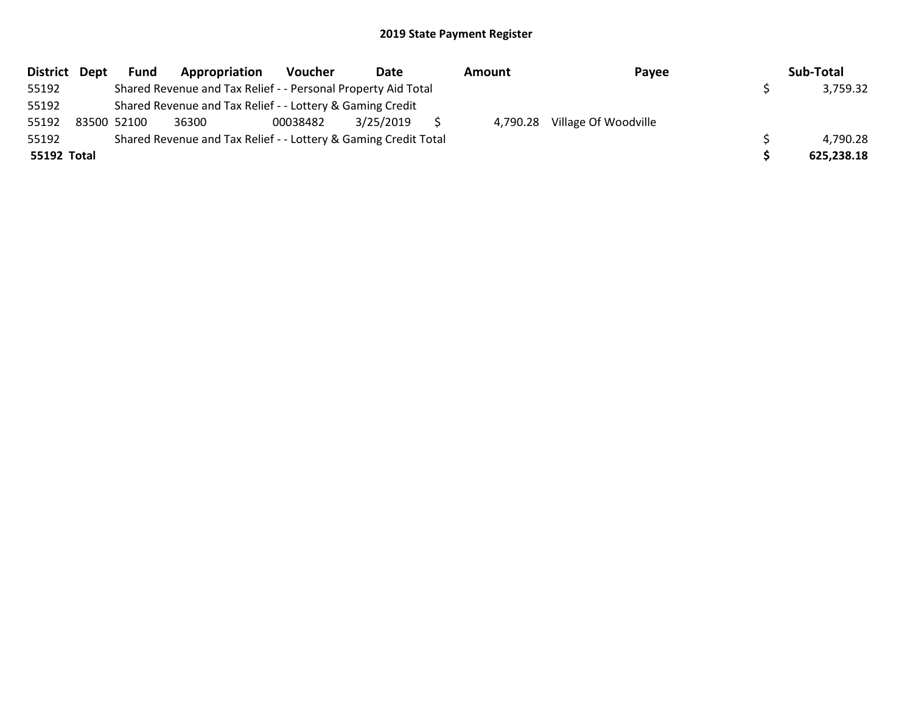| District Dept | <b>Fund</b> | Appropriation                                                   | Voucher  | Date      | Amount   | Payee                | Sub-Total  |
|---------------|-------------|-----------------------------------------------------------------|----------|-----------|----------|----------------------|------------|
| 55192         |             | Shared Revenue and Tax Relief - - Personal Property Aid Total   |          |           |          |                      | 3,759.32   |
| 55192         |             | Shared Revenue and Tax Relief - - Lottery & Gaming Credit       |          |           |          |                      |            |
| 55192         | 83500 52100 | 36300                                                           | 00038482 | 3/25/2019 | 4,790.28 | Village Of Woodville |            |
| 55192         |             | Shared Revenue and Tax Relief - - Lottery & Gaming Credit Total |          |           |          |                      | 4,790.28   |
| 55192 Total   |             |                                                                 |          |           |          |                      | 625,238.18 |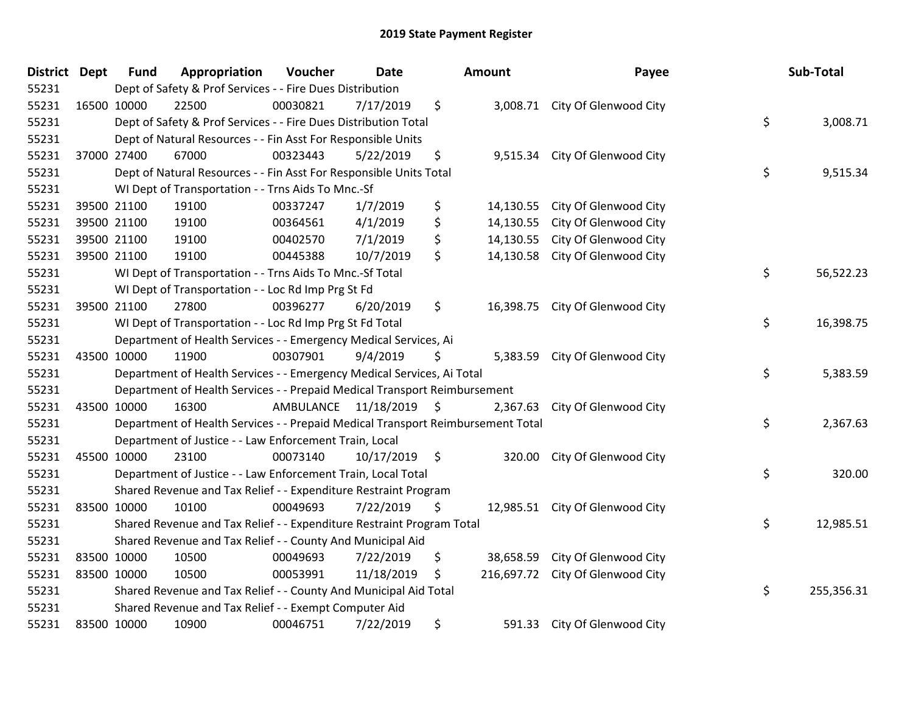| District Dept | <b>Fund</b> | Appropriation                                                                   | Voucher              | <b>Date</b>     | <b>Amount</b>    | Payee                           | Sub-Total        |
|---------------|-------------|---------------------------------------------------------------------------------|----------------------|-----------------|------------------|---------------------------------|------------------|
| 55231         |             | Dept of Safety & Prof Services - - Fire Dues Distribution                       |                      |                 |                  |                                 |                  |
| 55231         | 16500 10000 | 22500                                                                           | 00030821             | 7/17/2019       | \$               | 3,008.71 City Of Glenwood City  |                  |
| 55231         |             | Dept of Safety & Prof Services - - Fire Dues Distribution Total                 |                      |                 |                  |                                 | \$<br>3,008.71   |
| 55231         |             | Dept of Natural Resources - - Fin Asst For Responsible Units                    |                      |                 |                  |                                 |                  |
| 55231         | 37000 27400 | 67000                                                                           | 00323443             | 5/22/2019       | \$<br>9,515.34   | City Of Glenwood City           |                  |
| 55231         |             | Dept of Natural Resources - - Fin Asst For Responsible Units Total              |                      |                 |                  |                                 | \$<br>9,515.34   |
| 55231         |             | WI Dept of Transportation - - Trns Aids To Mnc.-Sf                              |                      |                 |                  |                                 |                  |
| 55231         | 39500 21100 | 19100                                                                           | 00337247             | 1/7/2019        | \$<br>14,130.55  | City Of Glenwood City           |                  |
| 55231         | 39500 21100 | 19100                                                                           | 00364561             | 4/1/2019        | \$<br>14,130.55  | City Of Glenwood City           |                  |
| 55231         | 39500 21100 | 19100                                                                           | 00402570             | 7/1/2019        | \$<br>14,130.55  | City Of Glenwood City           |                  |
| 55231         | 39500 21100 | 19100                                                                           | 00445388             | 10/7/2019       | \$<br>14,130.58  | City Of Glenwood City           |                  |
| 55231         |             | WI Dept of Transportation - - Trns Aids To Mnc.-Sf Total                        |                      |                 |                  |                                 | \$<br>56,522.23  |
| 55231         |             | WI Dept of Transportation - - Loc Rd Imp Prg St Fd                              |                      |                 |                  |                                 |                  |
| 55231         | 39500 21100 | 27800                                                                           | 00396277             | 6/20/2019       | \$<br>16,398.75  | City Of Glenwood City           |                  |
| 55231         |             | WI Dept of Transportation - - Loc Rd Imp Prg St Fd Total                        |                      |                 |                  |                                 | \$<br>16,398.75  |
| 55231         |             | Department of Health Services - - Emergency Medical Services, Ai                |                      |                 |                  |                                 |                  |
| 55231         | 43500 10000 | 11900                                                                           | 00307901             | 9/4/2019        | \$<br>5,383.59   | City Of Glenwood City           |                  |
| 55231         |             | Department of Health Services - - Emergency Medical Services, Ai Total          |                      |                 |                  |                                 | \$<br>5,383.59   |
| 55231         |             | Department of Health Services - - Prepaid Medical Transport Reimbursement       |                      |                 |                  |                                 |                  |
| 55231         | 43500 10000 | 16300                                                                           | AMBULANCE 11/18/2019 |                 | \$<br>2,367.63   | City Of Glenwood City           |                  |
| 55231         |             | Department of Health Services - - Prepaid Medical Transport Reimbursement Total |                      |                 |                  |                                 | \$<br>2,367.63   |
| 55231         |             | Department of Justice - - Law Enforcement Train, Local                          |                      |                 |                  |                                 |                  |
| 55231         | 45500 10000 | 23100                                                                           | 00073140             | $10/17/2019$ \$ | 320.00           | City Of Glenwood City           |                  |
| 55231         |             | Department of Justice - - Law Enforcement Train, Local Total                    |                      |                 |                  |                                 | \$<br>320.00     |
| 55231         |             | Shared Revenue and Tax Relief - - Expenditure Restraint Program                 |                      |                 |                  |                                 |                  |
| 55231         | 83500 10000 | 10100                                                                           | 00049693             | 7/22/2019       | \$               | 12,985.51 City Of Glenwood City |                  |
| 55231         |             | Shared Revenue and Tax Relief - - Expenditure Restraint Program Total           |                      |                 |                  |                                 | \$<br>12,985.51  |
| 55231         |             | Shared Revenue and Tax Relief - - County And Municipal Aid                      |                      |                 |                  |                                 |                  |
| 55231         | 83500 10000 | 10500                                                                           | 00049693             | 7/22/2019       | \$<br>38,658.59  | City Of Glenwood City           |                  |
| 55231         | 83500 10000 | 10500                                                                           | 00053991             | 11/18/2019      | \$<br>216,697.72 | City Of Glenwood City           |                  |
| 55231         |             | Shared Revenue and Tax Relief - - County And Municipal Aid Total                |                      |                 |                  |                                 | \$<br>255,356.31 |
| 55231         |             | Shared Revenue and Tax Relief - - Exempt Computer Aid                           |                      |                 |                  |                                 |                  |
| 55231         | 83500 10000 | 10900                                                                           | 00046751             | 7/22/2019       | \$<br>591.33     | City Of Glenwood City           |                  |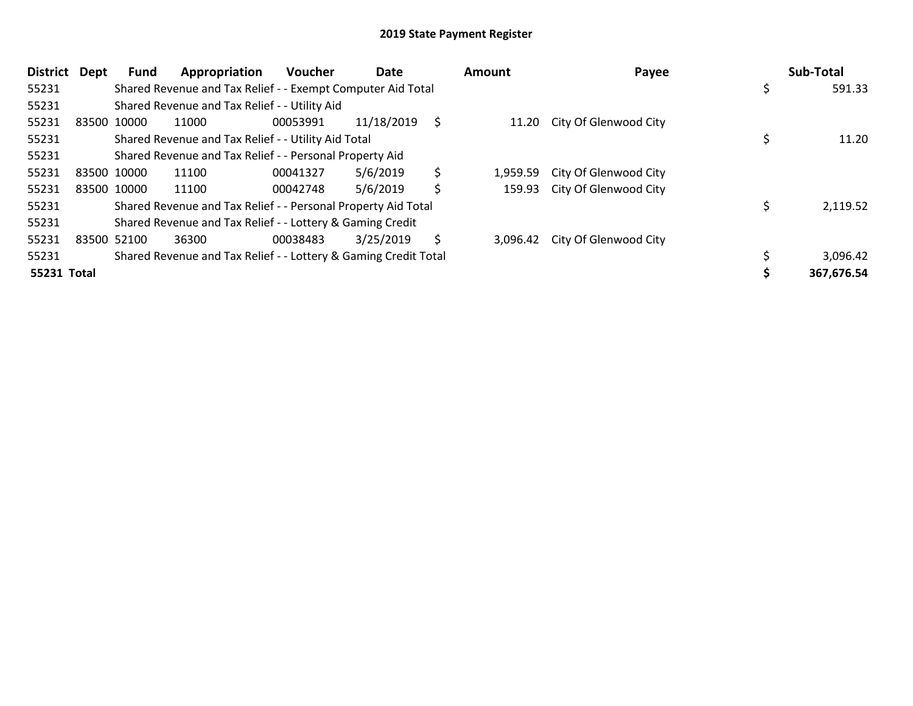| <b>District</b> | Dept | <b>Fund</b> | Appropriation                                                   | <b>Voucher</b> | Date       |    | Amount   | Payee                       | Sub-Total  |
|-----------------|------|-------------|-----------------------------------------------------------------|----------------|------------|----|----------|-----------------------------|------------|
| 55231           |      |             | Shared Revenue and Tax Relief - - Exempt Computer Aid Total     |                |            |    |          |                             | 591.33     |
| 55231           |      |             | Shared Revenue and Tax Relief - - Utility Aid                   |                |            |    |          |                             |            |
| 55231           |      | 83500 10000 | 11000                                                           | 00053991       | 11/18/2019 | S  |          | 11.20 City Of Glenwood City |            |
| 55231           |      |             | Shared Revenue and Tax Relief - - Utility Aid Total             |                |            |    |          |                             | 11.20      |
| 55231           |      |             | Shared Revenue and Tax Relief - - Personal Property Aid         |                |            |    |          |                             |            |
| 55231           |      | 83500 10000 | 11100                                                           | 00041327       | 5/6/2019   | \$ | 1.959.59 | City Of Glenwood City       |            |
| 55231           |      | 83500 10000 | 11100                                                           | 00042748       | 5/6/2019   | \$ | 159.93   | City Of Glenwood City       |            |
| 55231           |      |             | Shared Revenue and Tax Relief - - Personal Property Aid Total   |                |            |    |          |                             | 2,119.52   |
| 55231           |      |             | Shared Revenue and Tax Relief - - Lottery & Gaming Credit       |                |            |    |          |                             |            |
| 55231           |      | 83500 52100 | 36300                                                           | 00038483       | 3/25/2019  | \$ | 3.096.42 | City Of Glenwood City       |            |
| 55231           |      |             | Shared Revenue and Tax Relief - - Lottery & Gaming Credit Total |                |            |    |          |                             | 3,096.42   |
| 55231 Total     |      |             |                                                                 |                |            |    |          |                             | 367,676.54 |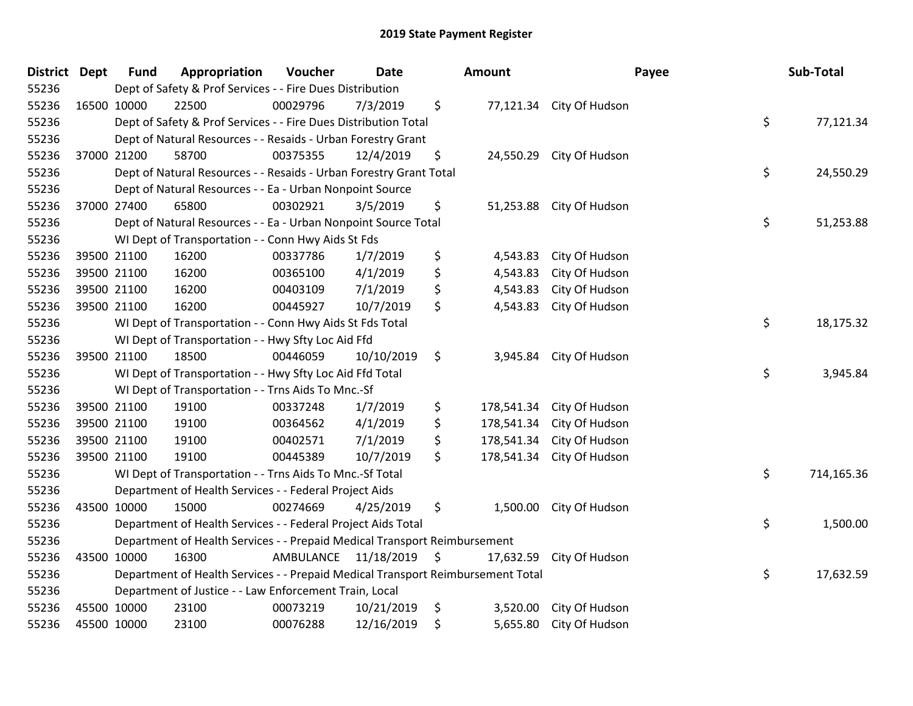| District Dept | <b>Fund</b> | Appropriation                                                                   | Voucher                 | <b>Date</b> | <b>Amount</b>    |                          | Payee | Sub-Total  |
|---------------|-------------|---------------------------------------------------------------------------------|-------------------------|-------------|------------------|--------------------------|-------|------------|
| 55236         |             | Dept of Safety & Prof Services - - Fire Dues Distribution                       |                         |             |                  |                          |       |            |
| 55236         | 16500 10000 | 22500                                                                           | 00029796                | 7/3/2019    | \$               | 77,121.34 City Of Hudson |       |            |
| 55236         |             | Dept of Safety & Prof Services - - Fire Dues Distribution Total                 |                         |             |                  |                          | \$    | 77,121.34  |
| 55236         |             | Dept of Natural Resources - - Resaids - Urban Forestry Grant                    |                         |             |                  |                          |       |            |
| 55236         | 37000 21200 | 58700                                                                           | 00375355                | 12/4/2019   | \$<br>24,550.29  | City Of Hudson           |       |            |
| 55236         |             | Dept of Natural Resources - - Resaids - Urban Forestry Grant Total              |                         |             |                  |                          | \$    | 24,550.29  |
| 55236         |             | Dept of Natural Resources - - Ea - Urban Nonpoint Source                        |                         |             |                  |                          |       |            |
| 55236         | 37000 27400 | 65800                                                                           | 00302921                | 3/5/2019    | \$<br>51,253.88  | City Of Hudson           |       |            |
| 55236         |             | Dept of Natural Resources - - Ea - Urban Nonpoint Source Total                  |                         |             |                  |                          | \$    | 51,253.88  |
| 55236         |             | WI Dept of Transportation - - Conn Hwy Aids St Fds                              |                         |             |                  |                          |       |            |
| 55236         | 39500 21100 | 16200                                                                           | 00337786                | 1/7/2019    | \$<br>4,543.83   | City Of Hudson           |       |            |
| 55236         | 39500 21100 | 16200                                                                           | 00365100                | 4/1/2019    | \$<br>4,543.83   | City Of Hudson           |       |            |
| 55236         | 39500 21100 | 16200                                                                           | 00403109                | 7/1/2019    | \$<br>4,543.83   | City Of Hudson           |       |            |
| 55236         | 39500 21100 | 16200                                                                           | 00445927                | 10/7/2019   | \$<br>4,543.83   | City Of Hudson           |       |            |
| 55236         |             | WI Dept of Transportation - - Conn Hwy Aids St Fds Total                        |                         |             |                  |                          | \$    | 18,175.32  |
| 55236         |             | WI Dept of Transportation - - Hwy Sfty Loc Aid Ffd                              |                         |             |                  |                          |       |            |
| 55236         | 39500 21100 | 18500                                                                           | 00446059                | 10/10/2019  | \$<br>3,945.84   | City Of Hudson           |       |            |
| 55236         |             | WI Dept of Transportation - - Hwy Sfty Loc Aid Ffd Total                        |                         |             |                  |                          | \$    | 3,945.84   |
| 55236         |             | WI Dept of Transportation - - Trns Aids To Mnc.-Sf                              |                         |             |                  |                          |       |            |
| 55236         | 39500 21100 | 19100                                                                           | 00337248                | 1/7/2019    | \$<br>178,541.34 | City Of Hudson           |       |            |
| 55236         | 39500 21100 | 19100                                                                           | 00364562                | 4/1/2019    | \$<br>178,541.34 | City Of Hudson           |       |            |
| 55236         | 39500 21100 | 19100                                                                           | 00402571                | 7/1/2019    | \$<br>178,541.34 | City Of Hudson           |       |            |
| 55236         | 39500 21100 | 19100                                                                           | 00445389                | 10/7/2019   | \$<br>178,541.34 | City Of Hudson           |       |            |
| 55236         |             | WI Dept of Transportation - - Trns Aids To Mnc.-Sf Total                        |                         |             |                  |                          | \$    | 714,165.36 |
| 55236         |             | Department of Health Services - - Federal Project Aids                          |                         |             |                  |                          |       |            |
| 55236         | 43500 10000 | 15000                                                                           | 00274669                | 4/25/2019   | \$<br>1,500.00   | City Of Hudson           |       |            |
| 55236         |             | Department of Health Services - - Federal Project Aids Total                    |                         |             |                  |                          | \$    | 1,500.00   |
| 55236         |             | Department of Health Services - - Prepaid Medical Transport Reimbursement       |                         |             |                  |                          |       |            |
| 55236         | 43500 10000 | 16300                                                                           | AMBULANCE 11/18/2019 \$ |             | 17,632.59        | City Of Hudson           |       |            |
| 55236         |             | Department of Health Services - - Prepaid Medical Transport Reimbursement Total |                         |             |                  |                          | \$    | 17,632.59  |
| 55236         |             | Department of Justice - - Law Enforcement Train, Local                          |                         |             |                  |                          |       |            |
| 55236         | 45500 10000 | 23100                                                                           | 00073219                | 10/21/2019  | \$<br>3,520.00   | City Of Hudson           |       |            |
| 55236         | 45500 10000 | 23100                                                                           | 00076288                | 12/16/2019  | \$<br>5,655.80   | City Of Hudson           |       |            |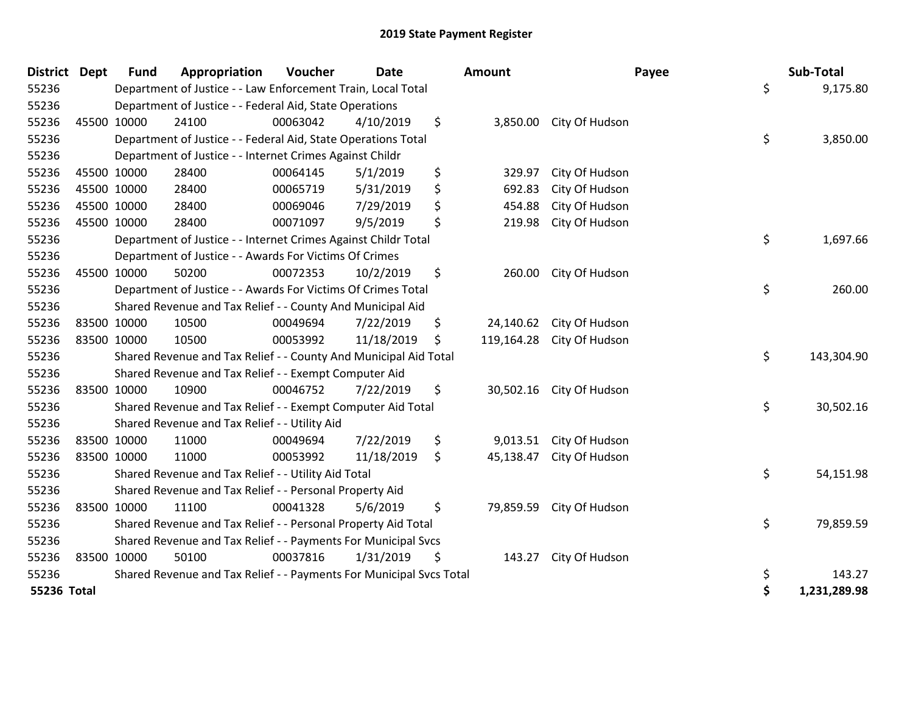| <b>District</b> | <b>Dept</b> | <b>Fund</b> | Appropriation                                                       | Voucher  | Date       | <b>Amount</b>    | Payee                    | Sub-Total          |
|-----------------|-------------|-------------|---------------------------------------------------------------------|----------|------------|------------------|--------------------------|--------------------|
| 55236           |             |             | Department of Justice - - Law Enforcement Train, Local Total        |          |            |                  |                          | \$<br>9,175.80     |
| 55236           |             |             | Department of Justice - - Federal Aid, State Operations             |          |            |                  |                          |                    |
| 55236           |             | 45500 10000 | 24100                                                               | 00063042 | 4/10/2019  | \$<br>3,850.00   | City Of Hudson           |                    |
| 55236           |             |             | Department of Justice - - Federal Aid, State Operations Total       |          |            |                  |                          | \$<br>3,850.00     |
| 55236           |             |             | Department of Justice - - Internet Crimes Against Childr            |          |            |                  |                          |                    |
| 55236           |             | 45500 10000 | 28400                                                               | 00064145 | 5/1/2019   | \$<br>329.97     | City Of Hudson           |                    |
| 55236           |             | 45500 10000 | 28400                                                               | 00065719 | 5/31/2019  | \$<br>692.83     | City Of Hudson           |                    |
| 55236           |             | 45500 10000 | 28400                                                               | 00069046 | 7/29/2019  | \$<br>454.88     | City Of Hudson           |                    |
| 55236           |             | 45500 10000 | 28400                                                               | 00071097 | 9/5/2019   | \$<br>219.98     | City Of Hudson           |                    |
| 55236           |             |             | Department of Justice - - Internet Crimes Against Childr Total      |          |            |                  |                          | \$<br>1,697.66     |
| 55236           |             |             | Department of Justice - - Awards For Victims Of Crimes              |          |            |                  |                          |                    |
| 55236           |             | 45500 10000 | 50200                                                               | 00072353 | 10/2/2019  | \$<br>260.00     | City Of Hudson           |                    |
| 55236           |             |             | Department of Justice - - Awards For Victims Of Crimes Total        |          |            |                  |                          | \$<br>260.00       |
| 55236           |             |             | Shared Revenue and Tax Relief - - County And Municipal Aid          |          |            |                  |                          |                    |
| 55236           |             | 83500 10000 | 10500                                                               | 00049694 | 7/22/2019  | \$<br>24,140.62  | City Of Hudson           |                    |
| 55236           |             | 83500 10000 | 10500                                                               | 00053992 | 11/18/2019 | \$<br>119,164.28 | City Of Hudson           |                    |
| 55236           |             |             | Shared Revenue and Tax Relief - - County And Municipal Aid Total    |          |            |                  |                          | \$<br>143,304.90   |
| 55236           |             |             | Shared Revenue and Tax Relief - - Exempt Computer Aid               |          |            |                  |                          |                    |
| 55236           |             | 83500 10000 | 10900                                                               | 00046752 | 7/22/2019  | \$               | 30,502.16 City Of Hudson |                    |
| 55236           |             |             | Shared Revenue and Tax Relief - - Exempt Computer Aid Total         |          |            |                  |                          | \$<br>30,502.16    |
| 55236           |             |             | Shared Revenue and Tax Relief - - Utility Aid                       |          |            |                  |                          |                    |
| 55236           |             | 83500 10000 | 11000                                                               | 00049694 | 7/22/2019  | \$<br>9,013.51   | City Of Hudson           |                    |
| 55236           |             | 83500 10000 | 11000                                                               | 00053992 | 11/18/2019 | \$<br>45,138.47  | City Of Hudson           |                    |
| 55236           |             |             | Shared Revenue and Tax Relief - - Utility Aid Total                 |          |            |                  |                          | \$<br>54,151.98    |
| 55236           |             |             | Shared Revenue and Tax Relief - - Personal Property Aid             |          |            |                  |                          |                    |
| 55236           |             | 83500 10000 | 11100                                                               | 00041328 | 5/6/2019   | \$<br>79,859.59  | City Of Hudson           |                    |
| 55236           |             |             | Shared Revenue and Tax Relief - - Personal Property Aid Total       |          |            |                  |                          | \$<br>79,859.59    |
| 55236           |             |             | Shared Revenue and Tax Relief - - Payments For Municipal Svcs       |          |            |                  |                          |                    |
| 55236           |             | 83500 10000 | 50100                                                               | 00037816 | 1/31/2019  | \$<br>143.27     | City Of Hudson           |                    |
| 55236           |             |             | Shared Revenue and Tax Relief - - Payments For Municipal Svcs Total |          |            |                  |                          | \$<br>143.27       |
| 55236 Total     |             |             |                                                                     |          |            |                  |                          | \$<br>1,231,289.98 |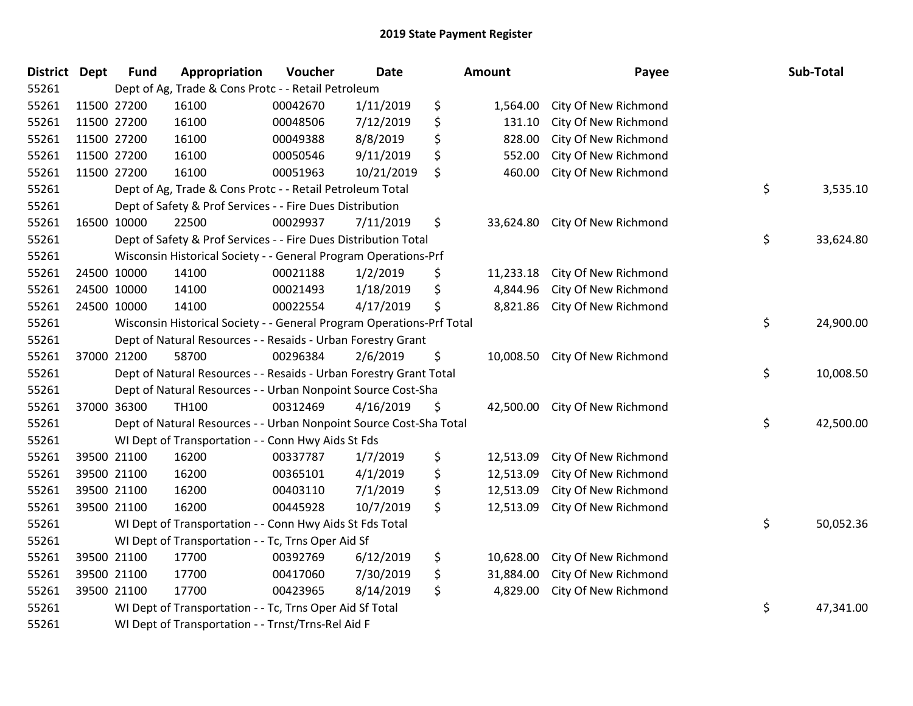| <b>District</b> | <b>Dept</b> | <b>Fund</b>                                                           | Appropriation                                                      | Voucher  | <b>Date</b> |    | Amount    | Payee                |    | Sub-Total |
|-----------------|-------------|-----------------------------------------------------------------------|--------------------------------------------------------------------|----------|-------------|----|-----------|----------------------|----|-----------|
| 55261           |             | Dept of Ag, Trade & Cons Protc - - Retail Petroleum                   |                                                                    |          |             |    |           |                      |    |           |
| 55261           | 11500 27200 |                                                                       | 16100                                                              | 00042670 | 1/11/2019   | \$ | 1,564.00  | City Of New Richmond |    |           |
| 55261           | 11500 27200 |                                                                       | 16100                                                              | 00048506 | 7/12/2019   | \$ | 131.10    | City Of New Richmond |    |           |
| 55261           | 11500 27200 |                                                                       | 16100                                                              | 00049388 | 8/8/2019    | \$ | 828.00    | City Of New Richmond |    |           |
| 55261           |             | 11500 27200                                                           | 16100                                                              | 00050546 | 9/11/2019   | \$ | 552.00    | City Of New Richmond |    |           |
| 55261           |             | 11500 27200                                                           | 16100                                                              | 00051963 | 10/21/2019  | \$ | 460.00    | City Of New Richmond |    |           |
| 55261           |             |                                                                       | Dept of Ag, Trade & Cons Protc - - Retail Petroleum Total          |          |             |    |           |                      | \$ | 3,535.10  |
| 55261           |             |                                                                       | Dept of Safety & Prof Services - - Fire Dues Distribution          |          |             |    |           |                      |    |           |
| 55261           | 16500 10000 |                                                                       | 22500                                                              | 00029937 | 7/11/2019   | \$ | 33,624.80 | City Of New Richmond |    |           |
| 55261           |             |                                                                       | Dept of Safety & Prof Services - - Fire Dues Distribution Total    |          |             |    |           |                      | \$ | 33,624.80 |
| 55261           |             |                                                                       | Wisconsin Historical Society - - General Program Operations-Prf    |          |             |    |           |                      |    |           |
| 55261           |             | 24500 10000                                                           | 14100                                                              | 00021188 | 1/2/2019    | \$ | 11,233.18 | City Of New Richmond |    |           |
| 55261           |             | 24500 10000                                                           | 14100                                                              | 00021493 | 1/18/2019   | \$ | 4,844.96  | City Of New Richmond |    |           |
| 55261           |             | 24500 10000                                                           | 14100                                                              | 00022554 | 4/17/2019   | \$ | 8,821.86  | City Of New Richmond |    |           |
| 55261           |             | Wisconsin Historical Society - - General Program Operations-Prf Total |                                                                    |          |             |    |           |                      | \$ | 24,900.00 |
| 55261           |             |                                                                       | Dept of Natural Resources - - Resaids - Urban Forestry Grant       |          |             |    |           |                      |    |           |
| 55261           |             | 37000 21200                                                           | 58700                                                              | 00296384 | 2/6/2019    | \$ | 10,008.50 | City Of New Richmond |    |           |
| 55261           |             |                                                                       | Dept of Natural Resources - - Resaids - Urban Forestry Grant Total |          |             |    |           |                      | \$ | 10,008.50 |
| 55261           |             |                                                                       | Dept of Natural Resources - - Urban Nonpoint Source Cost-Sha       |          |             |    |           |                      |    |           |
| 55261           |             | 37000 36300                                                           | TH100                                                              | 00312469 | 4/16/2019   | \$ | 42,500.00 | City Of New Richmond |    |           |
| 55261           |             | Dept of Natural Resources - - Urban Nonpoint Source Cost-Sha Total    |                                                                    |          |             |    |           |                      | \$ | 42,500.00 |
| 55261           |             |                                                                       | WI Dept of Transportation - - Conn Hwy Aids St Fds                 |          |             |    |           |                      |    |           |
| 55261           |             | 39500 21100                                                           | 16200                                                              | 00337787 | 1/7/2019    | \$ | 12,513.09 | City Of New Richmond |    |           |
| 55261           |             | 39500 21100                                                           | 16200                                                              | 00365101 | 4/1/2019    | \$ | 12,513.09 | City Of New Richmond |    |           |
| 55261           |             | 39500 21100                                                           | 16200                                                              | 00403110 | 7/1/2019    | \$ | 12,513.09 | City Of New Richmond |    |           |
| 55261           |             | 39500 21100                                                           | 16200                                                              | 00445928 | 10/7/2019   | \$ | 12,513.09 | City Of New Richmond |    |           |
| 55261           |             | WI Dept of Transportation - - Conn Hwy Aids St Fds Total              |                                                                    |          |             |    |           |                      |    | 50,052.36 |
| 55261           |             | WI Dept of Transportation - - Tc, Trns Oper Aid Sf                    |                                                                    |          |             |    |           |                      |    |           |
| 55261           |             | 39500 21100                                                           | 17700                                                              | 00392769 | 6/12/2019   | \$ | 10,628.00 | City Of New Richmond |    |           |
| 55261           |             | 39500 21100                                                           | 17700                                                              | 00417060 | 7/30/2019   | \$ | 31,884.00 | City Of New Richmond |    |           |
| 55261           |             | 39500 21100                                                           | 17700                                                              | 00423965 | 8/14/2019   | \$ | 4,829.00  | City Of New Richmond |    |           |
| 55261           |             | WI Dept of Transportation - - Tc, Trns Oper Aid Sf Total              |                                                                    |          |             |    |           |                      | \$ | 47,341.00 |
| 55261           |             | WI Dept of Transportation - - Trnst/Trns-Rel Aid F                    |                                                                    |          |             |    |           |                      |    |           |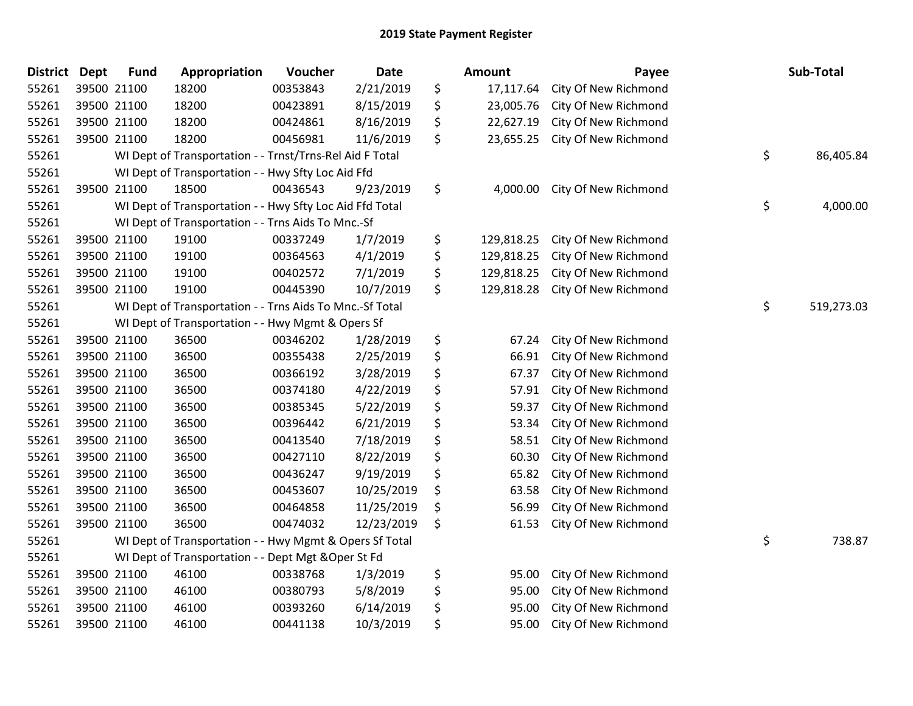| <b>District</b> | <b>Dept</b> | <b>Fund</b>                                              | Appropriation                                            | Voucher  | <b>Date</b> |    | <b>Amount</b> | Payee                |    | Sub-Total  |
|-----------------|-------------|----------------------------------------------------------|----------------------------------------------------------|----------|-------------|----|---------------|----------------------|----|------------|
| 55261           |             | 39500 21100                                              | 18200                                                    | 00353843 | 2/21/2019   | \$ | 17,117.64     | City Of New Richmond |    |            |
| 55261           |             | 39500 21100                                              | 18200                                                    | 00423891 | 8/15/2019   | \$ | 23,005.76     | City Of New Richmond |    |            |
| 55261           |             | 39500 21100                                              | 18200                                                    | 00424861 | 8/16/2019   | \$ | 22,627.19     | City Of New Richmond |    |            |
| 55261           |             | 39500 21100                                              | 18200                                                    | 00456981 | 11/6/2019   | \$ | 23,655.25     | City Of New Richmond |    |            |
| 55261           |             |                                                          | WI Dept of Transportation - - Trnst/Trns-Rel Aid F Total |          |             |    |               |                      | \$ | 86,405.84  |
| 55261           |             |                                                          | WI Dept of Transportation - - Hwy Sfty Loc Aid Ffd       |          |             |    |               |                      |    |            |
| 55261           |             | 39500 21100                                              | 18500                                                    | 00436543 | 9/23/2019   | \$ | 4,000.00      | City Of New Richmond |    |            |
| 55261           |             |                                                          | WI Dept of Transportation - - Hwy Sfty Loc Aid Ffd Total |          |             |    |               |                      | \$ | 4,000.00   |
| 55261           |             |                                                          | WI Dept of Transportation - - Trns Aids To Mnc.-Sf       |          |             |    |               |                      |    |            |
| 55261           |             | 39500 21100                                              | 19100                                                    | 00337249 | 1/7/2019    | \$ | 129,818.25    | City Of New Richmond |    |            |
| 55261           |             | 39500 21100                                              | 19100                                                    | 00364563 | 4/1/2019    | \$ | 129,818.25    | City Of New Richmond |    |            |
| 55261           |             | 39500 21100                                              | 19100                                                    | 00402572 | 7/1/2019    | \$ | 129,818.25    | City Of New Richmond |    |            |
| 55261           |             | 39500 21100                                              | 19100                                                    | 00445390 | 10/7/2019   | \$ | 129,818.28    | City Of New Richmond |    |            |
| 55261           |             | WI Dept of Transportation - - Trns Aids To Mnc.-Sf Total |                                                          |          |             |    |               |                      |    | 519,273.03 |
| 55261           |             |                                                          | WI Dept of Transportation - - Hwy Mgmt & Opers Sf        |          |             |    |               |                      |    |            |
| 55261           |             | 39500 21100                                              | 36500                                                    | 00346202 | 1/28/2019   | \$ | 67.24         | City Of New Richmond |    |            |
| 55261           |             | 39500 21100                                              | 36500                                                    | 00355438 | 2/25/2019   | \$ | 66.91         | City Of New Richmond |    |            |
| 55261           |             | 39500 21100                                              | 36500                                                    | 00366192 | 3/28/2019   | \$ | 67.37         | City Of New Richmond |    |            |
| 55261           |             | 39500 21100                                              | 36500                                                    | 00374180 | 4/22/2019   | \$ | 57.91         | City Of New Richmond |    |            |
| 55261           |             | 39500 21100                                              | 36500                                                    | 00385345 | 5/22/2019   | \$ | 59.37         | City Of New Richmond |    |            |
| 55261           |             | 39500 21100                                              | 36500                                                    | 00396442 | 6/21/2019   | \$ | 53.34         | City Of New Richmond |    |            |
| 55261           |             | 39500 21100                                              | 36500                                                    | 00413540 | 7/18/2019   | \$ | 58.51         | City Of New Richmond |    |            |
| 55261           |             | 39500 21100                                              | 36500                                                    | 00427110 | 8/22/2019   | \$ | 60.30         | City Of New Richmond |    |            |
| 55261           |             | 39500 21100                                              | 36500                                                    | 00436247 | 9/19/2019   | \$ | 65.82         | City Of New Richmond |    |            |
| 55261           |             | 39500 21100                                              | 36500                                                    | 00453607 | 10/25/2019  | \$ | 63.58         | City Of New Richmond |    |            |
| 55261           |             | 39500 21100                                              | 36500                                                    | 00464858 | 11/25/2019  | \$ | 56.99         | City Of New Richmond |    |            |
| 55261           |             | 39500 21100                                              | 36500                                                    | 00474032 | 12/23/2019  | \$ | 61.53         | City Of New Richmond |    |            |
| 55261           |             |                                                          | WI Dept of Transportation - - Hwy Mgmt & Opers Sf Total  |          |             |    |               |                      | \$ | 738.87     |
| 55261           |             |                                                          | WI Dept of Transportation - - Dept Mgt & Oper St Fd      |          |             |    |               |                      |    |            |
| 55261           |             | 39500 21100                                              | 46100                                                    | 00338768 | 1/3/2019    | \$ | 95.00         | City Of New Richmond |    |            |
| 55261           |             | 39500 21100                                              | 46100                                                    | 00380793 | 5/8/2019    | \$ | 95.00         | City Of New Richmond |    |            |
| 55261           |             | 39500 21100                                              | 46100                                                    | 00393260 | 6/14/2019   | \$ | 95.00         | City Of New Richmond |    |            |
| 55261           |             | 39500 21100                                              | 46100                                                    | 00441138 | 10/3/2019   | \$ | 95.00         | City Of New Richmond |    |            |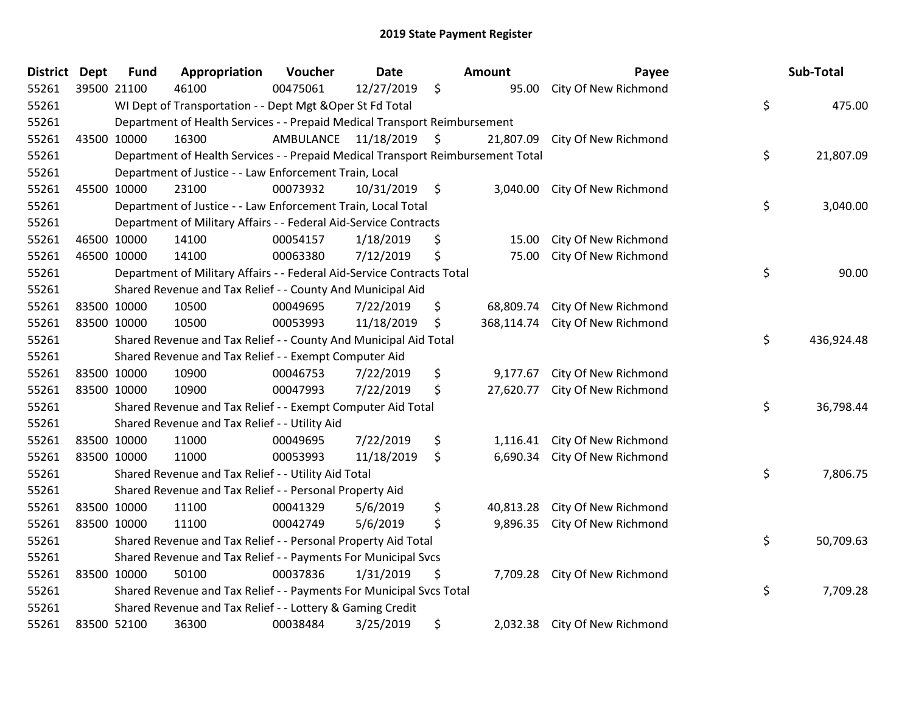| <b>District Dept</b> |             | <b>Fund</b>                                                               | Appropriation                                                                   | Voucher   | <b>Date</b>     |    | <b>Amount</b> | Payee                         |    | Sub-Total  |
|----------------------|-------------|---------------------------------------------------------------------------|---------------------------------------------------------------------------------|-----------|-----------------|----|---------------|-------------------------------|----|------------|
| 55261                |             | 39500 21100                                                               | 46100                                                                           | 00475061  | 12/27/2019      | \$ | 95.00         | City Of New Richmond          |    |            |
| 55261                |             |                                                                           | WI Dept of Transportation - - Dept Mgt & Oper St Fd Total                       |           |                 |    |               |                               | \$ | 475.00     |
| 55261                |             | Department of Health Services - - Prepaid Medical Transport Reimbursement |                                                                                 |           |                 |    |               |                               |    |            |
| 55261                | 43500 10000 |                                                                           | 16300                                                                           | AMBULANCE | 11/18/2019 \$   |    | 21,807.09     | City Of New Richmond          |    |            |
| 55261                |             |                                                                           | Department of Health Services - - Prepaid Medical Transport Reimbursement Total |           |                 |    |               |                               | \$ | 21,807.09  |
| 55261                |             |                                                                           | Department of Justice - - Law Enforcement Train, Local                          |           |                 |    |               |                               |    |            |
| 55261                | 45500 10000 |                                                                           | 23100                                                                           | 00073932  | $10/31/2019$ \$ |    | 3,040.00      | City Of New Richmond          |    |            |
| 55261                |             |                                                                           | Department of Justice - - Law Enforcement Train, Local Total                    |           |                 |    |               |                               | \$ | 3,040.00   |
| 55261                |             |                                                                           | Department of Military Affairs - - Federal Aid-Service Contracts                |           |                 |    |               |                               |    |            |
| 55261                | 46500 10000 |                                                                           | 14100                                                                           | 00054157  | 1/18/2019       | \$ | 15.00         | City Of New Richmond          |    |            |
| 55261                |             | 46500 10000                                                               | 14100                                                                           | 00063380  | 7/12/2019       | \$ | 75.00         | City Of New Richmond          |    |            |
| 55261                |             |                                                                           | Department of Military Affairs - - Federal Aid-Service Contracts Total          |           |                 |    |               |                               | \$ | 90.00      |
| 55261                |             |                                                                           | Shared Revenue and Tax Relief - - County And Municipal Aid                      |           |                 |    |               |                               |    |            |
| 55261                | 83500 10000 |                                                                           | 10500                                                                           | 00049695  | 7/22/2019       | \$ | 68,809.74     | City Of New Richmond          |    |            |
| 55261                | 83500 10000 |                                                                           | 10500                                                                           | 00053993  | 11/18/2019      | \$ | 368,114.74    | City Of New Richmond          |    |            |
| 55261                |             |                                                                           | Shared Revenue and Tax Relief - - County And Municipal Aid Total                |           |                 |    |               |                               | \$ | 436,924.48 |
| 55261                |             |                                                                           | Shared Revenue and Tax Relief - - Exempt Computer Aid                           |           |                 |    |               |                               |    |            |
| 55261                | 83500 10000 |                                                                           | 10900                                                                           | 00046753  | 7/22/2019       | \$ | 9,177.67      | City Of New Richmond          |    |            |
| 55261                | 83500 10000 |                                                                           | 10900                                                                           | 00047993  | 7/22/2019       | \$ | 27,620.77     | City Of New Richmond          |    |            |
| 55261                |             | Shared Revenue and Tax Relief - - Exempt Computer Aid Total               |                                                                                 |           |                 |    |               |                               |    | 36,798.44  |
| 55261                |             | Shared Revenue and Tax Relief - - Utility Aid                             |                                                                                 |           |                 |    |               |                               |    |            |
| 55261                | 83500 10000 |                                                                           | 11000                                                                           | 00049695  | 7/22/2019       | \$ | 1,116.41      | City Of New Richmond          |    |            |
| 55261                | 83500 10000 |                                                                           | 11000                                                                           | 00053993  | 11/18/2019      | \$ | 6,690.34      | City Of New Richmond          |    |            |
| 55261                |             | Shared Revenue and Tax Relief - - Utility Aid Total                       |                                                                                 |           |                 |    |               |                               |    | 7,806.75   |
| 55261                |             | Shared Revenue and Tax Relief - - Personal Property Aid                   |                                                                                 |           |                 |    |               |                               |    |            |
| 55261                | 83500 10000 |                                                                           | 11100                                                                           | 00041329  | 5/6/2019        | \$ | 40,813.28     | City Of New Richmond          |    |            |
| 55261                | 83500 10000 |                                                                           | 11100                                                                           | 00042749  | 5/6/2019        | \$ | 9,896.35      | City Of New Richmond          |    |            |
| 55261                |             | Shared Revenue and Tax Relief - - Personal Property Aid Total             |                                                                                 |           |                 |    |               |                               | \$ | 50,709.63  |
| 55261                |             | Shared Revenue and Tax Relief - - Payments For Municipal Svcs             |                                                                                 |           |                 |    |               |                               |    |            |
| 55261                | 83500 10000 |                                                                           | 50100                                                                           | 00037836  | 1/31/2019       | \$ |               | 7,709.28 City Of New Richmond |    |            |
| 55261                |             |                                                                           | Shared Revenue and Tax Relief - - Payments For Municipal Svcs Total             |           |                 |    |               |                               | \$ | 7,709.28   |
| 55261                |             | Shared Revenue and Tax Relief - - Lottery & Gaming Credit                 |                                                                                 |           |                 |    |               |                               |    |            |
| 55261                | 83500 52100 |                                                                           | 36300                                                                           | 00038484  | 3/25/2019       | \$ |               | 2,032.38 City Of New Richmond |    |            |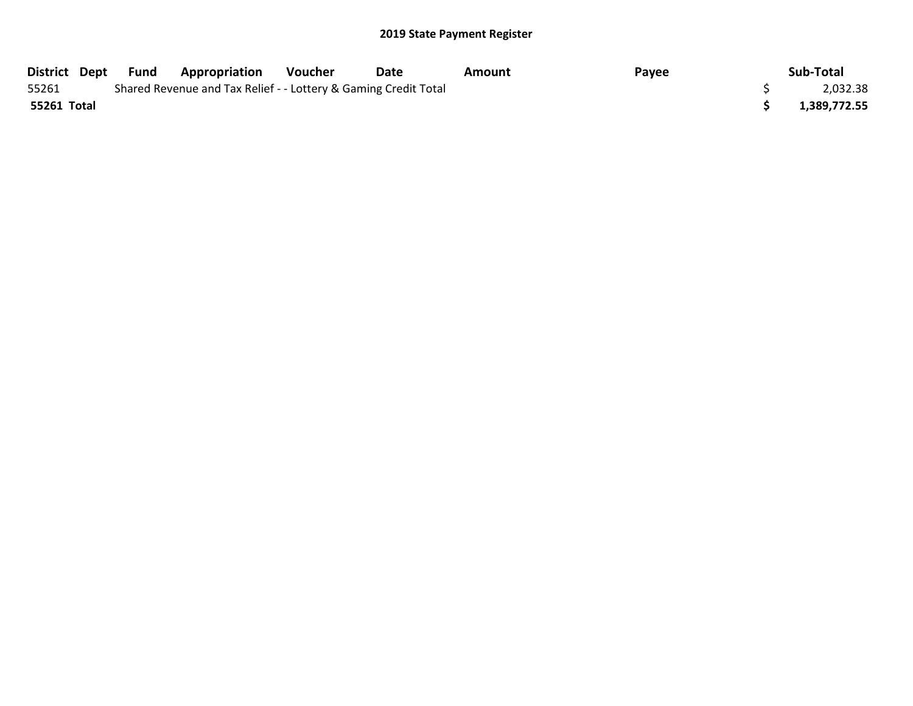## 2019 State Payment Register

| District Dept | Fund                                                            | <b>Appropriation</b> | Voucher | Date | Amount | Payee |  | Sub-Total    |
|---------------|-----------------------------------------------------------------|----------------------|---------|------|--------|-------|--|--------------|
| 55261         | Shared Revenue and Tax Relief - - Lottery & Gaming Credit Total |                      |         |      |        |       |  | 2,032.38     |
| 55261 Total   |                                                                 |                      |         |      |        |       |  | 1,389,772.55 |